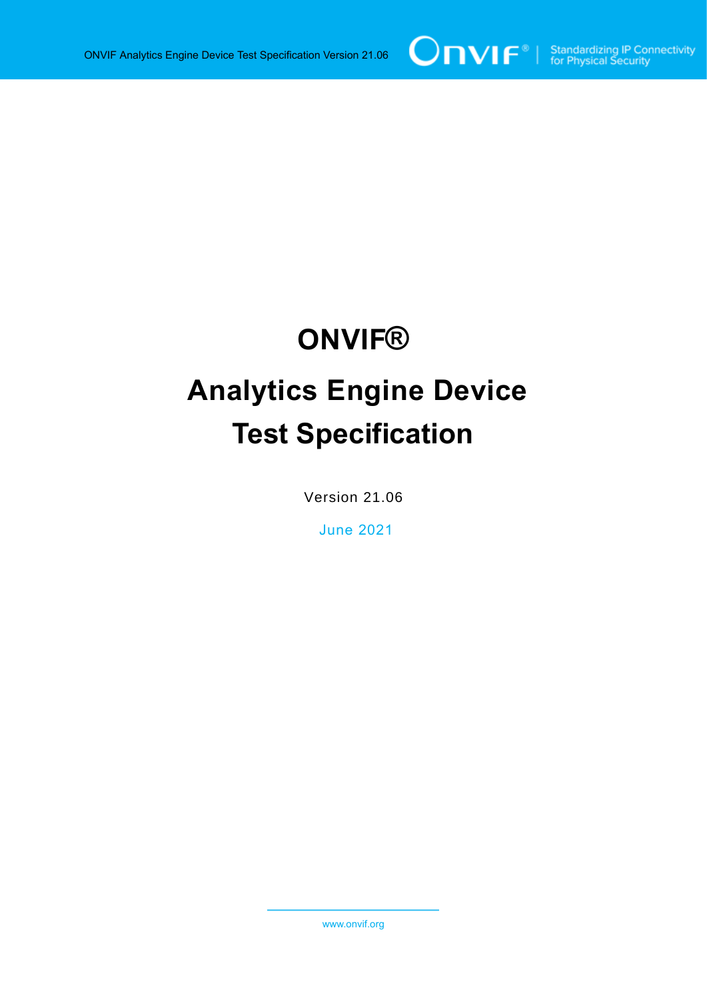# **ONVIF®**

# **Analytics Engine Device Test Specification**

Version 21.06

June 2021

www.onvif.org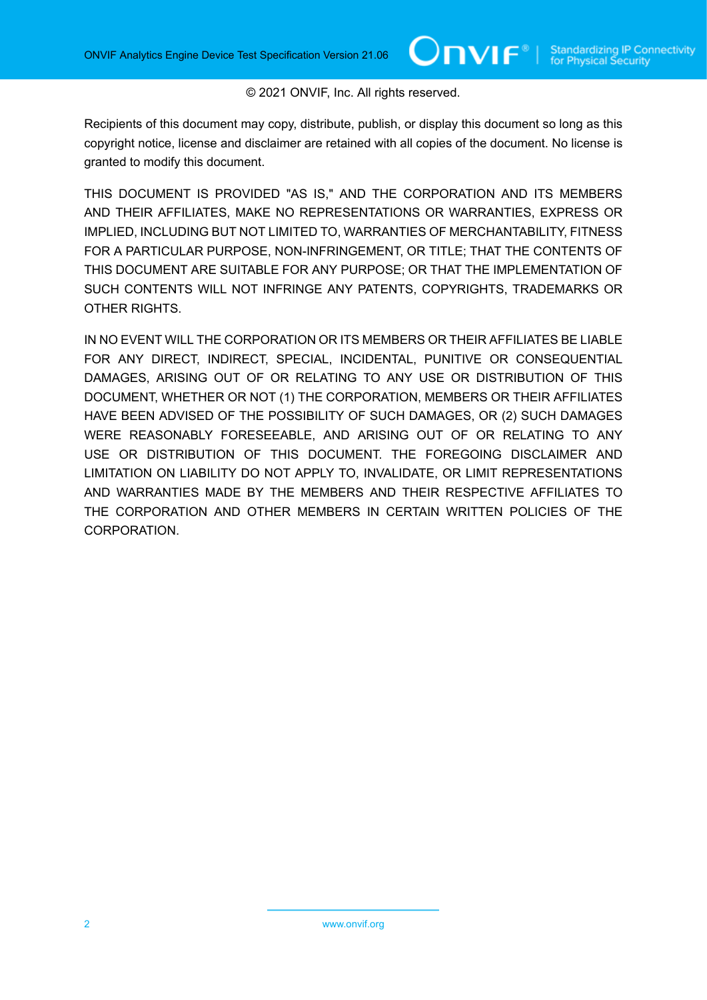#### © 2021 ONVIF, Inc. All rights reserved.

Recipients of this document may copy, distribute, publish, or display this document so long as this copyright notice, license and disclaimer are retained with all copies of the document. No license is granted to modify this document.

THIS DOCUMENT IS PROVIDED "AS IS," AND THE CORPORATION AND ITS MEMBERS AND THEIR AFFILIATES, MAKE NO REPRESENTATIONS OR WARRANTIES, EXPRESS OR IMPLIED, INCLUDING BUT NOT LIMITED TO, WARRANTIES OF MERCHANTABILITY, FITNESS FOR A PARTICULAR PURPOSE, NON-INFRINGEMENT, OR TITLE; THAT THE CONTENTS OF THIS DOCUMENT ARE SUITABLE FOR ANY PURPOSE; OR THAT THE IMPLEMENTATION OF SUCH CONTENTS WILL NOT INFRINGE ANY PATENTS, COPYRIGHTS, TRADEMARKS OR OTHER RIGHTS.

IN NO EVENT WILL THE CORPORATION OR ITS MEMBERS OR THEIR AFFILIATES BE LIABLE FOR ANY DIRECT, INDIRECT, SPECIAL, INCIDENTAL, PUNITIVE OR CONSEQUENTIAL DAMAGES, ARISING OUT OF OR RELATING TO ANY USE OR DISTRIBUTION OF THIS DOCUMENT, WHETHER OR NOT (1) THE CORPORATION, MEMBERS OR THEIR AFFILIATES HAVE BEEN ADVISED OF THE POSSIBILITY OF SUCH DAMAGES, OR (2) SUCH DAMAGES WERE REASONABLY FORESEEABLE, AND ARISING OUT OF OR RELATING TO ANY USE OR DISTRIBUTION OF THIS DOCUMENT. THE FOREGOING DISCLAIMER AND LIMITATION ON LIABILITY DO NOT APPLY TO, INVALIDATE, OR LIMIT REPRESENTATIONS AND WARRANTIES MADE BY THE MEMBERS AND THEIR RESPECTIVE AFFILIATES TO THE CORPORATION AND OTHER MEMBERS IN CERTAIN WRITTEN POLICIES OF THE CORPORATION.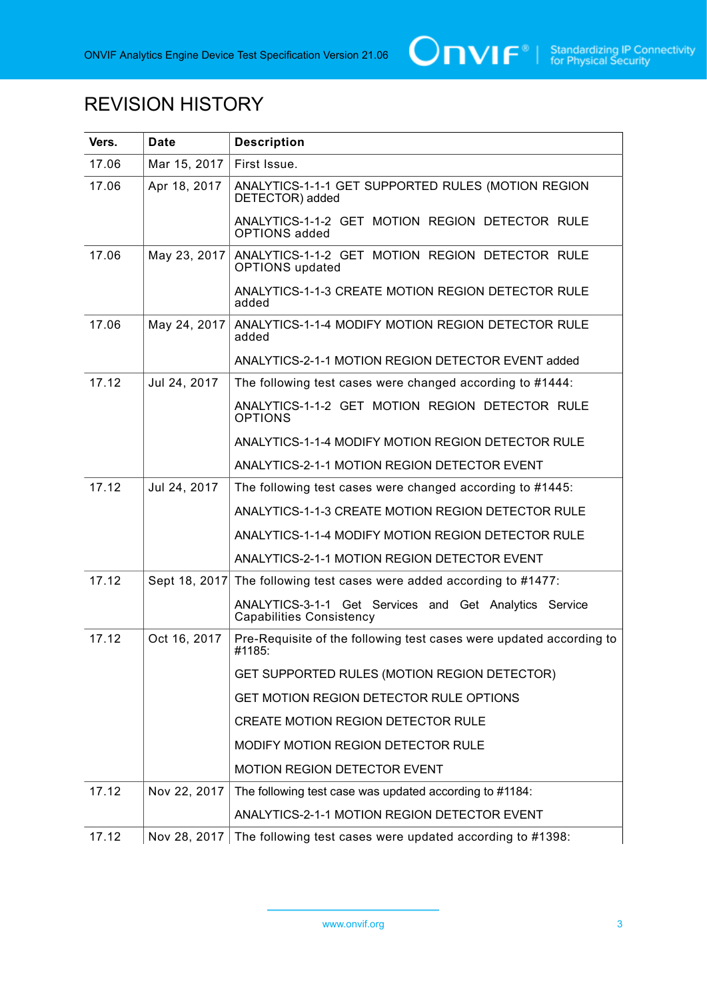

# REVISION HISTORY

| Vers. | <b>Date</b>   | <b>Description</b>                                                                        |
|-------|---------------|-------------------------------------------------------------------------------------------|
| 17.06 | Mar 15, 2017  | First Issue.                                                                              |
| 17.06 | Apr 18, 2017  | ANALYTICS-1-1-1 GET SUPPORTED RULES (MOTION REGION<br>DETECTOR) added                     |
|       |               | ANALYTICS-1-1-2 GET MOTION REGION DETECTOR RULE<br><b>OPTIONS</b> added                   |
| 17.06 | May 23, 2017  | ANALYTICS-1-1-2 GET MOTION REGION DETECTOR RULE<br><b>OPTIONS</b> updated                 |
|       |               | ANALYTICS-1-1-3 CREATE MOTION REGION DETECTOR RULE<br>added                               |
| 17.06 | May 24, 2017  | ANALYTICS-1-1-4 MODIFY MOTION REGION DETECTOR RULE<br>added                               |
|       |               | ANALYTICS-2-1-1 MOTION REGION DETECTOR EVENT added                                        |
| 17.12 | Jul 24, 2017  | The following test cases were changed according to #1444:                                 |
|       |               | ANALYTICS-1-1-2 GET MOTION REGION DETECTOR RULE<br><b>OPTIONS</b>                         |
|       |               | ANALYTICS-1-1-4 MODIFY MOTION REGION DETECTOR RULE                                        |
|       |               | ANALYTICS-2-1-1 MOTION REGION DETECTOR EVENT                                              |
| 17.12 | Jul 24, 2017  | The following test cases were changed according to #1445:                                 |
|       |               | ANALYTICS-1-1-3 CREATE MOTION REGION DETECTOR RULE                                        |
|       |               | ANALYTICS-1-1-4 MODIFY MOTION REGION DETECTOR RULE                                        |
|       |               | ANALYTICS-2-1-1 MOTION REGION DETECTOR EVENT                                              |
| 17.12 | Sept 18, 2017 | The following test cases were added according to #1477:                                   |
|       |               | ANALYTICS-3-1-1 Get Services and Get Analytics Service<br><b>Capabilities Consistency</b> |
| 17.12 | Oct 16, 2017  | Pre-Requisite of the following test cases were updated according to<br>#1185:             |
|       |               | GET SUPPORTED RULES (MOTION REGION DETECTOR)                                              |
|       |               | GET MOTION REGION DETECTOR RULE OPTIONS                                                   |
|       |               | CREATE MOTION REGION DETECTOR RULE                                                        |
|       |               | MODIFY MOTION REGION DETECTOR RULE                                                        |
|       |               | <b>MOTION REGION DETECTOR EVENT</b>                                                       |
| 17.12 | Nov 22, 2017  | The following test case was updated according to #1184:                                   |
|       |               | ANALYTICS-2-1-1 MOTION REGION DETECTOR EVENT                                              |
| 17.12 | Nov 28, 2017  | The following test cases were updated according to #1398:                                 |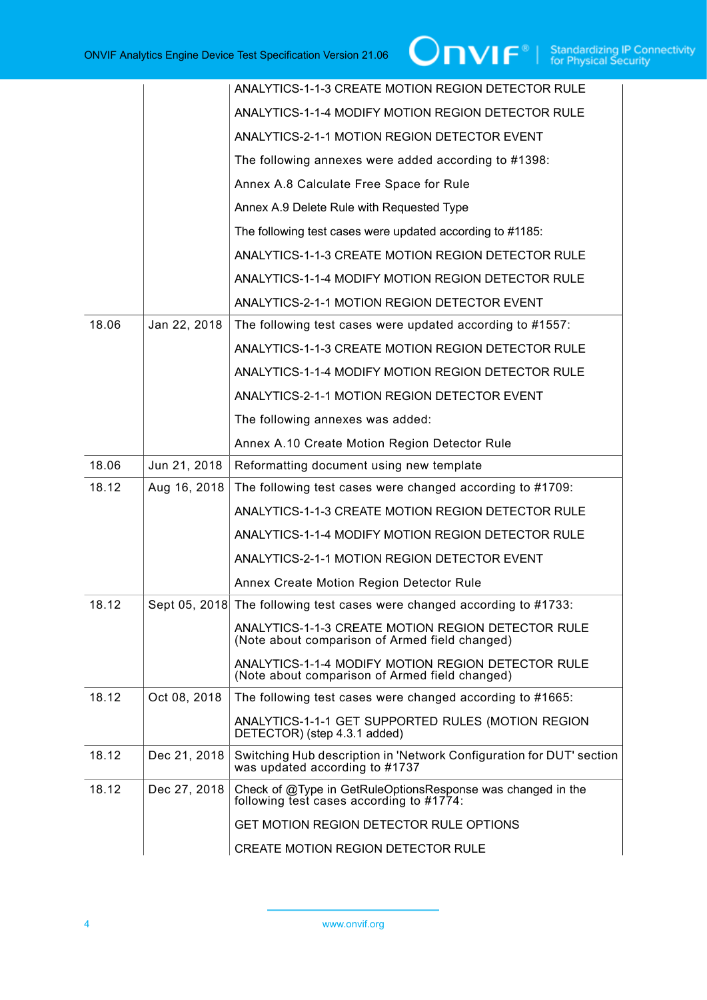|       |              | ANALYTICS-1-1-3 CREATE MOTION REGION DETECTOR RULE                                                      |
|-------|--------------|---------------------------------------------------------------------------------------------------------|
|       |              | ANALYTICS-1-1-4 MODIFY MOTION REGION DETECTOR RULE                                                      |
|       |              | ANALYTICS-2-1-1 MOTION REGION DETECTOR EVENT                                                            |
|       |              | The following annexes were added according to #1398:                                                    |
|       |              | Annex A.8 Calculate Free Space for Rule                                                                 |
|       |              | Annex A.9 Delete Rule with Requested Type                                                               |
|       |              | The following test cases were updated according to #1185:                                               |
|       |              | ANALYTICS-1-1-3 CREATE MOTION REGION DETECTOR RULE                                                      |
|       |              | ANALYTICS-1-1-4 MODIFY MOTION REGION DETECTOR RULE                                                      |
|       |              | ANALYTICS-2-1-1 MOTION REGION DETECTOR EVENT                                                            |
| 18.06 | Jan 22, 2018 | The following test cases were updated according to #1557:                                               |
|       |              | ANALYTICS-1-1-3 CREATE MOTION REGION DETECTOR RULE                                                      |
|       |              | ANALYTICS-1-1-4 MODIFY MOTION REGION DETECTOR RULE                                                      |
|       |              | ANALYTICS-2-1-1 MOTION REGION DETECTOR EVENT                                                            |
|       |              | The following annexes was added:                                                                        |
|       |              | Annex A.10 Create Motion Region Detector Rule                                                           |
| 18.06 | Jun 21, 2018 | Reformatting document using new template                                                                |
| 18.12 | Aug 16, 2018 | The following test cases were changed according to #1709:                                               |
|       |              | ANALYTICS-1-1-3 CREATE MOTION REGION DETECTOR RULE                                                      |
|       |              | ANALYTICS-1-1-4 MODIFY MOTION REGION DETECTOR RULE                                                      |
|       |              | ANALYTICS-2-1-1 MOTION REGION DETECTOR EVENT                                                            |
|       |              | Annex Create Motion Region Detector Rule                                                                |
| 18.12 |              | Sept 05, 2018 The following test cases were changed according to #1733:                                 |
|       |              | ANALYTICS-1-1-3 CREATE MOTION REGION DETECTOR RULE<br>(Note about comparison of Armed field changed)    |
|       |              | ANALYTICS-1-1-4 MODIFY MOTION REGION DETECTOR RULE<br>(Note about comparison of Armed field changed)    |
| 18.12 | Oct 08, 2018 | The following test cases were changed according to #1665:                                               |
|       |              | ANALYTICS-1-1-1 GET SUPPORTED RULES (MOTION REGION<br>DETECTOR) (step 4.3.1 added)                      |
| 18.12 | Dec 21, 2018 | Switching Hub description in 'Network Configuration for DUT' section<br>was updated according to #1737  |
| 18.12 | Dec 27, 2018 | Check of @Type in GetRuleOptionsResponse was changed in the<br>following test cases according to #1774: |
|       |              | GET MOTION REGION DETECTOR RULE OPTIONS                                                                 |
|       |              | <b>CREATE MOTION REGION DETECTOR RULE</b>                                                               |

4 www.onvif.org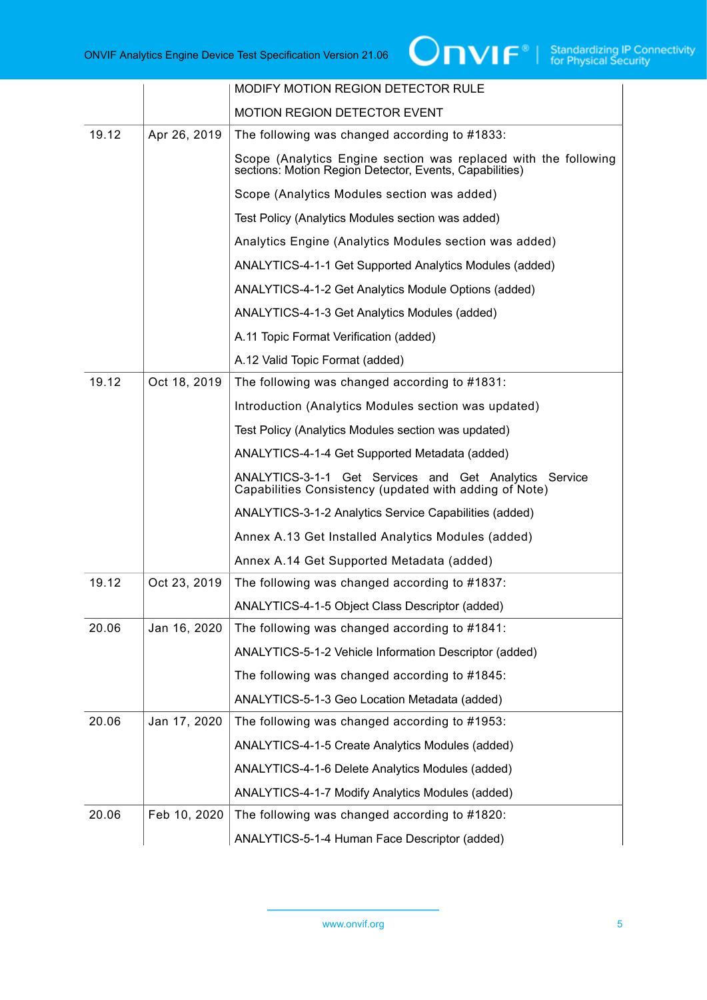|       |              | MODIFY MOTION REGION DETECTOR RULE                                                                                         |
|-------|--------------|----------------------------------------------------------------------------------------------------------------------------|
|       |              | <b>MOTION REGION DETECTOR EVENT</b>                                                                                        |
| 19.12 | Apr 26, 2019 | The following was changed according to #1833:                                                                              |
|       |              | Scope (Analytics Engine section was replaced with the following<br>sections: Motion Region Detector, Events, Capabilities) |
|       |              | Scope (Analytics Modules section was added)                                                                                |
|       |              | Test Policy (Analytics Modules section was added)                                                                          |
|       |              | Analytics Engine (Analytics Modules section was added)                                                                     |
|       |              | ANALYTICS-4-1-1 Get Supported Analytics Modules (added)                                                                    |
|       |              | ANALYTICS-4-1-2 Get Analytics Module Options (added)                                                                       |
|       |              | ANALYTICS-4-1-3 Get Analytics Modules (added)                                                                              |
|       |              | A.11 Topic Format Verification (added)                                                                                     |
|       |              | A.12 Valid Topic Format (added)                                                                                            |
| 19.12 | Oct 18, 2019 | The following was changed according to #1831:                                                                              |
|       |              | Introduction (Analytics Modules section was updated)                                                                       |
|       |              | Test Policy (Analytics Modules section was updated)                                                                        |
|       |              | ANALYTICS-4-1-4 Get Supported Metadata (added)                                                                             |
|       |              | ANALYTICS-3-1-1 Get Services and Get Analytics Service<br>Capabilities Consistency (updated with adding of Note)           |
|       |              | ANALYTICS-3-1-2 Analytics Service Capabilities (added)                                                                     |
|       |              | Annex A.13 Get Installed Analytics Modules (added)                                                                         |
|       |              | Annex A.14 Get Supported Metadata (added)                                                                                  |
| 19.12 | Oct 23, 2019 | The following was changed according to #1837:                                                                              |
|       |              | ANALYTICS-4-1-5 Object Class Descriptor (added)                                                                            |
| 20.06 | Jan 16, 2020 | The following was changed according to #1841:                                                                              |
|       |              | ANALYTICS-5-1-2 Vehicle Information Descriptor (added)                                                                     |
|       |              | The following was changed according to #1845:                                                                              |
|       |              | ANALYTICS-5-1-3 Geo Location Metadata (added)                                                                              |
| 20.06 | Jan 17, 2020 | The following was changed according to #1953:                                                                              |
|       |              | ANALYTICS-4-1-5 Create Analytics Modules (added)                                                                           |
|       |              | ANALYTICS-4-1-6 Delete Analytics Modules (added)                                                                           |
|       |              | ANALYTICS-4-1-7 Modify Analytics Modules (added)                                                                           |
| 20.06 | Feb 10, 2020 | The following was changed according to #1820:                                                                              |
|       |              |                                                                                                                            |
|       |              |                                                                                                                            |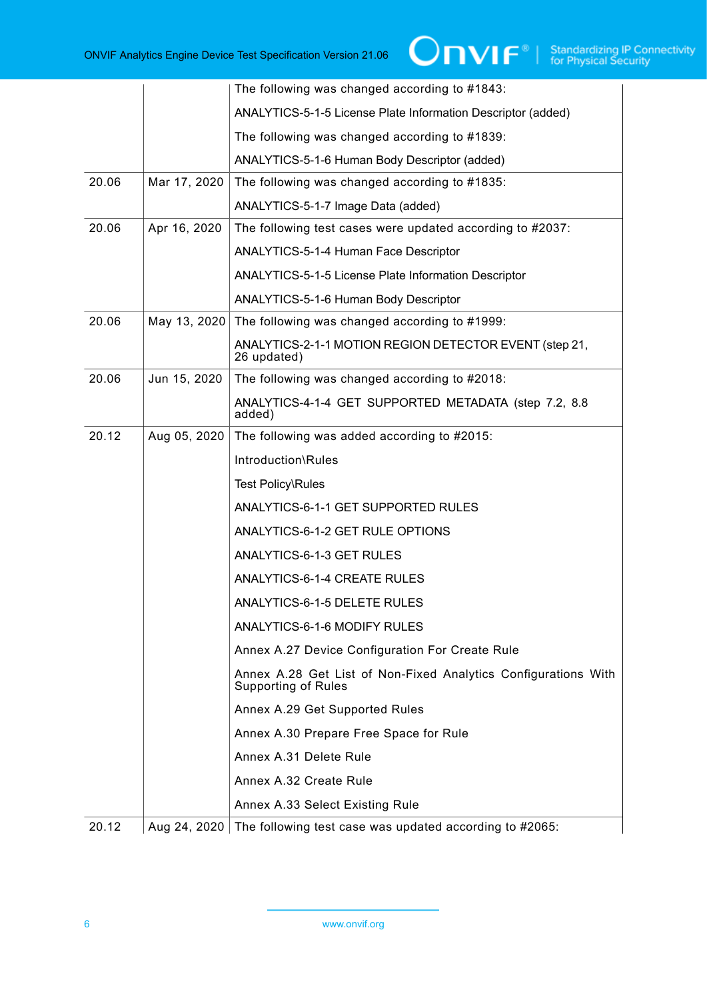|       |              | The following was changed according to #1843:                                                |
|-------|--------------|----------------------------------------------------------------------------------------------|
|       |              | ANALYTICS-5-1-5 License Plate Information Descriptor (added)                                 |
|       |              | The following was changed according to #1839:                                                |
|       |              | ANALYTICS-5-1-6 Human Body Descriptor (added)                                                |
| 20.06 | Mar 17, 2020 | The following was changed according to #1835:                                                |
|       |              | ANALYTICS-5-1-7 Image Data (added)                                                           |
| 20.06 | Apr 16, 2020 | The following test cases were updated according to #2037:                                    |
|       |              | ANALYTICS-5-1-4 Human Face Descriptor                                                        |
|       |              | <b>ANALYTICS-5-1-5 License Plate Information Descriptor</b>                                  |
|       |              | <b>ANALYTICS-5-1-6 Human Body Descriptor</b>                                                 |
| 20.06 | May 13, 2020 | The following was changed according to #1999:                                                |
|       |              | ANALYTICS-2-1-1 MOTION REGION DETECTOR EVENT (step 21,<br>26 updated)                        |
| 20.06 | Jun 15, 2020 | The following was changed according to #2018:                                                |
|       |              | ANALYTICS-4-1-4 GET SUPPORTED METADATA (step 7.2, 8.8<br>added)                              |
| 20.12 | Aug 05, 2020 | The following was added according to #2015:                                                  |
|       |              | Introduction\Rules                                                                           |
|       |              | Test Policy\Rules                                                                            |
|       |              | ANALYTICS-6-1-1 GET SUPPORTED RULES                                                          |
|       |              | ANALYTICS-6-1-2 GET RULE OPTIONS                                                             |
|       |              | ANALYTICS-6-1-3 GET RULES                                                                    |
|       |              | ANALYTICS-6-1-4 CREATE RULES                                                                 |
|       |              | ANALYTICS-6-1-5 DELETE RULES                                                                 |
|       |              | ANALYTICS-6-1-6 MODIFY RULES                                                                 |
|       |              | Annex A.27 Device Configuration For Create Rule                                              |
|       |              | Annex A.28 Get List of Non-Fixed Analytics Configurations With<br><b>Supporting of Rules</b> |
|       |              | Annex A.29 Get Supported Rules                                                               |
|       |              | Annex A.30 Prepare Free Space for Rule                                                       |
|       |              | Annex A.31 Delete Rule                                                                       |
|       |              | Annex A.32 Create Rule                                                                       |
|       |              | Annex A.33 Select Existing Rule                                                              |
| 20.12 |              | Aug 24, 2020 The following test case was updated according to #2065:                         |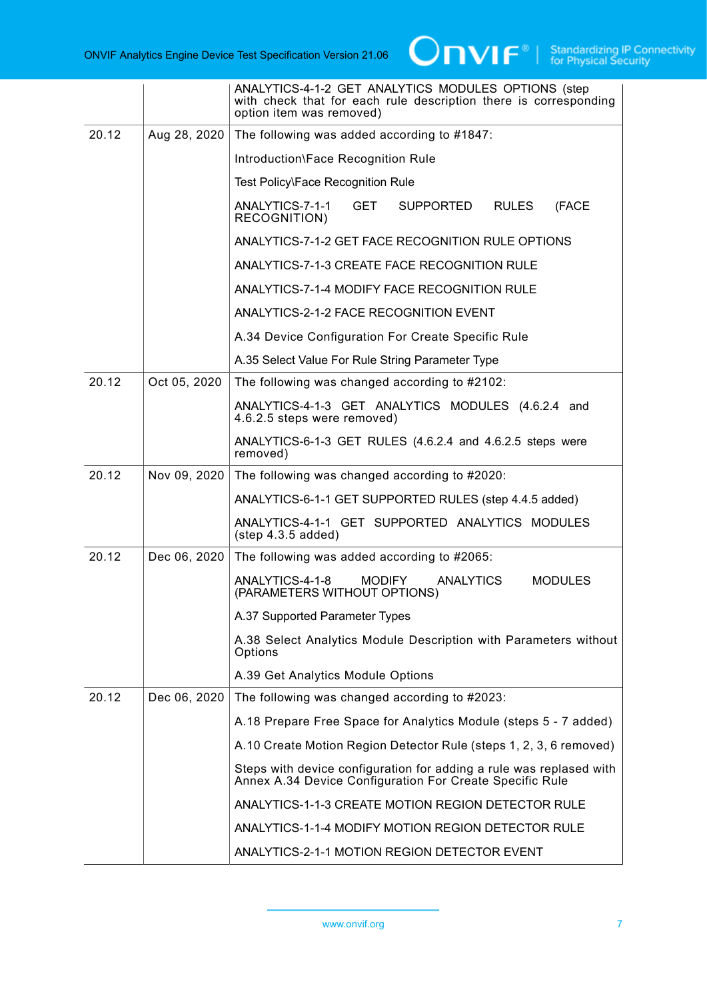|       |              | ANALYTICS-4-1-2 GET ANALYTICS MODULES OPTIONS (step<br>with check that for each rule description there is corresponding<br>option item was removed) |
|-------|--------------|-----------------------------------------------------------------------------------------------------------------------------------------------------|
| 20.12 | Aug 28, 2020 | The following was added according to #1847:                                                                                                         |
|       |              | Introduction\Face Recognition Rule                                                                                                                  |
|       |              | Test Policy\Face Recognition Rule                                                                                                                   |
|       |              | ANALYTICS-7-1-1<br><b>GET</b><br>SUPPORTED<br><b>RULES</b><br>(FACE<br><b>RECOGNITION)</b>                                                          |
|       |              | ANALYTICS-7-1-2 GET FACE RECOGNITION RULE OPTIONS                                                                                                   |
|       |              | ANALYTICS-7-1-3 CREATE FACE RECOGNITION RULE                                                                                                        |
|       |              | ANALYTICS-7-1-4 MODIFY FACE RECOGNITION RULE                                                                                                        |
|       |              | ANALYTICS-2-1-2 FACE RECOGNITION EVENT                                                                                                              |
|       |              | A.34 Device Configuration For Create Specific Rule                                                                                                  |
|       |              | A.35 Select Value For Rule String Parameter Type                                                                                                    |
| 20.12 | Oct 05, 2020 | The following was changed according to #2102:                                                                                                       |
|       |              | ANALYTICS-4-1-3 GET ANALYTICS MODULES (4.6.2.4 and<br>4.6.2.5 steps were removed)                                                                   |
|       |              | ANALYTICS-6-1-3 GET RULES (4.6.2.4 and 4.6.2.5 steps were<br>removed)                                                                               |
| 20.12 | Nov 09, 2020 | The following was changed according to #2020:                                                                                                       |
|       |              | ANALYTICS-6-1-1 GET SUPPORTED RULES (step 4.4.5 added)                                                                                              |
|       |              | ANALYTICS-4-1-1 GET SUPPORTED ANALYTICS MODULES<br>$(\text{step } 4.3.5 \text{ added})$                                                             |
| 20.12 | Dec 06, 2020 | The following was added according to #2065:                                                                                                         |
|       |              | ANALYTICS-4-1-8<br><b>ANALYTICS</b><br><b>MODIFY</b><br><b>MODULES</b><br>(PARAMETERS WITHOUT OPTIONS)                                              |
|       |              | A.37 Supported Parameter Types                                                                                                                      |
|       |              | A.38 Select Analytics Module Description with Parameters without<br>Options                                                                         |
|       |              | A.39 Get Analytics Module Options                                                                                                                   |
| 20.12 | Dec 06, 2020 | The following was changed according to #2023:                                                                                                       |
|       |              | A.18 Prepare Free Space for Analytics Module (steps 5 - 7 added)                                                                                    |
|       |              | A.10 Create Motion Region Detector Rule (steps 1, 2, 3, 6 removed)                                                                                  |
|       |              | Steps with device configuration for adding a rule was replased with<br>Annex A.34 Device Configuration For Create Specific Rule                     |
|       |              | ANALYTICS-1-1-3 CREATE MOTION REGION DETECTOR RULE                                                                                                  |
|       |              | ANALYTICS-1-1-4 MODIFY MOTION REGION DETECTOR RULE                                                                                                  |
|       |              | ANALYTICS-2-1-1 MOTION REGION DETECTOR EVENT                                                                                                        |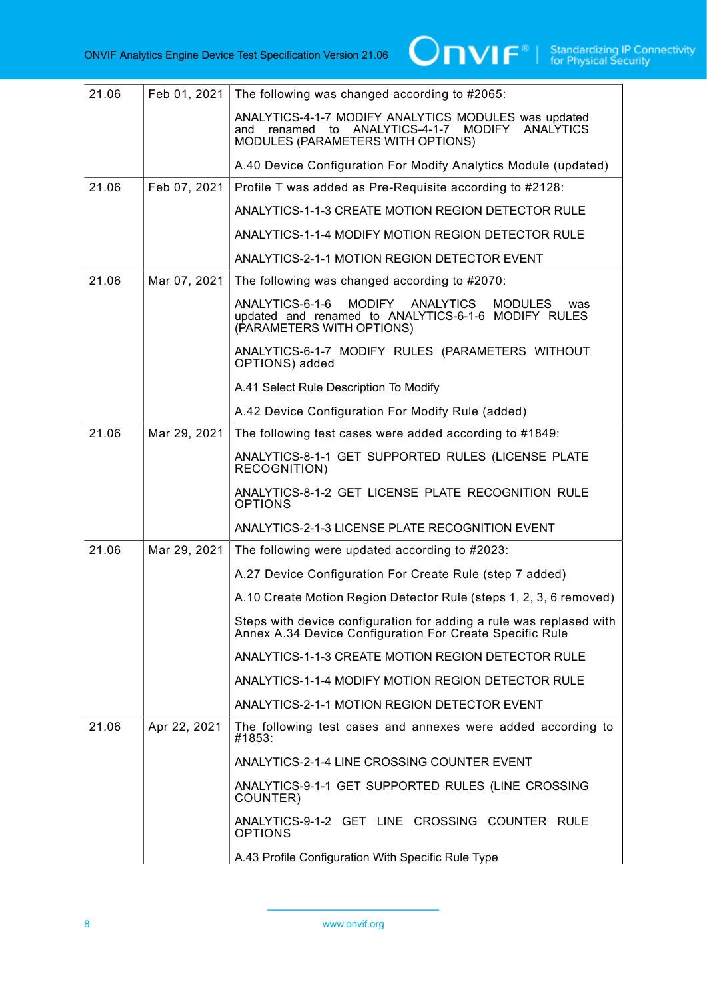| 21.06 | Feb 01, 2021 | The following was changed according to #2065:                                                                                                                   |
|-------|--------------|-----------------------------------------------------------------------------------------------------------------------------------------------------------------|
|       |              | ANALYTICS-4-1-7 MODIFY ANALYTICS MODULES was updated<br>ANALYTICS-4-1-7<br><b>MODIFY</b><br>ANALYTICS<br>and renamed<br>to<br>MODULES (PARAMETERS WITH OPTIONS) |
|       |              | A.40 Device Configuration For Modify Analytics Module (updated)                                                                                                 |
| 21.06 | Feb 07, 2021 | Profile T was added as Pre-Requisite according to #2128:                                                                                                        |
|       |              | ANALYTICS-1-1-3 CREATE MOTION REGION DETECTOR RULE                                                                                                              |
|       |              | ANALYTICS-1-1-4 MODIFY MOTION REGION DETECTOR RULE                                                                                                              |
|       |              | ANALYTICS-2-1-1 MOTION REGION DETECTOR EVENT                                                                                                                    |
| 21.06 | Mar 07, 2021 | The following was changed according to #2070:                                                                                                                   |
|       |              | ANALYTICS-6-1-6<br>MODIFY ANALYTICS<br><b>MODULES</b><br>was<br>updated and renamed to ANALYTICS-6-1-6 MODIFY RULES<br>(PARAMETERS WITH OPTIONS)                |
|       |              | ANALYTICS-6-1-7 MODIFY RULES (PARAMETERS WITHOUT<br>OPTIONS) added                                                                                              |
|       |              | A.41 Select Rule Description To Modify                                                                                                                          |
|       |              | A.42 Device Configuration For Modify Rule (added)                                                                                                               |
| 21.06 | Mar 29, 2021 | The following test cases were added according to #1849:                                                                                                         |
|       |              | ANALYTICS-8-1-1 GET SUPPORTED RULES (LICENSE PLATE<br><b>RECOGNITION)</b>                                                                                       |
|       |              | ANALYTICS-8-1-2 GET LICENSE PLATE RECOGNITION RULE<br><b>OPTIONS</b>                                                                                            |
|       |              | ANALYTICS-2-1-3 LICENSE PLATE RECOGNITION EVENT                                                                                                                 |
| 21.06 | Mar 29, 2021 | The following were updated according to #2023:                                                                                                                  |
|       |              | A.27 Device Configuration For Create Rule (step 7 added)                                                                                                        |
|       |              | A.10 Create Motion Region Detector Rule (steps 1, 2, 3, 6 removed)                                                                                              |
|       |              | Steps with device configuration for adding a rule was replased with<br>Annex A.34 Device Configuration For Create Specific Rule                                 |
|       |              | ANALYTICS-1-1-3 CREATE MOTION REGION DETECTOR RULE                                                                                                              |
|       |              | ANALYTICS-1-1-4 MODIFY MOTION REGION DETECTOR RULE                                                                                                              |
|       |              | ANALYTICS-2-1-1 MOTION REGION DETECTOR EVENT                                                                                                                    |
| 21.06 | Apr 22, 2021 | The following test cases and annexes were added according to<br>#1853:                                                                                          |
|       |              | ANALYTICS-2-1-4 LINE CROSSING COUNTER EVENT                                                                                                                     |
|       |              | ANALYTICS-9-1-1 GET SUPPORTED RULES (LINE CROSSING<br>COUNTER)                                                                                                  |
|       |              | ANALYTICS-9-1-2 GET LINE CROSSING COUNTER RULE<br><b>OPTIONS</b>                                                                                                |
|       |              | A.43 Profile Configuration With Specific Rule Type                                                                                                              |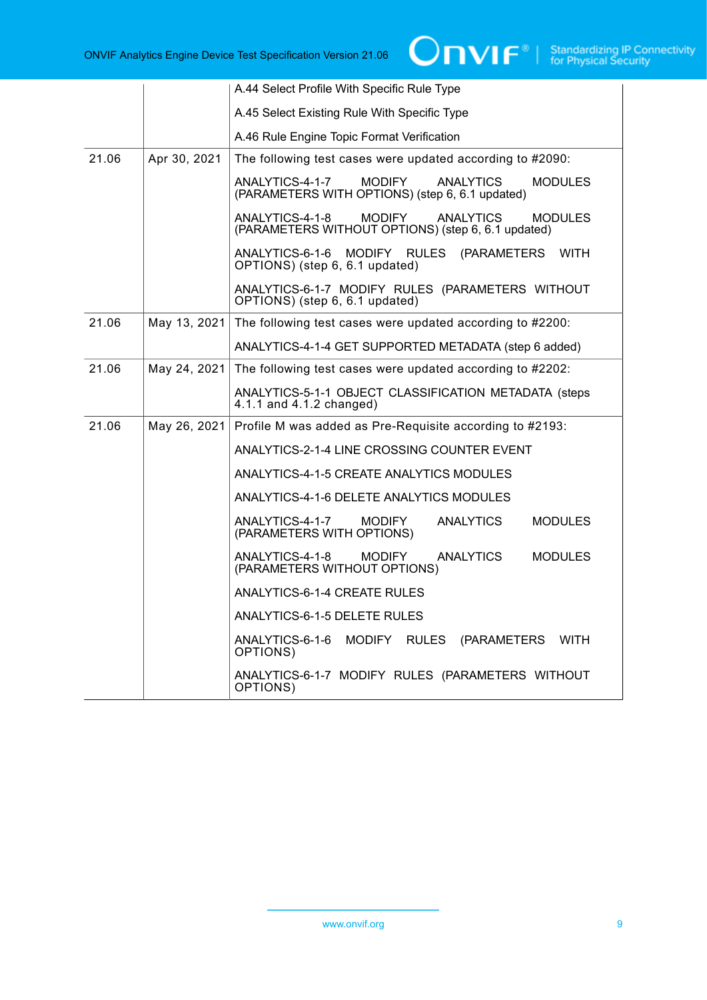|       |              | A.44 Select Profile With Specific Rule Type                                                                               |
|-------|--------------|---------------------------------------------------------------------------------------------------------------------------|
|       |              | A.45 Select Existing Rule With Specific Type                                                                              |
|       |              | A.46 Rule Engine Topic Format Verification                                                                                |
| 21.06 | Apr 30, 2021 | The following test cases were updated according to #2090:                                                                 |
|       |              | ANALYTICS-4-1-7<br><b>MODIFY</b><br><b>ANALYTICS</b><br><b>MODULES</b><br>(PARAMETERS WITH OPTIONS) (step 6, 6.1 updated) |
|       |              | ANALYTICS-4-1-8<br><b>MODIFY</b><br><b>ANALYTICS</b><br>MODULES<br>(PARAMETERS WITHOUT OPTIONS) (step 6, 6.1 updated)     |
|       |              | ANALYTICS-6-1-6<br>MODIFY RULES<br>(PARAMETERS WITH<br>OPTIONS) (step 6, 6.1 updated)                                     |
|       |              | ANALYTICS-6-1-7 MODIFY RULES (PARAMETERS WITHOUT<br>OPTIONS) (step 6, 6.1 updated)                                        |
| 21.06 | May 13, 2021 | The following test cases were updated according to #2200:                                                                 |
|       |              | ANALYTICS-4-1-4 GET SUPPORTED METADATA (step 6 added)                                                                     |
| 21.06 | May 24, 2021 | The following test cases were updated according to #2202:                                                                 |
|       |              | ANALYTICS-5-1-1 OBJECT CLASSIFICATION METADATA (steps<br>4.1.1 and 4.1.2 changed)                                         |
| 21.06 | May 26, 2021 | Profile M was added as Pre-Requisite according to #2193:                                                                  |
|       |              | ANALYTICS-2-1-4 LINE CROSSING COUNTER EVENT                                                                               |
|       |              | ANALYTICS-4-1-5 CREATE ANALYTICS MODULES                                                                                  |
|       |              | ANALYTICS-4-1-6 DELETE ANALYTICS MODULES                                                                                  |
|       |              | ANALYTICS-4-1-7<br><b>ANALYTICS</b><br><b>MODIFY</b><br><b>MODULES</b><br>(PARAMETERS WITH OPTIONS)                       |
|       |              | ANALYTICS-4-1-8<br><b>MODIFY</b><br>ANALYTICS<br><b>MODULES</b><br>(PARAMETERS WITHOUT OPTIONS)                           |
|       |              | ANALYTICS-6-1-4 CREATE RULES                                                                                              |
|       |              | ANALYTICS-6-1-5 DELETE RULES                                                                                              |
|       |              | ANALYTICS-6-1-6<br>MODIFY RULES<br><b>WITH</b><br>(PARAMETERS<br>OPTIONS)                                                 |
|       |              | ANALYTICS-6-1-7 MODIFY RULES (PARAMETERS WITHOUT<br>OPTIONS)                                                              |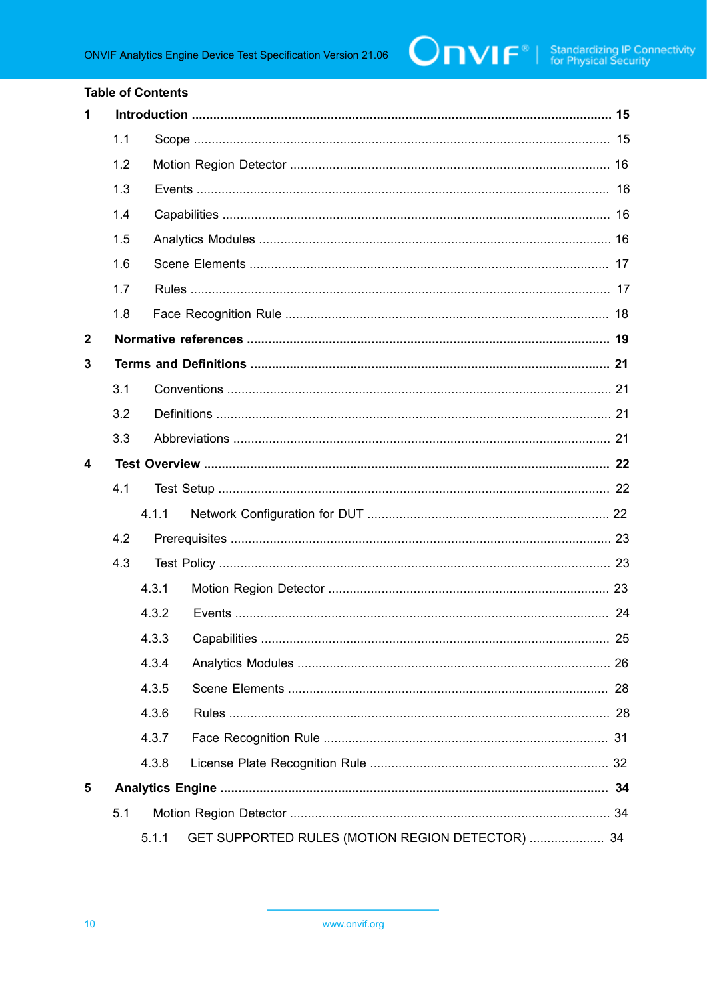#### **Table of Contents**

| $\mathbf 1$      |     |       |                                                  |  |  |
|------------------|-----|-------|--------------------------------------------------|--|--|
|                  | 1.1 |       |                                                  |  |  |
|                  | 1.2 |       |                                                  |  |  |
|                  | 1.3 |       |                                                  |  |  |
|                  | 1.4 |       |                                                  |  |  |
|                  | 1.5 |       |                                                  |  |  |
|                  | 1.6 |       |                                                  |  |  |
|                  | 1.7 |       |                                                  |  |  |
|                  | 1.8 |       |                                                  |  |  |
| $\boldsymbol{2}$ |     |       |                                                  |  |  |
| 3                |     |       |                                                  |  |  |
|                  | 3.1 |       |                                                  |  |  |
|                  | 3.2 |       |                                                  |  |  |
|                  | 3.3 |       |                                                  |  |  |
| 4                |     |       |                                                  |  |  |
|                  | 4.1 |       |                                                  |  |  |
|                  |     | 4.1.1 |                                                  |  |  |
|                  | 4.2 |       |                                                  |  |  |
|                  | 4.3 |       |                                                  |  |  |
|                  |     | 4.3.1 |                                                  |  |  |
|                  |     | 4.3.2 |                                                  |  |  |
|                  |     |       |                                                  |  |  |
|                  |     | 4.3.4 |                                                  |  |  |
|                  |     | 4.3.5 |                                                  |  |  |
|                  |     | 4.3.6 |                                                  |  |  |
|                  |     | 4.3.7 |                                                  |  |  |
|                  |     | 4.3.8 |                                                  |  |  |
| 5                |     |       |                                                  |  |  |
|                  | 5.1 |       |                                                  |  |  |
|                  |     | 5.1.1 | GET SUPPORTED RULES (MOTION REGION DETECTOR)  34 |  |  |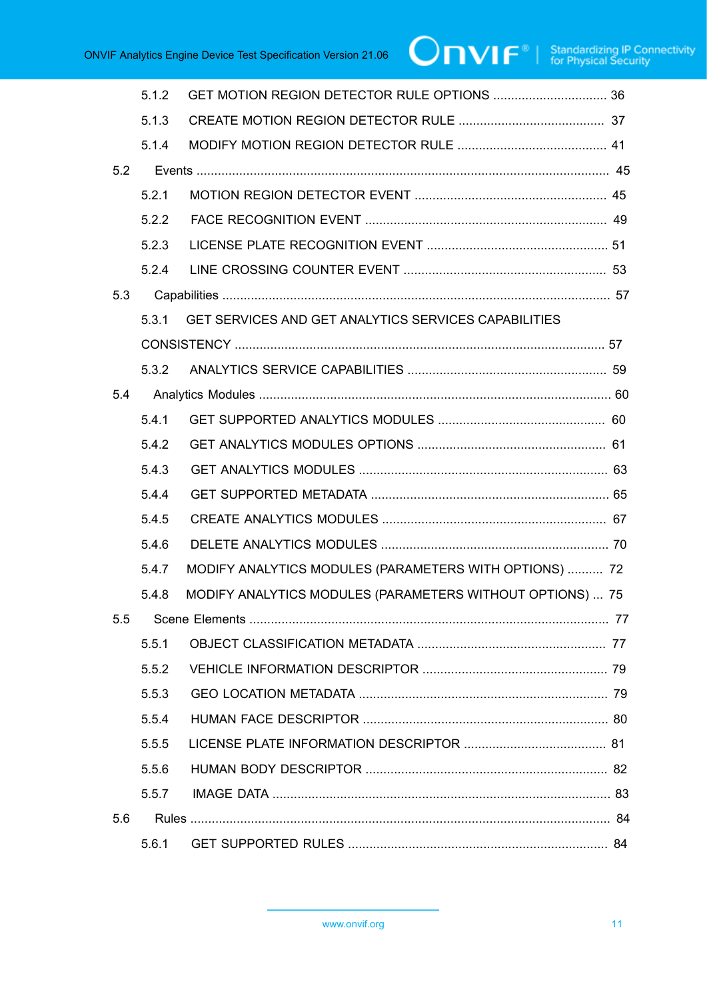|     | 5.1.2 |                                                           |  |
|-----|-------|-----------------------------------------------------------|--|
|     | 5.1.3 |                                                           |  |
|     | 5.1.4 |                                                           |  |
| 5.2 |       |                                                           |  |
|     | 5.2.1 |                                                           |  |
|     | 5.2.2 |                                                           |  |
|     | 5.2.3 |                                                           |  |
|     | 5.2.4 |                                                           |  |
| 5.3 |       |                                                           |  |
|     | 5.3.1 | GET SERVICES AND GET ANALYTICS SERVICES CAPABILITIES      |  |
|     |       |                                                           |  |
|     |       |                                                           |  |
| 5.4 |       |                                                           |  |
|     | 5.4.1 |                                                           |  |
|     | 5.4.2 |                                                           |  |
|     | 5.4.3 |                                                           |  |
|     | 5.4.4 |                                                           |  |
|     | 5.4.5 |                                                           |  |
|     | 5.4.6 |                                                           |  |
|     | 5.4.7 | MODIFY ANALYTICS MODULES (PARAMETERS WITH OPTIONS)  72    |  |
|     | 5.4.8 | MODIFY ANALYTICS MODULES (PARAMETERS WITHOUT OPTIONS)  75 |  |
|     |       |                                                           |  |
|     | 5.51  |                                                           |  |
|     | 5.5.2 |                                                           |  |
|     | 5.5.3 |                                                           |  |
|     | 5.5.4 |                                                           |  |
|     | 5.5.5 |                                                           |  |
|     | 5.5.6 |                                                           |  |
|     | 5.5.7 |                                                           |  |
| 5.6 |       |                                                           |  |
|     | 5.6.1 |                                                           |  |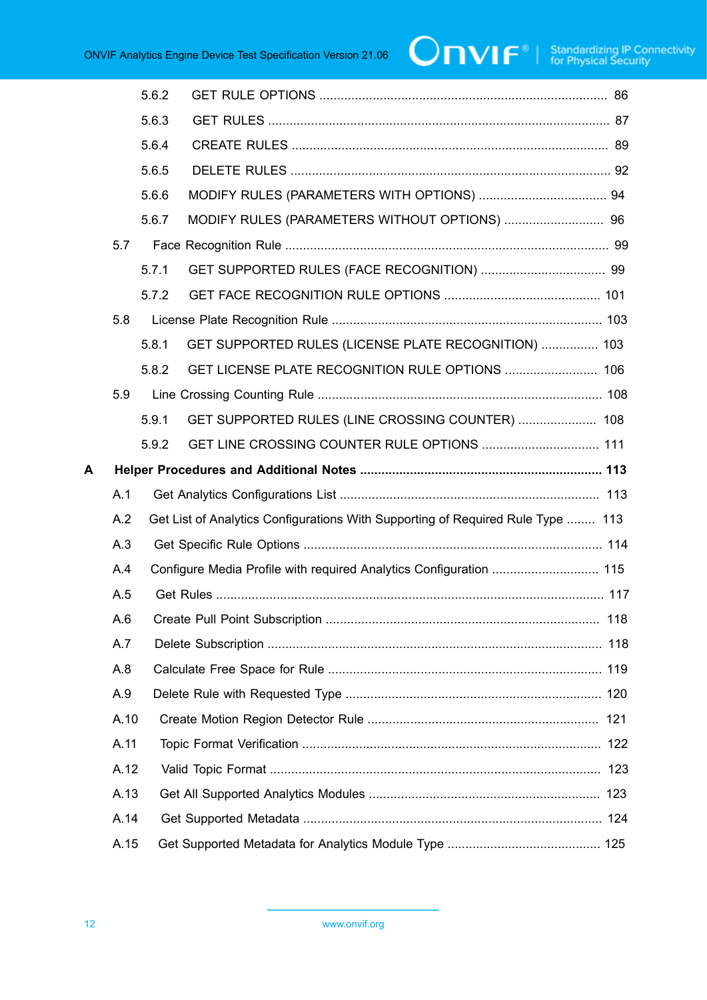|   |      | 5.6.2 |                                                                                 |  |
|---|------|-------|---------------------------------------------------------------------------------|--|
|   |      | 5.6.3 |                                                                                 |  |
|   |      | 5.6.4 |                                                                                 |  |
|   |      | 5.6.5 |                                                                                 |  |
|   |      | 5.6.6 |                                                                                 |  |
|   |      | 5.6.7 |                                                                                 |  |
|   | 5.7  |       |                                                                                 |  |
|   |      | 5.7.1 |                                                                                 |  |
|   |      | 5.7.2 |                                                                                 |  |
|   | 5.8  |       |                                                                                 |  |
|   |      | 5.8.1 | GET SUPPORTED RULES (LICENSE PLATE RECOGNITION)  103                            |  |
|   |      | 5.8.2 | GET LICENSE PLATE RECOGNITION RULE OPTIONS  106                                 |  |
|   | 5.9  |       |                                                                                 |  |
|   |      | 5.9.1 | GET SUPPORTED RULES (LINE CROSSING COUNTER)  108                                |  |
|   |      | 5.9.2 | GET LINE CROSSING COUNTER RULE OPTIONS  111                                     |  |
| A |      |       |                                                                                 |  |
|   | A.1  |       |                                                                                 |  |
|   | A.2  |       | Get List of Analytics Configurations With Supporting of Required Rule Type  113 |  |
|   | A.3  |       |                                                                                 |  |
|   | A.4  |       |                                                                                 |  |
|   | A.5  |       |                                                                                 |  |
|   | A.6  |       |                                                                                 |  |
|   | A.7  |       |                                                                                 |  |
|   | A.8  |       |                                                                                 |  |
|   | A.9  |       |                                                                                 |  |
|   | A.10 |       |                                                                                 |  |
|   | A.11 |       |                                                                                 |  |
|   | A.12 |       |                                                                                 |  |
|   | A.13 |       |                                                                                 |  |
|   | A.14 |       |                                                                                 |  |
|   | A.15 |       |                                                                                 |  |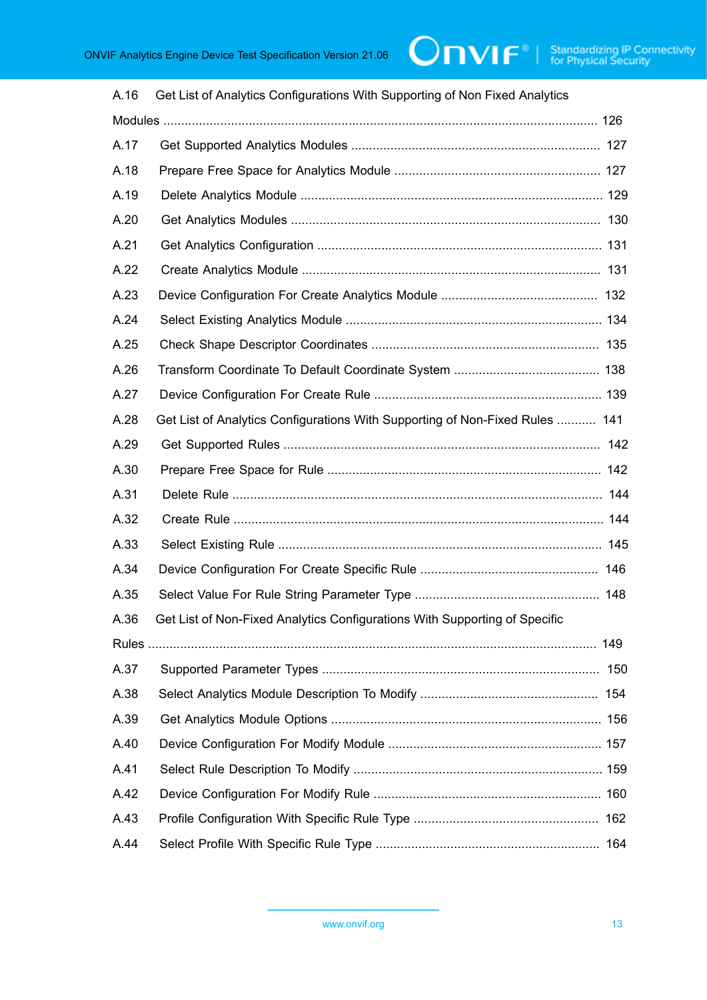| Get List of Analytics Configurations With Supporting of Non Fixed Analytics  |  |  |  |  |  |
|------------------------------------------------------------------------------|--|--|--|--|--|
|                                                                              |  |  |  |  |  |
|                                                                              |  |  |  |  |  |
|                                                                              |  |  |  |  |  |
|                                                                              |  |  |  |  |  |
|                                                                              |  |  |  |  |  |
|                                                                              |  |  |  |  |  |
|                                                                              |  |  |  |  |  |
|                                                                              |  |  |  |  |  |
|                                                                              |  |  |  |  |  |
|                                                                              |  |  |  |  |  |
|                                                                              |  |  |  |  |  |
|                                                                              |  |  |  |  |  |
| Get List of Analytics Configurations With Supporting of Non-Fixed Rules  141 |  |  |  |  |  |
|                                                                              |  |  |  |  |  |
|                                                                              |  |  |  |  |  |
|                                                                              |  |  |  |  |  |
|                                                                              |  |  |  |  |  |
|                                                                              |  |  |  |  |  |
|                                                                              |  |  |  |  |  |
|                                                                              |  |  |  |  |  |
| Get List of Non-Fixed Analytics Configurations With Supporting of Specific   |  |  |  |  |  |
|                                                                              |  |  |  |  |  |
|                                                                              |  |  |  |  |  |
|                                                                              |  |  |  |  |  |
|                                                                              |  |  |  |  |  |
|                                                                              |  |  |  |  |  |
|                                                                              |  |  |  |  |  |
|                                                                              |  |  |  |  |  |
|                                                                              |  |  |  |  |  |
|                                                                              |  |  |  |  |  |
|                                                                              |  |  |  |  |  |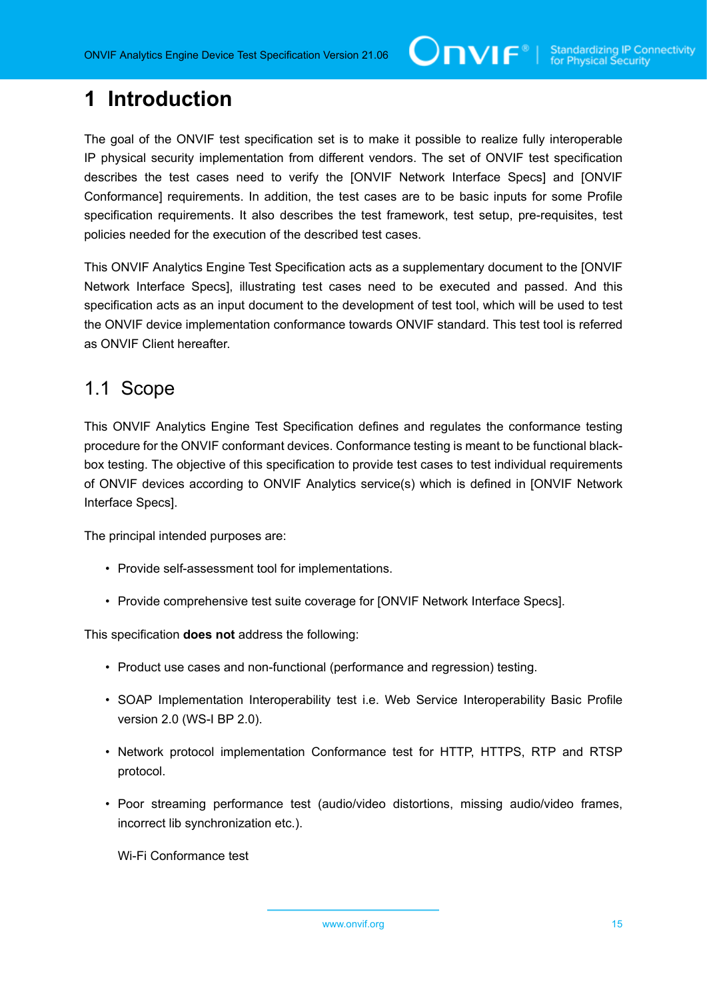# <span id="page-14-0"></span>**1 Introduction**

The goal of the ONVIF test specification set is to make it possible to realize fully interoperable IP physical security implementation from different vendors. The set of ONVIF test specification describes the test cases need to verify the [ONVIF Network Interface Specs] and [ONVIF Conformance] requirements. In addition, the test cases are to be basic inputs for some Profile specification requirements. It also describes the test framework, test setup, pre-requisites, test policies needed for the execution of the described test cases.

This ONVIF Analytics Engine Test Specification acts as a supplementary document to the [ONVIF Network Interface Specs], illustrating test cases need to be executed and passed. And this specification acts as an input document to the development of test tool, which will be used to test the ONVIF device implementation conformance towards ONVIF standard. This test tool is referred as ONVIF Client hereafter.

#### <span id="page-14-1"></span>1.1 Scope

This ONVIF Analytics Engine Test Specification defines and regulates the conformance testing procedure for the ONVIF conformant devices. Conformance testing is meant to be functional blackbox testing. The objective of this specification to provide test cases to test individual requirements of ONVIF devices according to ONVIF Analytics service(s) which is defined in [ONVIF Network Interface Specs].

The principal intended purposes are:

- Provide self-assessment tool for implementations.
- Provide comprehensive test suite coverage for [ONVIF Network Interface Specs].

This specification **does not** address the following:

- Product use cases and non-functional (performance and regression) testing.
- SOAP Implementation Interoperability test i.e. Web Service Interoperability Basic Profile version 2.0 (WS-I BP 2.0).
- Network protocol implementation Conformance test for HTTP, HTTPS, RTP and RTSP protocol.
- Poor streaming performance test (audio/video distortions, missing audio/video frames, incorrect lib synchronization etc.).

Wi-Fi Conformance test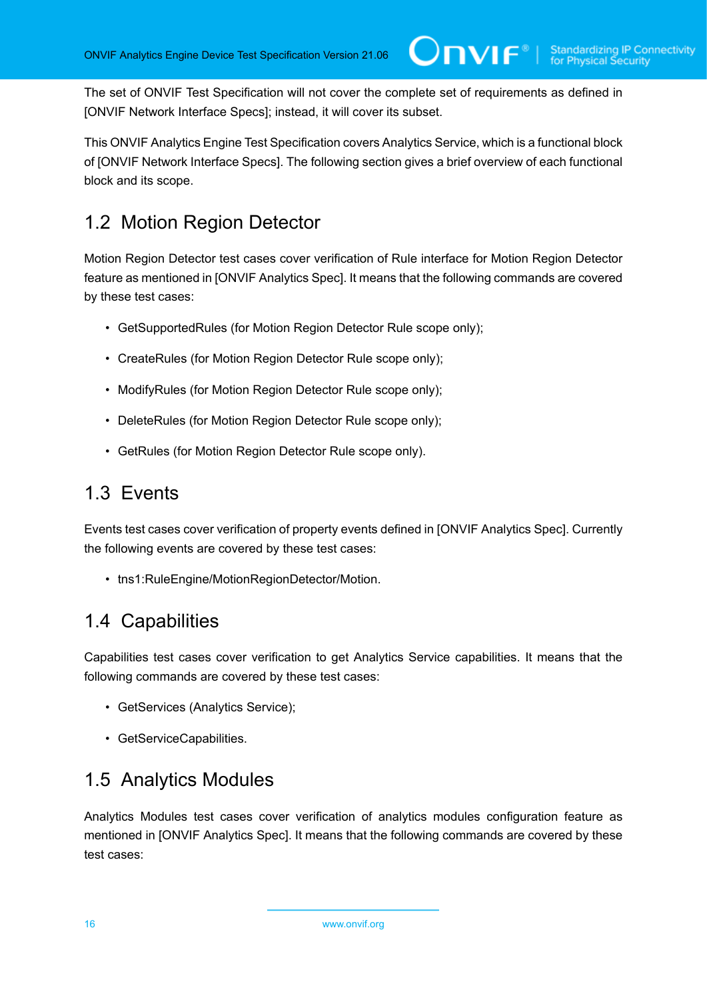The set of ONVIF Test Specification will not cover the complete set of requirements as defined in [ONVIF Network Interface Specs]; instead, it will cover its subset.

This ONVIF Analytics Engine Test Specification covers Analytics Service, which is a functional block of [ONVIF Network Interface Specs]. The following section gives a brief overview of each functional block and its scope.

### <span id="page-15-0"></span>1.2 Motion Region Detector

Motion Region Detector test cases cover verification of Rule interface for Motion Region Detector feature as mentioned in [ONVIF Analytics Spec]. It means that the following commands are covered by these test cases:

- GetSupportedRules (for Motion Region Detector Rule scope only);
- CreateRules (for Motion Region Detector Rule scope only);
- ModifyRules (for Motion Region Detector Rule scope only);
- DeleteRules (for Motion Region Detector Rule scope only);
- GetRules (for Motion Region Detector Rule scope only).

### <span id="page-15-1"></span>1.3 Events

Events test cases cover verification of property events defined in [ONVIF Analytics Spec]. Currently the following events are covered by these test cases:

• tns1:RuleEngine/MotionRegionDetector/Motion.

#### <span id="page-15-2"></span>1.4 Capabilities

Capabilities test cases cover verification to get Analytics Service capabilities. It means that the following commands are covered by these test cases:

- GetServices (Analytics Service);
- GetServiceCapabilities.

#### <span id="page-15-3"></span>1.5 Analytics Modules

Analytics Modules test cases cover verification of analytics modules configuration feature as mentioned in [ONVIF Analytics Spec]. It means that the following commands are covered by these test cases: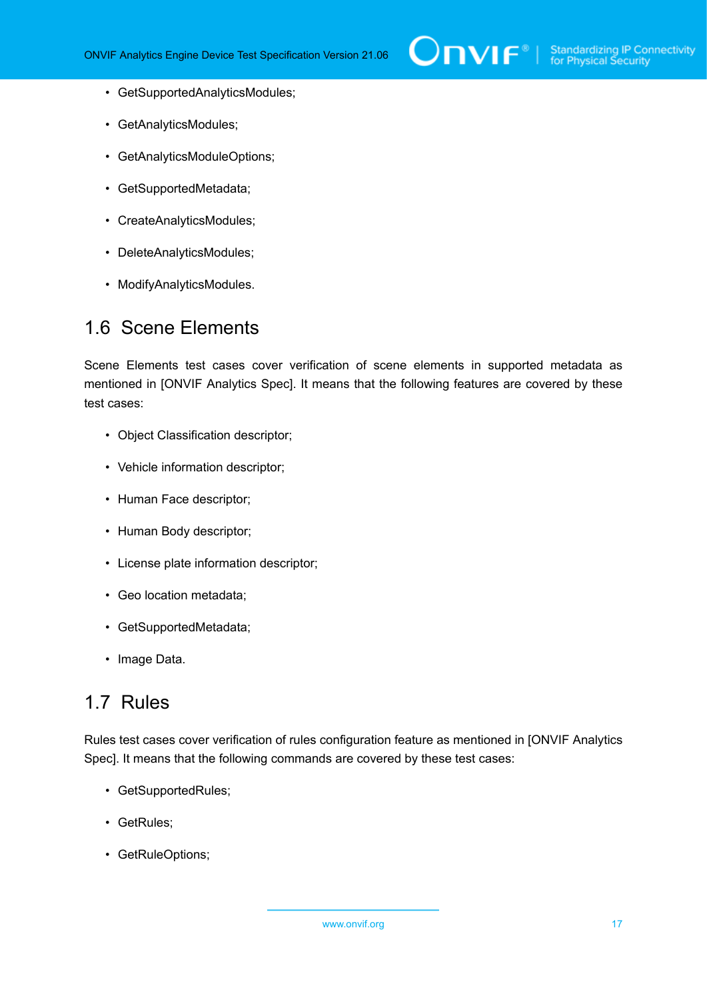- GetSupportedAnalyticsModules;
- GetAnalyticsModules;
- GetAnalyticsModuleOptions;
- GetSupportedMetadata;
- CreateAnalyticsModules;
- DeleteAnalyticsModules;
- ModifyAnalyticsModules.

#### <span id="page-16-0"></span>1.6 Scene Elements

Scene Elements test cases cover verification of scene elements in supported metadata as mentioned in [ONVIF Analytics Spec]. It means that the following features are covered by these test cases:

- Object Classification descriptor;
- Vehicle information descriptor;
- Human Face descriptor;
- Human Body descriptor;
- License plate information descriptor;
- Geo location metadata;
- GetSupportedMetadata;
- Image Data.

#### <span id="page-16-1"></span>1.7 Rules

Rules test cases cover verification of rules configuration feature as mentioned in [ONVIF Analytics Spec]. It means that the following commands are covered by these test cases:

- GetSupportedRules;
- GetRules;
- GetRuleOptions;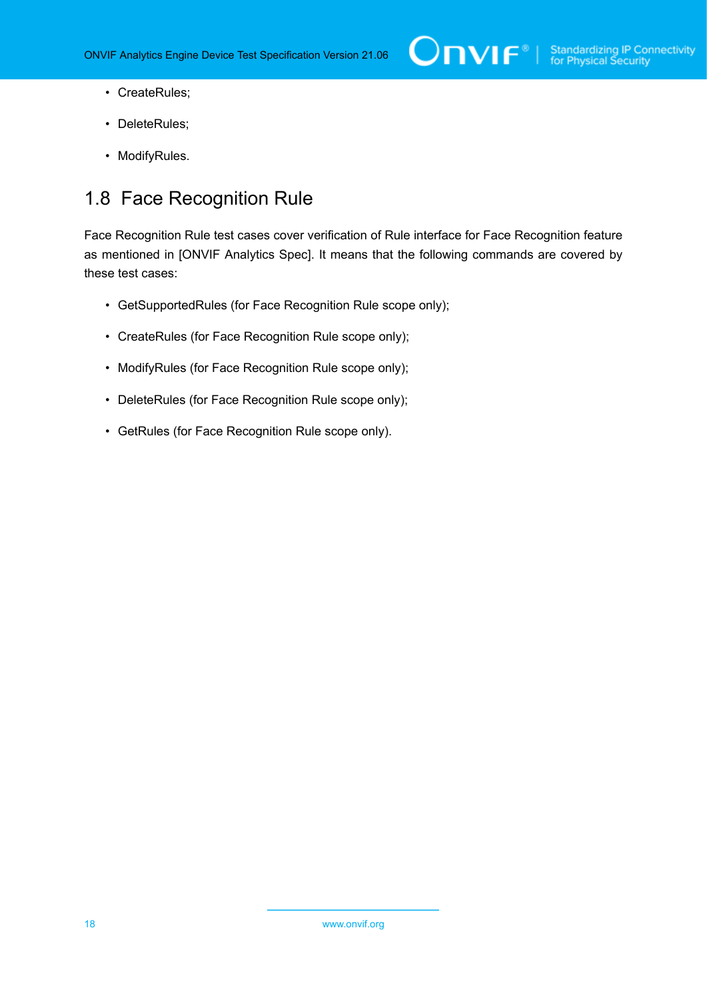- CreateRules;
- DeleteRules;
- ModifyRules.

### <span id="page-17-0"></span>1.8 Face Recognition Rule

Face Recognition Rule test cases cover verification of Rule interface for Face Recognition feature as mentioned in [ONVIF Analytics Spec]. It means that the following commands are covered by these test cases:

- GetSupportedRules (for Face Recognition Rule scope only);
- CreateRules (for Face Recognition Rule scope only);
- ModifyRules (for Face Recognition Rule scope only);
- DeleteRules (for Face Recognition Rule scope only);
- GetRules (for Face Recognition Rule scope only).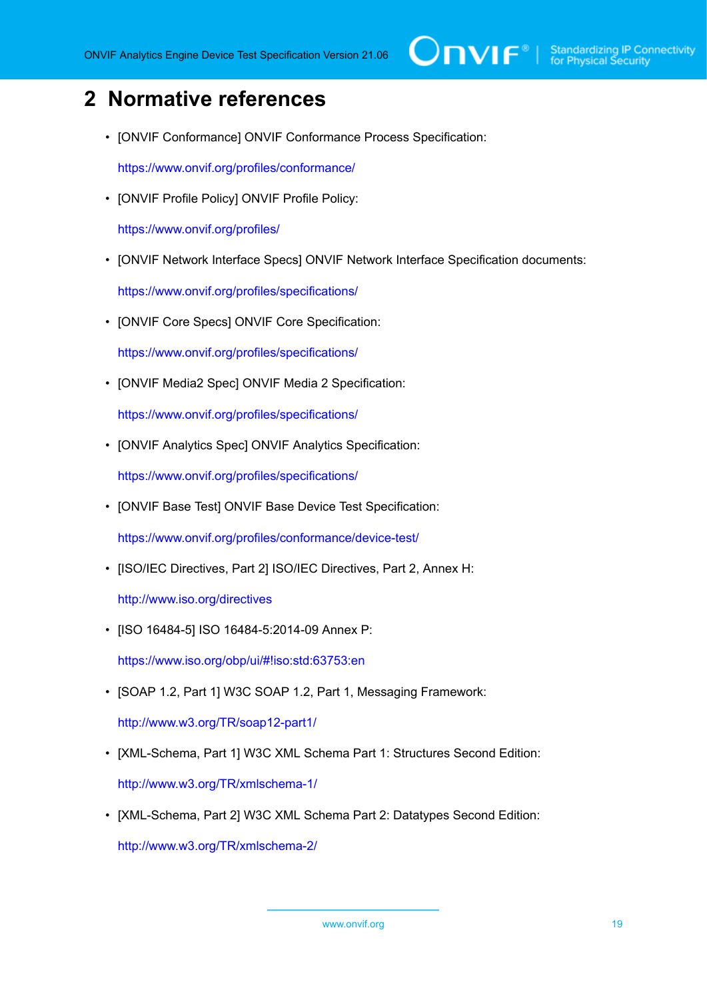# <span id="page-18-0"></span>**2 Normative references**

• [ONVIF Conformance] ONVIF Conformance Process Specification:

<https://www.onvif.org/profiles/conformance/>

• [ONVIF Profile Policy] ONVIF Profile Policy:

<https://www.onvif.org/profiles/>

• [ONVIF Network Interface Specs] ONVIF Network Interface Specification documents:

<https://www.onvif.org/profiles/specifications/>

• [ONVIF Core Specs] ONVIF Core Specification:

<https://www.onvif.org/profiles/specifications/>

• [ONVIF Media2 Spec] ONVIF Media 2 Specification:

<https://www.onvif.org/profiles/specifications/>

• [ONVIF Analytics Spec] ONVIF Analytics Specification:

<https://www.onvif.org/profiles/specifications/>

• [ONVIF Base Test] ONVIF Base Device Test Specification:

<https://www.onvif.org/profiles/conformance/device-test/>

• [ISO/IEC Directives, Part 2] ISO/IEC Directives, Part 2, Annex H:

<http://www.iso.org/directives>

• [ISO 16484-5] ISO 16484-5:2014-09 Annex P:

<https://www.iso.org/obp/ui/#!iso:std:63753:en>

- [SOAP 1.2, Part 1] W3C SOAP 1.2, Part 1, Messaging Framework: <http://www.w3.org/TR/soap12-part1/>
- [XML-Schema, Part 1] W3C XML Schema Part 1: Structures Second Edition: <http://www.w3.org/TR/xmlschema-1/>
- [XML-Schema, Part 2] W3C XML Schema Part 2: Datatypes Second Edition:

<http://www.w3.org/TR/xmlschema-2/>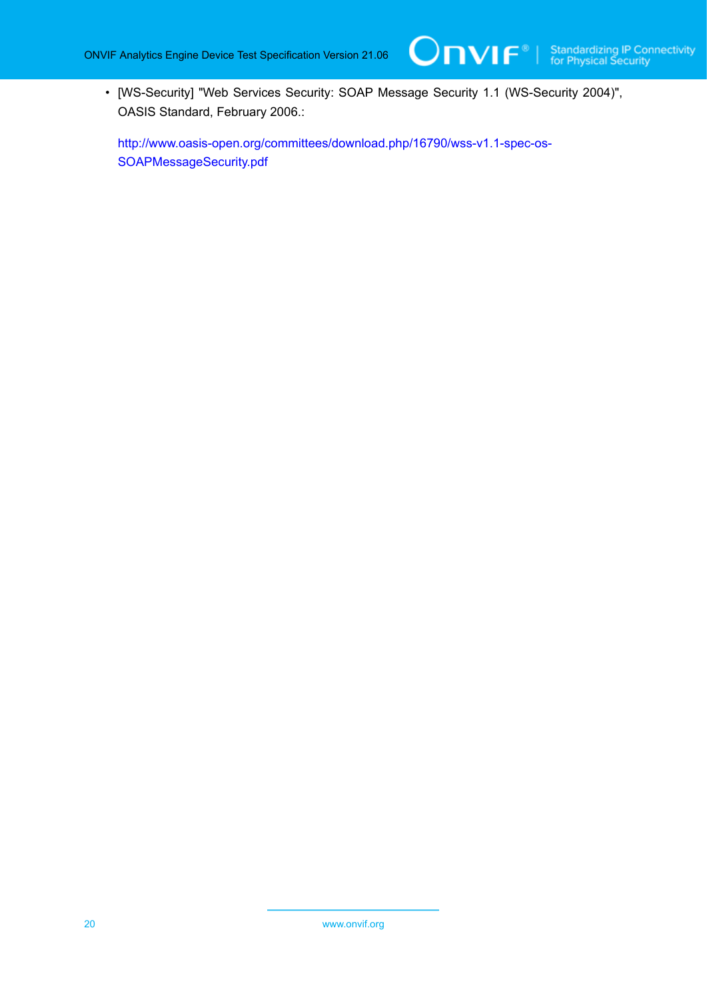• [WS-Security] "Web Services Security: SOAP Message Security 1.1 (WS-Security 2004)", OASIS Standard, February 2006.:

[http://www.oasis-open.org/committees/download.php/16790/wss-v1.1-spec-os-](http://www.oasis-open.org/committees/download.php/16790/wss-v1.1-spec-os-SOAPMessageSecurity.pdf)[SOAPMessageSecurity.pdf](http://www.oasis-open.org/committees/download.php/16790/wss-v1.1-spec-os-SOAPMessageSecurity.pdf)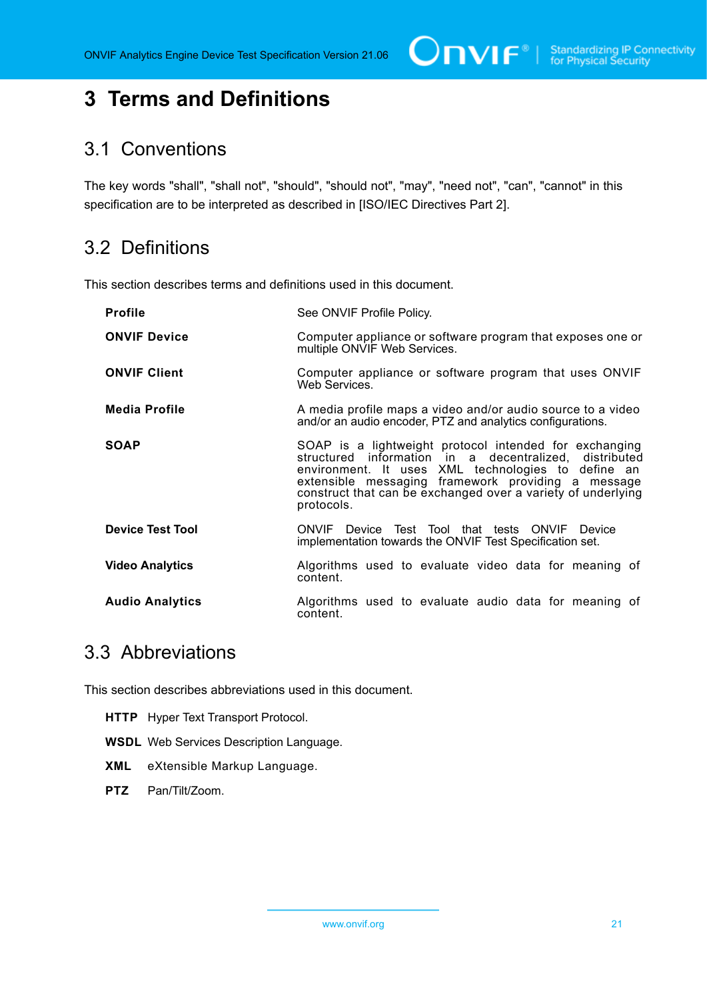# <span id="page-20-0"></span>**3 Terms and Definitions**

#### <span id="page-20-1"></span>3.1 Conventions

The key words "shall", "shall not", "should", "should not", "may", "need not", "can", "cannot" in this specification are to be interpreted as described in [ISO/IEC Directives Part 2].

### <span id="page-20-2"></span>3.2 Definitions

This section describes terms and definitions used in this document.

| <b>Profile</b>          | See ONVIF Profile Policy.                                                                                                                                                                                                                                                                                  |
|-------------------------|------------------------------------------------------------------------------------------------------------------------------------------------------------------------------------------------------------------------------------------------------------------------------------------------------------|
| <b>ONVIF Device</b>     | Computer appliance or software program that exposes one or<br>multiple ONVIF Web Services.                                                                                                                                                                                                                 |
| <b>ONVIF Client</b>     | Computer appliance or software program that uses ONVIF<br>Web Services.                                                                                                                                                                                                                                    |
| <b>Media Profile</b>    | A media profile maps a video and/or audio source to a video<br>and/or an audio encoder, PTZ and analytics configurations.                                                                                                                                                                                  |
| <b>SOAP</b>             | SOAP is a lightweight protocol intended for exchanging<br>structured information in a decentralized, distributed<br>environment. It uses XML technologies to define an<br>extensible messaging framework providing a message<br>construct that can be exchanged over a variety of underlying<br>protocols. |
| <b>Device Test Tool</b> | Device Test Tool that tests ONVIF<br>ONVIF<br>Device<br>implementation towards the ONVIF Test Specification set.                                                                                                                                                                                           |
| <b>Video Analytics</b>  | Algorithms used to evaluate video data for meaning of<br>content.                                                                                                                                                                                                                                          |
| <b>Audio Analytics</b>  | Algorithms used to evaluate audio data for meaning of<br>content.                                                                                                                                                                                                                                          |

### <span id="page-20-3"></span>3.3 Abbreviations

This section describes abbreviations used in this document.

- **HTTP** Hyper Text Transport Protocol.
- **WSDL** Web Services Description Language.
- **XML** eXtensible Markup Language.
- **PTZ** Pan/Tilt/Zoom.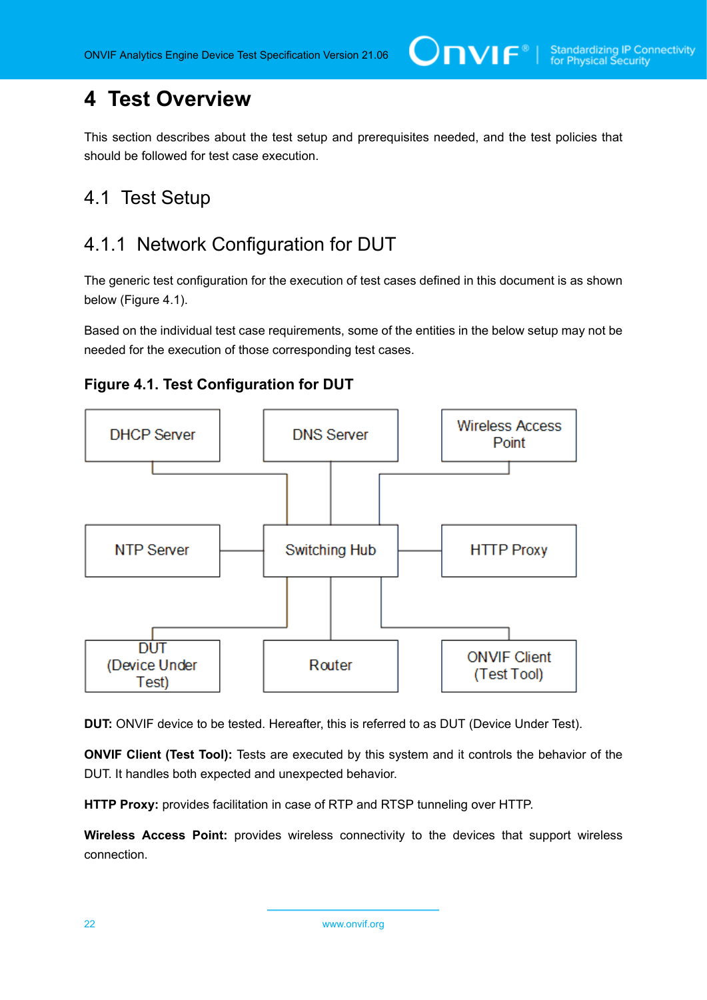# <span id="page-21-0"></span>**4 Test Overview**

This section describes about the test setup and prerequisites needed, and the test policies that should be followed for test case execution.

## <span id="page-21-1"></span>4.1 Test Setup

### <span id="page-21-2"></span>4.1.1 Network Configuration for DUT

The generic test configuration for the execution of test cases defined in this document is as shown below (Figure 4.1).

Based on the individual test case requirements, some of the entities in the below setup may not be needed for the execution of those corresponding test cases.





**DUT:** ONVIF device to be tested. Hereafter, this is referred to as DUT (Device Under Test).

**ONVIF Client (Test Tool):** Tests are executed by this system and it controls the behavior of the DUT. It handles both expected and unexpected behavior.

**HTTP Proxy:** provides facilitation in case of RTP and RTSP tunneling over HTTP.

**Wireless Access Point:** provides wireless connectivity to the devices that support wireless connection.

22 www.onvif.org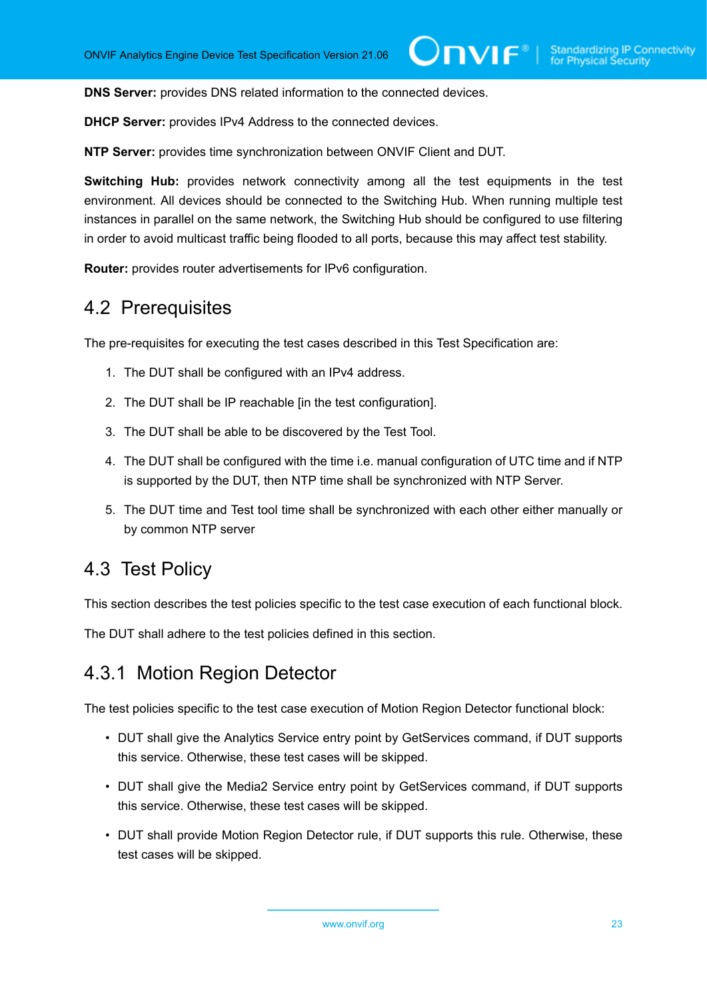**DNS Server:** provides DNS related information to the connected devices.

**DHCP Server:** provides IPv4 Address to the connected devices.

**NTP Server:** provides time synchronization between ONVIF Client and DUT.

**Switching Hub:** provides network connectivity among all the test equipments in the test environment. All devices should be connected to the Switching Hub. When running multiple test instances in parallel on the same network, the Switching Hub should be configured to use filtering in order to avoid multicast traffic being flooded to all ports, because this may affect test stability.

<span id="page-22-0"></span>**Router:** provides router advertisements for IPv6 configuration.

#### 4.2 Prerequisites

The pre-requisites for executing the test cases described in this Test Specification are:

- 1. The DUT shall be configured with an IPv4 address.
- 2. The DUT shall be IP reachable [in the test configuration].
- 3. The DUT shall be able to be discovered by the Test Tool.
- 4. The DUT shall be configured with the time i.e. manual configuration of UTC time and if NTP is supported by the DUT, then NTP time shall be synchronized with NTP Server.
- 5. The DUT time and Test tool time shall be synchronized with each other either manually or by common NTP server

#### <span id="page-22-1"></span>4.3 Test Policy

This section describes the test policies specific to the test case execution of each functional block.

<span id="page-22-2"></span>The DUT shall adhere to the test policies defined in this section.

#### 4.3.1 Motion Region Detector

The test policies specific to the test case execution of Motion Region Detector functional block:

- DUT shall give the Analytics Service entry point by GetServices command, if DUT supports this service. Otherwise, these test cases will be skipped.
- DUT shall give the Media2 Service entry point by GetServices command, if DUT supports this service. Otherwise, these test cases will be skipped.
- DUT shall provide Motion Region Detector rule, if DUT supports this rule. Otherwise, these test cases will be skipped.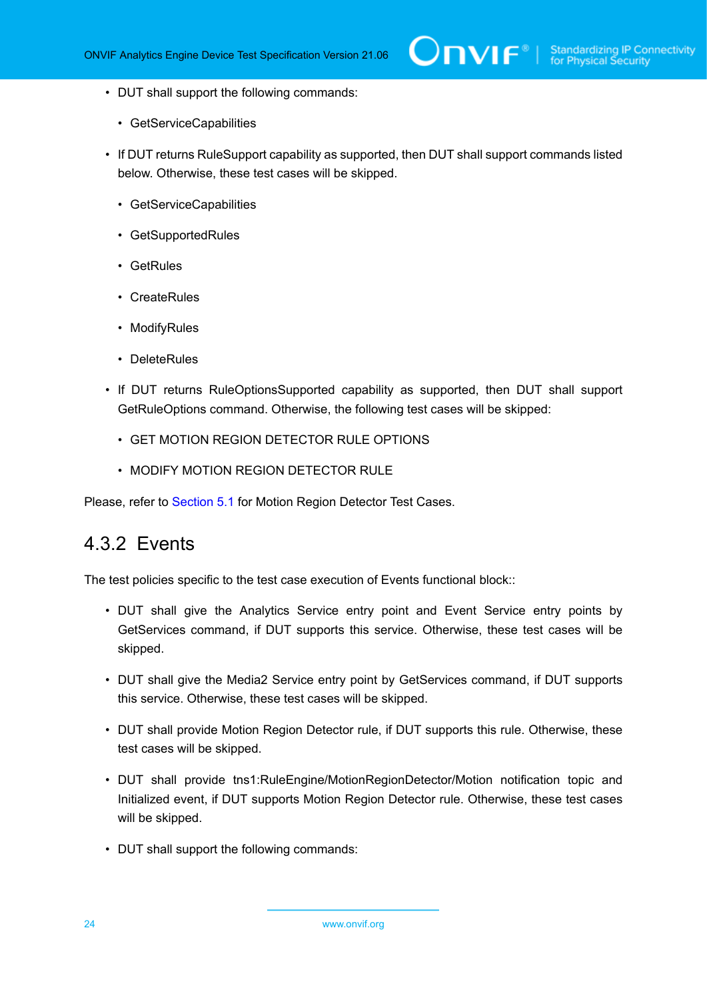- DUT shall support the following commands:
	- GetServiceCapabilities
- If DUT returns RuleSupport capability as supported, then DUT shall support commands listed below. Otherwise, these test cases will be skipped.
	- GetServiceCapabilities
	- GetSupportedRules
	- GetRules
	- CreateRules
	- ModifyRules
	- DeleteRules
- If DUT returns RuleOptionsSupported capability as supported, then DUT shall support GetRuleOptions command. Otherwise, the following test cases will be skipped:
	- GET MOTION REGION DETECTOR RULE OPTIONS
	- MODIFY MOTION REGION DETECTOR RULE

<span id="page-23-0"></span>Please, refer to [Section 5.1](#page-33-1) for Motion Region Detector Test Cases.

#### 4.3.2 Events

The test policies specific to the test case execution of Events functional block::

- DUT shall give the Analytics Service entry point and Event Service entry points by GetServices command, if DUT supports this service. Otherwise, these test cases will be skipped.
- DUT shall give the Media2 Service entry point by GetServices command, if DUT supports this service. Otherwise, these test cases will be skipped.
- DUT shall provide Motion Region Detector rule, if DUT supports this rule. Otherwise, these test cases will be skipped.
- DUT shall provide tns1:RuleEngine/MotionRegionDetector/Motion notification topic and Initialized event, if DUT supports Motion Region Detector rule. Otherwise, these test cases will be skipped.
- DUT shall support the following commands: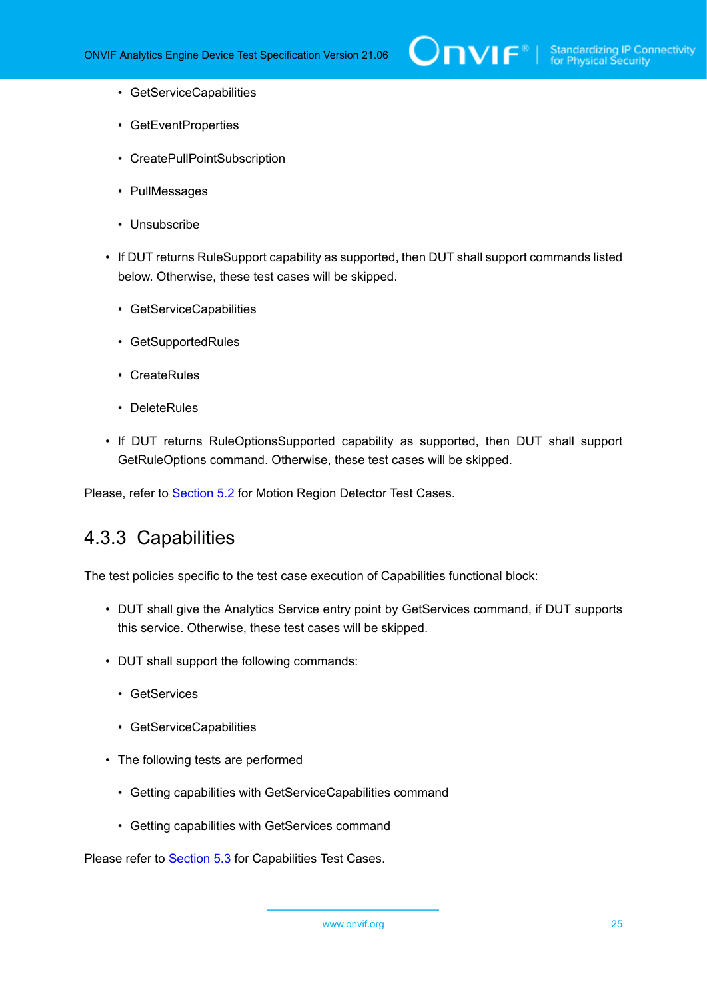- GetServiceCapabilities
- GetEventProperties
- CreatePullPointSubscription
- PullMessages
- Unsubscribe
- If DUT returns RuleSupport capability as supported, then DUT shall support commands listed below. Otherwise, these test cases will be skipped.
	- GetServiceCapabilities
	- GetSupportedRules
	- CreateRules
	- DeleteRules
- If DUT returns RuleOptionsSupported capability as supported, then DUT shall support GetRuleOptions command. Otherwise, these test cases will be skipped.

<span id="page-24-0"></span>Please, refer to [Section 5.2](#page-44-0) for Motion Region Detector Test Cases.

#### 4.3.3 Capabilities

The test policies specific to the test case execution of Capabilities functional block:

- DUT shall give the Analytics Service entry point by GetServices command, if DUT supports this service. Otherwise, these test cases will be skipped.
- DUT shall support the following commands:
	- GetServices
	- GetServiceCapabilities
- The following tests are performed
	- Getting capabilities with GetServiceCapabilities command
	- Getting capabilities with GetServices command

Please refer to [Section 5.3](#page-56-0) for Capabilities Test Cases.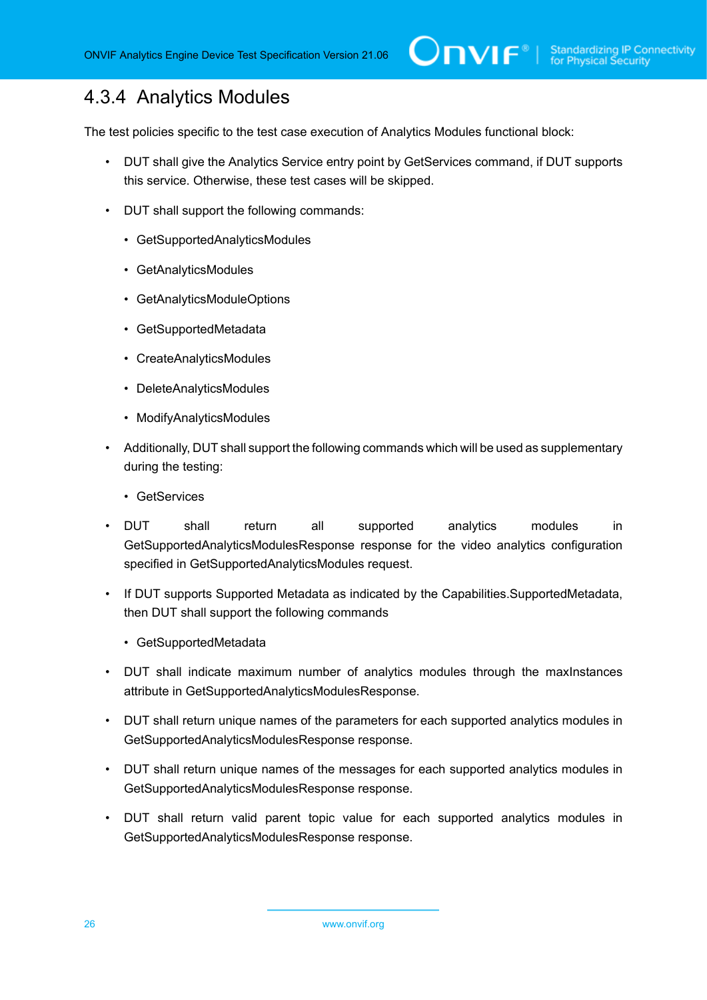### <span id="page-25-0"></span>4.3.4 Analytics Modules

The test policies specific to the test case execution of Analytics Modules functional block:

- DUT shall give the Analytics Service entry point by GetServices command, if DUT supports this service. Otherwise, these test cases will be skipped.
- DUT shall support the following commands:
	- GetSupportedAnalyticsModules
	- GetAnalyticsModules
	- GetAnalyticsModuleOptions
	- GetSupportedMetadata
	- CreateAnalyticsModules
	- DeleteAnalyticsModules
	- ModifyAnalyticsModules
- Additionally, DUT shall support the following commands which will be used as supplementary during the testing:
	- GetServices
- DUT shall return all supported analytics modules in GetSupportedAnalyticsModulesResponse response for the video analytics configuration specified in GetSupportedAnalyticsModules request.
- If DUT supports Supported Metadata as indicated by the Capabilities.SupportedMetadata, then DUT shall support the following commands
	- GetSupportedMetadata
- DUT shall indicate maximum number of analytics modules through the maxInstances attribute in GetSupportedAnalyticsModulesResponse.
- DUT shall return unique names of the parameters for each supported analytics modules in GetSupportedAnalyticsModulesResponse response.
- DUT shall return unique names of the messages for each supported analytics modules in GetSupportedAnalyticsModulesResponse response.
- DUT shall return valid parent topic value for each supported analytics modules in GetSupportedAnalyticsModulesResponse response.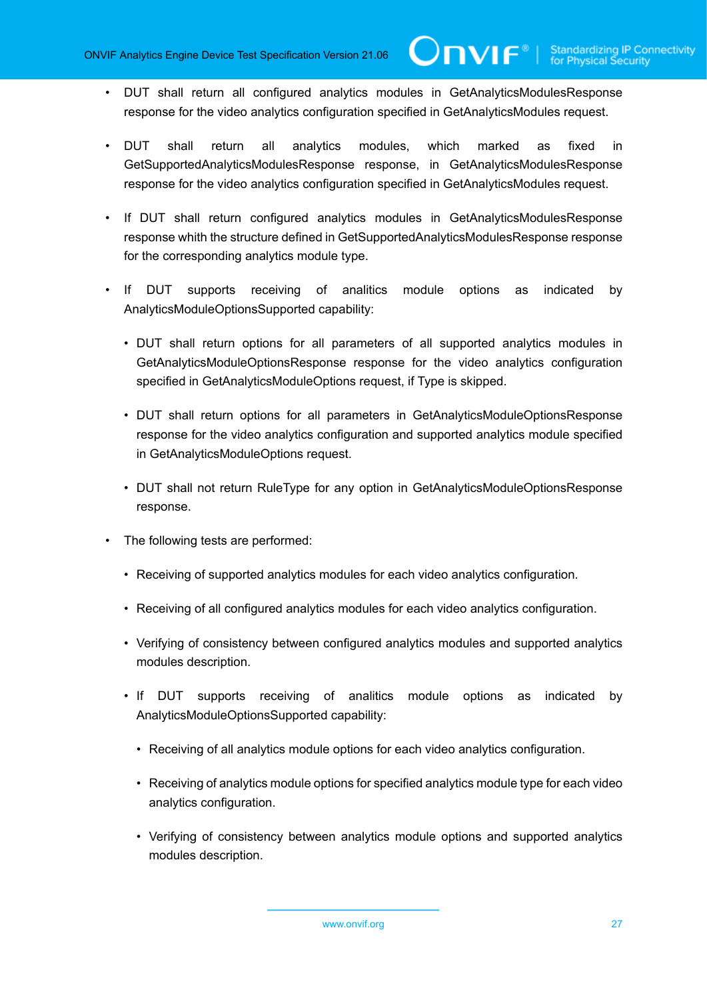- DUT shall return all configured analytics modules in GetAnalyticsModulesResponse response for the video analytics configuration specified in GetAnalyticsModules request.
- DUT shall return all analytics modules, which marked as fixed in GetSupportedAnalyticsModulesResponse response, in GetAnalyticsModulesResponse response for the video analytics configuration specified in GetAnalyticsModules request.
- If DUT shall return configured analytics modules in GetAnalyticsModulesResponse response whith the structure defined in GetSupportedAnalyticsModulesResponse response for the corresponding analytics module type.
- If DUT supports receiving of analitics module options as indicated by AnalyticsModuleOptionsSupported capability:
	- DUT shall return options for all parameters of all supported analytics modules in GetAnalyticsModuleOptionsResponse response for the video analytics configuration specified in GetAnalyticsModuleOptions request, if Type is skipped.
	- DUT shall return options for all parameters in GetAnalyticsModuleOptionsResponse response for the video analytics configuration and supported analytics module specified in GetAnalyticsModuleOptions request.
	- DUT shall not return RuleType for any option in GetAnalyticsModuleOptionsResponse response.
- The following tests are performed:
	- Receiving of supported analytics modules for each video analytics configuration.
	- Receiving of all configured analytics modules for each video analytics configuration.
	- Verifying of consistency between configured analytics modules and supported analytics modules description.
	- If DUT supports receiving of analitics module options as indicated by AnalyticsModuleOptionsSupported capability:
		- Receiving of all analytics module options for each video analytics configuration.
		- Receiving of analytics module options for specified analytics module type for each video analytics configuration.
		- Verifying of consistency between analytics module options and supported analytics modules description.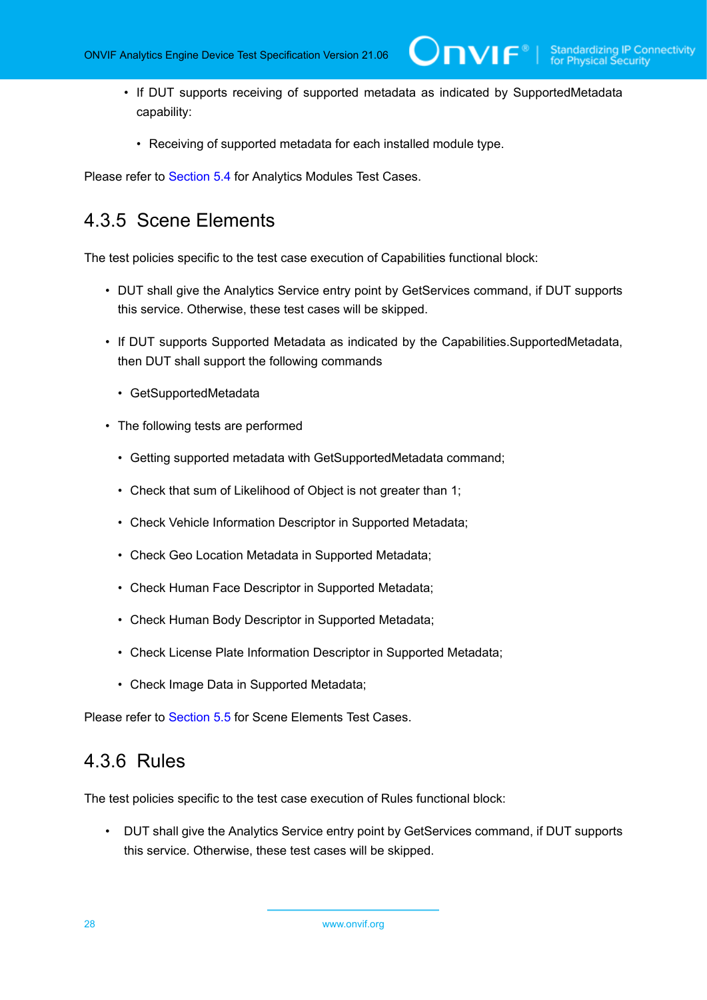• If DUT supports receiving of supported metadata as indicated by SupportedMetadata capability:

 $\square$ nvif ${}^*$ l

• Receiving of supported metadata for each installed module type.

<span id="page-27-0"></span>Please refer to [Section 5.4](#page-59-0) for Analytics Modules Test Cases.

#### 4.3.5 Scene Elements

The test policies specific to the test case execution of Capabilities functional block:

- DUT shall give the Analytics Service entry point by GetServices command, if DUT supports this service. Otherwise, these test cases will be skipped.
- If DUT supports Supported Metadata as indicated by the Capabilities.SupportedMetadata, then DUT shall support the following commands
	- GetSupportedMetadata
- The following tests are performed
	- Getting supported metadata with GetSupportedMetadata command;
	- Check that sum of Likelihood of Object is not greater than 1;
	- Check Vehicle Information Descriptor in Supported Metadata;
	- Check Geo Location Metadata in Supported Metadata;
	- Check Human Face Descriptor in Supported Metadata;
	- Check Human Body Descriptor in Supported Metadata;
	- Check License Plate Information Descriptor in Supported Metadata;
	- Check Image Data in Supported Metadata;

<span id="page-27-1"></span>Please refer to [Section 5.5](#page-76-0) for Scene Elements Test Cases.

#### 4.3.6 Rules

The test policies specific to the test case execution of Rules functional block:

• DUT shall give the Analytics Service entry point by GetServices command, if DUT supports this service. Otherwise, these test cases will be skipped.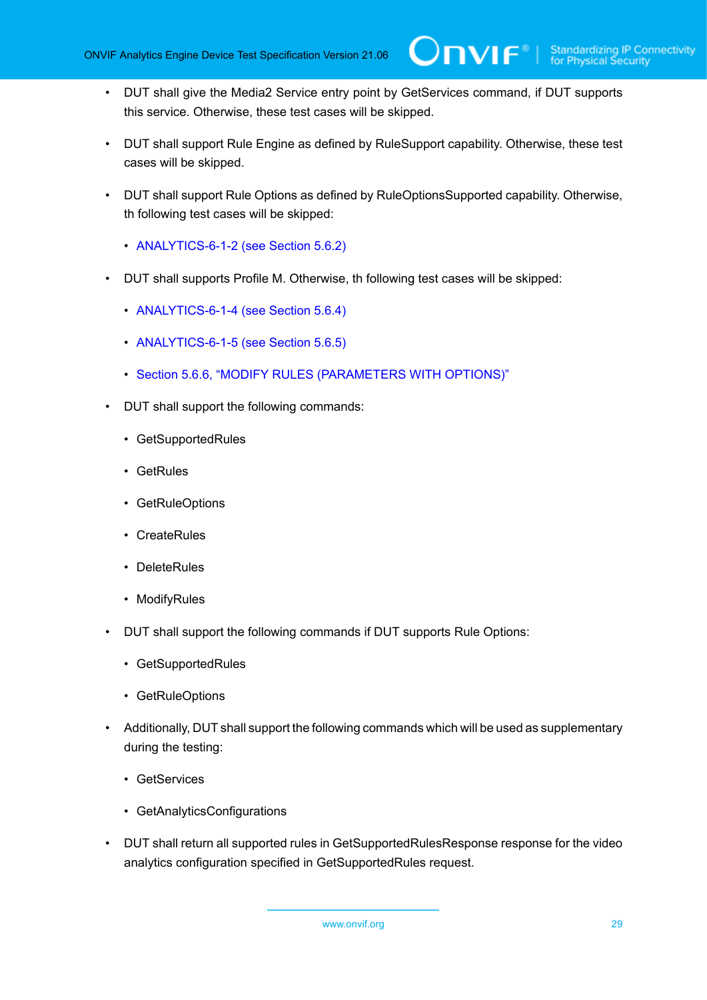- DUT shall give the Media2 Service entry point by GetServices command, if DUT supports this service. Otherwise, these test cases will be skipped.
- DUT shall support Rule Engine as defined by RuleSupport capability. Otherwise, these test cases will be skipped.
- DUT shall support Rule Options as defined by RuleOptionsSupported capability. Otherwise, th following test cases will be skipped:
	- [ANALYTICS-6-1-2](#page-85-0) (see Section 5.6.2)
- DUT shall supports Profile M. Otherwise, th following test cases will be skipped:
	- [ANALYTICS-6-1-4](#page-88-0) (see Section 5.6.4)
	- [ANALYTICS-6-1-5](#page-91-0) (see Section 5.6.5)
	- Section 5.6.6, "MODIFY RULES [\(PARAMETERS](#page-93-0) WITH OPTIONS)"
- DUT shall support the following commands:
	- GetSupportedRules
	- GetRules
	- GetRuleOptions
	- CreateRules
	- DeleteRules
	- ModifyRules
- DUT shall support the following commands if DUT supports Rule Options:
	- GetSupportedRules
	- GetRuleOptions
- Additionally, DUT shall support the following commands which will be used as supplementary during the testing:
	- GetServices
	- GetAnalyticsConfigurations
- DUT shall return all supported rules in GetSupportedRulesResponse response for the video analytics configuration specified in GetSupportedRules request.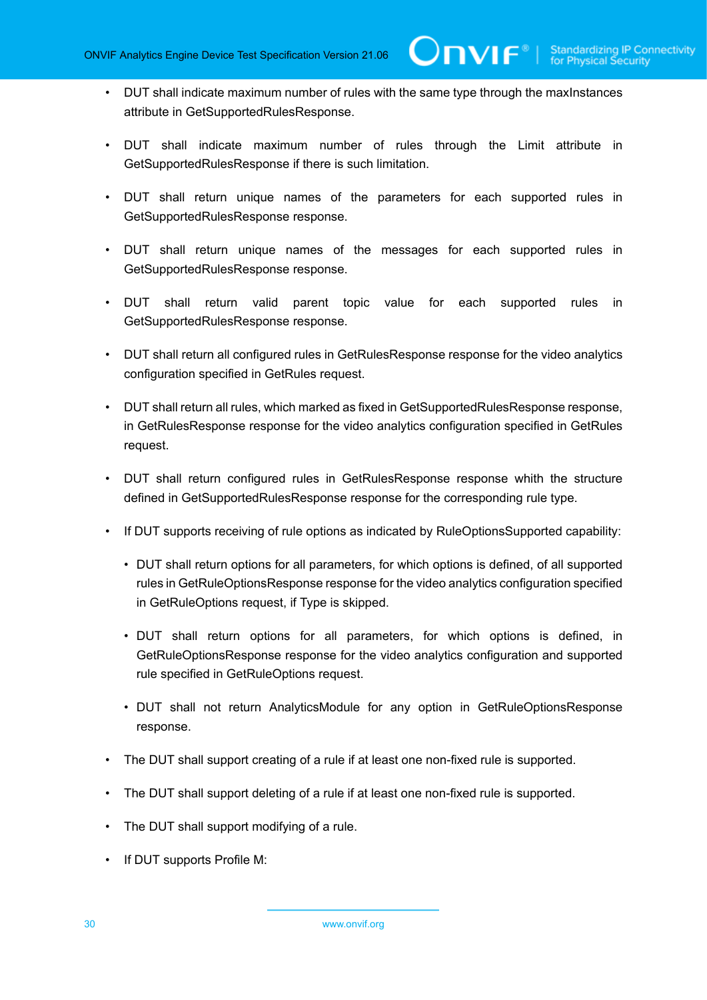$\mathbf{V}$ 

- DUT shall indicate maximum number of rules with the same type through the maxInstances attribute in GetSupportedRulesResponse.
- DUT shall indicate maximum number of rules through the Limit attribute in GetSupportedRulesResponse if there is such limitation.
- DUT shall return unique names of the parameters for each supported rules in GetSupportedRulesResponse response.
- DUT shall return unique names of the messages for each supported rules in GetSupportedRulesResponse response.
- DUT shall return valid parent topic value for each supported rules in GetSupportedRulesResponse response.
- DUT shall return all configured rules in GetRulesResponse response for the video analytics configuration specified in GetRules request.
- DUT shall return all rules, which marked as fixed in GetSupportedRulesResponse response, in GetRulesResponse response for the video analytics configuration specified in GetRules request.
- DUT shall return configured rules in GetRulesResponse response whith the structure defined in GetSupportedRulesResponse response for the corresponding rule type.
- If DUT supports receiving of rule options as indicated by RuleOptionsSupported capability:
	- DUT shall return options for all parameters, for which options is defined, of all supported rules in GetRuleOptionsResponse response for the video analytics configuration specified in GetRuleOptions request, if Type is skipped.
	- DUT shall return options for all parameters, for which options is defined, in GetRuleOptionsResponse response for the video analytics configuration and supported rule specified in GetRuleOptions request.
	- DUT shall not return AnalyticsModule for any option in GetRuleOptionsResponse response.
- The DUT shall support creating of a rule if at least one non-fixed rule is supported.
- The DUT shall support deleting of a rule if at least one non-fixed rule is supported.
- The DUT shall support modifying of a rule.
- If DUT supports Profile M: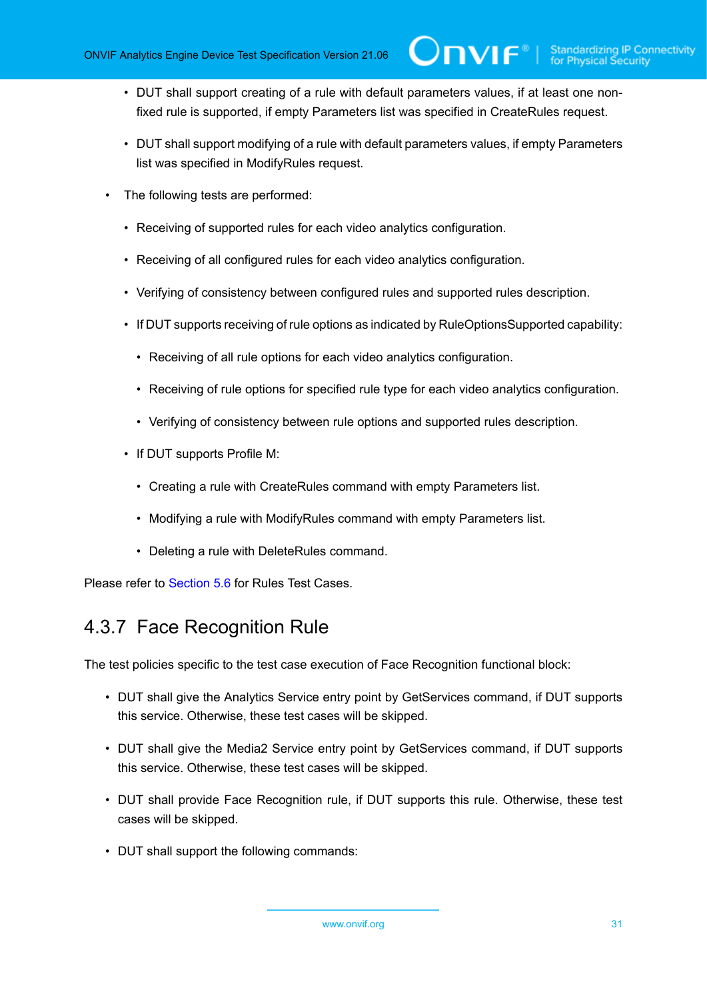• DUT shall support creating of a rule with default parameters values, if at least one nonfixed rule is supported, if empty Parameters list was specified in CreateRules request.

 $\mathsf{Dnv}$ ı $\mathsf{F}^\circ$ l

- DUT shall support modifying of a rule with default parameters values, if empty Parameters list was specified in ModifyRules request.
- The following tests are performed:
	- Receiving of supported rules for each video analytics configuration.
	- Receiving of all configured rules for each video analytics configuration.
	- Verifying of consistency between configured rules and supported rules description.
	- If DUT supports receiving of rule options as indicated by RuleOptionsSupported capability:
		- Receiving of all rule options for each video analytics configuration.
		- Receiving of rule options for specified rule type for each video analytics configuration.
		- Verifying of consistency between rule options and supported rules description.
	- If DUT supports Profile M:
		- Creating a rule with CreateRules command with empty Parameters list.
		- Modifying a rule with ModifyRules command with empty Parameters list.
		- Deleting a rule with DeleteRules command.

<span id="page-30-0"></span>Please refer to [Section 5.6](#page-83-0) for Rules Test Cases.

### 4.3.7 Face Recognition Rule

The test policies specific to the test case execution of Face Recognition functional block:

- DUT shall give the Analytics Service entry point by GetServices command, if DUT supports this service. Otherwise, these test cases will be skipped.
- DUT shall give the Media2 Service entry point by GetServices command, if DUT supports this service. Otherwise, these test cases will be skipped.
- DUT shall provide Face Recognition rule, if DUT supports this rule. Otherwise, these test cases will be skipped.
- DUT shall support the following commands: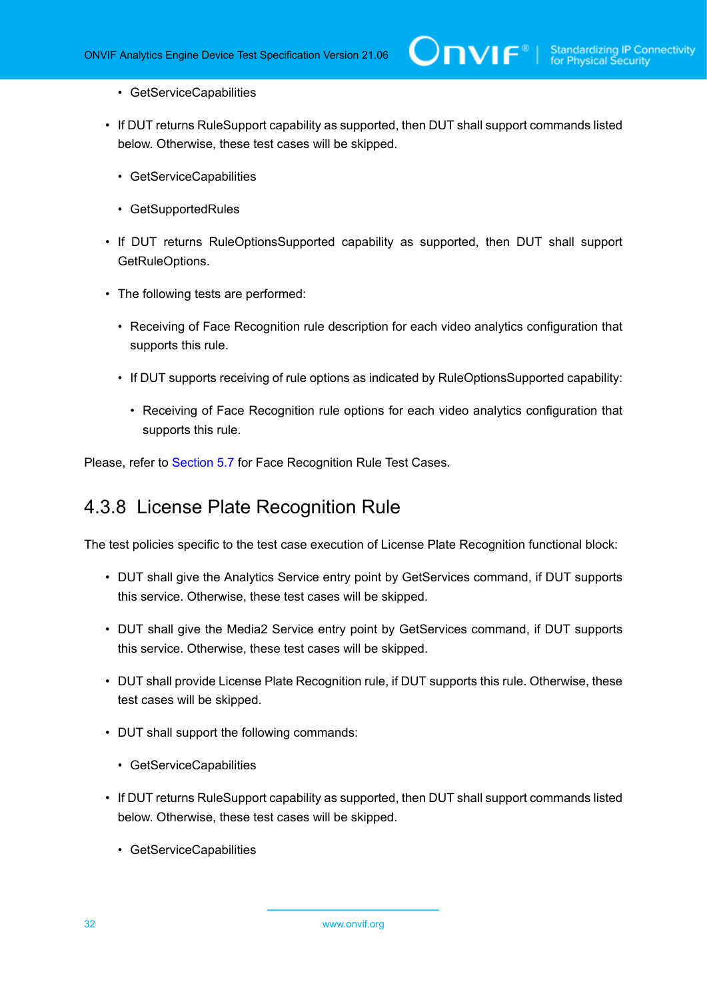- GetServiceCapabilities
- If DUT returns RuleSupport capability as supported, then DUT shall support commands listed below. Otherwise, these test cases will be skipped.
	- GetServiceCapabilities
	- GetSupportedRules
- If DUT returns RuleOptionsSupported capability as supported, then DUT shall support GetRuleOptions.
- The following tests are performed:
	- Receiving of Face Recognition rule description for each video analytics configuration that supports this rule.
	- If DUT supports receiving of rule options as indicated by RuleOptionsSupported capability:
		- Receiving of Face Recognition rule options for each video analytics configuration that supports this rule.

<span id="page-31-0"></span>Please, refer to [Section 5.7](#page-98-0) for Face Recognition Rule Test Cases.

### 4.3.8 License Plate Recognition Rule

The test policies specific to the test case execution of License Plate Recognition functional block:

- DUT shall give the Analytics Service entry point by GetServices command, if DUT supports this service. Otherwise, these test cases will be skipped.
- DUT shall give the Media2 Service entry point by GetServices command, if DUT supports this service. Otherwise, these test cases will be skipped.
- DUT shall provide License Plate Recognition rule, if DUT supports this rule. Otherwise, these test cases will be skipped.
- DUT shall support the following commands:
	- GetServiceCapabilities
- If DUT returns RuleSupport capability as supported, then DUT shall support commands listed below. Otherwise, these test cases will be skipped.
	- GetServiceCapabilities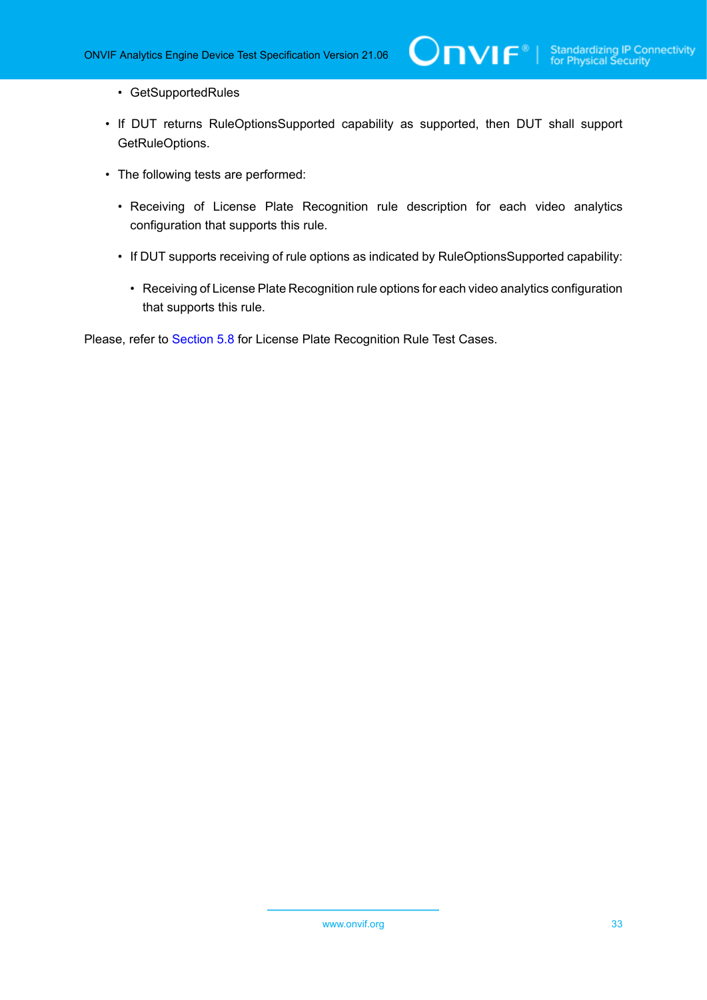• GetSupportedRules

• If DUT returns RuleOptionsSupported capability as supported, then DUT shall support GetRuleOptions.

 $\mathsf{D}\mathsf{N}\mathsf{H}^*$ l

- The following tests are performed:
	- Receiving of License Plate Recognition rule description for each video analytics configuration that supports this rule.
	- If DUT supports receiving of rule options as indicated by RuleOptionsSupported capability:
		- Receiving of License Plate Recognition rule options for each video analytics configuration that supports this rule.

Please, refer to [Section 5.8](#page-102-0) for License Plate Recognition Rule Test Cases.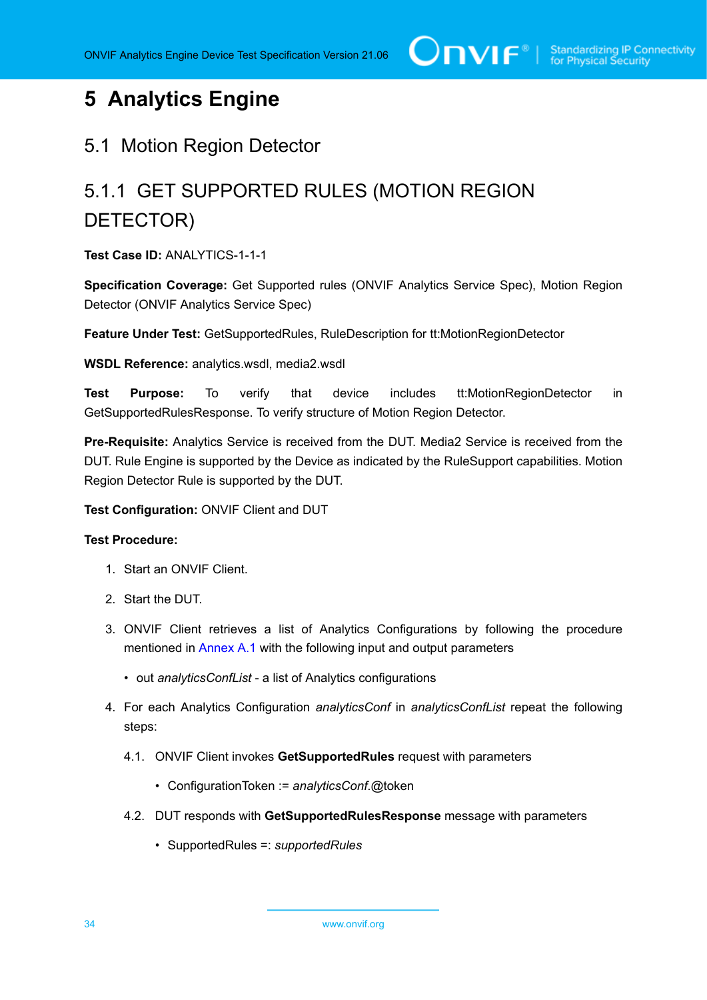# <span id="page-33-0"></span>**5 Analytics Engine**

#### <span id="page-33-1"></span>5.1 Motion Region Detector

# <span id="page-33-2"></span>5.1.1 GET SUPPORTED RULES (MOTION REGION DETECTOR)

**Test Case ID:** ANALYTICS-1-1-1

**Specification Coverage:** Get Supported rules (ONVIF Analytics Service Spec), Motion Region Detector (ONVIF Analytics Service Spec)

**Feature Under Test:** GetSupportedRules, RuleDescription for tt:MotionRegionDetector

**WSDL Reference:** analytics.wsdl, media2.wsdl

**Test Purpose:** To verify that device includes tt:MotionRegionDetector in GetSupportedRulesResponse. To verify structure of Motion Region Detector.

**Pre-Requisite:** Analytics Service is received from the DUT. Media2 Service is received from the DUT. Rule Engine is supported by the Device as indicated by the RuleSupport capabilities. Motion Region Detector Rule is supported by the DUT.

**Test Configuration:** ONVIF Client and DUT

#### **Test Procedure:**

- 1. Start an ONVIF Client.
- 2. Start the DUT.
- 3. ONVIF Client retrieves a list of Analytics Configurations by following the procedure mentioned in [Annex A.1](#page-112-1) with the following input and output parameters
	- out *analyticsConfList* a list of Analytics configurations
- <span id="page-33-3"></span>4. For each Analytics Configuration *analyticsConf* in *analyticsConfList* repeat the following steps:
	- 4.1. ONVIF Client invokes **GetSupportedRules** request with parameters
		- ConfigurationToken := *analyticsConf*.@token
	- 4.2. DUT responds with **GetSupportedRulesResponse** message with parameters
		- SupportedRules =: *supportedRules*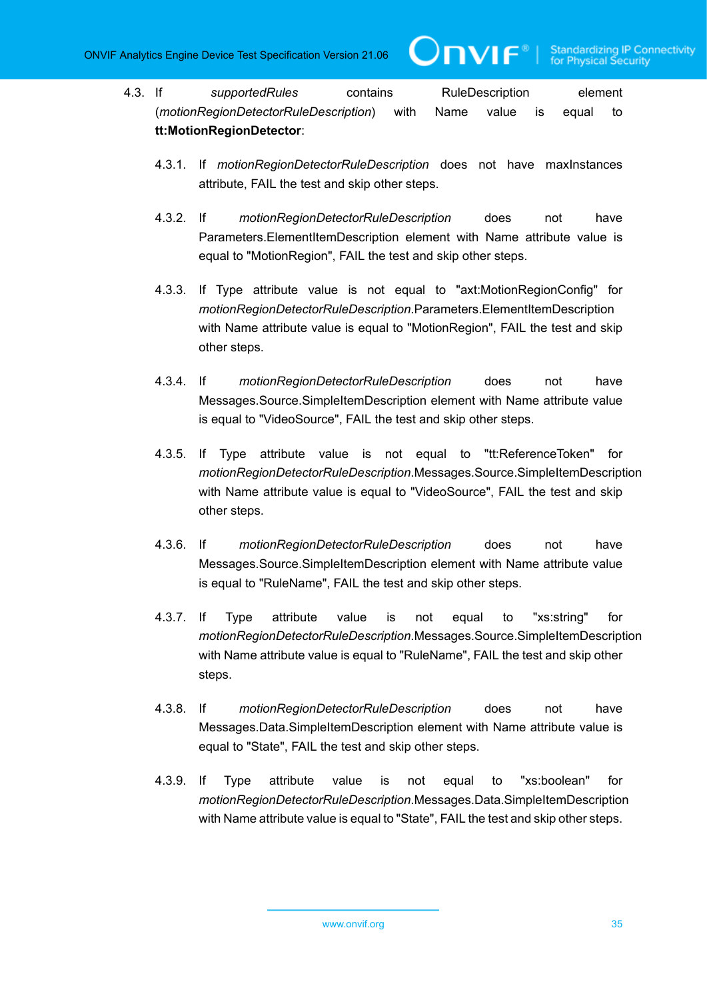- 4.3. If *supportedRules* contains RuleDescription element (*motionRegionDetectorRuleDescription*) with Name value is equal to **tt:MotionRegionDetector**:
	- 4.3.1. If *motionRegionDetectorRuleDescription* does not have maxInstances attribute, FAIL the test and skip other steps.

 $\mathbf{V}$ 

- 4.3.2. If *motionRegionDetectorRuleDescription* does not have Parameters.ElementItemDescription element with Name attribute value is equal to "MotionRegion", FAIL the test and skip other steps.
- 4.3.3. If Type attribute value is not equal to "axt:MotionRegionConfig" for *motionRegionDetectorRuleDescription*.Parameters.ElementItemDescription with Name attribute value is equal to "MotionRegion", FAIL the test and skip other steps.
- 4.3.4. If *motionRegionDetectorRuleDescription* does not have Messages.Source.SimpleItemDescription element with Name attribute value is equal to "VideoSource", FAIL the test and skip other steps.
- 4.3.5. If Type attribute value is not equal to "tt:ReferenceToken" for *motionRegionDetectorRuleDescription*.Messages.Source.SimpleItemDescription with Name attribute value is equal to "VideoSource", FAIL the test and skip other steps.
- 4.3.6. If *motionRegionDetectorRuleDescription* does not have Messages.Source.SimpleItemDescription element with Name attribute value is equal to "RuleName", FAIL the test and skip other steps.
- 4.3.7. If Type attribute value is not equal to "xs:string" for *motionRegionDetectorRuleDescription*.Messages.Source.SimpleItemDescription with Name attribute value is equal to "RuleName", FAIL the test and skip other steps.
- 4.3.8. If *motionRegionDetectorRuleDescription* does not have Messages.Data.SimpleItemDescription element with Name attribute value is equal to "State", FAIL the test and skip other steps.
- 4.3.9. If Type attribute value is not equal to "xs:boolean" for *motionRegionDetectorRuleDescription*.Messages.Data.SimpleItemDescription with Name attribute value is equal to "State", FAIL the test and skip other steps.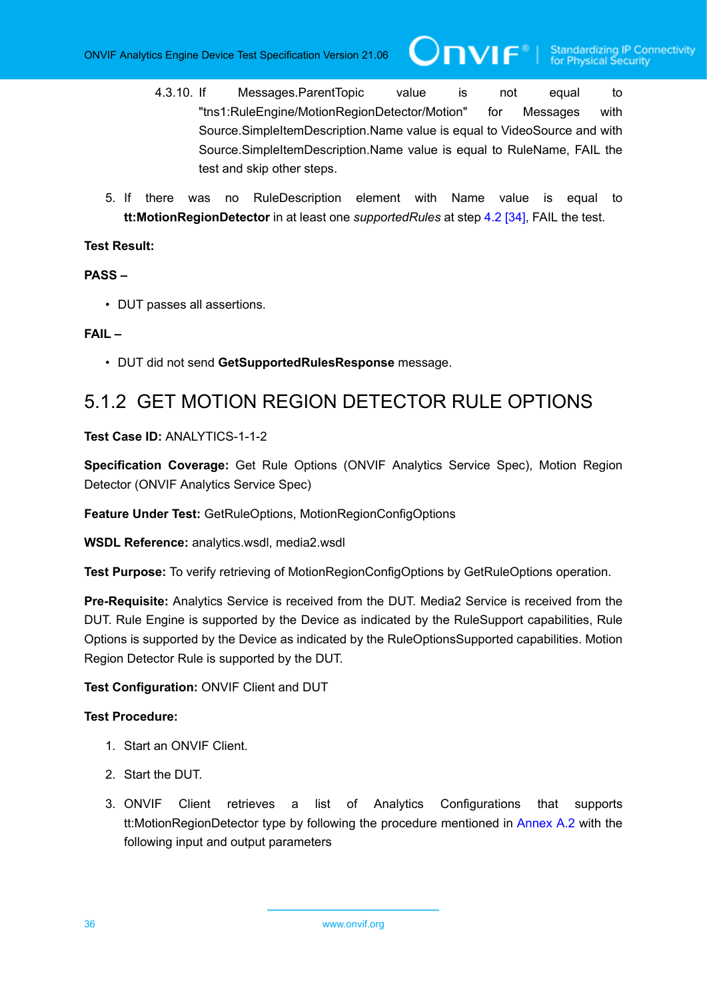4.3.10. If Messages.ParentTopic value is not equal to "tns1:RuleEngine/MotionRegionDetector/Motion" for Messages with Source.SimpleItemDescription.Name value is equal to VideoSource and with Source.SimpleItemDescription.Name value is equal to RuleName, FAIL the test and skip other steps.

**IVIF**®

5. If there was no RuleDescription element with Name value is equal to **tt:MotionRegionDetector** in at least one *supportedRules* at step [4.2 \[34\],](#page-33-3) FAIL the test.

#### **Test Result:**

#### **PASS –**

• DUT passes all assertions.

#### **FAIL –**

• DUT did not send **GetSupportedRulesResponse** message.

### <span id="page-35-0"></span>5.1.2 GET MOTION REGION DETECTOR RULE OPTIONS

#### **Test Case ID:** ANALYTICS-1-1-2

**Specification Coverage:** Get Rule Options (ONVIF Analytics Service Spec), Motion Region Detector (ONVIF Analytics Service Spec)

**Feature Under Test:** GetRuleOptions, MotionRegionConfigOptions

**WSDL Reference:** analytics.wsdl, media2.wsdl

**Test Purpose:** To verify retrieving of MotionRegionConfigOptions by GetRuleOptions operation.

**Pre-Requisite:** Analytics Service is received from the DUT. Media2 Service is received from the DUT. Rule Engine is supported by the Device as indicated by the RuleSupport capabilities, Rule Options is supported by the Device as indicated by the RuleOptionsSupported capabilities. Motion Region Detector Rule is supported by the DUT.

#### **Test Configuration:** ONVIF Client and DUT

#### **Test Procedure:**

- 1. Start an ONVIF Client.
- 2. Start the DUT.
- 3. ONVIF Client retrieves a list of Analytics Configurations that supports tt:MotionRegionDetector type by following the procedure mentioned in [Annex A.2](#page-112-2) with the following input and output parameters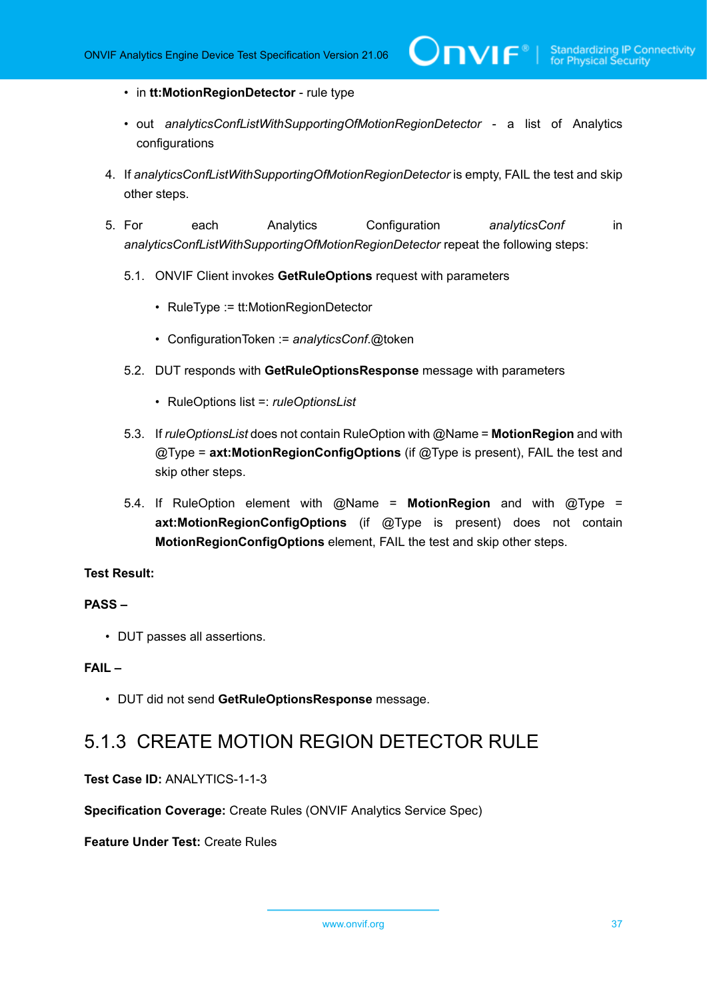- in **tt:MotionRegionDetector** rule type
- out *analyticsConfListWithSupportingOfMotionRegionDetector* a list of Analytics configurations
- 4. If *analyticsConfListWithSupportingOfMotionRegionDetector* is empty, FAIL the test and skip other steps.
- 5. For each Analytics Configuration *analyticsConf* in *analyticsConfListWithSupportingOfMotionRegionDetector* repeat the following steps:
	- 5.1. ONVIF Client invokes **GetRuleOptions** request with parameters
		- RuleType := tt:MotionRegionDetector
		- ConfigurationToken := *analyticsConf*.@token
	- 5.2. DUT responds with **GetRuleOptionsResponse** message with parameters
		- RuleOptions list =: *ruleOptionsList*
	- 5.3. If *ruleOptionsList* does not contain RuleOption with @Name = **MotionRegion** and with @Type = **axt:MotionRegionConfigOptions** (if @Type is present), FAIL the test and skip other steps.
	- 5.4. If RuleOption element with @Name = **MotionRegion** and with @Type = **axt:MotionRegionConfigOptions** (if @Type is present) does not contain **MotionRegionConfigOptions** element, FAIL the test and skip other steps.

# **PASS –**

• DUT passes all assertions.

# **FAIL –**

• DUT did not send **GetRuleOptionsResponse** message.

# 5.1.3 CREATE MOTION REGION DETECTOR RULE

**Test Case ID:** ANALYTICS-1-1-3

**Specification Coverage:** Create Rules (ONVIF Analytics Service Spec)

**Feature Under Test:** Create Rules

www.onvif.org 37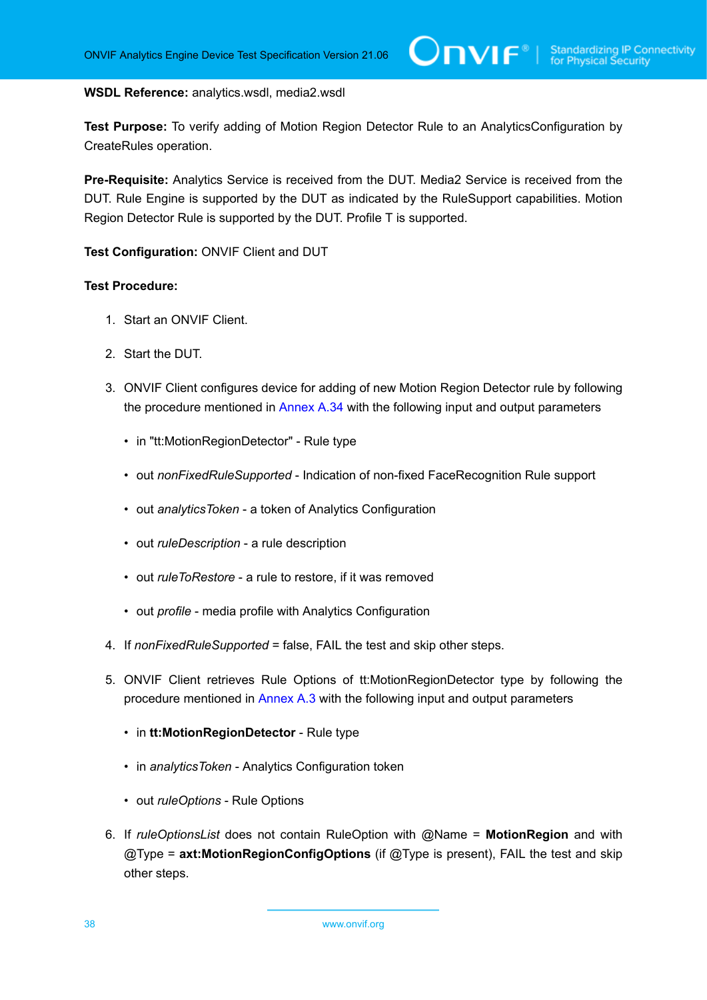#### **WSDL Reference:** analytics.wsdl, media2.wsdl

**Test Purpose:** To verify adding of Motion Region Detector Rule to an AnalyticsConfiguration by CreateRules operation.

**Pre-Requisite:** Analytics Service is received from the DUT. Media2 Service is received from the DUT. Rule Engine is supported by the DUT as indicated by the RuleSupport capabilities. Motion Region Detector Rule is supported by the DUT. Profile T is supported.

**Test Configuration:** ONVIF Client and DUT

- 1. Start an ONVIF Client.
- 2. Start the DUT.
- <span id="page-37-0"></span>3. ONVIF Client configures device for adding of new Motion Region Detector rule by following the procedure mentioned in [Annex A.34](#page-145-0) with the following input and output parameters
	- in "tt:MotionRegionDetector" Rule type
	- out *nonFixedRuleSupported* Indication of non-fixed FaceRecognition Rule support
	- out *analyticsToken* a token of Analytics Configuration
	- out *ruleDescription* a rule description
	- out *ruleToRestore* a rule to restore, if it was removed
	- out *profile* media profile with Analytics Configuration
- 4. If *nonFixedRuleSupported* = false, FAIL the test and skip other steps.
- 5. ONVIF Client retrieves Rule Options of tt:MotionRegionDetector type by following the procedure mentioned in [Annex A.3](#page-113-0) with the following input and output parameters
	- in **tt:MotionRegionDetector** Rule type
	- in *analyticsToken* Analytics Configuration token
	- out *ruleOptions* Rule Options
- 6. If *ruleOptionsList* does not contain RuleOption with @Name = **MotionRegion** and with @Type = **axt:MotionRegionConfigOptions** (if @Type is present), FAIL the test and skip other steps.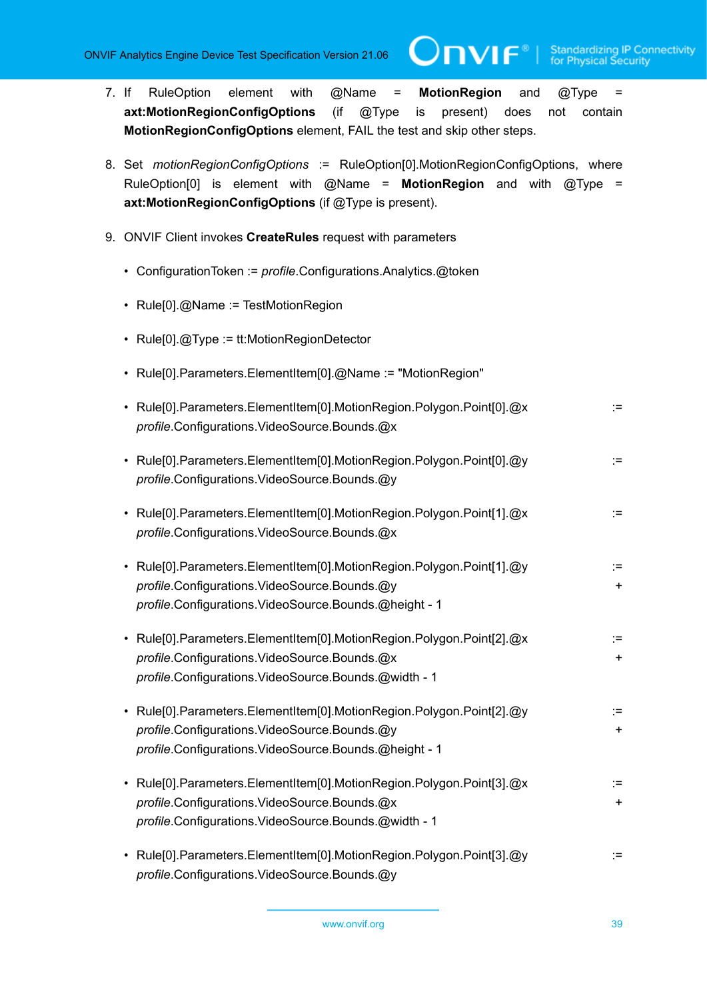- 7. If RuleOption element with @Name = **MotionRegion** and @Type = **axt:MotionRegionConfigOptions** (if @Type is present) does not contain **MotionRegionConfigOptions** element, FAIL the test and skip other steps.
- 8. Set *motionRegionConfigOptions* := RuleOption[0].MotionRegionConfigOptions, where RuleOption[0] is element with @Name = **MotionRegion** and with @Type = **axt:MotionRegionConfigOptions** (if @Type is present).
- <span id="page-38-0"></span>9. ONVIF Client invokes **CreateRules** request with parameters
	- ConfigurationToken := *profile*.Configurations.Analytics.@token
	- Rule[0].@Name := TestMotionRegion
	- Rule[0].@Type := tt:MotionRegionDetector
	- Rule[0].Parameters.ElementItem[0].@Name := "MotionRegion"

| • Rule[0].Parameters.ElementItem[0].MotionRegion.Polygon.Point[0].@x | $\cdot$ $-$<br>$\overline{\phantom{0}}$ |
|----------------------------------------------------------------------|-----------------------------------------|
| <i>profile.Configurations.VideoSource.Bounds.@x</i>                  |                                         |
|                                                                      |                                         |

- Rule[0].Parameters.ElementItem[0].MotionRegion.Polygon.Point[0].@y := *profile*.Configurations.VideoSource.Bounds.@y
- Rule[0].Parameters.ElementItem[0].MotionRegion.Polygon.Point[1].@x := := *profile*.Configurations.VideoSource.Bounds.@x
- Rule[0].Parameters.ElementItem[0].MotionRegion.Polygon.Point[1].@y := profile.Configurations.VideoSource.Bounds.@y **+** *profile*.Configurations.VideoSource.Bounds.@height - 1
- Rule[0].Parameters.ElementItem[0].MotionRegion.Polygon.Point[2].@x := := *profile*.Configurations.VideoSource.Bounds.@x + *profile*.Configurations.VideoSource.Bounds.@width - 1
- Rule[0].Parameters.ElementItem[0].MotionRegion.Polygon.Point[2].@y := *profile*.Configurations.VideoSource.Bounds.@y + *profile*.Configurations.VideoSource.Bounds.@height - 1
- Rule[0].Parameters.ElementItem[0].MotionRegion.Polygon.Point[3].@x := := *profile*.Configurations.VideoSource.Bounds.@x + *profile*.Configurations.VideoSource.Bounds.@width - 1
- Rule[0].Parameters.ElementItem[0].MotionRegion.Polygon.Point[3].@y := *profile*.Configurations.VideoSource.Bounds.@y

www.onvif.org 39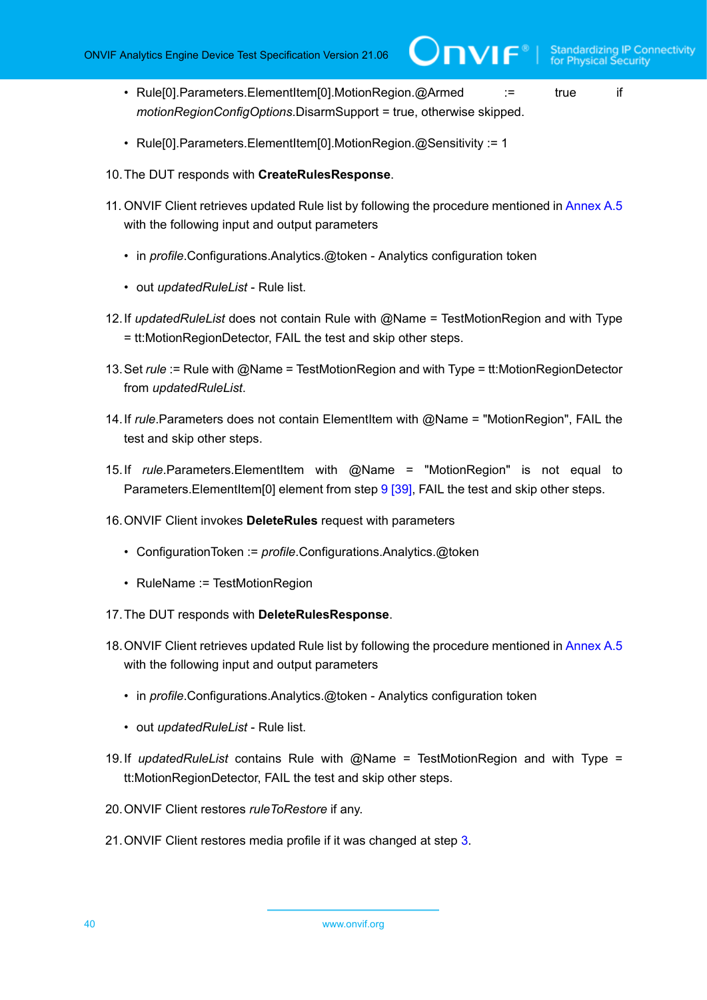- Rule[0].Parameters.ElementItem[0].MotionRegion.@Armed := true if *motionRegionConfigOptions*.DisarmSupport = true, otherwise skipped.
- Rule[0].Parameters.ElementItem[0].MotionRegion.@Sensitivity := 1
- 10.The DUT responds with **CreateRulesResponse**.
- 11. ONVIF Client retrieves updated Rule list by following the procedure mentioned in [Annex A.5](#page-116-0) with the following input and output parameters
	- in *profile*.Configurations.Analytics.@token Analytics configuration token
	- out *updatedRuleList* Rule list.
- 12.If *updatedRuleList* does not contain Rule with @Name = TestMotionRegion and with Type = tt:MotionRegionDetector, FAIL the test and skip other steps.
- 13.Set *rule* := Rule with @Name = TestMotionRegion and with Type = tt:MotionRegionDetector from *updatedRuleList*.
- 14.If *rule*.Parameters does not contain ElementItem with @Name = "MotionRegion", FAIL the test and skip other steps.
- <span id="page-39-0"></span>15.If *rule*.Parameters.ElementItem with @Name = "MotionRegion" is not equal to Parameters. ElementItem[0] element from step [9 \[39\]](#page-38-0), FAIL the test and skip other steps.
- 16.ONVIF Client invokes **DeleteRules** request with parameters
	- ConfigurationToken := *profile*.Configurations.Analytics.@token
	- RuleName := TestMotionRegion
- 17.The DUT responds with **DeleteRulesResponse**.
- 18.ONVIF Client retrieves updated Rule list by following the procedure mentioned in [Annex A.5](#page-116-0) with the following input and output parameters
	- in *profile*.Configurations.Analytics.@token Analytics configuration token
	- out *updatedRuleList* Rule list.
- 19.If *updatedRuleList* contains Rule with @Name = TestMotionRegion and with Type = tt:MotionRegionDetector, FAIL the test and skip other steps.
- 20.ONVIF Client restores *ruleToRestore* if any.
- 21.ONVIF Client restores media profile if it was changed at step [3](#page-37-0).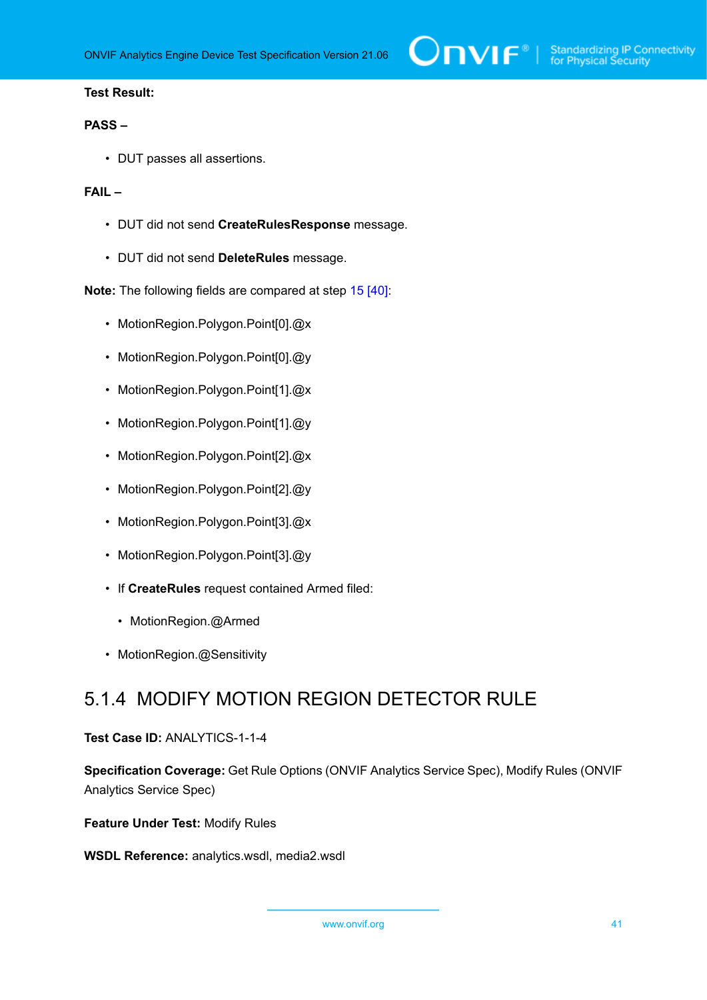# **PASS –**

• DUT passes all assertions.

# **FAIL –**

- DUT did not send **CreateRulesResponse** message.
- DUT did not send **DeleteRules** message.

**Note:** The following fields are compared at step [15 \[40\]:](#page-39-0)

- MotionRegion.Polygon.Point[0].@x
- MotionRegion.Polygon.Point[0].@y
- MotionRegion.Polygon.Point[1].@x
- MotionRegion.Polygon.Point[1].@y
- MotionRegion.Polygon.Point[2].@x
- MotionRegion.Polygon.Point[2].@y
- MotionRegion.Polygon.Point[3].@x
- MotionRegion.Polygon.Point[3].@y
- If **CreateRules** request contained Armed filed:
	- MotionRegion.@Armed
- MotionRegion.@Sensitivity

# 5.1.4 MODIFY MOTION REGION DETECTOR RULE

# **Test Case ID:** ANALYTICS-1-1-4

**Specification Coverage:** Get Rule Options (ONVIF Analytics Service Spec), Modify Rules (ONVIF Analytics Service Spec)

**Feature Under Test:** Modify Rules

**WSDL Reference:** analytics.wsdl, media2.wsdl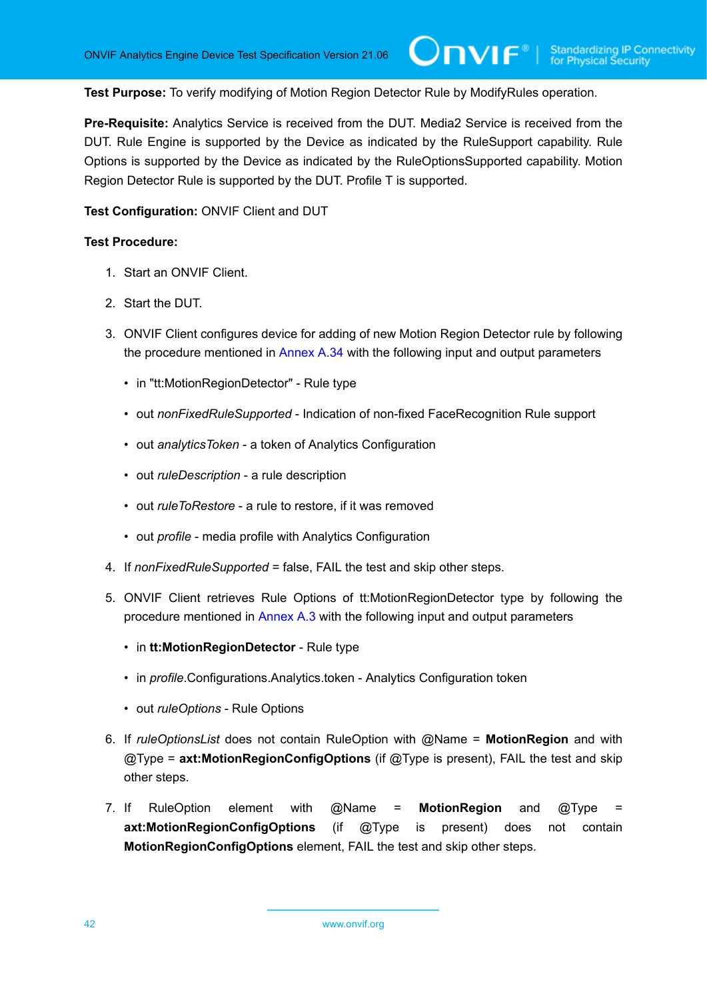$\mathbf{N}$ 

**Test Purpose:** To verify modifying of Motion Region Detector Rule by ModifyRules operation.

**Pre-Requisite:** Analytics Service is received from the DUT. Media2 Service is received from the DUT. Rule Engine is supported by the Device as indicated by the RuleSupport capability. Rule Options is supported by the Device as indicated by the RuleOptionsSupported capability. Motion Region Detector Rule is supported by the DUT. Profile T is supported.

**Test Configuration:** ONVIF Client and DUT

- 1. Start an ONVIF Client.
- 2. Start the DUT.
- <span id="page-41-0"></span>3. ONVIF Client configures device for adding of new Motion Region Detector rule by following the procedure mentioned in [Annex A.34](#page-145-0) with the following input and output parameters
	- in "tt:MotionRegionDetector" Rule type
	- out *nonFixedRuleSupported* Indication of non-fixed FaceRecognition Rule support
	- out *analyticsToken* a token of Analytics Configuration
	- out *ruleDescription* a rule description
	- out *ruleToRestore* a rule to restore, if it was removed
	- out *profile* media profile with Analytics Configuration
- 4. If *nonFixedRuleSupported* = false, FAIL the test and skip other steps.
- 5. ONVIF Client retrieves Rule Options of tt:MotionRegionDetector type by following the procedure mentioned in [Annex A.3](#page-113-0) with the following input and output parameters
	- in **tt:MotionRegionDetector** Rule type
	- in *profile*.Configurations.Analytics.token Analytics Configuration token
	- out *ruleOptions* Rule Options
- 6. If *ruleOptionsList* does not contain RuleOption with @Name = **MotionRegion** and with @Type = **axt:MotionRegionConfigOptions** (if @Type is present), FAIL the test and skip other steps.
- 7. If RuleOption element with @Name = **MotionRegion** and @Type = **axt:MotionRegionConfigOptions** (if @Type is present) does not contain **MotionRegionConfigOptions** element, FAIL the test and skip other steps.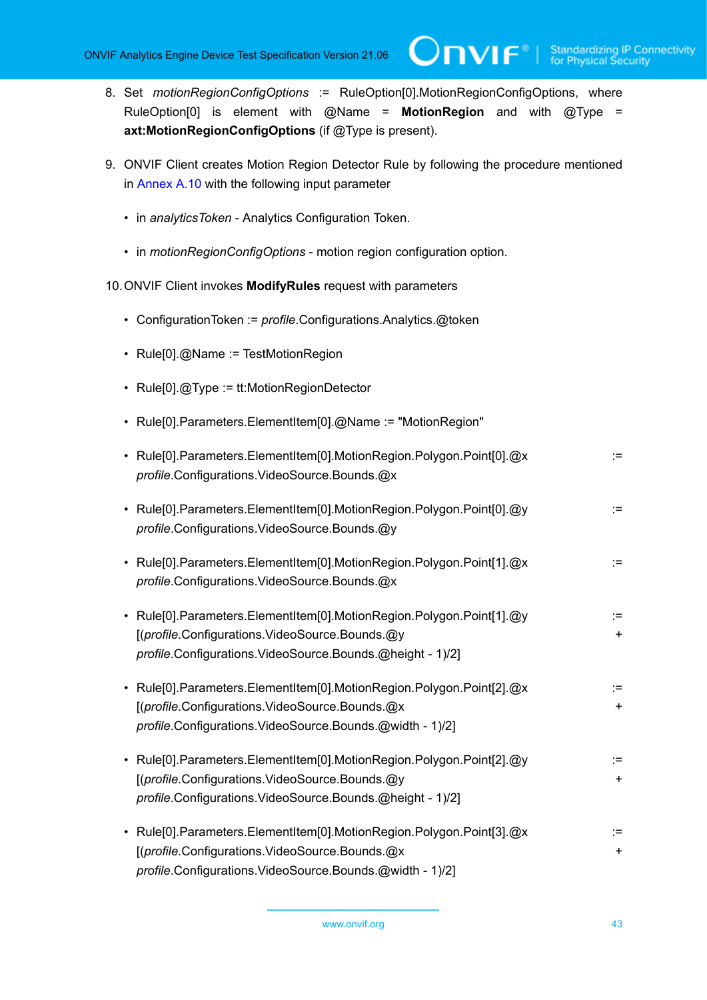8. Set *motionRegionConfigOptions* := RuleOption[0].MotionRegionConfigOptions, where RuleOption[0] is element with @Name = **MotionRegion** and with @Type = **axt:MotionRegionConfigOptions** (if @Type is present).

 $\bigcirc$ nvif $^{\circ}$ l

- <span id="page-42-1"></span>9. ONVIF Client creates Motion Region Detector Rule by following the procedure mentioned in [Annex A.10](#page-120-0) with the following input parameter
	- in *analyticsToken* Analytics Configuration Token.
	- in *motionRegionConfigOptions* motion region configuration option.
- <span id="page-42-0"></span>10.ONVIF Client invokes **ModifyRules** request with parameters
	- ConfigurationToken := *profile*.Configurations.Analytics.@token
	- Rule[0].@Name := TestMotionRegion
	- Rule[0].@Type := tt:MotionRegionDetector
	- Rule[0].Parameters.ElementItem[0].@Name := "MotionRegion"

| • Rule[0].Parameters.ElementItem[0].MotionRegion.Polygon.Point[0].@x<br>profile.Configurations.VideoSource.Bounds.@x                                                                | :≕              |
|-------------------------------------------------------------------------------------------------------------------------------------------------------------------------------------|-----------------|
| • Rule[0].Parameters.ElementItem[0].MotionRegion.Polygon.Point[0].@y<br>profile.Configurations.VideoSource.Bounds.@y                                                                | :≕              |
| • Rule[0].Parameters.ElementItem[0].MotionRegion.Polygon.Point[1].@x<br>profile.Configurations.VideoSource.Bounds.@x                                                                | :≕              |
| • Rule[0].Parameters.ElementItem[0].MotionRegion.Polygon.Point[1].@y<br>[(profile.Configurations.VideoSource.Bounds.@y<br>profile.Configurations.VideoSource.Bounds.@height - 1)/2] | :≕<br>$+$       |
| • Rule[0].Parameters.ElementItem[0].MotionRegion.Polygon.Point[2].@x<br>[(profile.Configurations.VideoSource.Bounds.@x<br>profile.Configurations.VideoSource.Bounds.@width - 1)/2]  | :≕<br>$+$       |
| • Rule[0].Parameters.ElementItem[0].MotionRegion.Polygon.Point[2].@y<br>[(profile.Configurations.VideoSource.Bounds.@y<br>profile.Configurations.VideoSource.Bounds.@height - 1)/2] | ∶=∶<br>÷.       |
| • Rule[0].Parameters.ElementItem[0].MotionRegion.Polygon.Point[3].@x<br>[(profile.Configurations.VideoSource.Bounds.@x<br>profile.Configurations.VideoSource.Bounds.@width - 1)/2]  | :=<br>$\ddot{}$ |
|                                                                                                                                                                                     |                 |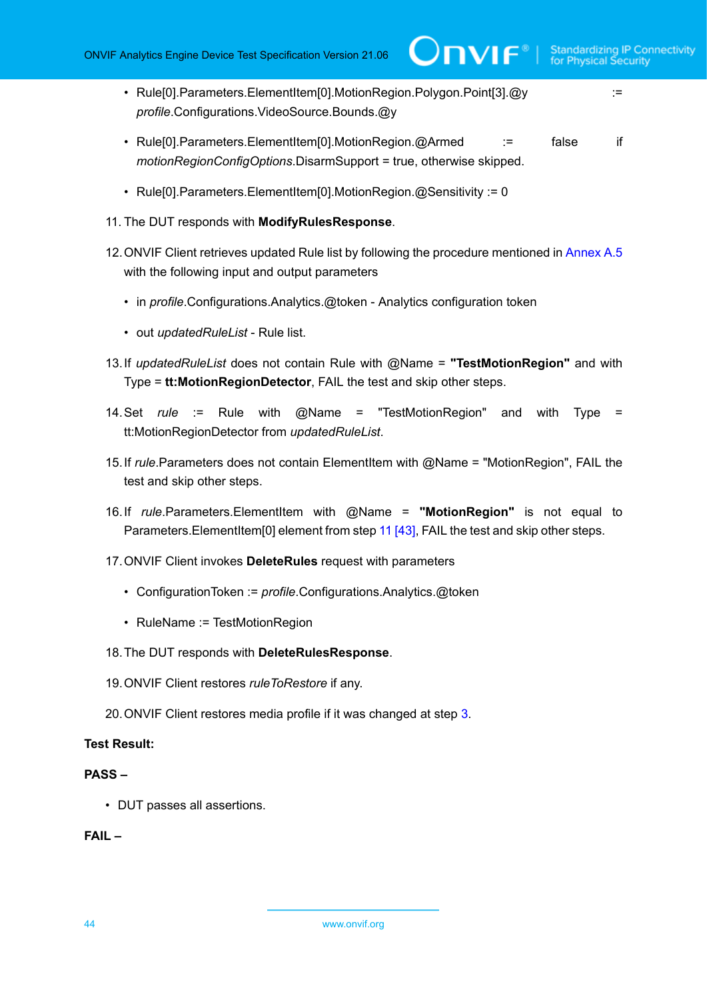- Rule[0].Parameters.ElementItem[0].MotionRegion.Polygon.Point[3].@y := *profile*.Configurations.VideoSource.Bounds.@y
- Rule[0].Parameters.ElementItem[0].MotionRegion.@Armed := false if *motionRegionConfigOptions*.DisarmSupport = true, otherwise skipped.
- Rule[0].Parameters.ElementItem[0].MotionRegion.@Sensitivity := 0
- 11. The DUT responds with **ModifyRulesResponse**.
- 12. ONVIF Client retrieves updated Rule list by following the procedure mentioned in [Annex A.5](#page-116-0) with the following input and output parameters
	- in *profile*.Configurations.Analytics.@token Analytics configuration token
	- out *updatedRuleList* Rule list.
- 13.If *updatedRuleList* does not contain Rule with @Name = **"TestMotionRegion"** and with Type = **tt:MotionRegionDetector**, FAIL the test and skip other steps.
- 14.Set *rule* := Rule with @Name = "TestMotionRegion" and with Type = tt:MotionRegionDetector from *updatedRuleList*.
- 15.If *rule*.Parameters does not contain ElementItem with @Name = "MotionRegion", FAIL the test and skip other steps.
- <span id="page-43-0"></span>16.If *rule*.Parameters.ElementItem with @Name = **"MotionRegion"** is not equal to Parameters.ElementItem[0] element from step [11 \[43\],](#page-42-0) FAIL the test and skip other steps.
- 17.ONVIF Client invokes **DeleteRules** request with parameters
	- ConfigurationToken := *profile*.Configurations.Analytics.@token
	- RuleName := TestMotionRegion

# 18.The DUT responds with **DeleteRulesResponse**.

- 19.ONVIF Client restores *ruleToRestore* if any.
- 20.ONVIF Client restores media profile if it was changed at step [3](#page-41-0).

# **Test Result:**

# **PASS –**

• DUT passes all assertions.

# **FAIL –**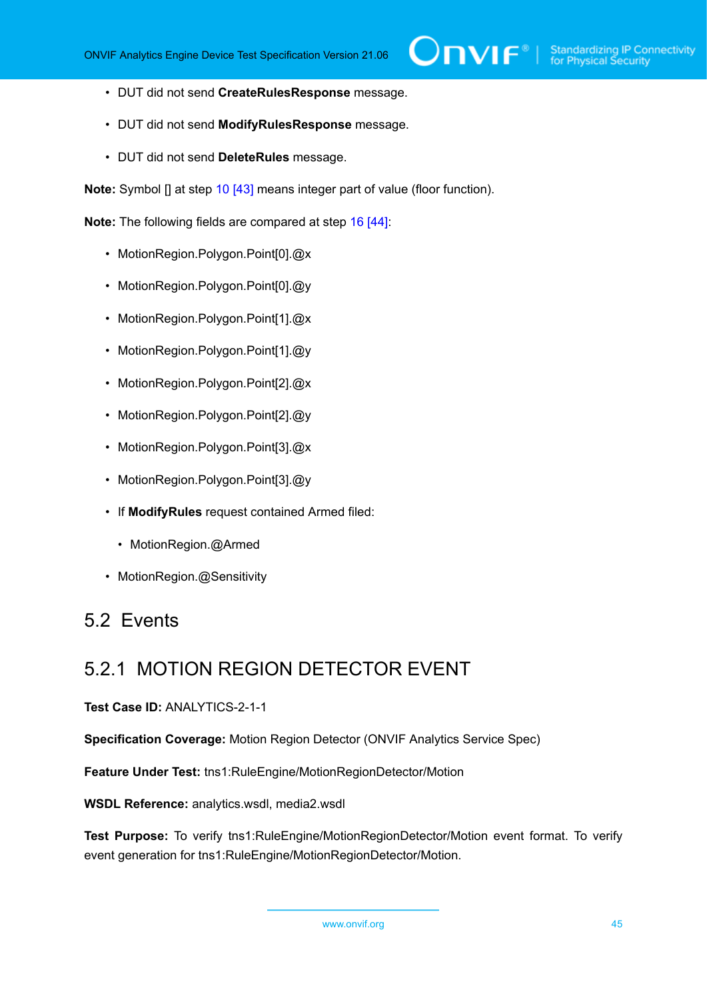- DUT did not send **CreateRulesResponse** message.
- DUT did not send **ModifyRulesResponse** message.
- DUT did not send **DeleteRules** message.

**Note:** Symbol [] at step [10 \[43\]](#page-42-1) means integer part of value (floor function).

**Note:** The following fields are compared at step [16 \[44\]:](#page-43-0)

- MotionRegion.Polygon.Point[0].@x
- MotionRegion.Polygon.Point[0].@y
- MotionRegion.Polygon.Point[1].@x
- MotionRegion.Polygon.Point[1].@y
- MotionRegion.Polygon.Point[2].@x
- MotionRegion.Polygon.Point[2].@y
- MotionRegion.Polygon.Point[3].@x
- MotionRegion.Polygon.Point[3].@y
- If **ModifyRules** request contained Armed filed:
	- MotionRegion.@Armed
- MotionRegion.@Sensitivity

# 5.2 Events

# 5.2.1 MOTION REGION DETECTOR EVENT

### **Test Case ID:** ANALYTICS-2-1-1

**Specification Coverage:** Motion Region Detector (ONVIF Analytics Service Spec)

**Feature Under Test:** tns1:RuleEngine/MotionRegionDetector/Motion

**WSDL Reference:** analytics.wsdl, media2.wsdl

**Test Purpose:** To verify tns1:RuleEngine/MotionRegionDetector/Motion event format. To verify event generation for tns1:RuleEngine/MotionRegionDetector/Motion.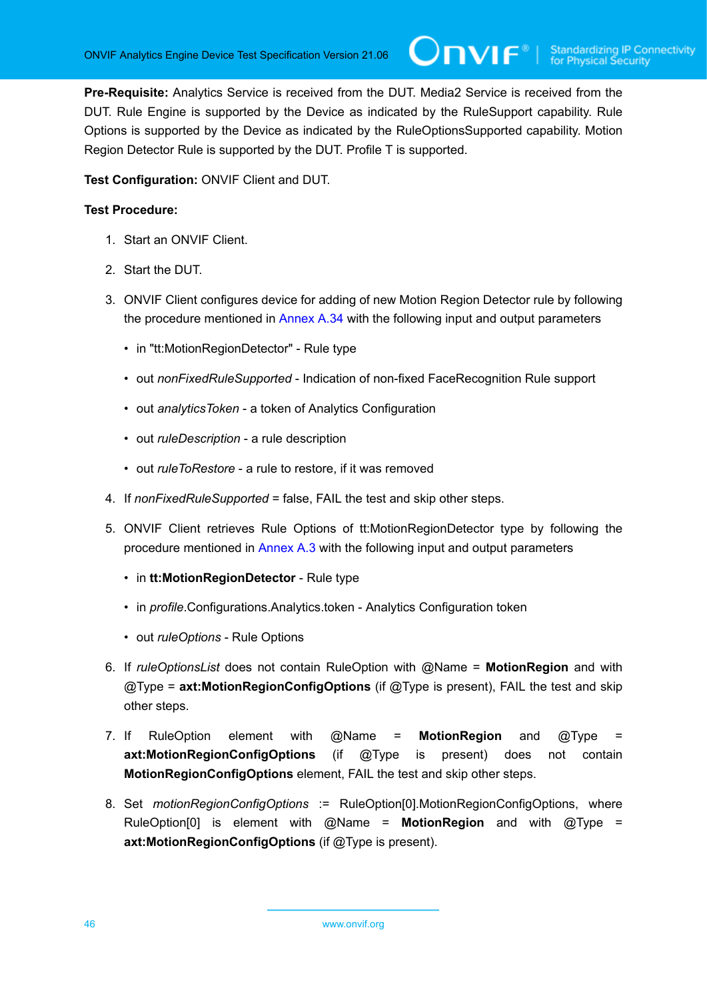**Pre-Requisite:** Analytics Service is received from the DUT. Media2 Service is received from the DUT. Rule Engine is supported by the Device as indicated by the RuleSupport capability. Rule Options is supported by the Device as indicated by the RuleOptionsSupported capability. Motion Region Detector Rule is supported by the DUT. Profile T is supported.

**Test Configuration:** ONVIF Client and DUT.

- 1. Start an ONVIF Client.
- 2. Start the DUT.
- <span id="page-45-0"></span>3. ONVIF Client configures device for adding of new Motion Region Detector rule by following the procedure mentioned in [Annex A.34](#page-145-0) with the following input and output parameters
	- in "tt:MotionRegionDetector" Rule type
	- out *nonFixedRuleSupported* Indication of non-fixed FaceRecognition Rule support
	- out *analyticsToken* a token of Analytics Configuration
	- out *ruleDescription* a rule description
	- out *ruleToRestore* a rule to restore, if it was removed
- 4. If *nonFixedRuleSupported* = false, FAIL the test and skip other steps.
- 5. ONVIF Client retrieves Rule Options of tt:MotionRegionDetector type by following the procedure mentioned in [Annex A.3](#page-113-0) with the following input and output parameters
	- in **tt:MotionRegionDetector** Rule type
	- in *profile*.Configurations.Analytics.token Analytics Configuration token
	- out *ruleOptions* Rule Options
- 6. If *ruleOptionsList* does not contain RuleOption with @Name = **MotionRegion** and with @Type = **axt:MotionRegionConfigOptions** (if @Type is present), FAIL the test and skip other steps.
- 7. If RuleOption element with @Name = **MotionRegion** and @Type = **axt:MotionRegionConfigOptions** (if @Type is present) does not contain **MotionRegionConfigOptions** element, FAIL the test and skip other steps.
- 8. Set *motionRegionConfigOptions* := RuleOption[0].MotionRegionConfigOptions, where RuleOption[0] is element with @Name = **MotionRegion** and with @Type = **axt:MotionRegionConfigOptions** (if @Type is present).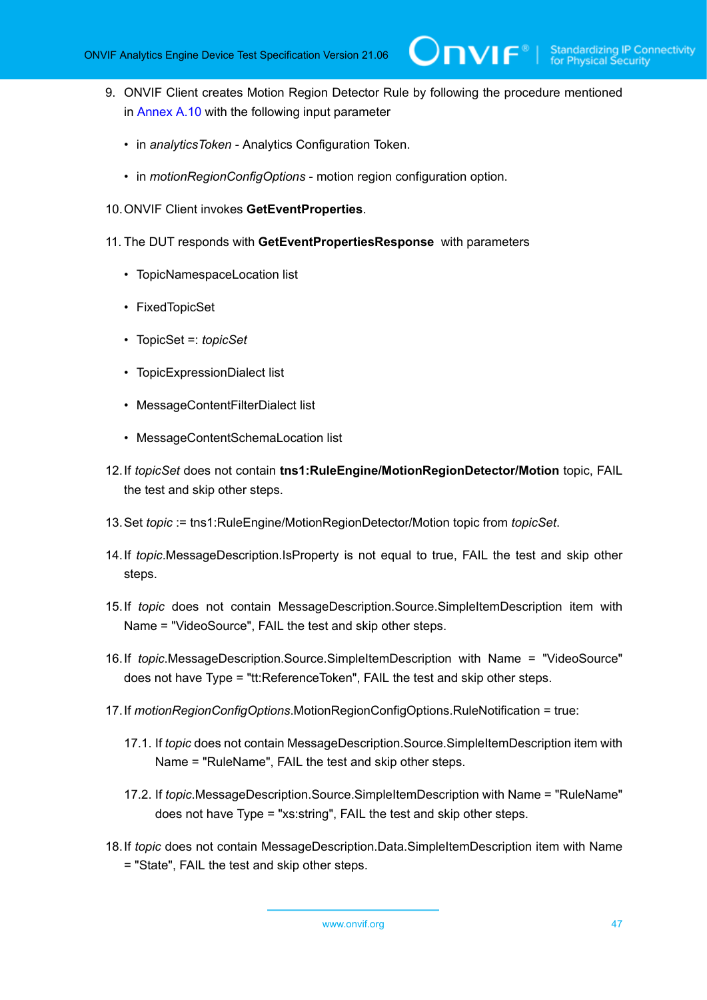<span id="page-46-0"></span>9. ONVIF Client creates Motion Region Detector Rule by following the procedure mentioned in [Annex A.10](#page-120-0) with the following input parameter

 $\mathsf{Divif}^*$  i

- in *analyticsToken* Analytics Configuration Token.
- in *motionRegionConfigOptions* motion region configuration option.
- 10.ONVIF Client invokes **GetEventProperties**.
- 11. The DUT responds with **GetEventPropertiesResponse** with parameters
	- TopicNamespaceLocation list
	- FixedTopicSet
	- TopicSet =: *topicSet*
	- TopicExpressionDialect list
	- MessageContentFilterDialect list
	- MessageContentSchemaLocation list
- 12.If *topicSet* does not contain **tns1:RuleEngine/MotionRegionDetector/Motion** topic, FAIL the test and skip other steps.
- 13.Set *topic* := tns1:RuleEngine/MotionRegionDetector/Motion topic from *topicSet*.
- 14.If *topic*.MessageDescription.IsProperty is not equal to true, FAIL the test and skip other steps.
- 15.If *topic* does not contain MessageDescription.Source.SimpleItemDescription item with Name = "VideoSource", FAIL the test and skip other steps.
- 16.If *topic*.MessageDescription.Source.SimpleItemDescription with Name = "VideoSource" does not have Type = "tt:ReferenceToken", FAIL the test and skip other steps.
- 17.If *motionRegionConfigOptions*.MotionRegionConfigOptions.RuleNotification = true:
	- 17.1. If *topic* does not contain MessageDescription.Source.SimpleItemDescription item with Name = "RuleName", FAIL the test and skip other steps.
	- 17.2. If *topic*.MessageDescription.Source.SimpleItemDescription with Name = "RuleName" does not have Type = "xs:string", FAIL the test and skip other steps.
- 18.If *topic* does not contain MessageDescription.Data.SimpleItemDescription item with Name = "State", FAIL the test and skip other steps.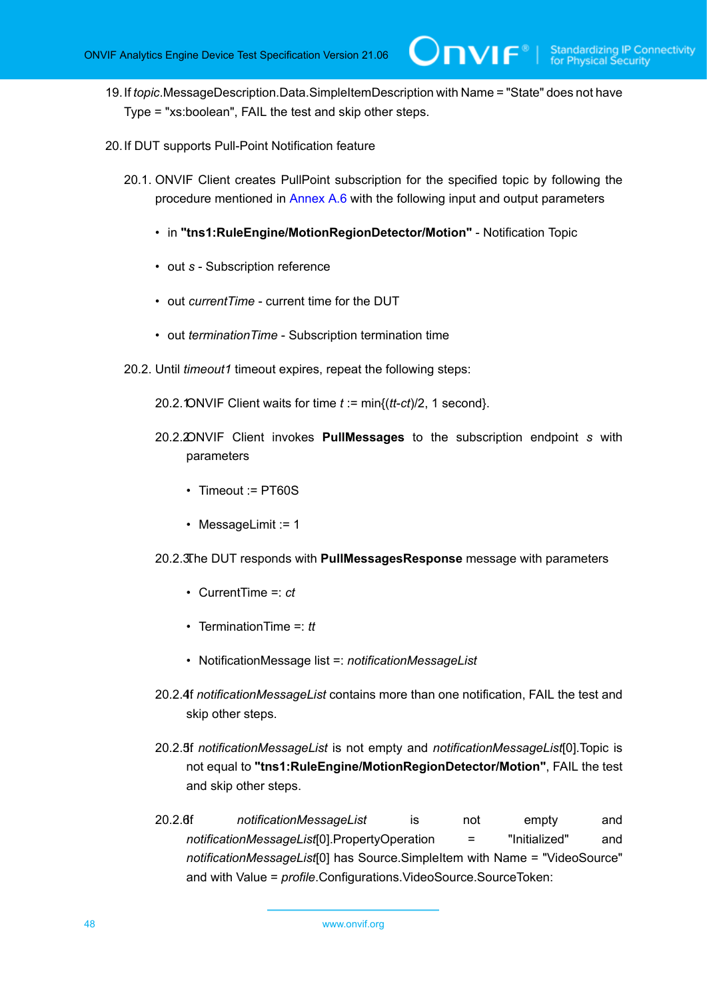19.If *topic*.MessageDescription.Data.SimpleItemDescription with Name = "State" does not have Type = "xs:boolean", FAIL the test and skip other steps.

 $\bm{\cup}$ NIF $^{\circ}$ l

- <span id="page-47-1"></span><span id="page-47-0"></span>20.If DUT supports Pull-Point Notification feature
	- 20.1. ONVIF Client creates PullPoint subscription for the specified topic by following the procedure mentioned in [Annex A.6](#page-117-0) with the following input and output parameters
		- in **"tns1:RuleEngine/MotionRegionDetector/Motion"** Notification Topic
		- out *s* Subscription reference
		- out *currentTime* current time for the DUT
		- out *terminationTime* Subscription termination time
	- 20.2. Until *timeout1* timeout expires, repeat the following steps:
		- 20.2. ONVIF Client waits for time  $t := min\{(tt-ct)/2, 1 \text{ second}\}.$
		- 20.2.2.ONVIF Client invokes **PullMessages** to the subscription endpoint *s* with parameters
			- Timeout := PT60S
			- MessageLimit := 1
		- 20.2.3.The DUT responds with **PullMessagesResponse** message with parameters
			- CurrentTime =: *ct*
			- TerminationTime =: *tt*
			- NotificationMessage list =: *notificationMessageList*
		- 20.2.4f *notificationMessageList* contains more than one notification, FAIL the test and skip other steps.
		- 20.2.5.If *notificationMessageList* is not empty and *notificationMessageList*[0].Topic is not equal to **"tns1:RuleEngine/MotionRegionDetector/Motion"**, FAIL the test and skip other steps.
		- 20.2.6.If *notificationMessageList* is not empty and *notificationMessageList*[0].PropertyOperation = "Initialized" and *notificationMessageList*[0] has Source.SimpleItem with Name = "VideoSource" and with Value = *profile*.Configurations.VideoSource.SourceToken: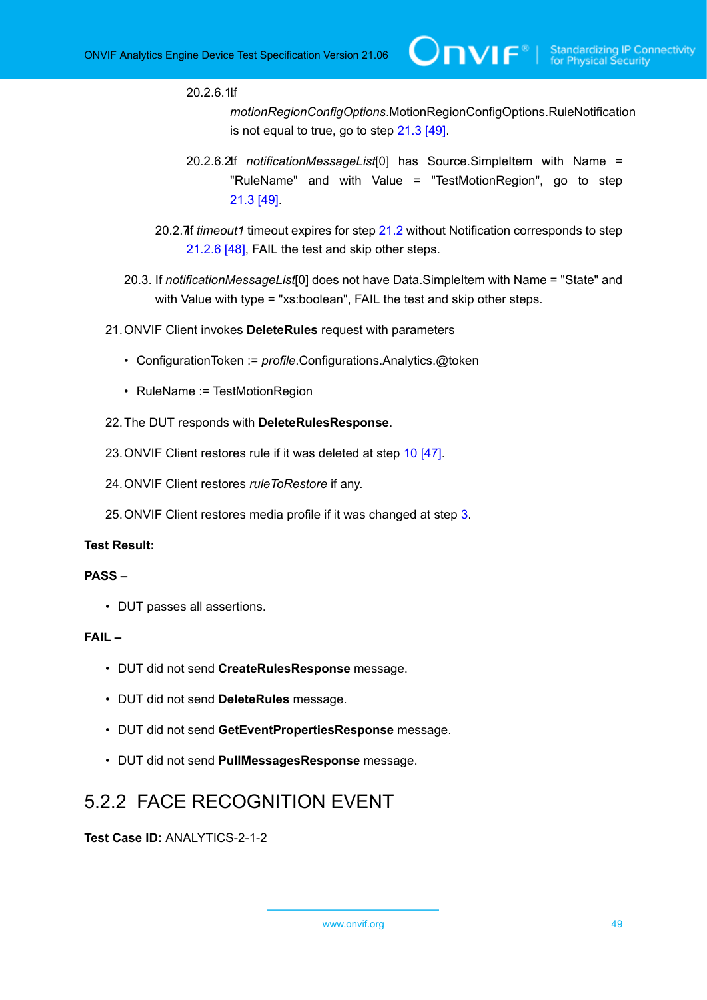20.2.6.1.If

*motionRegionConfigOptions*.MotionRegionConfigOptions.RuleNotification is not equal to true, go to step [21.3 \[49\].](#page-48-0)

- 20.2.6.2.If *notificationMessageList*[0] has Source.SimpleItem with Name = "RuleName" and with Value = "TestMotionRegion", go to step [21.3 \[49\].](#page-48-0)
- 20.2.7.If *timeout1* timeout expires for step [21.2](#page-47-0) without Notification corresponds to step [21.2.6 \[48\],](#page-47-1) FAIL the test and skip other steps.
- <span id="page-48-0"></span>20.3. If *notificationMessageList*[0] does not have Data.SimpleItem with Name = "State" and with Value with type = "xs:boolean", FAIL the test and skip other steps.
- 21.ONVIF Client invokes **DeleteRules** request with parameters
	- ConfigurationToken := *profile*.Configurations.Analytics.@token
	- RuleName := TestMotionRegion
- 22.The DUT responds with **DeleteRulesResponse**.
- 23.ONVIF Client restores rule if it was deleted at step [10 \[47\]](#page-46-0).
- 24.ONVIF Client restores *ruleToRestore* if any.
- 25.ONVIF Client restores media profile if it was changed at step [3](#page-45-0).

# **Test Result:**

# **PASS –**

• DUT passes all assertions.

#### **FAIL –**

- DUT did not send **CreateRulesResponse** message.
- DUT did not send **DeleteRules** message.
- DUT did not send **GetEventPropertiesResponse** message.
- DUT did not send **PullMessagesResponse** message.

# 5.2.2 FACE RECOGNITION EVENT

**Test Case ID:** ANALYTICS-2-1-2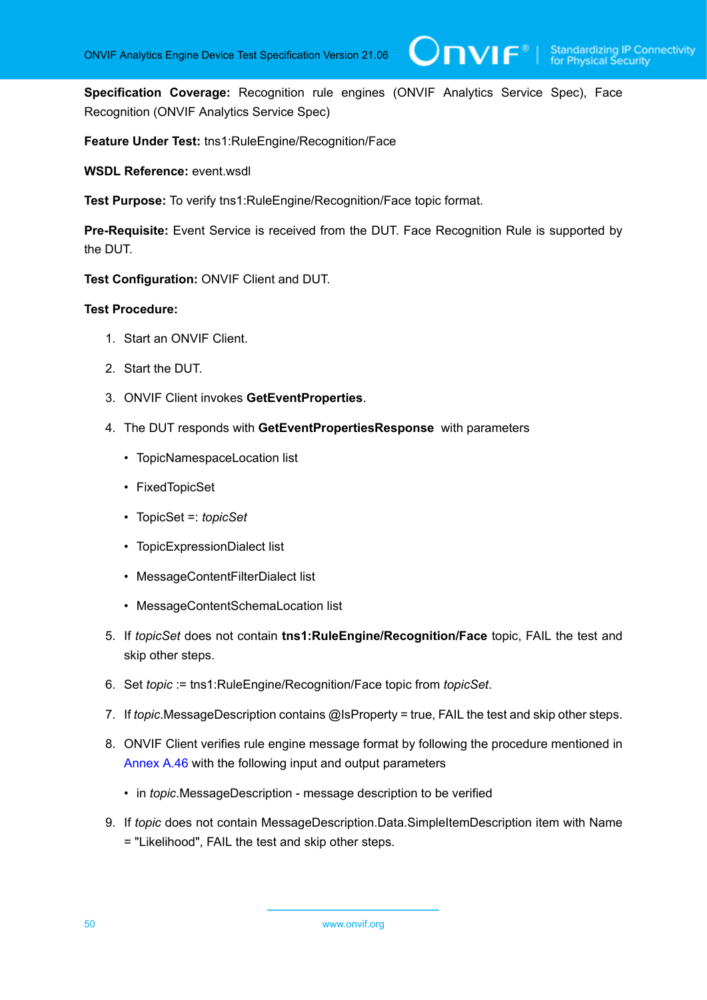**Specification Coverage:** Recognition rule engines (ONVIF Analytics Service Spec), Face Recognition (ONVIF Analytics Service Spec)

**Feature Under Test:** tns1:RuleEngine/Recognition/Face

**WSDL Reference:** event.wsdl

**Test Purpose:** To verify tns1:RuleEngine/Recognition/Face topic format.

**Pre-Requisite:** Event Service is received from the DUT. Face Recognition Rule is supported by the DUT.

**Test Configuration:** ONVIF Client and DUT.

- 1. Start an ONVIF Client.
- 2. Start the DUT.
- 3. ONVIF Client invokes **GetEventProperties**.
- 4. The DUT responds with **GetEventPropertiesResponse** with parameters
	- TopicNamespaceLocation list
	- FixedTopicSet
	- TopicSet =: *topicSet*
	- TopicExpressionDialect list
	- MessageContentFilterDialect list
	- MessageContentSchemaLocation list
- 5. If *topicSet* does not contain **tns1:RuleEngine/Recognition/Face** topic, FAIL the test and skip other steps.
- 6. Set *topic* := tns1:RuleEngine/Recognition/Face topic from *topicSet*.
- 7. If *topic*.MessageDescription contains @IsProperty = true, FAIL the test and skip other steps.
- 8. ONVIF Client verifies rule engine message format by following the procedure mentioned in [Annex A.46](#page-166-0) with the following input and output parameters
	- in *topic*.MessageDescription message description to be verified
- 9. If *topic* does not contain MessageDescription.Data.SimpleItemDescription item with Name = "Likelihood", FAIL the test and skip other steps.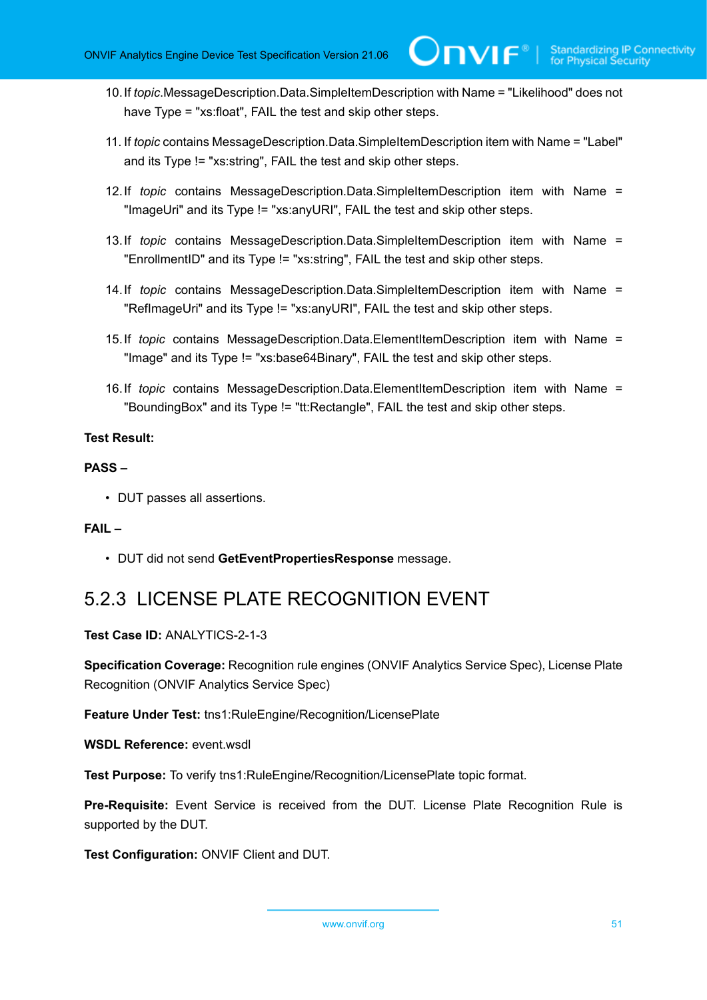- 10.If *topic*.MessageDescription.Data.SimpleItemDescription with Name = "Likelihood" does not have Type = "xs:float", FAIL the test and skip other steps.
- 11. If *topic* contains MessageDescription.Data.SimpleItemDescription item with Name = "Label" and its Type != "xs:string", FAIL the test and skip other steps.
- 12.If *topic* contains MessageDescription.Data.SimpleItemDescription item with Name = "ImageUri" and its Type != "xs:anyURI", FAIL the test and skip other steps.
- 13.If *topic* contains MessageDescription.Data.SimpleItemDescription item with Name = "EnrollmentID" and its Type != "xs:string", FAIL the test and skip other steps.
- 14.If *topic* contains MessageDescription.Data.SimpleItemDescription item with Name = "RefImageUri" and its Type != "xs:anyURI", FAIL the test and skip other steps.
- 15.If *topic* contains MessageDescription.Data.ElementItemDescription item with Name = "Image" and its Type != "xs:base64Binary", FAIL the test and skip other steps.
- 16.If *topic* contains MessageDescription.Data.ElementItemDescription item with Name = "BoundingBox" and its Type != "tt:Rectangle", FAIL the test and skip other steps.

# **PASS –**

• DUT passes all assertions.

# **FAIL –**

• DUT did not send **GetEventPropertiesResponse** message.

# 5.2.3 LICENSE PLATE RECOGNITION EVENT

**Test Case ID:** ANALYTICS-2-1-3

**Specification Coverage:** Recognition rule engines (ONVIF Analytics Service Spec), License Plate Recognition (ONVIF Analytics Service Spec)

**Feature Under Test:** tns1:RuleEngine/Recognition/LicensePlate

**WSDL Reference:** event.wsdl

**Test Purpose:** To verify tns1:RuleEngine/Recognition/LicensePlate topic format.

**Pre-Requisite:** Event Service is received from the DUT. License Plate Recognition Rule is supported by the DUT.

**Test Configuration:** ONVIF Client and DUT.

www.onvif.org 51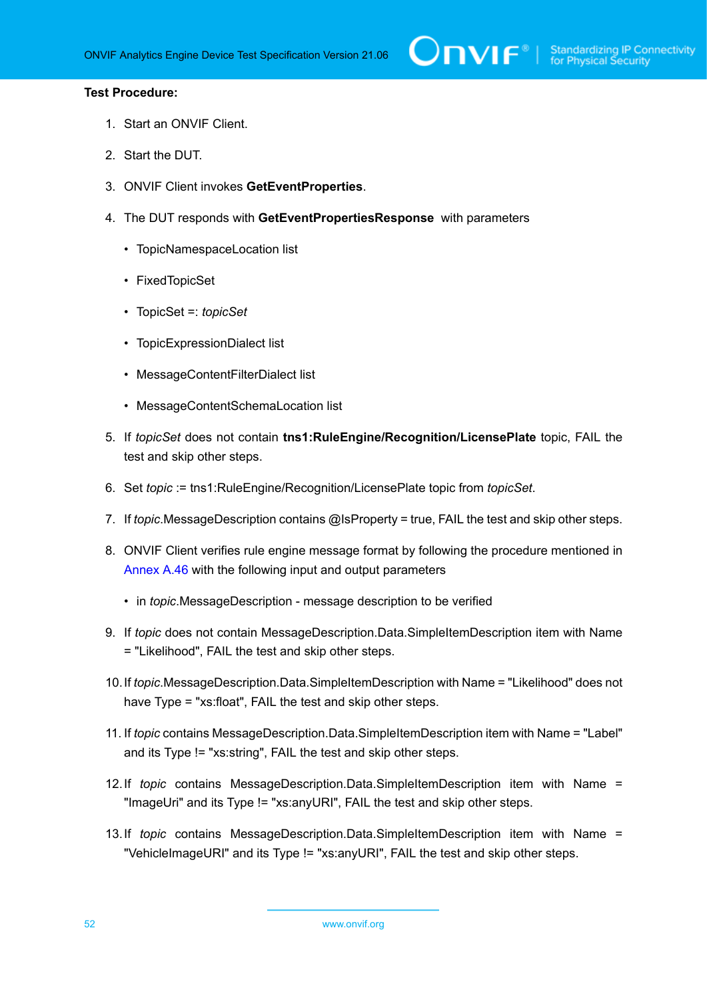- 1. Start an ONVIF Client.
- 2. Start the DUT.
- 3. ONVIF Client invokes **GetEventProperties**.
- 4. The DUT responds with **GetEventPropertiesResponse** with parameters
	- TopicNamespaceLocation list
	- FixedTopicSet
	- TopicSet =: *topicSet*
	- TopicExpressionDialect list
	- MessageContentFilterDialect list
	- MessageContentSchemaLocation list
- 5. If *topicSet* does not contain **tns1:RuleEngine/Recognition/LicensePlate** topic, FAIL the test and skip other steps.
- 6. Set *topic* := tns1:RuleEngine/Recognition/LicensePlate topic from *topicSet*.
- 7. If *topic*.MessageDescription contains @IsProperty = true, FAIL the test and skip other steps.
- 8. ONVIF Client verifies rule engine message format by following the procedure mentioned in [Annex A.46](#page-166-0) with the following input and output parameters
	- in *topic*.MessageDescription message description to be verified
- 9. If *topic* does not contain MessageDescription.Data.SimpleItemDescription item with Name = "Likelihood", FAIL the test and skip other steps.
- 10.If *topic*.MessageDescription.Data.SimpleItemDescription with Name = "Likelihood" does not have Type = "xs:float", FAIL the test and skip other steps.
- 11. If *topic* contains MessageDescription.Data.SimpleItemDescription item with Name = "Label" and its Type != "xs:string", FAIL the test and skip other steps.
- 12.If *topic* contains MessageDescription.Data.SimpleItemDescription item with Name = "ImageUri" and its Type != "xs:anyURI", FAIL the test and skip other steps.
- 13.If *topic* contains MessageDescription.Data.SimpleItemDescription item with Name = "VehicleImageURI" and its Type != "xs:anyURI", FAIL the test and skip other steps.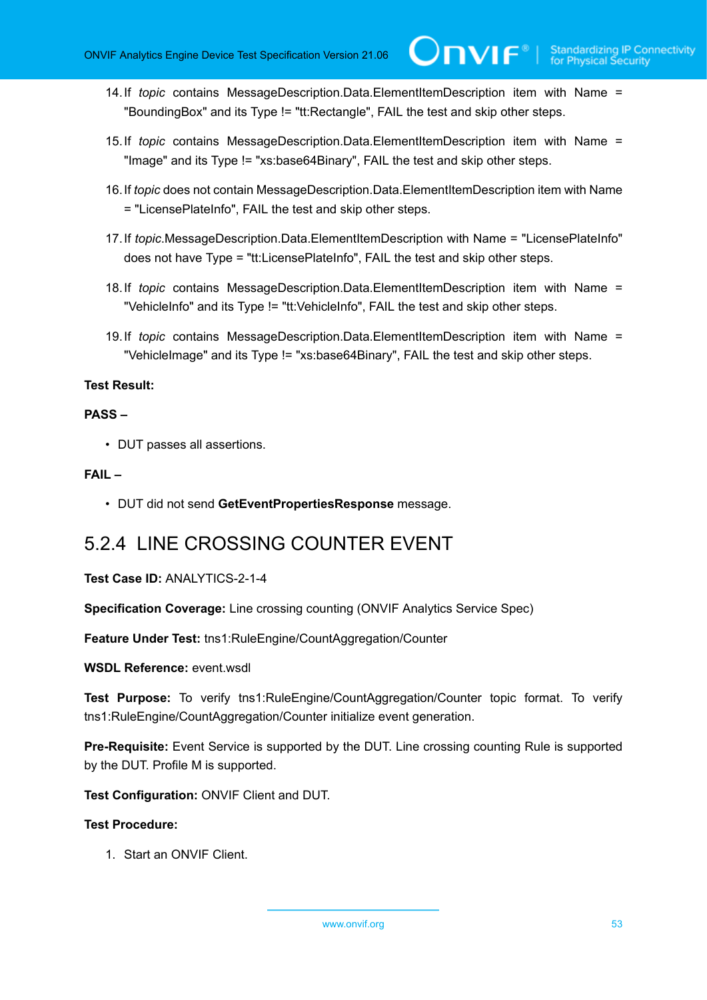- 14.If *topic* contains MessageDescription.Data.ElementItemDescription item with Name = "BoundingBox" and its Type != "tt:Rectangle", FAIL the test and skip other steps.
- 15.If *topic* contains MessageDescription.Data.ElementItemDescription item with Name = "Image" and its Type != "xs:base64Binary", FAIL the test and skip other steps.
- 16.If *topic* does not contain MessageDescription.Data.ElementItemDescription item with Name = "LicensePlateInfo", FAIL the test and skip other steps.
- 17.If *topic*.MessageDescription.Data.ElementItemDescription with Name = "LicensePlateInfo" does not have Type = "tt:LicensePlateInfo", FAIL the test and skip other steps.
- 18.If *topic* contains MessageDescription.Data.ElementItemDescription item with Name = "VehicleInfo" and its Type != "tt:VehicleInfo", FAIL the test and skip other steps.
- 19.If *topic* contains MessageDescription.Data.ElementItemDescription item with Name = "VehicleImage" and its Type != "xs:base64Binary", FAIL the test and skip other steps.

# **PASS –**

• DUT passes all assertions.

# **FAIL –**

• DUT did not send **GetEventPropertiesResponse** message.

# 5.2.4 LINE CROSSING COUNTER EVENT

# **Test Case ID:** ANALYTICS-2-1-4

**Specification Coverage:** Line crossing counting (ONVIF Analytics Service Spec)

**Feature Under Test:** tns1:RuleEngine/CountAggregation/Counter

# **WSDL Reference:** event.wsdl

**Test Purpose:** To verify tns1:RuleEngine/CountAggregation/Counter topic format. To verify tns1:RuleEngine/CountAggregation/Counter initialize event generation.

**Pre-Requisite:** Event Service is supported by the DUT. Line crossing counting Rule is supported by the DUT. Profile M is supported.

**Test Configuration:** ONVIF Client and DUT.

# **Test Procedure:**

1. Start an ONVIF Client.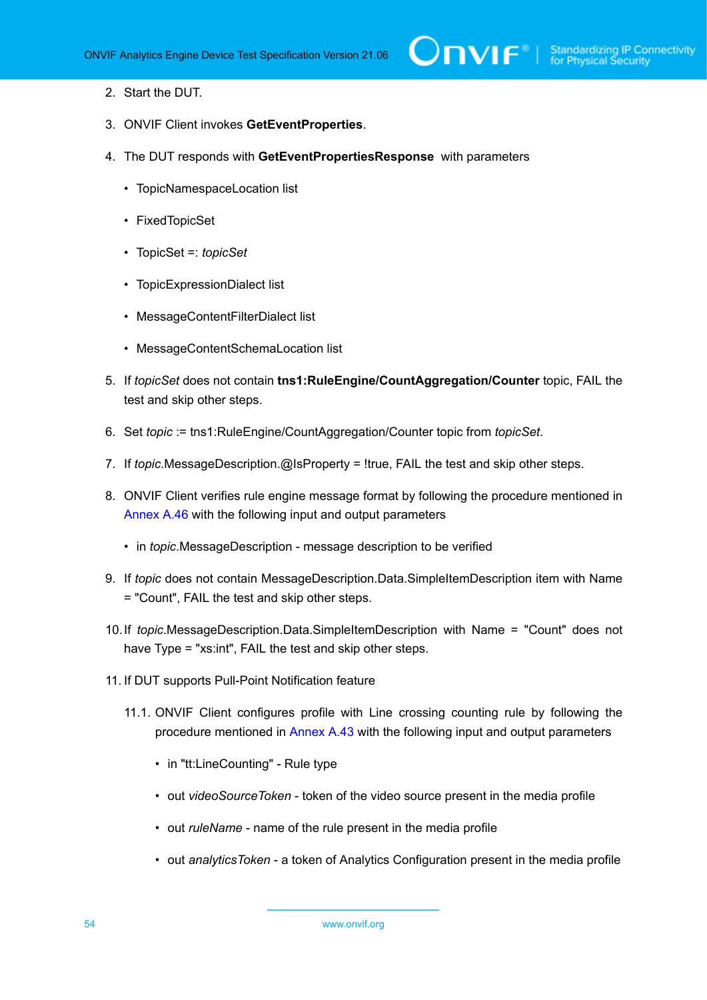- 2. Start the DUT.
- 3. ONVIF Client invokes **GetEventProperties**.
- 4. The DUT responds with **GetEventPropertiesResponse** with parameters
	- TopicNamespaceLocation list
	- FixedTopicSet
	- TopicSet =: *topicSet*
	- TopicExpressionDialect list
	- MessageContentFilterDialect list
	- MessageContentSchemaLocation list
- 5. If *topicSet* does not contain **tns1:RuleEngine/CountAggregation/Counter** topic, FAIL the test and skip other steps.
- 6. Set *topic* := tns1:RuleEngine/CountAggregation/Counter topic from *topicSet*.
- 7. If *topic*.MessageDescription.@IsProperty = !true, FAIL the test and skip other steps.
- 8. ONVIF Client verifies rule engine message format by following the procedure mentioned in [Annex A.46](#page-166-0) with the following input and output parameters
	- in *topic*.MessageDescription message description to be verified
- 9. If *topic* does not contain MessageDescription.Data.SimpleItemDescription item with Name = "Count", FAIL the test and skip other steps.
- 10.If *topic*.MessageDescription.Data.SimpleItemDescription with Name = "Count" does not have Type = "xs:int", FAIL the test and skip other steps.
- <span id="page-53-0"></span>11. If DUT supports Pull-Point Notification feature
	- 11.1. ONVIF Client configures profile with Line crossing counting rule by following the procedure mentioned in [Annex A.43](#page-161-0) with the following input and output parameters
		- in "tt:LineCounting" Rule type
		- out *videoSourceToken* token of the video source present in the media profile
		- out *ruleName* name of the rule present in the media profile
		- out *analyticsToken* a token of Analytics Configuration present in the media profile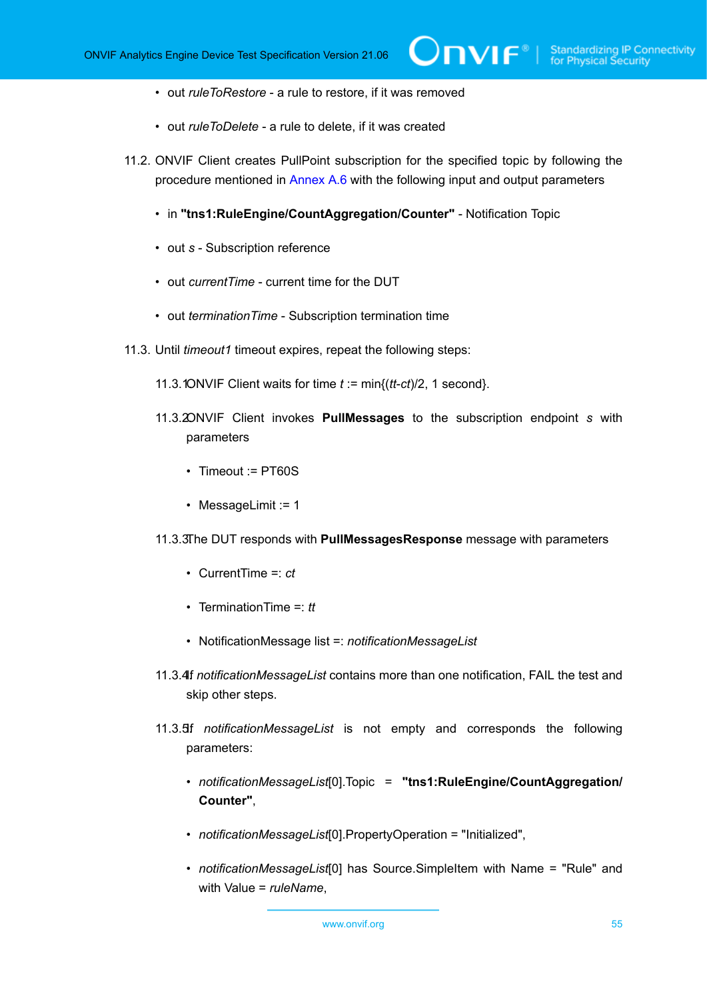- out *ruleToRestore* a rule to restore, if it was removed
- out *ruleToDelete* a rule to delete, if it was created
- 11.2. ONVIF Client creates PullPoint subscription for the specified topic by following the procedure mentioned in [Annex A.6](#page-117-0) with the following input and output parameters
	- in **"tns1:RuleEngine/CountAggregation/Counter"** Notification Topic
	- out *s* Subscription reference
	- out *currentTime* current time for the DUT
	- out *terminationTime* Subscription termination time
- <span id="page-54-1"></span><span id="page-54-0"></span>11.3. Until *timeout1* timeout expires, repeat the following steps:
	- 11.3.1ONVIF Client waits for time  $t := min\{(tt-ct)/2, 1 \text{ second}\}.$
	- 11.3.2ONVIF Client invokes **PullMessages** to the subscription endpoint *s* with parameters
		- Timeout := PT60S
		- MessageLimit := 1
	- 11.3.3The DUT responds with **PullMessagesResponse** message with parameters
		- CurrentTime =: *ct*
		- TerminationTime =: *tt*
		- NotificationMessage list =: *notificationMessageList*
	- 11.3.4If notificationMessageList contains more than one notification, FAIL the test and skip other steps.
	- 11.3.5If . *notificationMessageList* is not empty and corresponds the following parameters:
		- *notificationMessageList*[0].Topic = **"tns1:RuleEngine/CountAggregation/ Counter"**,
		- *notificationMessageList*[0].PropertyOperation = "Initialized",
		- *notificationMessageList*[0] has Source.SimpleItem with Name = "Rule" and with Value = *ruleName*,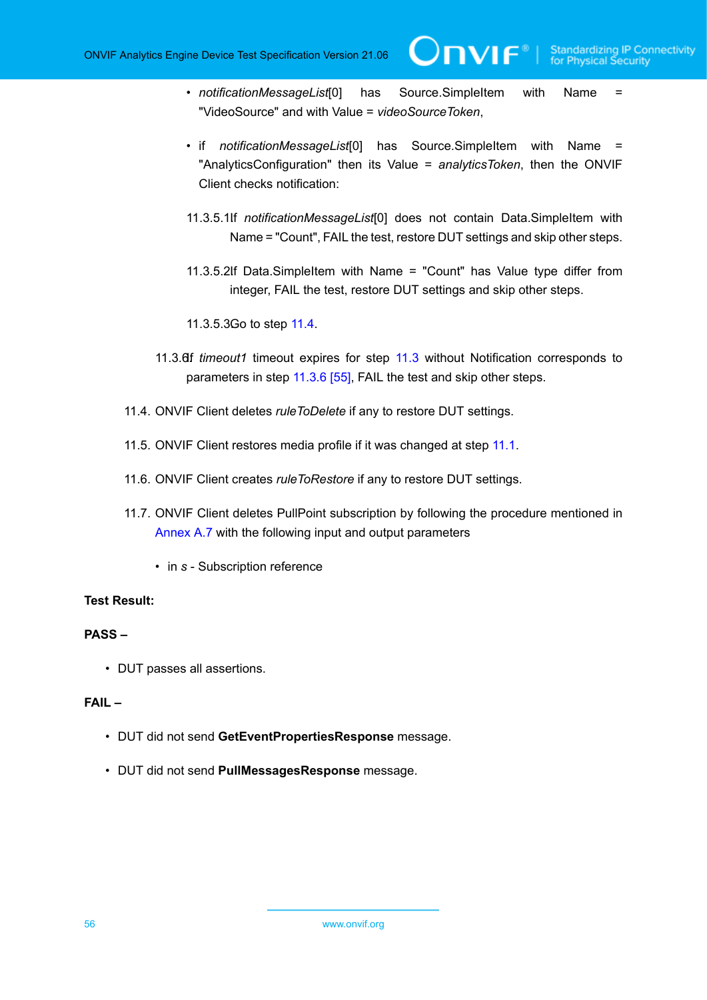• *notificationMessageList*[0] has Source.SimpleItem with Name = "VideoSource" and with Value = *videoSourceToken*,

**TVIF**®

- if *notificationMessageList*[0] has Source.SimpleItem with Name = "AnalyticsConfiguration" then its Value = *analyticsToken*, then the ONVIF Client checks notification:
- 11.3.5.1If notificationMessageList<sup>[0]</sup> does not contain Data.SimpleItem with Name = "Count", FAIL the test, restore DUT settings and skip other steps.
- 11.3.5.2If Data.SimpleItem with Name = "Count" has Value type differ from integer, FAIL the test, restore DUT settings and skip other steps.
- 11.3.5.3Go to step [11.4.](#page-55-0)
- 11.3.6If *timeout1* timeout expires for step [11.3](#page-54-0) without Notification corresponds to parameters in step [11.3.6 \[55\],](#page-54-1) FAIL the test and skip other steps.
- <span id="page-55-0"></span>11.4. ONVIF Client deletes *ruleToDelete* if any to restore DUT settings.
- 11.5. ONVIF Client restores media profile if it was changed at step [11.1](#page-53-0).
- 11.6. ONVIF Client creates *ruleToRestore* if any to restore DUT settings.
- 11.7. ONVIF Client deletes PullPoint subscription by following the procedure mentioned in [Annex A.7](#page-117-1) with the following input and output parameters
	- in *s* Subscription reference

#### **Test Result:**

# **PASS –**

• DUT passes all assertions.

#### **FAIL –**

- DUT did not send **GetEventPropertiesResponse** message.
- DUT did not send **PullMessagesResponse** message.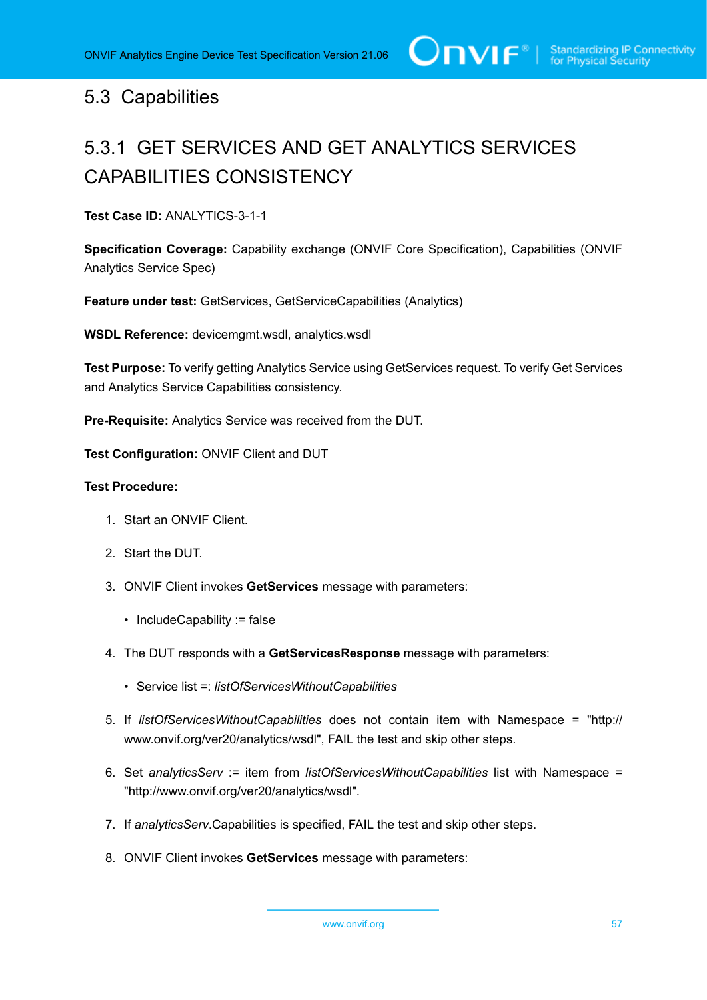# 5.3 Capabilities

# 5.3.1 GET SERVICES AND GET ANALYTICS SERVICES CAPABILITIES CONSISTENCY

**Test Case ID:** ANALYTICS-3-1-1

**Specification Coverage:** Capability exchange (ONVIF Core Specification), Capabilities (ONVIF Analytics Service Spec)

**Feature under test:** GetServices, GetServiceCapabilities (Analytics)

**WSDL Reference:** devicemgmt.wsdl, analytics.wsdl

**Test Purpose:** To verify getting Analytics Service using GetServices request. To verify Get Services and Analytics Service Capabilities consistency.

**Pre-Requisite:** Analytics Service was received from the DUT.

**Test Configuration:** ONVIF Client and DUT

- 1. Start an ONVIF Client.
- 2. Start the DUT.
- 3. ONVIF Client invokes **GetServices** message with parameters:
	- IncludeCapability := false
- 4. The DUT responds with a **GetServicesResponse** message with parameters:
	- Service list =: *listOfServicesWithoutCapabilities*
- 5. If *listOfServicesWithoutCapabilities* does not contain item with Namespace = "http:// www.onvif.org/ver20/analytics/wsdl", FAIL the test and skip other steps.
- 6. Set *analyticsServ* := item from *listOfServicesWithoutCapabilities* list with Namespace = "http://www.onvif.org/ver20/analytics/wsdl".
- 7. If *analyticsServ*.Capabilities is specified, FAIL the test and skip other steps.
- 8. ONVIF Client invokes **GetServices** message with parameters: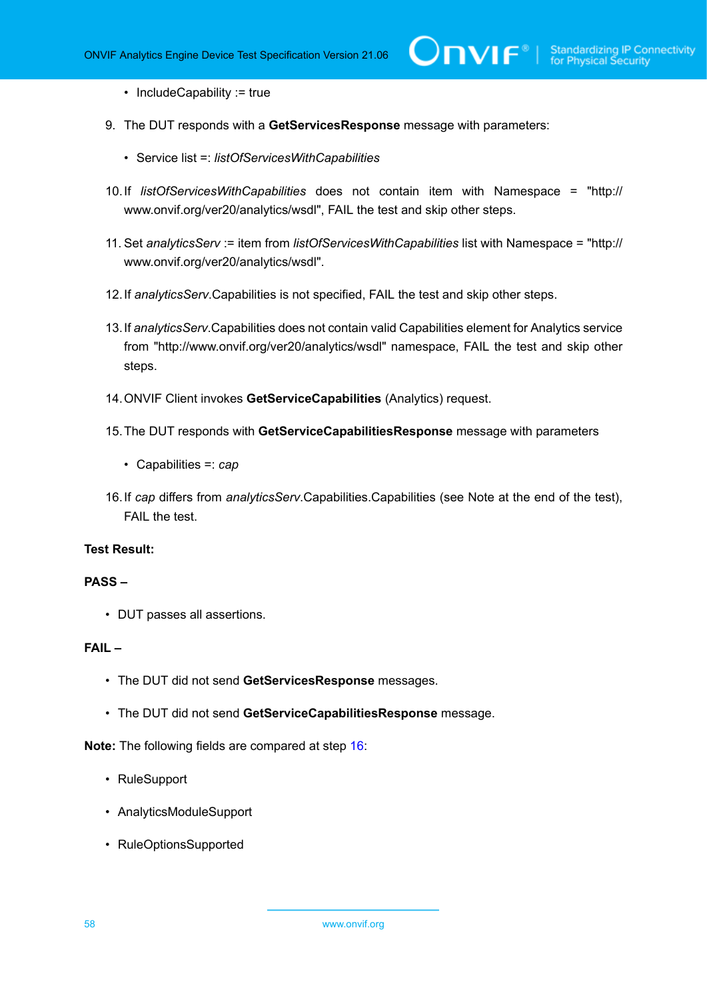• IncludeCapability := true

- 9. The DUT responds with a **GetServicesResponse** message with parameters:
	- Service list =: *listOfServicesWithCapabilities*
- 10.If *listOfServicesWithCapabilities* does not contain item with Namespace = "http:// www.onvif.org/ver20/analytics/wsdl", FAIL the test and skip other steps.
- 11. Set *analyticsServ* := item from *listOfServicesWithCapabilities* list with Namespace = "http:// www.onvif.org/ver20/analytics/wsdl".
- 12.If *analyticsServ*.Capabilities is not specified, FAIL the test and skip other steps.
- 13.If *analyticsServ*.Capabilities does not contain valid Capabilities element for Analytics service from "http://www.onvif.org/ver20/analytics/wsdl" namespace, FAIL the test and skip other steps.
- 14.ONVIF Client invokes **GetServiceCapabilities** (Analytics) request.
- 15.The DUT responds with **GetServiceCapabilitiesResponse** message with parameters
	- Capabilities =: *cap*
- <span id="page-57-0"></span>16.If *cap* differs from *analyticsServ*.Capabilities.Capabilities (see Note at the end of the test), FAIL the test.

#### **Test Result:**

#### **PASS –**

• DUT passes all assertions.

# **FAIL –**

- The DUT did not send **GetServicesResponse** messages.
- The DUT did not send **GetServiceCapabilitiesResponse** message.

**Note:** The following fields are compared at step [16](#page-57-0):

- RuleSupport
- AnalyticsModuleSupport
- RuleOptionsSupported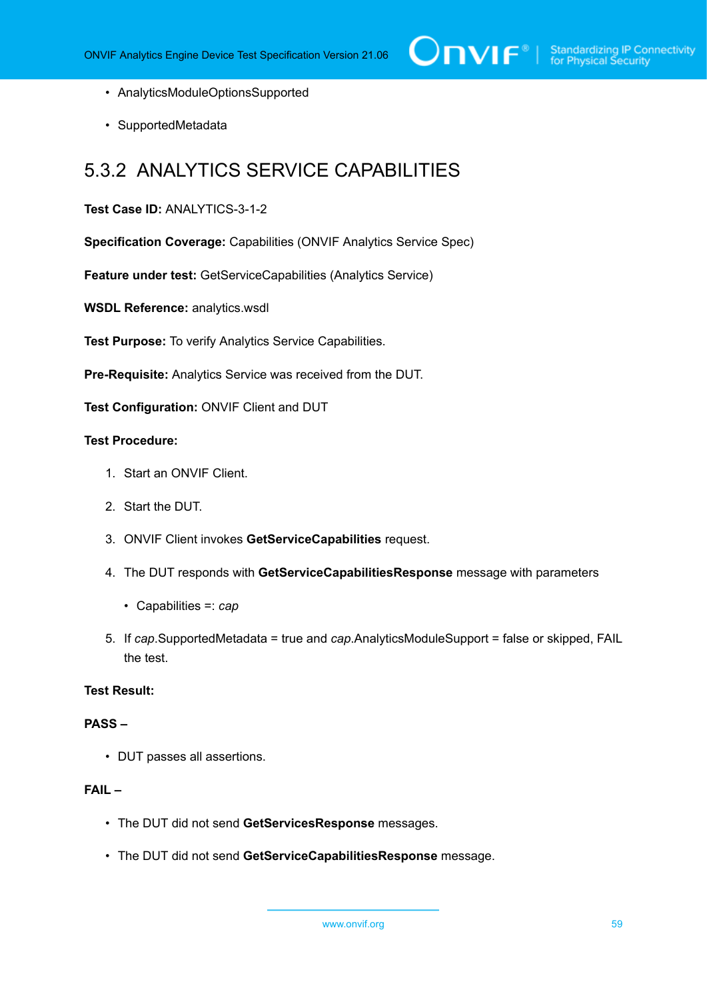- AnalyticsModuleOptionsSupported
- SupportedMetadata

# 5.3.2 ANALYTICS SERVICE CAPABILITIES

#### **Test Case ID:** ANALYTICS-3-1-2

**Specification Coverage:** Capabilities (ONVIF Analytics Service Spec)

**Feature under test:** GetServiceCapabilities (Analytics Service)

**WSDL Reference:** analytics.wsdl

**Test Purpose:** To verify Analytics Service Capabilities.

**Pre-Requisite:** Analytics Service was received from the DUT.

**Test Configuration:** ONVIF Client and DUT

### **Test Procedure:**

- 1. Start an ONVIF Client.
- 2. Start the DUT.
- 3. ONVIF Client invokes **GetServiceCapabilities** request.
- 4. The DUT responds with **GetServiceCapabilitiesResponse** message with parameters
	- Capabilities =: *cap*
- 5. If *cap*.SupportedMetadata = true and *cap*.AnalyticsModuleSupport = false or skipped, FAIL the test.

### **Test Result:**

#### **PASS –**

• DUT passes all assertions.

# **FAIL –**

- The DUT did not send **GetServicesResponse** messages.
- The DUT did not send **GetServiceCapabilitiesResponse** message.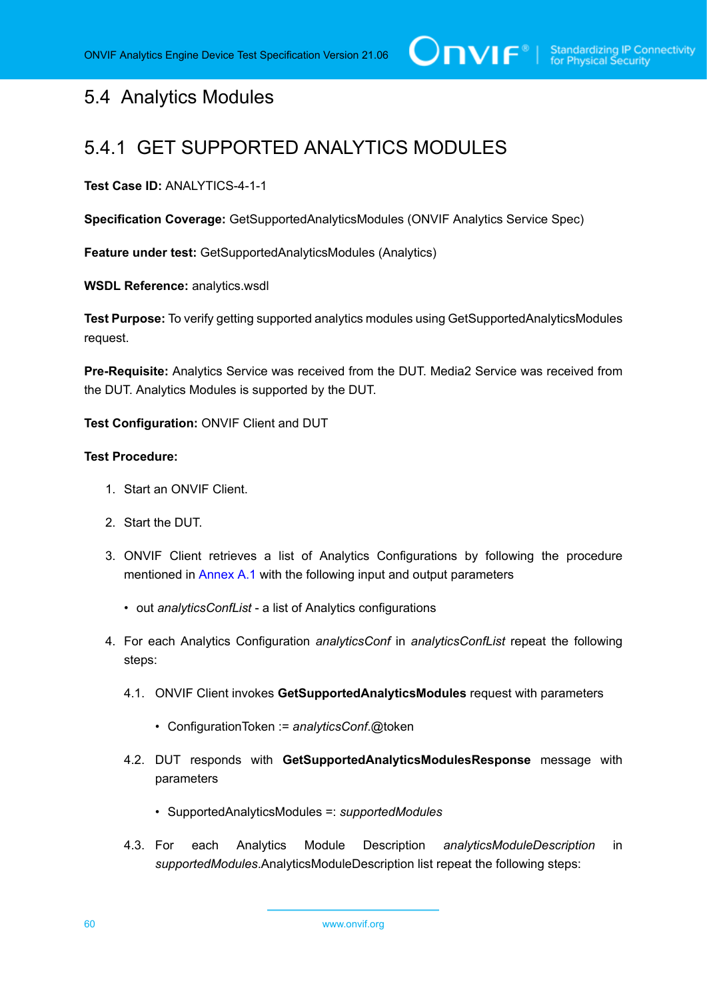# 5.4 Analytics Modules

# 5.4.1 GET SUPPORTED ANALYTICS MODULES

**Test Case ID:** ANALYTICS-4-1-1

**Specification Coverage:** GetSupportedAnalyticsModules (ONVIF Analytics Service Spec)

**Feature under test:** GetSupportedAnalyticsModules (Analytics)

**WSDL Reference:** analytics.wsdl

**Test Purpose:** To verify getting supported analytics modules using GetSupportedAnalyticsModules request.

**Pre-Requisite:** Analytics Service was received from the DUT. Media2 Service was received from the DUT. Analytics Modules is supported by the DUT.

**Test Configuration:** ONVIF Client and DUT

- 1. Start an ONVIF Client.
- 2. Start the DUT.
- 3. ONVIF Client retrieves a list of Analytics Configurations by following the procedure mentioned in [Annex A.1](#page-112-0) with the following input and output parameters
	- out *analyticsConfList* a list of Analytics configurations
- 4. For each Analytics Configuration *analyticsConf* in *analyticsConfList* repeat the following steps:
	- 4.1. ONVIF Client invokes **GetSupportedAnalyticsModules** request with parameters
		- ConfigurationToken := *analyticsConf*.@token
	- 4.2. DUT responds with **GetSupportedAnalyticsModulesResponse** message with parameters
		- SupportedAnalyticsModules =: *supportedModules*
	- 4.3. For each Analytics Module Description *analyticsModuleDescription* in *supportedModules*.AnalyticsModuleDescription list repeat the following steps: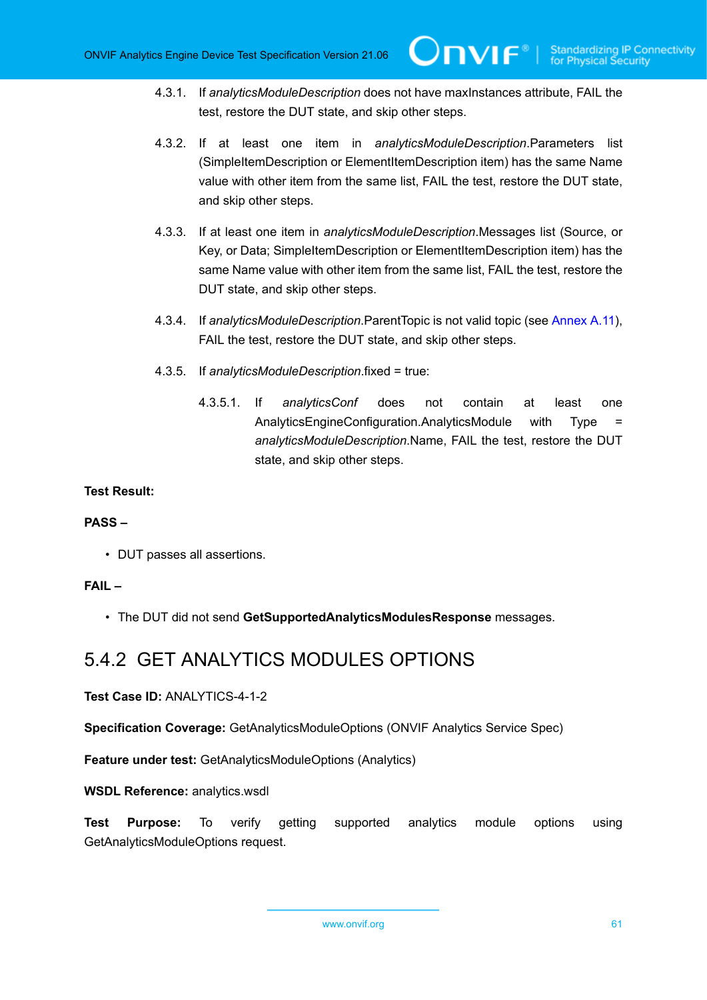- 4.3.1. If *analyticsModuleDescription* does not have maxInstances attribute, FAIL the test, restore the DUT state, and skip other steps.
- 4.3.2. If at least one item in *analyticsModuleDescription*.Parameters list (SimpleItemDescription or ElementItemDescription item) has the same Name value with other item from the same list, FAIL the test, restore the DUT state, and skip other steps.
- 4.3.3. If at least one item in *analyticsModuleDescription*.Messages list (Source, or Key, or Data; SimpleItemDescription or ElementItemDescription item) has the same Name value with other item from the same list, FAIL the test, restore the DUT state, and skip other steps.
- 4.3.4. If *analyticsModuleDescription*.ParentTopic is not valid topic (see [Annex](#page-121-0) A.11), FAIL the test, restore the DUT state, and skip other steps.
- 4.3.5. If *analyticsModuleDescription*.fixed = true:
	- 4.3.5.1. If *analyticsConf* does not contain at least one AnalyticsEngineConfiguration.AnalyticsModule with Type = *analyticsModuleDescription*.Name, FAIL the test, restore the DUT state, and skip other steps.

# **PASS –**

• DUT passes all assertions.

# **FAIL –**

• The DUT did not send **GetSupportedAnalyticsModulesResponse** messages.

# 5.4.2 GET ANALYTICS MODULES OPTIONS

**Test Case ID:** ANALYTICS-4-1-2

**Specification Coverage:** GetAnalyticsModuleOptions (ONVIF Analytics Service Spec)

**Feature under test:** GetAnalyticsModuleOptions (Analytics)

**WSDL Reference:** analytics.wsdl

**Test Purpose:** To verify getting supported analytics module options using GetAnalyticsModuleOptions request.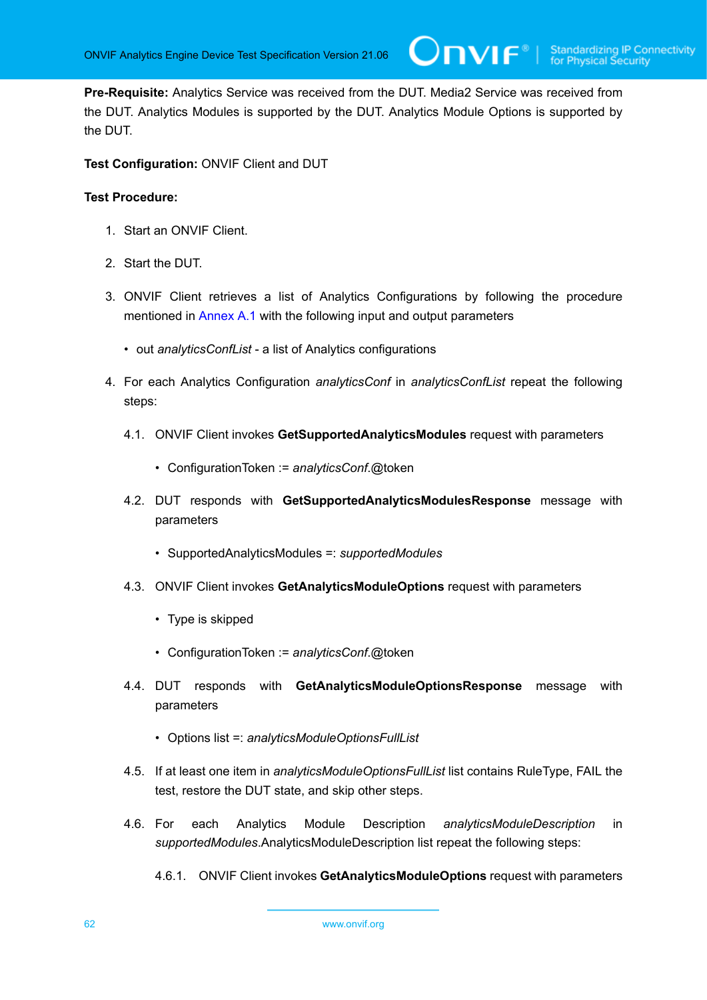**Pre-Requisite:** Analytics Service was received from the DUT. Media2 Service was received from the DUT. Analytics Modules is supported by the DUT. Analytics Module Options is supported by the DUT.

 $\mathsf{J}\mathsf{N}\mathsf{N}\mathsf{F}^\ast$  i

**Test Configuration:** ONVIF Client and DUT

- 1. Start an ONVIF Client.
- 2. Start the DUT.
- 3. ONVIF Client retrieves a list of Analytics Configurations by following the procedure mentioned in [Annex A.1](#page-112-0) with the following input and output parameters
	- out *analyticsConfList* a list of Analytics configurations
- 4. For each Analytics Configuration *analyticsConf* in *analyticsConfList* repeat the following steps:
	- 4.1. ONVIF Client invokes **GetSupportedAnalyticsModules** request with parameters
		- ConfigurationToken := *analyticsConf*.@token
	- 4.2. DUT responds with **GetSupportedAnalyticsModulesResponse** message with parameters
		- SupportedAnalyticsModules =: *supportedModules*
	- 4.3. ONVIF Client invokes **GetAnalyticsModuleOptions** request with parameters
		- Type is skipped
		- ConfigurationToken := *analyticsConf*.@token
	- 4.4. DUT responds with **GetAnalyticsModuleOptionsResponse** message with parameters
		- Options list =: *analyticsModuleOptionsFullList*
	- 4.5. If at least one item in *analyticsModuleOptionsFullList* list contains RuleType, FAIL the test, restore the DUT state, and skip other steps.
	- 4.6. For each Analytics Module Description *analyticsModuleDescription* in *supportedModules*.AnalyticsModuleDescription list repeat the following steps:
		- 4.6.1. ONVIF Client invokes **GetAnalyticsModuleOptions** request with parameters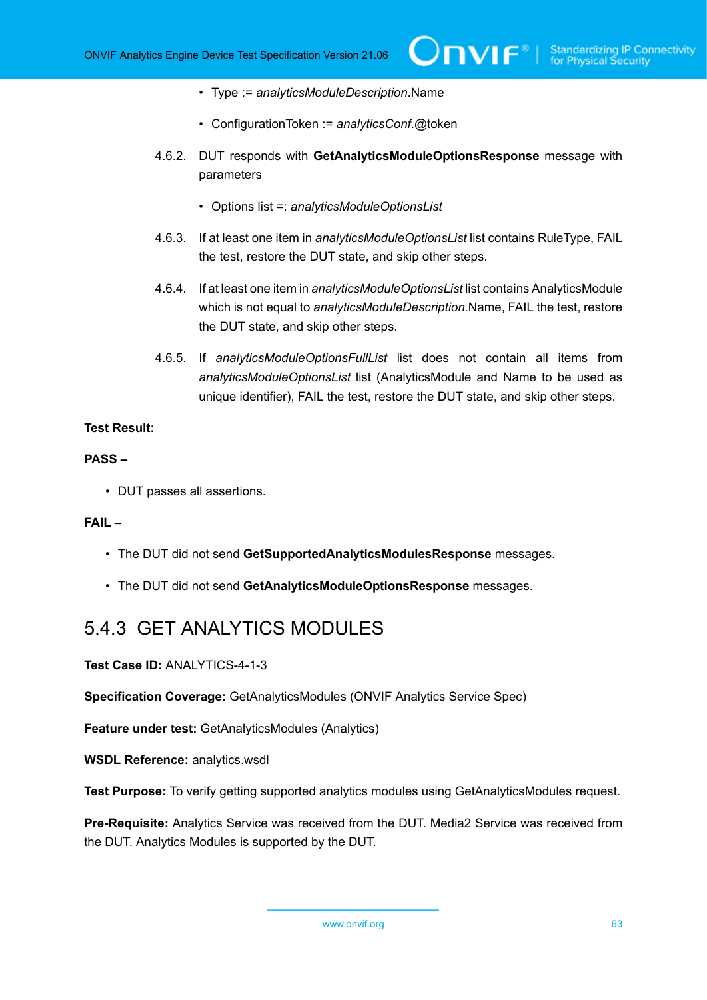- Type := *analyticsModuleDescription*.Name
- ConfigurationToken := *analyticsConf*.@token
- 4.6.2. DUT responds with **GetAnalyticsModuleOptionsResponse** message with parameters
	- Options list =: *analyticsModuleOptionsList*
- 4.6.3. If at least one item in *analyticsModuleOptionsList* list contains RuleType, FAIL the test, restore the DUT state, and skip other steps.
- 4.6.4. If at least one item in *analyticsModuleOptionsList* list contains AnalyticsModule which is not equal to *analyticsModuleDescription*.Name, FAIL the test, restore the DUT state, and skip other steps.
- 4.6.5. If *analyticsModuleOptionsFullList* list does not contain all items from *analyticsModuleOptionsList* list (AnalyticsModule and Name to be used as unique identifier), FAIL the test, restore the DUT state, and skip other steps.

#### **PASS –**

• DUT passes all assertions.

#### **FAIL –**

- The DUT did not send **GetSupportedAnalyticsModulesResponse** messages.
- The DUT did not send **GetAnalyticsModuleOptionsResponse** messages.

# 5.4.3 GET ANALYTICS MODULES

**Test Case ID:** ANALYTICS-4-1-3

**Specification Coverage:** GetAnalyticsModules (ONVIF Analytics Service Spec)

**Feature under test:** GetAnalyticsModules (Analytics)

**WSDL Reference:** analytics.wsdl

**Test Purpose:** To verify getting supported analytics modules using GetAnalyticsModules request.

**Pre-Requisite:** Analytics Service was received from the DUT. Media2 Service was received from the DUT. Analytics Modules is supported by the DUT.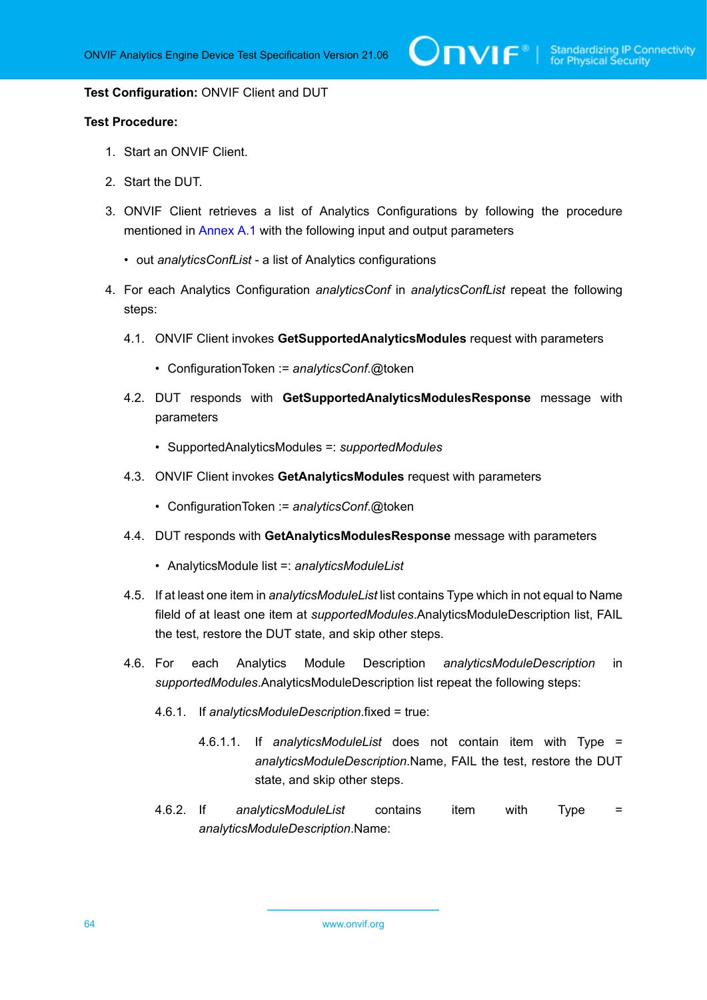#### **Test Configuration:** ONVIF Client and DUT

- 1. Start an ONVIF Client.
- 2. Start the DUT.
- 3. ONVIF Client retrieves a list of Analytics Configurations by following the procedure mentioned in [Annex A.1](#page-112-0) with the following input and output parameters
	- out *analyticsConfList* a list of Analytics configurations
- 4. For each Analytics Configuration *analyticsConf* in *analyticsConfList* repeat the following steps:
	- 4.1. ONVIF Client invokes **GetSupportedAnalyticsModules** request with parameters
		- ConfigurationToken := *analyticsConf*.@token
	- 4.2. DUT responds with **GetSupportedAnalyticsModulesResponse** message with parameters
		- SupportedAnalyticsModules =: *supportedModules*
	- 4.3. ONVIF Client invokes **GetAnalyticsModules** request with parameters
		- ConfigurationToken := *analyticsConf*.@token
	- 4.4. DUT responds with **GetAnalyticsModulesResponse** message with parameters
		- AnalyticsModule list =: *analyticsModuleList*
	- 4.5. If at least one item in *analyticsModuleList* list contains Type which in not equal to Name fileld of at least one item at *supportedModules*.AnalyticsModuleDescription list, FAIL the test, restore the DUT state, and skip other steps.
	- 4.6. For each Analytics Module Description *analyticsModuleDescription* in *supportedModules*.AnalyticsModuleDescription list repeat the following steps:
		- 4.6.1. If *analyticsModuleDescription*.fixed = true:
			- 4.6.1.1. If *analyticsModuleList* does not contain item with Type = *analyticsModuleDescription*.Name, FAIL the test, restore the DUT state, and skip other steps.
		- 4.6.2. If *analyticsModuleList* contains item with Type = *analyticsModuleDescription*.Name: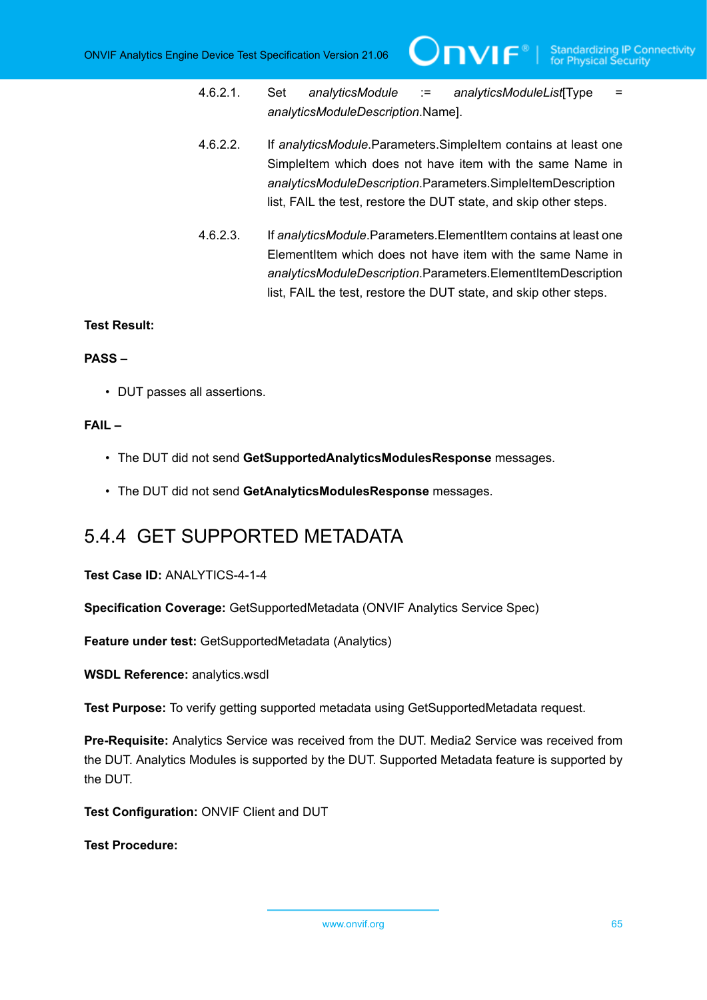- 4.6.2.1. Set *analyticsModule* := *analyticsModuleList*[Type = *analyticsModuleDescription*.Name].
- 4.6.2.2. If *analyticsModule*.Parameters.SimpleItem contains at least one SimpleItem which does not have item with the same Name in *analyticsModuleDescription*.Parameters.SimpleItemDescription list, FAIL the test, restore the DUT state, and skip other steps.
- 4.6.2.3. If *analyticsModule*.Parameters.ElementItem contains at least one ElementItem which does not have item with the same Name in *analyticsModuleDescription*.Parameters.ElementItemDescription list, FAIL the test, restore the DUT state, and skip other steps.

#### **PASS –**

• DUT passes all assertions.

# **FAIL –**

- The DUT did not send **GetSupportedAnalyticsModulesResponse** messages.
- The DUT did not send **GetAnalyticsModulesResponse** messages.

# 5.4.4 GET SUPPORTED METADATA

**Test Case ID:** ANALYTICS-4-1-4

**Specification Coverage:** GetSupportedMetadata (ONVIF Analytics Service Spec)

**Feature under test:** GetSupportedMetadata (Analytics)

**WSDL Reference:** analytics.wsdl

**Test Purpose:** To verify getting supported metadata using GetSupportedMetadata request.

**Pre-Requisite:** Analytics Service was received from the DUT. Media2 Service was received from the DUT. Analytics Modules is supported by the DUT. Supported Metadata feature is supported by the DUT.

**Test Configuration:** ONVIF Client and DUT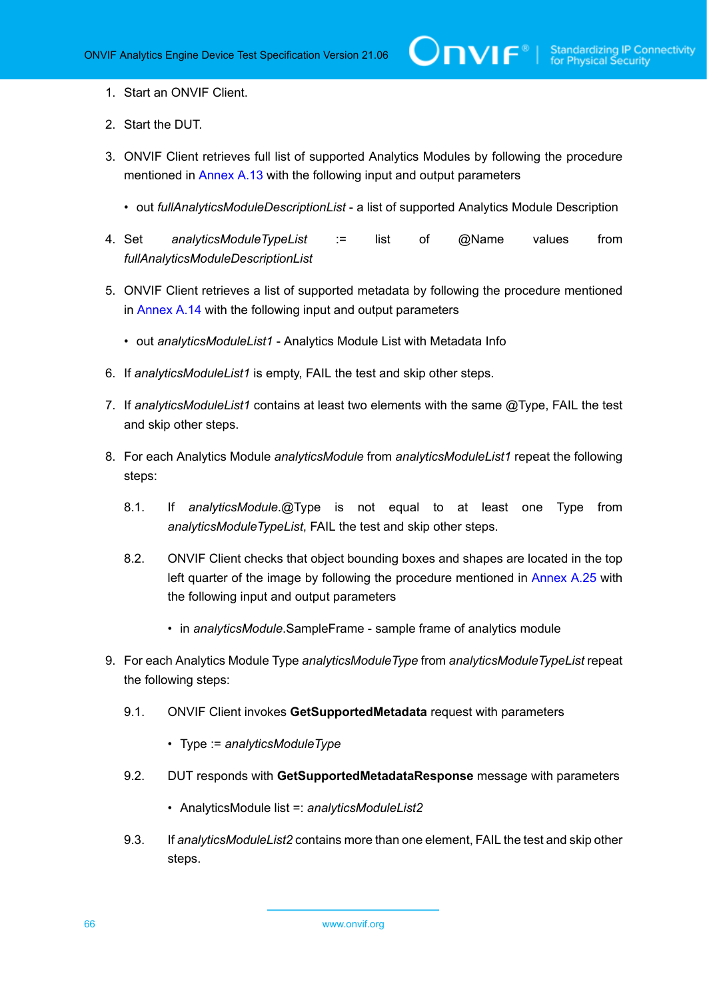- 1. Start an ONVIF Client.
- 2. Start the DUT.
- 3. ONVIF Client retrieves full list of supported Analytics Modules by following the procedure mentioned in [Annex A.13](#page-122-0) with the following input and output parameters
	- out *fullAnalyticsModuleDescriptionList* a list of supported Analytics Module Description
- 4. Set *analyticsModuleTypeList* := list of @Name values from *fullAnalyticsModuleDescriptionList*
- 5. ONVIF Client retrieves a list of supported metadata by following the procedure mentioned in [Annex A.14](#page-123-0) with the following input and output parameters
	- out *analyticsModuleList1* Analytics Module List with Metadata Info
- 6. If *analyticsModuleList1* is empty, FAIL the test and skip other steps.
- 7. If *analyticsModuleList1* contains at least two elements with the same @Type, FAIL the test and skip other steps.
- 8. For each Analytics Module *analyticsModule* from *analyticsModuleList1* repeat the following steps:
	- 8.1. If *analyticsModule*.@Type is not equal to at least one Type from *analyticsModuleTypeList*, FAIL the test and skip other steps.
	- 8.2. ONVIF Client checks that object bounding boxes and shapes are located in the top left quarter of the image by following the procedure mentioned in [Annex A.25](#page-134-0) with the following input and output parameters
		- in *analyticsModule*.SampleFrame sample frame of analytics module
- 9. For each Analytics Module Type *analyticsModuleType* from *analyticsModuleTypeList* repeat the following steps:
	- 9.1. ONVIF Client invokes **GetSupportedMetadata** request with parameters
		- Type := *analyticsModuleType*
	- 9.2. DUT responds with **GetSupportedMetadataResponse** message with parameters
		- AnalyticsModule list =: *analyticsModuleList2*
	- 9.3. If *analyticsModuleList2* contains more than one element, FAIL the test and skip other steps.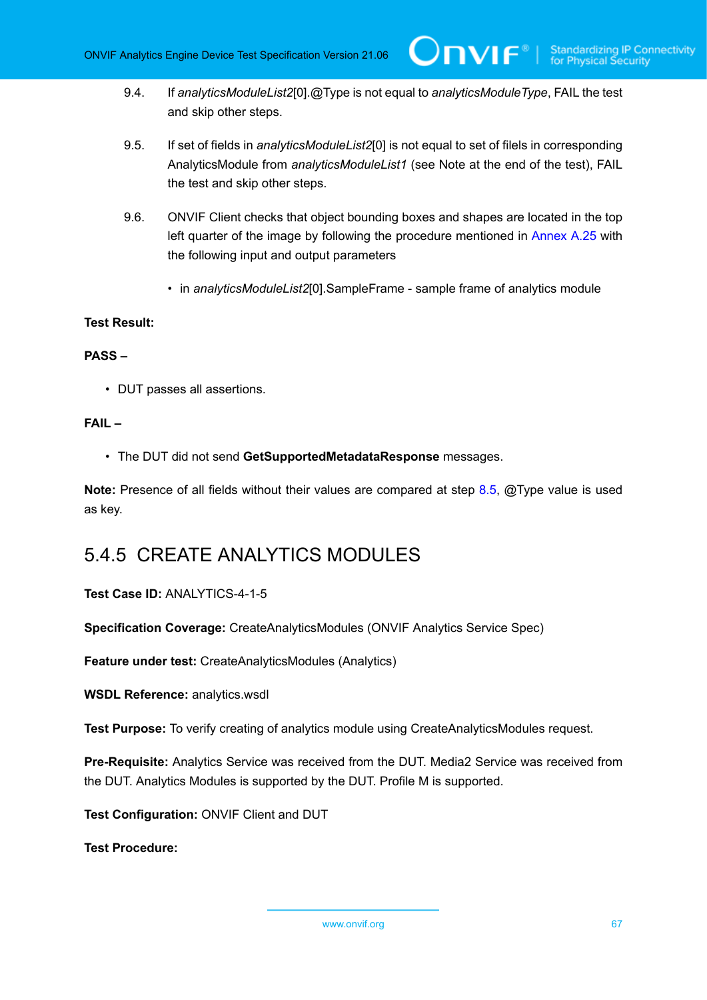- 9.4. If *analyticsModuleList2*[0].@Type is not equal to *analyticsModuleType*, FAIL the test and skip other steps.
- <span id="page-66-0"></span>9.5. If set of fields in *analyticsModuleList2*[0] is not equal to set of filels in corresponding AnalyticsModule from *analyticsModuleList1* (see Note at the end of the test), FAIL the test and skip other steps.
- 9.6. ONVIF Client checks that object bounding boxes and shapes are located in the top left quarter of the image by following the procedure mentioned in [Annex A.25](#page-134-0) with the following input and output parameters
	- in *analyticsModuleList2*[0].SampleFrame sample frame of analytics module

# **PASS –**

• DUT passes all assertions.

# **FAIL –**

• The DUT did not send **GetSupportedMetadataResponse** messages.

**Note:** Presence of all fields without their values are compared at step [8.5](#page-66-0), @Type value is used as key.

# 5.4.5 CREATE ANALYTICS MODULES

# **Test Case ID:** ANALYTICS-4-1-5

**Specification Coverage:** CreateAnalyticsModules (ONVIF Analytics Service Spec)

**Feature under test:** CreateAnalyticsModules (Analytics)

**WSDL Reference:** analytics.wsdl

**Test Purpose:** To verify creating of analytics module using CreateAnalyticsModules request.

**Pre-Requisite:** Analytics Service was received from the DUT. Media2 Service was received from the DUT. Analytics Modules is supported by the DUT. Profile M is supported.

**Test Configuration:** ONVIF Client and DUT

**Test Procedure:**

www.onvif.org 67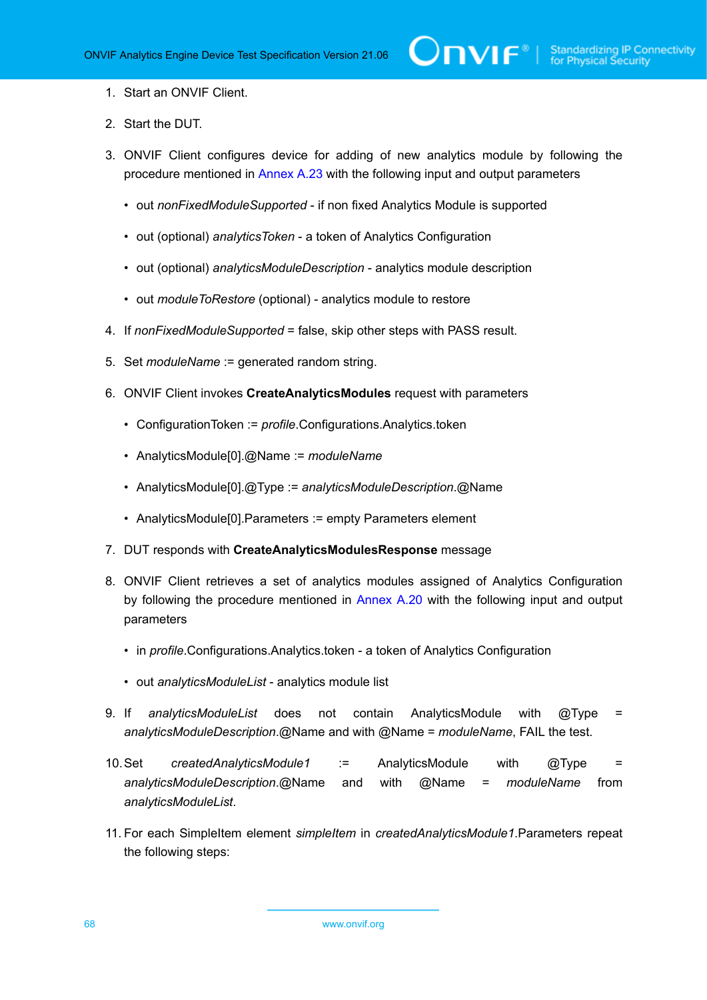- 1. Start an ONVIF Client.
- 2. Start the DUT.
- <span id="page-67-0"></span>3. ONVIF Client configures device for adding of new analytics module by following the procedure mentioned in [Annex A.23](#page-131-0) with the following input and output parameters
	- out *nonFixedModuleSupported* if non fixed Analytics Module is supported
	- out (optional) *analyticsToken* a token of Analytics Configuration
	- out (optional) *analyticsModuleDescription* analytics module description
	- out *moduleToRestore* (optional) analytics module to restore
- 4. If *nonFixedModuleSupported* = false, skip other steps with PASS result.
- 5. Set *moduleName* := generated random string.
- 6. ONVIF Client invokes **CreateAnalyticsModules** request with parameters
	- ConfigurationToken := *profile*.Configurations.Analytics.token
	- AnalyticsModule[0].@Name := *moduleName*
	- AnalyticsModule[0].@Type := *analyticsModuleDescription*.@Name
	- AnalyticsModule[0].Parameters := empty Parameters element
- 7. DUT responds with **CreateAnalyticsModulesResponse** message
- 8. ONVIF Client retrieves a set of analytics modules assigned of Analytics Configuration by following the procedure mentioned in [Annex A.20](#page-129-0) with the following input and output parameters
	- in *profile*.Configurations.Analytics.token a token of Analytics Configuration
	- out *analyticsModuleList* analytics module list
- 9. If *analyticsModuleList* does not contain AnalyticsModule with @Type = *analyticsModuleDescription*.@Name and with @Name = *moduleName*, FAIL the test.
- 10.Set *createdAnalyticsModule1* := AnalyticsModule with @Type = *analyticsModuleDescription*.@Name and with @Name = *moduleName* from *analyticsModuleList*.
- 11. For each SimpleItem element *simpleItem* in *createdAnalyticsModule1*.Parameters repeat the following steps: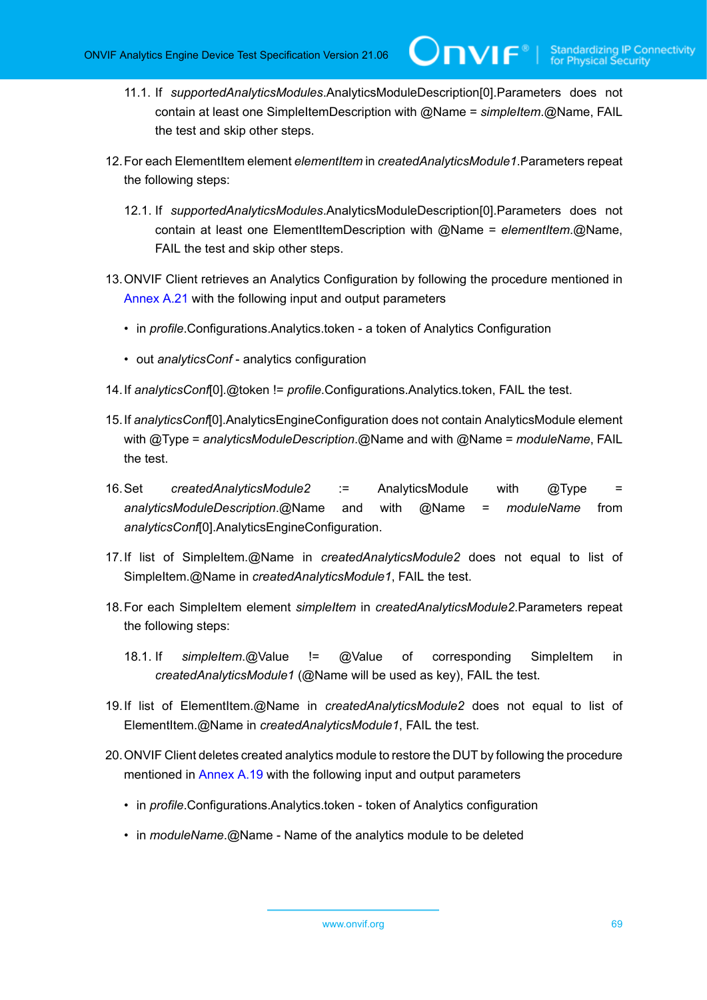**TVIF**®

- 11.1. If *supportedAnalyticsModules*.AnalyticsModuleDescription[0].Parameters does not contain at least one SimpleItemDescription with @Name = *simpleItem*.@Name, FAIL the test and skip other steps.
- 12.For each ElementItem element *elementItem* in *createdAnalyticsModule1*.Parameters repeat the following steps:
	- 12.1. If *supportedAnalyticsModules*.AnalyticsModuleDescription[0].Parameters does not contain at least one ElementItemDescription with @Name = *elementItem*.@Name, FAIL the test and skip other steps.
- 13.ONVIF Client retrieves an Analytics Configuration by following the procedure mentioned in [Annex A.21](#page-130-0) with the following input and output parameters
	- in *profile*.Configurations.Analytics.token a token of Analytics Configuration
	- out *analyticsConf* analytics configuration
- 14.If *analyticsConf*[0].@token != *profile*.Configurations.Analytics.token, FAIL the test.
- 15.If *analyticsConf*[0].AnalyticsEngineConfiguration does not contain AnalyticsModule element with @Type = *analyticsModuleDescription*.@Name and with @Name = *moduleName*, FAIL the test.
- 16.Set *createdAnalyticsModule2* := AnalyticsModule with @Type = *analyticsModuleDescription*.@Name and with @Name = *moduleName* from *analyticsConf*[0].AnalyticsEngineConfiguration.
- 17.If list of SimpleItem.@Name in *createdAnalyticsModule2* does not equal to list of SimpleItem.@Name in *createdAnalyticsModule1*, FAIL the test.
- 18.For each SimpleItem element *simpleItem* in *createdAnalyticsModule2*.Parameters repeat the following steps:
	- 18.1. If *simpleItem*.@Value != @Value of corresponding SimpleItem in *createdAnalyticsModule1* (@Name will be used as key), FAIL the test.
- 19.If list of ElementItem.@Name in *createdAnalyticsModule2* does not equal to list of ElementItem.@Name in *createdAnalyticsModule1*, FAIL the test.
- 20.ONVIF Client deletes created analytics module to restore the DUT by following the procedure mentioned in [Annex A.19](#page-128-0) with the following input and output parameters
	- in *profile*.Configurations.Analytics.token token of Analytics configuration
	- in *moduleName*.@Name Name of the analytics module to be deleted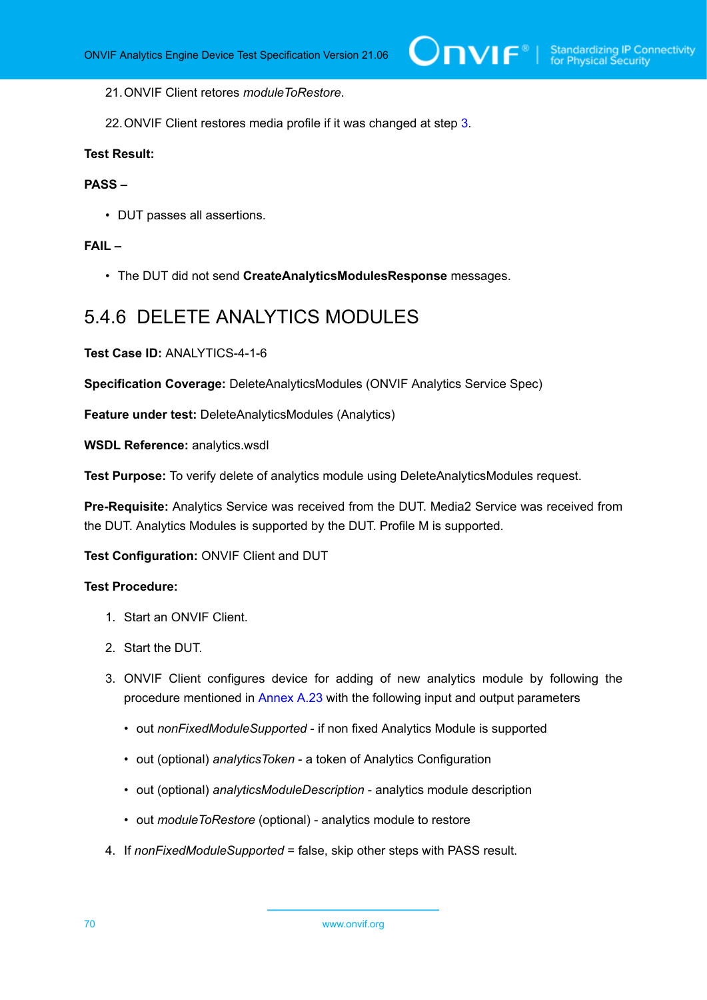21.ONVIF Client retores *moduleToRestore*.

22.ONVIF Client restores media profile if it was changed at step [3](#page-67-0).

# **Test Result:**

# **PASS –**

• DUT passes all assertions.

### **FAIL –**

• The DUT did not send **CreateAnalyticsModulesResponse** messages.

# 5.4.6 DELETE ANALYTICS MODULES

**Test Case ID:** ANALYTICS-4-1-6

**Specification Coverage:** DeleteAnalyticsModules (ONVIF Analytics Service Spec)

**Feature under test:** DeleteAnalyticsModules (Analytics)

**WSDL Reference:** analytics.wsdl

**Test Purpose:** To verify delete of analytics module using DeleteAnalyticsModules request.

**Pre-Requisite:** Analytics Service was received from the DUT. Media2 Service was received from the DUT. Analytics Modules is supported by the DUT. Profile M is supported.

#### **Test Configuration:** ONVIF Client and DUT

- 1. Start an ONVIF Client.
- 2. Start the DUT.
- <span id="page-69-0"></span>3. ONVIF Client configures device for adding of new analytics module by following the procedure mentioned in [Annex A.23](#page-131-0) with the following input and output parameters
	- out *nonFixedModuleSupported* if non fixed Analytics Module is supported
	- out (optional) *analyticsToken* a token of Analytics Configuration
	- out (optional) *analyticsModuleDescription* analytics module description
	- out *moduleToRestore* (optional) analytics module to restore
- 4. If *nonFixedModuleSupported* = false, skip other steps with PASS result.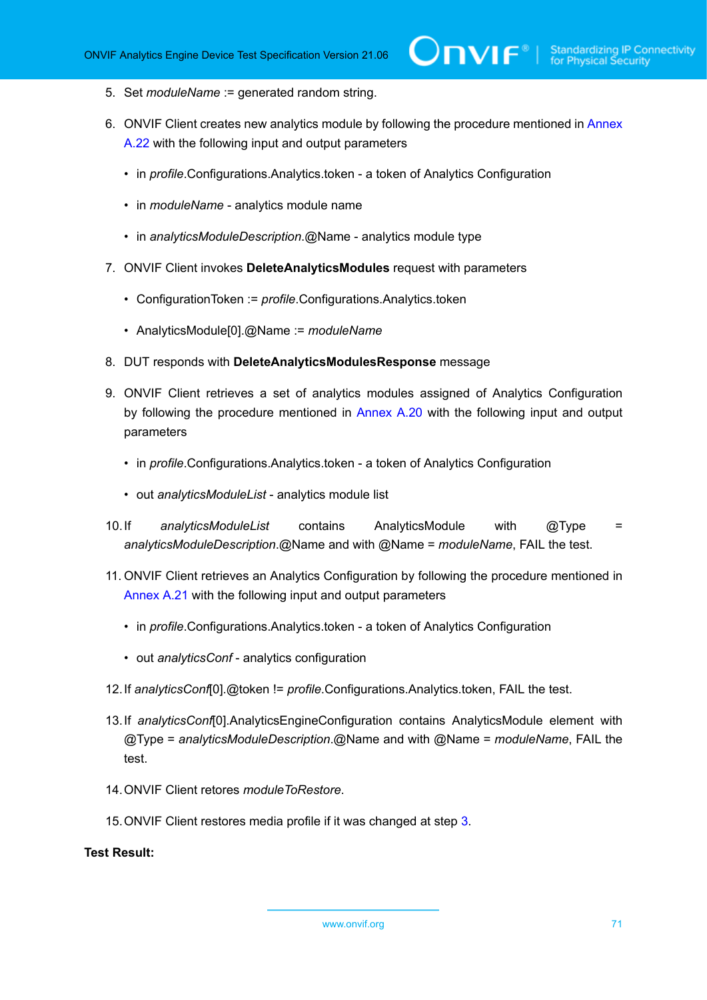- 5. Set *moduleName* := generated random string.
- 6. ONVIF Client creates new analytics module by following the procedure mentioned in [Annex](#page-130-1) [A.22](#page-130-1) with the following input and output parameters
	- in *profile*.Configurations.Analytics.token a token of Analytics Configuration
	- in *moduleName* analytics module name
	- in *analyticsModuleDescription*.@Name analytics module type
- 7. ONVIF Client invokes **DeleteAnalyticsModules** request with parameters
	- ConfigurationToken := *profile*.Configurations.Analytics.token
	- AnalyticsModule[0].@Name := *moduleName*
- 8. DUT responds with **DeleteAnalyticsModulesResponse** message
- 9. ONVIF Client retrieves a set of analytics modules assigned of Analytics Configuration by following the procedure mentioned in [Annex A.20](#page-129-0) with the following input and output parameters
	- in *profile*.Configurations.Analytics.token a token of Analytics Configuration
	- out *analyticsModuleList* analytics module list
- 10.If *analyticsModuleList* contains AnalyticsModule with @Type = *analyticsModuleDescription*.@Name and with @Name = *moduleName*, FAIL the test.
- 11. ONVIF Client retrieves an Analytics Configuration by following the procedure mentioned in [Annex A.21](#page-130-0) with the following input and output parameters
	- in *profile*.Configurations.Analytics.token a token of Analytics Configuration
	- out *analyticsConf* analytics configuration
- 12.If *analyticsConf*[0].@token != *profile*.Configurations.Analytics.token, FAIL the test.
- 13.If *analyticsConf*[0].AnalyticsEngineConfiguration contains AnalyticsModule element with @Type = *analyticsModuleDescription*.@Name and with @Name = *moduleName*, FAIL the test.
- 14.ONVIF Client retores *moduleToRestore*.
- 15.ONVIF Client restores media profile if it was changed at step [3](#page-69-0).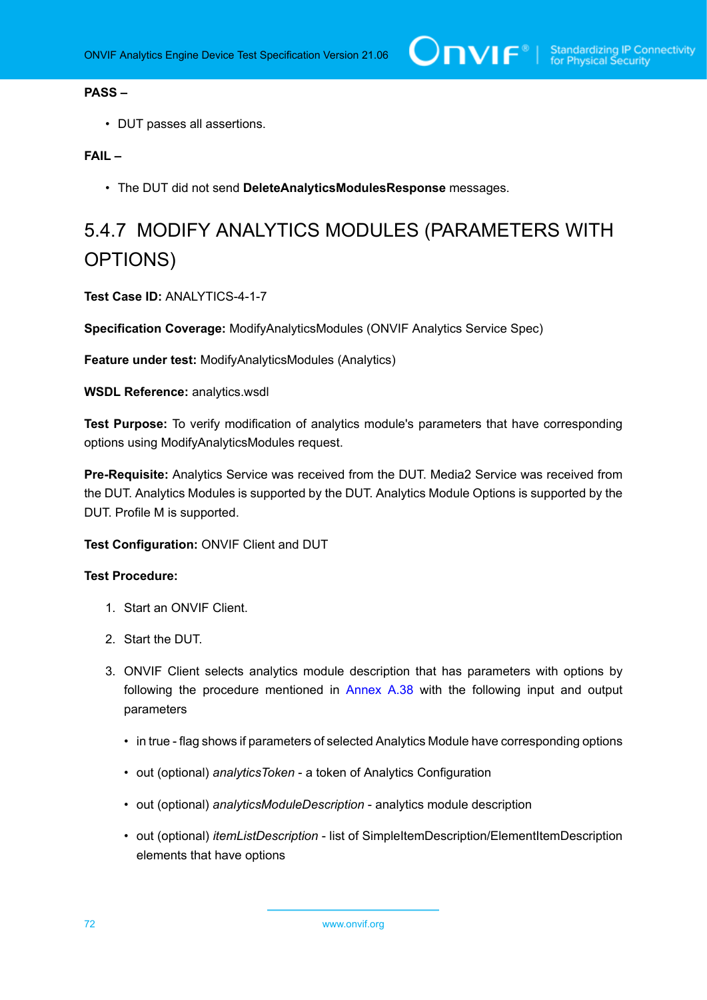# **PASS –**

• DUT passes all assertions.

# **FAIL –**

• The DUT did not send **DeleteAnalyticsModulesResponse** messages.

# 5.4.7 MODIFY ANALYTICS MODULES (PARAMETERS WITH OPTIONS)

**Test Case ID:** ANALYTICS-4-1-7

**Specification Coverage:** ModifyAnalyticsModules (ONVIF Analytics Service Spec)

**Feature under test: ModifvAnalyticsModules (Analytics)** 

**WSDL Reference:** analytics.wsdl

**Test Purpose:** To verify modification of analytics module's parameters that have corresponding options using ModifyAnalyticsModules request.

**Pre-Requisite:** Analytics Service was received from the DUT. Media2 Service was received from the DUT. Analytics Modules is supported by the DUT. Analytics Module Options is supported by the DUT. Profile M is supported.

**Test Configuration:** ONVIF Client and DUT

- 1. Start an ONVIF Client.
- 2. Start the DUT.
- 3. ONVIF Client selects analytics module description that has parameters with options by following the procedure mentioned in [Annex A.38](#page-153-0) with the following input and output parameters
	- in true flag shows if parameters of selected Analytics Module have corresponding options
	- out (optional) *analyticsToken* a token of Analytics Configuration
	- out (optional) *analyticsModuleDescription* analytics module description
	- out (optional) *itemListDescription* list of SimpleItemDescription/ElementItemDescription elements that have options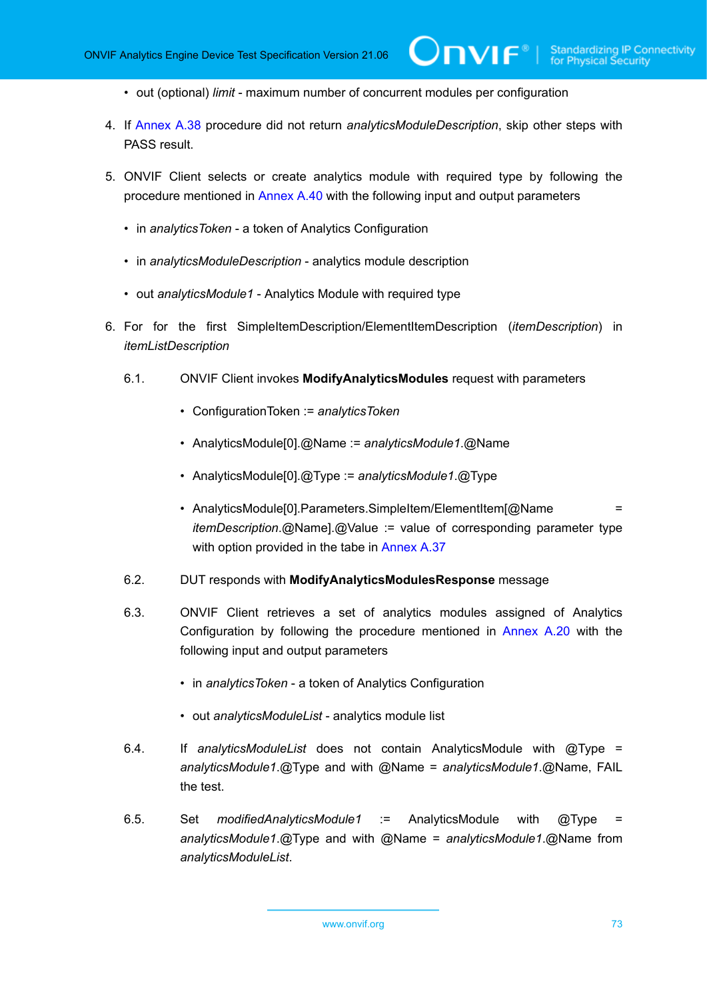- out (optional) *limit* maximum number of concurrent modules per configuration
- 4. If [Annex A.38](#page-153-0) procedure did not return *analyticsModuleDescription*, skip other steps with PASS result.

 $\bm{\cup}$ NIF $^{\circ}$ l

- <span id="page-72-1"></span>5. ONVIF Client selects or create analytics module with required type by following the procedure mentioned in [Annex A.40](#page-156-0) with the following input and output parameters
	- in *analyticsToken* a token of Analytics Configuration
	- in *analyticsModuleDescription* analytics module description
	- out *analyticsModule1* Analytics Module with required type
- <span id="page-72-0"></span>6. For for the first SimpleItemDescription/ElementItemDescription (*itemDescription*) in *itemListDescription*
	- 6.1. ONVIF Client invokes **ModifyAnalyticsModules** request with parameters
		- ConfigurationToken := *analyticsToken*
		- AnalyticsModule[0].@Name := *analyticsModule1*.@Name
		- AnalyticsModule[0].@Type := *analyticsModule1*.@Type
		- AnalyticsModule[0].Parameters.SimpleItem/ElementItem[@Name *itemDescription*.@Name].@Value := value of corresponding parameter type with option provided in the tabe in [Annex A.37](#page-149-0)
	- 6.2. DUT responds with **ModifyAnalyticsModulesResponse** message
	- 6.3. ONVIF Client retrieves a set of analytics modules assigned of Analytics Configuration by following the procedure mentioned in [Annex A.20](#page-129-0) with the following input and output parameters
		- in *analyticsToken* a token of Analytics Configuration
		- out *analyticsModuleList* analytics module list
	- 6.4. If *analyticsModuleList* does not contain AnalyticsModule with @Type = *analyticsModule1*.@Type and with @Name = *analyticsModule1*.@Name, FAIL the test.
	- 6.5. Set *modifiedAnalyticsModule1* := AnalyticsModule with @Type = *analyticsModule1*.@Type and with @Name = *analyticsModule1*.@Name from *analyticsModuleList*.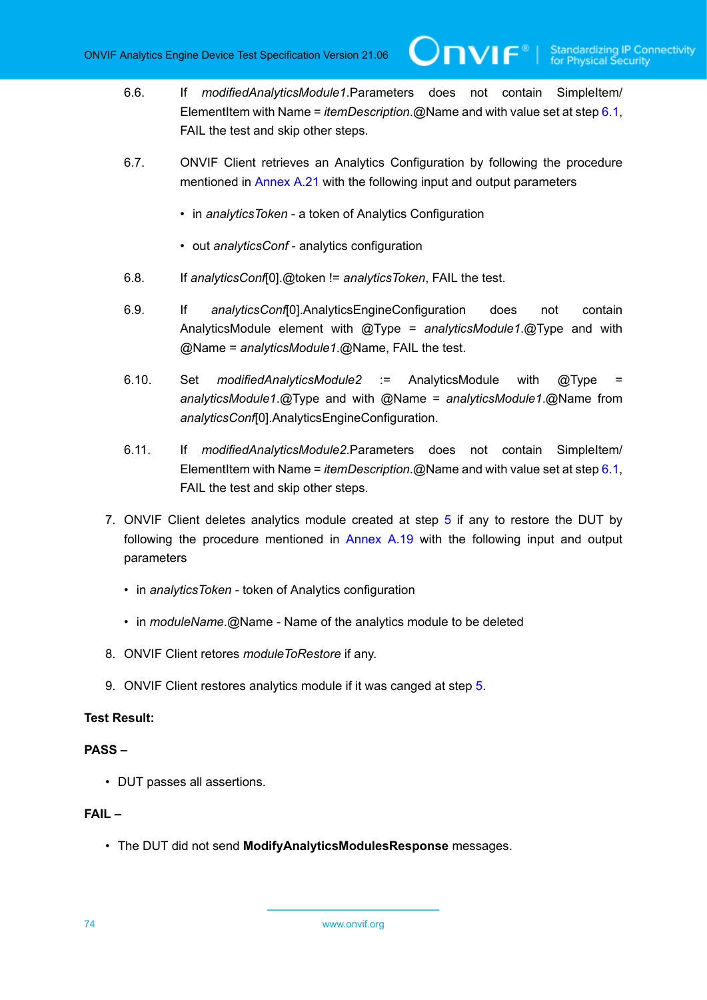**IVIF**®

- 6.6. If *modifiedAnalyticsModule1*.Parameters does not contain SimpleItem/ ElementItem with Name = *itemDescription*.@Name and with value set at step [6.1,](#page-72-0) FAIL the test and skip other steps.
- 6.7. ONVIF Client retrieves an Analytics Configuration by following the procedure mentioned in [Annex A.21](#page-130-0) with the following input and output parameters
	- in *analyticsToken* a token of Analytics Configuration
	- out *analyticsConf* analytics configuration
- 6.8. If *analyticsConf*[0].@token != *analyticsToken*, FAIL the test.
- 6.9. If *analyticsConf*[0].AnalyticsEngineConfiguration does not contain AnalyticsModule element with @Type = *analyticsModule1*.@Type and with @Name = *analyticsModule1*.@Name, FAIL the test.
- 6.10. Set *modifiedAnalyticsModule2* := AnalyticsModule with @Type = *analyticsModule1*.@Type and with @Name = *analyticsModule1*.@Name from *analyticsConf*[0].AnalyticsEngineConfiguration.
- 6.11. If *modifiedAnalyticsModule2*.Parameters does not contain SimpleItem/ ElementItem with Name = *itemDescription*.@Name and with value set at step [6.1,](#page-72-0) FAIL the test and skip other steps.
- 7. ONVIF Client deletes analytics module created at step [5](#page-72-1) if any to restore the DUT by following the procedure mentioned in [Annex A.19](#page-128-0) with the following input and output parameters
	- in *analyticsToken* token of Analytics configuration
	- in *moduleName*.@Name Name of the analytics module to be deleted
- 8. ONVIF Client retores *moduleToRestore* if any.
- 9. ONVIF Client restores analytics module if it was canged at step [5.](#page-72-1)

#### **Test Result:**

#### **PASS –**

• DUT passes all assertions.

#### **FAIL –**

• The DUT did not send **ModifyAnalyticsModulesResponse** messages.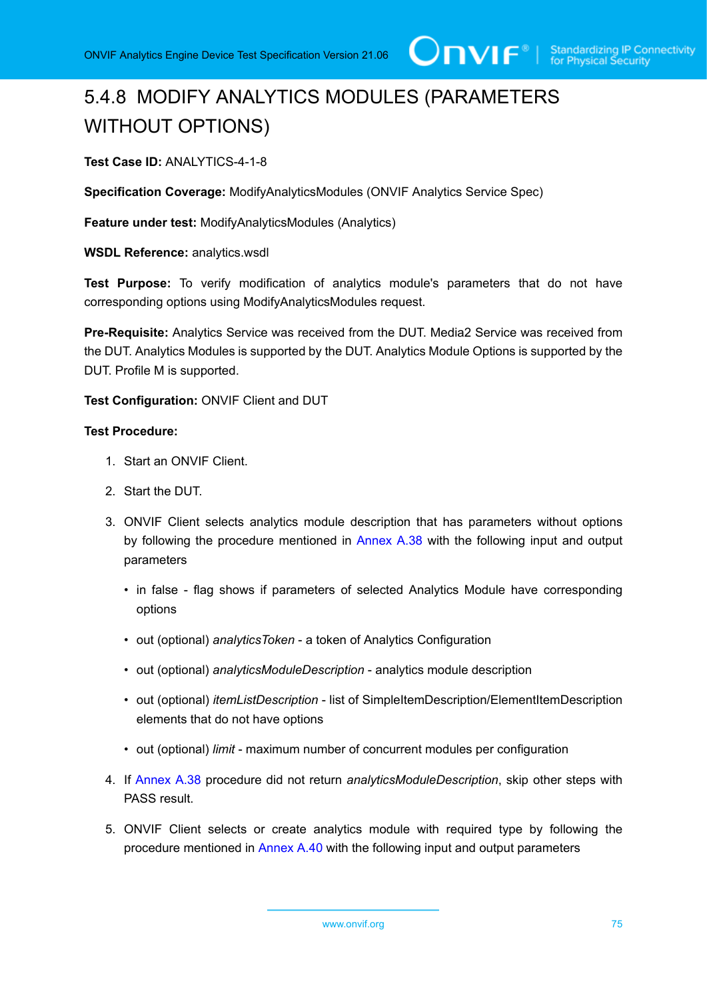# 5.4.8 MODIFY ANALYTICS MODULES (PARAMETERS WITHOUT OPTIONS)

#### **Test Case ID:** ANALYTICS-4-1-8

**Specification Coverage:** ModifyAnalyticsModules (ONVIF Analytics Service Spec)

**Feature under test: ModifyAnalyticsModules (Analytics)** 

**WSDL Reference:** analytics.wsdl

**Test Purpose:** To verify modification of analytics module's parameters that do not have corresponding options using ModifyAnalyticsModules request.

**Pre-Requisite:** Analytics Service was received from the DUT. Media2 Service was received from the DUT. Analytics Modules is supported by the DUT. Analytics Module Options is supported by the DUT. Profile M is supported.

**Test Configuration:** ONVIF Client and DUT

- 1. Start an ONVIF Client.
- 2. Start the DUT.
- 3. ONVIF Client selects analytics module description that has parameters without options by following the procedure mentioned in [Annex A.38](#page-153-0) with the following input and output parameters
	- in false flag shows if parameters of selected Analytics Module have corresponding options
	- out (optional) *analyticsToken* a token of Analytics Configuration
	- out (optional) *analyticsModuleDescription* analytics module description
	- out (optional) *itemListDescription* list of SimpleItemDescription/ElementItemDescription elements that do not have options
	- out (optional) *limit* maximum number of concurrent modules per configuration
- 4. If [Annex A.38](#page-153-0) procedure did not return *analyticsModuleDescription*, skip other steps with PASS result.
- <span id="page-74-0"></span>5. ONVIF Client selects or create analytics module with required type by following the procedure mentioned in [Annex A.40](#page-156-0) with the following input and output parameters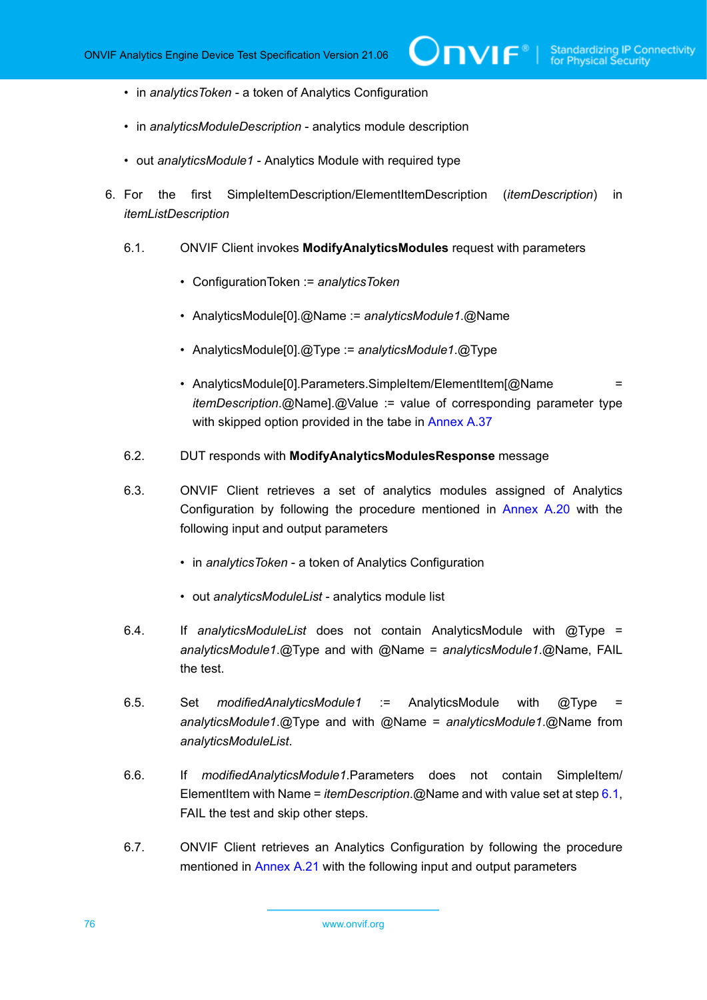- in *analyticsToken* a token of Analytics Configuration
- in *analyticsModuleDescription* analytics module description
- out *analyticsModule1* Analytics Module with required type
- <span id="page-75-0"></span>6. For the first SimpleItemDescription/ElementItemDescription (*itemDescription*) in *itemListDescription*
	- 6.1. ONVIF Client invokes **ModifyAnalyticsModules** request with parameters
		- ConfigurationToken := *analyticsToken*
		- AnalyticsModule[0].@Name := *analyticsModule1*.@Name
		- AnalyticsModule[0].@Type := *analyticsModule1*.@Type
		- AnalyticsModule[0].Parameters.SimpleItem/ElementItem[@Name = *itemDescription*.@Name].@Value := value of corresponding parameter type with skipped option provided in the tabe in [Annex A.37](#page-149-0)
	- 6.2. DUT responds with **ModifyAnalyticsModulesResponse** message
	- 6.3. ONVIF Client retrieves a set of analytics modules assigned of Analytics Configuration by following the procedure mentioned in [Annex A.20](#page-129-0) with the following input and output parameters
		- in *analyticsToken* a token of Analytics Configuration
		- out *analyticsModuleList* analytics module list
	- 6.4. If *analyticsModuleList* does not contain AnalyticsModule with @Type = *analyticsModule1*.@Type and with @Name = *analyticsModule1*.@Name, FAIL the test.
	- 6.5. Set *modifiedAnalyticsModule1* := AnalyticsModule with @Type = *analyticsModule1*.@Type and with @Name = *analyticsModule1*.@Name from *analyticsModuleList*.
	- 6.6. If *modifiedAnalyticsModule1*.Parameters does not contain SimpleItem/ ElementItem with Name = *itemDescription*.@Name and with value set at step [6.1,](#page-75-0) FAIL the test and skip other steps.
	- 6.7. ONVIF Client retrieves an Analytics Configuration by following the procedure mentioned in [Annex A.21](#page-130-0) with the following input and output parameters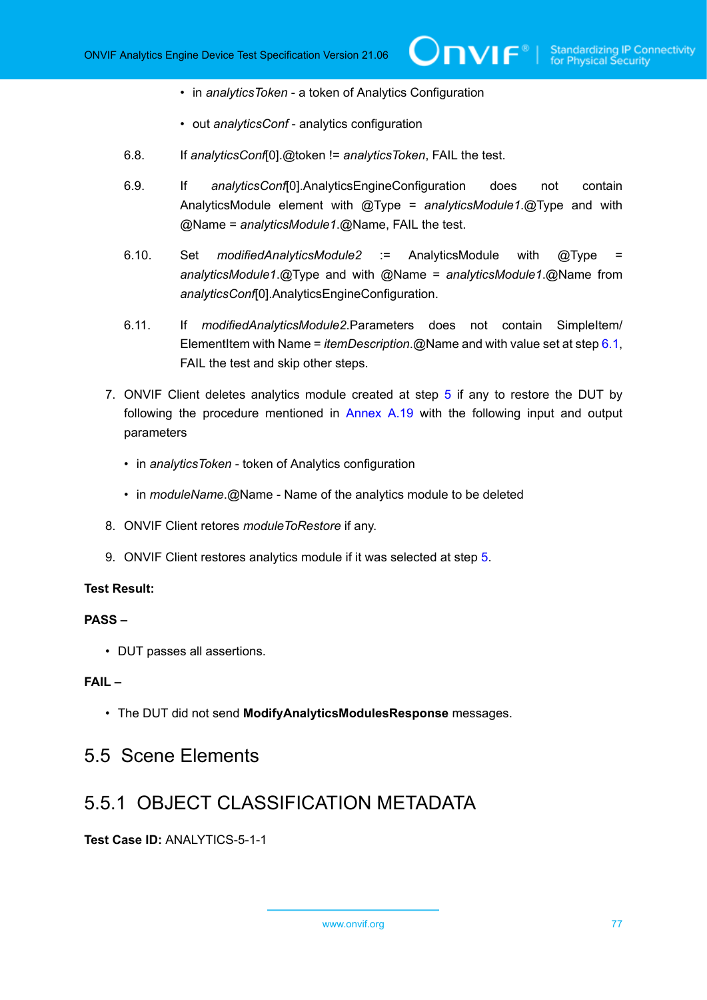- in *analyticsToken* a token of Analytics Configuration
- out *analyticsConf* analytics configuration
- 6.8. If *analyticsConf*[0].@token != *analyticsToken*, FAIL the test.
- 6.9. If *analyticsConf*[0].AnalyticsEngineConfiguration does not contain AnalyticsModule element with @Type = *analyticsModule1*.@Type and with @Name = *analyticsModule1*.@Name, FAIL the test.
- 6.10. Set *modifiedAnalyticsModule2* := AnalyticsModule with @Type = *analyticsModule1*.@Type and with @Name = *analyticsModule1*.@Name from *analyticsConf*[0].AnalyticsEngineConfiguration.
- 6.11. If *modifiedAnalyticsModule2*.Parameters does not contain SimpleItem/ ElementItem with Name = *itemDescription*.@Name and with value set at step [6.1,](#page-75-0) FAIL the test and skip other steps.
- 7. ONVIF Client deletes analytics module created at step [5](#page-74-0) if any to restore the DUT by following the procedure mentioned in [Annex A.19](#page-128-0) with the following input and output parameters
	- in *analyticsToken* token of Analytics configuration
	- in *moduleName*.@Name Name of the analytics module to be deleted
- 8. ONVIF Client retores *moduleToRestore* if any.
- 9. ONVIF Client restores analytics module if it was selected at step [5](#page-74-0).

#### **PASS –**

• DUT passes all assertions.

#### **FAIL –**

• The DUT did not send **ModifyAnalyticsModulesResponse** messages.

### 5.5 Scene Elements

### 5.5.1 OBJECT CLASSIFICATION METADATA

**Test Case ID:** ANALYTICS-5-1-1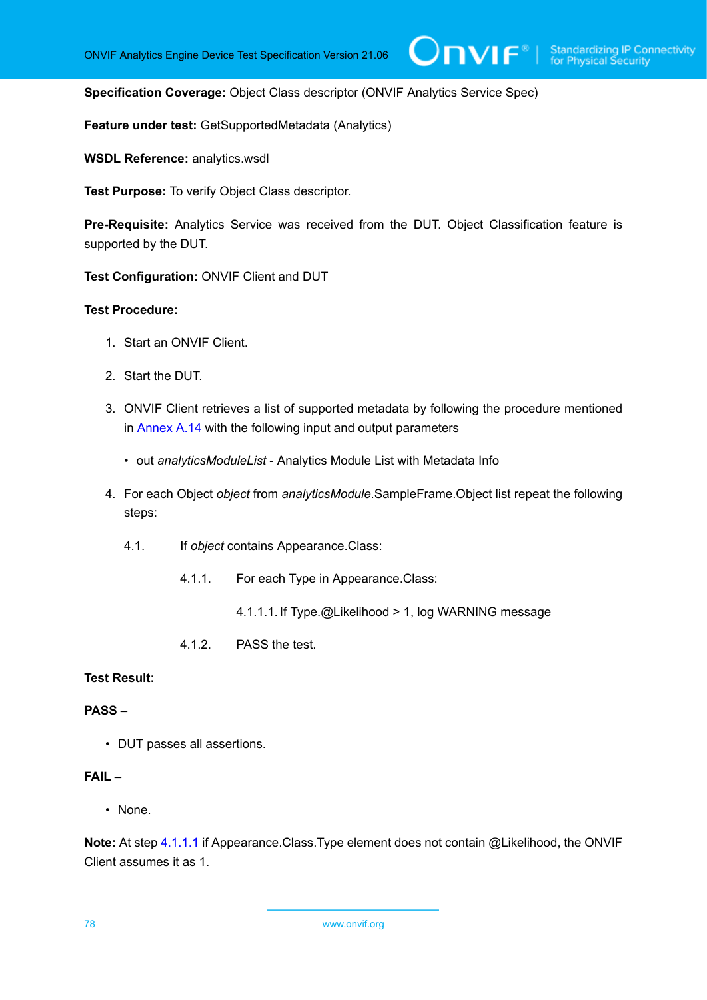**Specification Coverage:** Object Class descriptor (ONVIF Analytics Service Spec)

**Feature under test:** GetSupportedMetadata (Analytics)

**WSDL Reference:** analytics.wsdl

**Test Purpose:** To verify Object Class descriptor.

**Pre-Requisite:** Analytics Service was received from the DUT. Object Classification feature is supported by the DUT.

**Test Configuration:** ONVIF Client and DUT

#### **Test Procedure:**

- 1. Start an ONVIF Client.
- 2. Start the DUT.
- 3. ONVIF Client retrieves a list of supported metadata by following the procedure mentioned in [Annex A.14](#page-123-0) with the following input and output parameters
	- out *analyticsModuleList* Analytics Module List with Metadata Info
- 4. For each Object *object* from *analyticsModule*.SampleFrame.Object list repeat the following steps:
	- 4.1. If *object* contains Appearance.Class:
		- 4.1.1. For each Type in Appearance.Class:
			- 4.1.1.1. If Type.@Likelihood > 1, log WARNING message
		- 4.1.2. PASS the test.

#### <span id="page-77-0"></span>**Test Result:**

#### **PASS –**

• DUT passes all assertions.

#### **FAIL –**

• None.

**Note:** At step [4.1.1.1](#page-77-0) if Appearance.Class.Type element does not contain @Likelihood, the ONVIF Client assumes it as 1.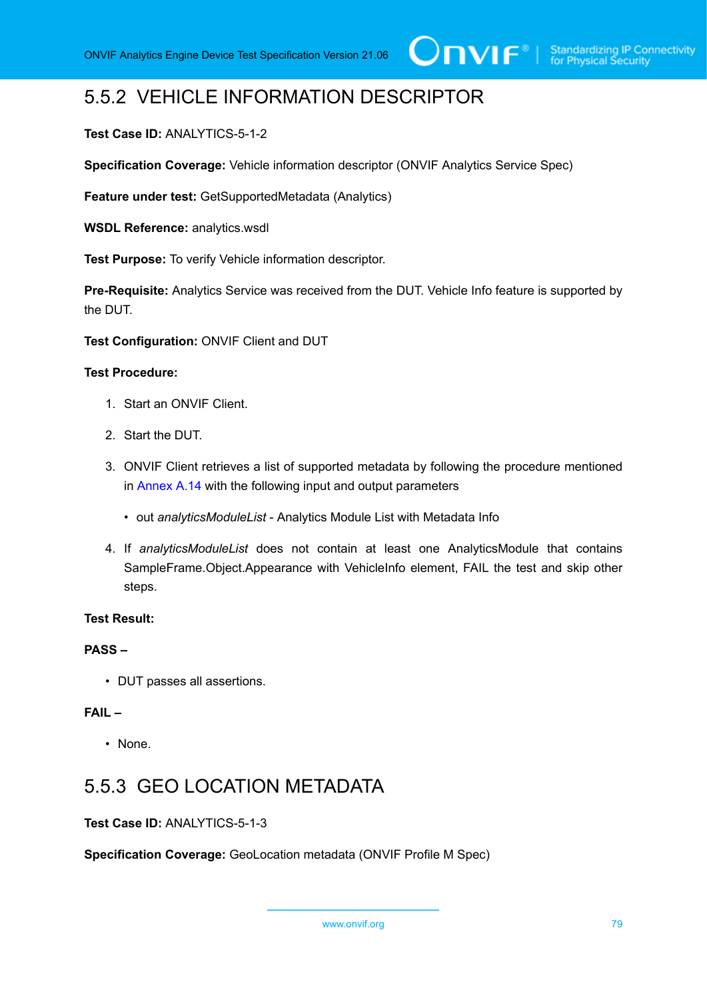## 5.5.2 VEHICLE INFORMATION DESCRIPTOR

#### **Test Case ID:** ANALYTICS-5-1-2

**Specification Coverage:** Vehicle information descriptor (ONVIF Analytics Service Spec)

**Feature under test:** GetSupportedMetadata (Analytics)

**WSDL Reference:** analytics.wsdl

**Test Purpose:** To verify Vehicle information descriptor.

**Pre-Requisite:** Analytics Service was received from the DUT. Vehicle Info feature is supported by the DUT.

**Test Configuration:** ONVIF Client and DUT

#### **Test Procedure:**

- 1. Start an ONVIF Client.
- 2. Start the DUT.
- 3. ONVIF Client retrieves a list of supported metadata by following the procedure mentioned in [Annex A.14](#page-123-0) with the following input and output parameters
	- out *analyticsModuleList* Analytics Module List with Metadata Info
- 4. If *analyticsModuleList* does not contain at least one AnalyticsModule that contains SampleFrame.Object.Appearance with VehicleInfo element, FAIL the test and skip other steps.

#### **Test Result:**

#### **PASS –**

• DUT passes all assertions.

#### **FAIL –**

• None.

### 5.5.3 GEO LOCATION METADATA

#### **Test Case ID:** ANALYTICS-5-1-3

**Specification Coverage:** GeoLocation metadata (ONVIF Profile M Spec)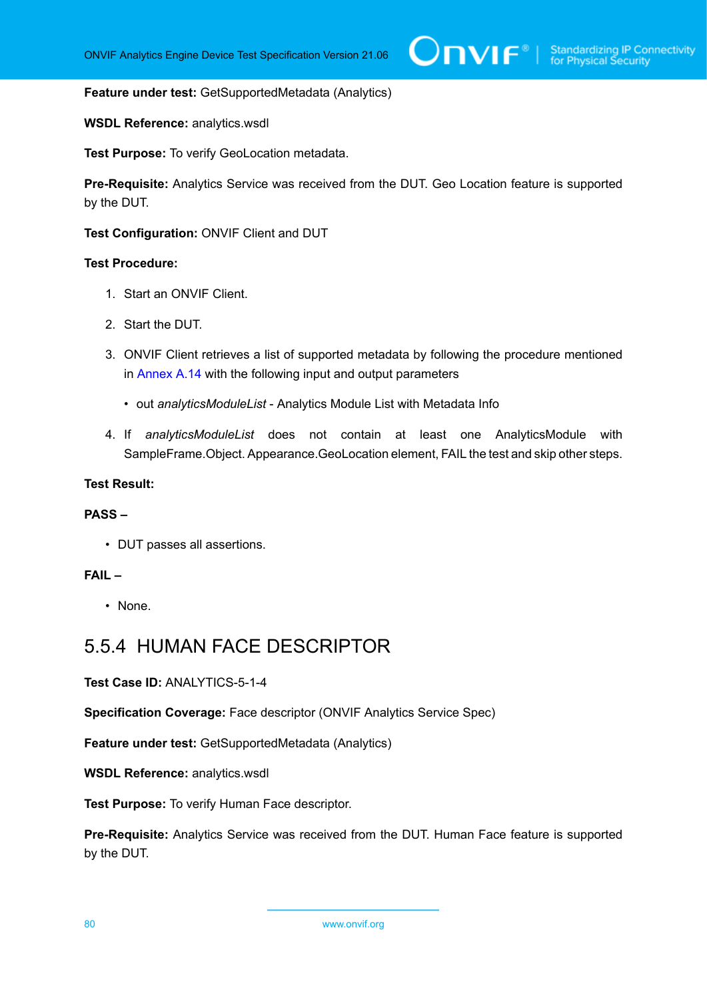#### **Feature under test:** GetSupportedMetadata (Analytics)

#### **WSDL Reference:** analytics.wsdl

**Test Purpose:** To verify GeoLocation metadata.

**Pre-Requisite:** Analytics Service was received from the DUT. Geo Location feature is supported by the DUT.

**Test Configuration:** ONVIF Client and DUT

#### **Test Procedure:**

- 1. Start an ONVIF Client.
- 2. Start the DUT.
- 3. ONVIF Client retrieves a list of supported metadata by following the procedure mentioned in [Annex A.14](#page-123-0) with the following input and output parameters
	- out *analyticsModuleList* Analytics Module List with Metadata Info
- 4. If *analyticsModuleList* does not contain at least one AnalyticsModule with SampleFrame.Object. Appearance.GeoLocation element, FAIL the test and skip other steps.

#### **Test Result:**

#### **PASS –**

• DUT passes all assertions.

#### **FAIL –**

• None.

### 5.5.4 HUMAN FACE DESCRIPTOR

**Test Case ID:** ANALYTICS-5-1-4

**Specification Coverage:** Face descriptor (ONVIF Analytics Service Spec)

**Feature under test:** GetSupportedMetadata (Analytics)

**WSDL Reference:** analytics.wsdl

**Test Purpose:** To verify Human Face descriptor.

**Pre-Requisite:** Analytics Service was received from the DUT. Human Face feature is supported by the DUT.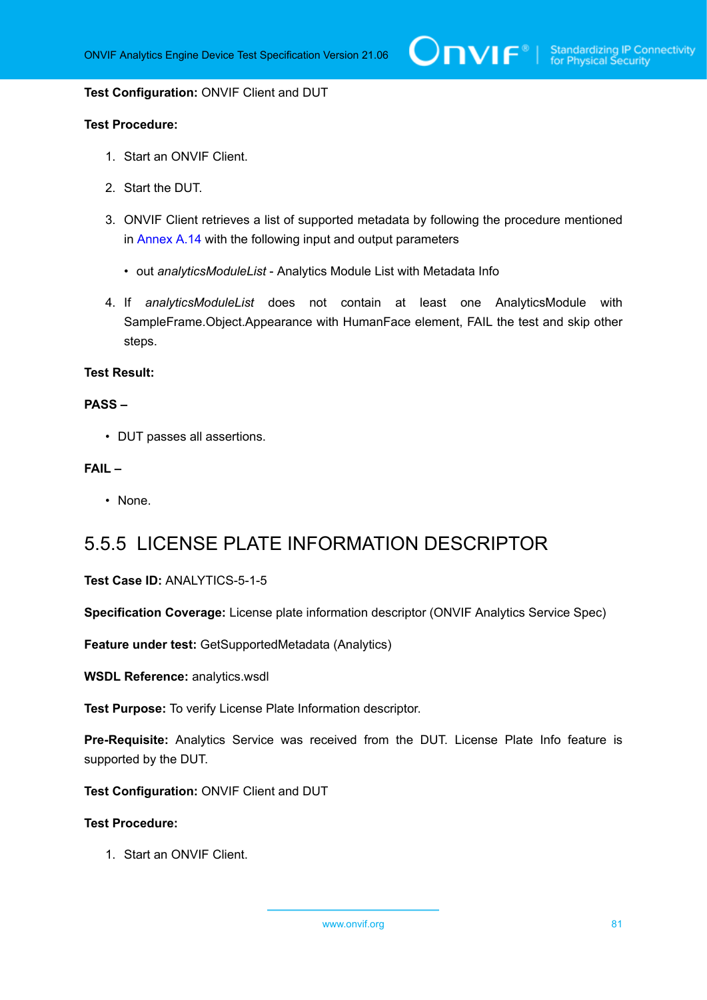**Test Configuration:** ONVIF Client and DUT

#### **Test Procedure:**

- 1. Start an ONVIF Client.
- 2. Start the DUT.
- 3. ONVIF Client retrieves a list of supported metadata by following the procedure mentioned in [Annex A.14](#page-123-0) with the following input and output parameters
	- out *analyticsModuleList* Analytics Module List with Metadata Info
- 4. If *analyticsModuleList* does not contain at least one AnalyticsModule with SampleFrame.Object.Appearance with HumanFace element, FAIL the test and skip other steps.

#### **Test Result:**

#### **PASS –**

• DUT passes all assertions.

#### **FAIL –**

• None.

### 5.5.5 LICENSE PLATE INFORMATION DESCRIPTOR

#### **Test Case ID:** ANALYTICS-5-1-5

**Specification Coverage:** License plate information descriptor (ONVIF Analytics Service Spec)

**Feature under test:** GetSupportedMetadata (Analytics)

**WSDL Reference:** analytics.wsdl

**Test Purpose:** To verify License Plate Information descriptor.

**Pre-Requisite:** Analytics Service was received from the DUT. License Plate Info feature is supported by the DUT.

**Test Configuration:** ONVIF Client and DUT

#### **Test Procedure:**

1. Start an ONVIF Client.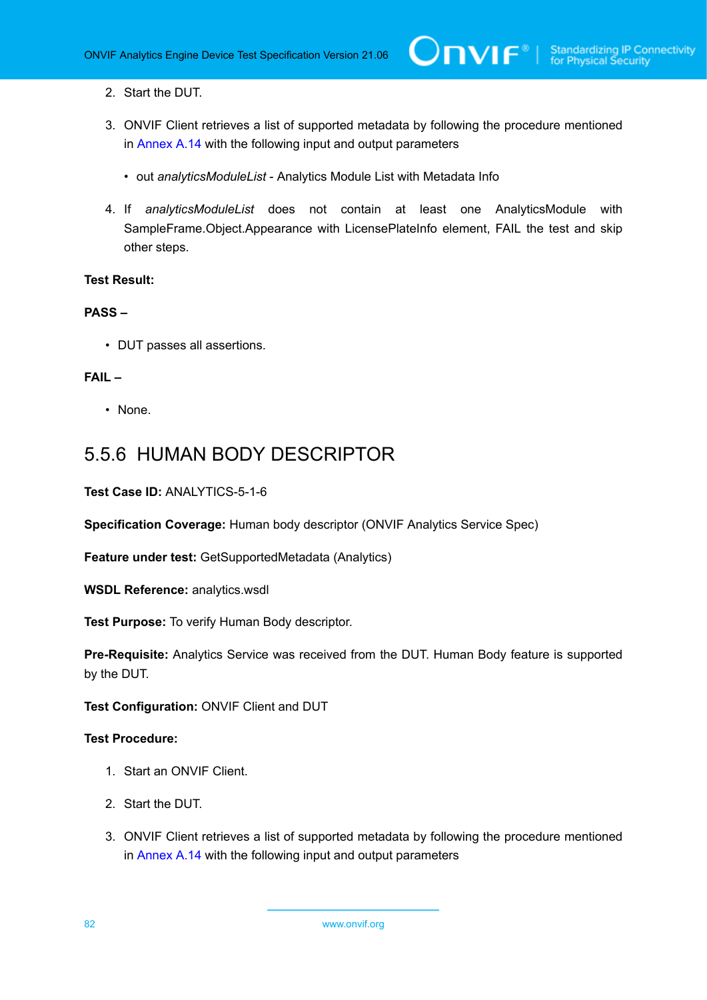- 2. Start the DUT.
- 3. ONVIF Client retrieves a list of supported metadata by following the procedure mentioned in [Annex A.14](#page-123-0) with the following input and output parameters
	- out *analyticsModuleList* Analytics Module List with Metadata Info
- 4. If *analyticsModuleList* does not contain at least one AnalyticsModule with SampleFrame.Object.Appearance with LicensePlateInfo element, FAIL the test and skip other steps.

#### **PASS –**

• DUT passes all assertions.

#### **FAIL –**

• None.

### 5.5.6 HUMAN BODY DESCRIPTOR

#### **Test Case ID:** ANALYTICS-5-1-6

**Specification Coverage:** Human body descriptor (ONVIF Analytics Service Spec)

**Feature under test:** GetSupportedMetadata (Analytics)

**WSDL Reference:** analytics.wsdl

**Test Purpose:** To verify Human Body descriptor.

**Pre-Requisite:** Analytics Service was received from the DUT. Human Body feature is supported by the DUT.

**Test Configuration:** ONVIF Client and DUT

- 1. Start an ONVIF Client.
- 2. Start the DUT.
- 3. ONVIF Client retrieves a list of supported metadata by following the procedure mentioned in [Annex A.14](#page-123-0) with the following input and output parameters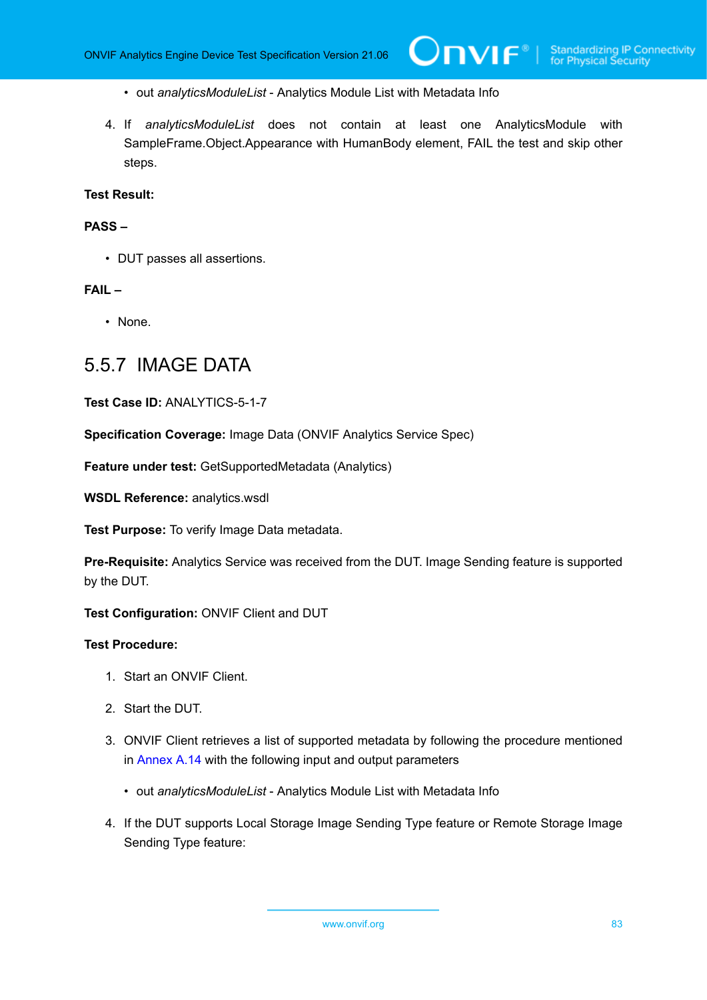- out *analyticsModuleList* Analytics Module List with Metadata Info
- 4. If *analyticsModuleList* does not contain at least one AnalyticsModule with SampleFrame.Object.Appearance with HumanBody element, FAIL the test and skip other steps.

#### **PASS –**

• DUT passes all assertions.

#### **FAIL –**

• None.

### 5.5.7 IMAGE DATA

**Test Case ID:** ANALYTICS-5-1-7

**Specification Coverage:** Image Data (ONVIF Analytics Service Spec)

**Feature under test:** GetSupportedMetadata (Analytics)

**WSDL Reference:** analytics.wsdl

**Test Purpose:** To verify Image Data metadata.

**Pre-Requisite:** Analytics Service was received from the DUT. Image Sending feature is supported by the DUT.

**Test Configuration:** ONVIF Client and DUT

- 1. Start an ONVIF Client.
- 2. Start the DUT.
- 3. ONVIF Client retrieves a list of supported metadata by following the procedure mentioned in [Annex A.14](#page-123-0) with the following input and output parameters
	- out *analyticsModuleList* Analytics Module List with Metadata Info
- 4. If the DUT supports Local Storage Image Sending Type feature or Remote Storage Image Sending Type feature: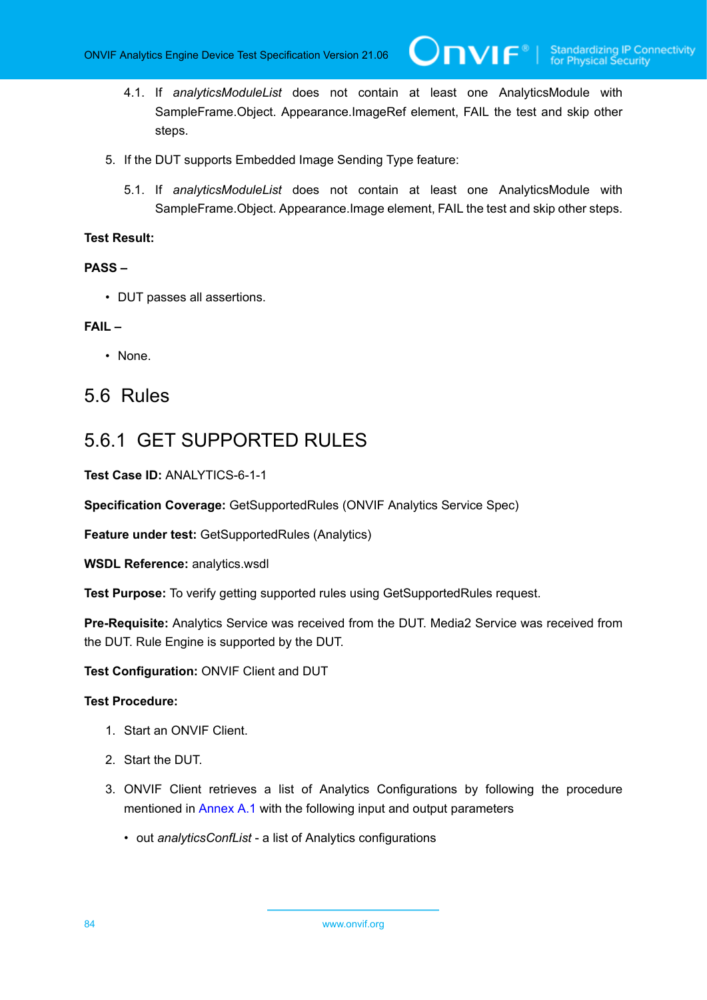4.1. If *analyticsModuleList* does not contain at least one AnalyticsModule with SampleFrame.Object. Appearance.ImageRef element, FAIL the test and skip other steps.

 $\mathsf{Dnvir}^*$  l

- 5. If the DUT supports Embedded Image Sending Type feature:
	- 5.1. If *analyticsModuleList* does not contain at least one AnalyticsModule with SampleFrame.Object. Appearance.Image element, FAIL the test and skip other steps.

#### **Test Result:**

#### **PASS –**

• DUT passes all assertions.

#### **FAIL –**

• None.

### 5.6 Rules

### 5.6.1 GET SUPPORTED RULES

**Test Case ID:** ANALYTICS-6-1-1

**Specification Coverage:** GetSupportedRules (ONVIF Analytics Service Spec)

**Feature under test:** GetSupportedRules (Analytics)

**WSDL Reference:** analytics.wsdl

**Test Purpose:** To verify getting supported rules using GetSupportedRules request.

**Pre-Requisite:** Analytics Service was received from the DUT. Media2 Service was received from the DUT. Rule Engine is supported by the DUT.

**Test Configuration:** ONVIF Client and DUT

- 1. Start an ONVIF Client.
- 2. Start the DUT.
- 3. ONVIF Client retrieves a list of Analytics Configurations by following the procedure mentioned in [Annex A.1](#page-112-0) with the following input and output parameters
	- out *analyticsConfList* a list of Analytics configurations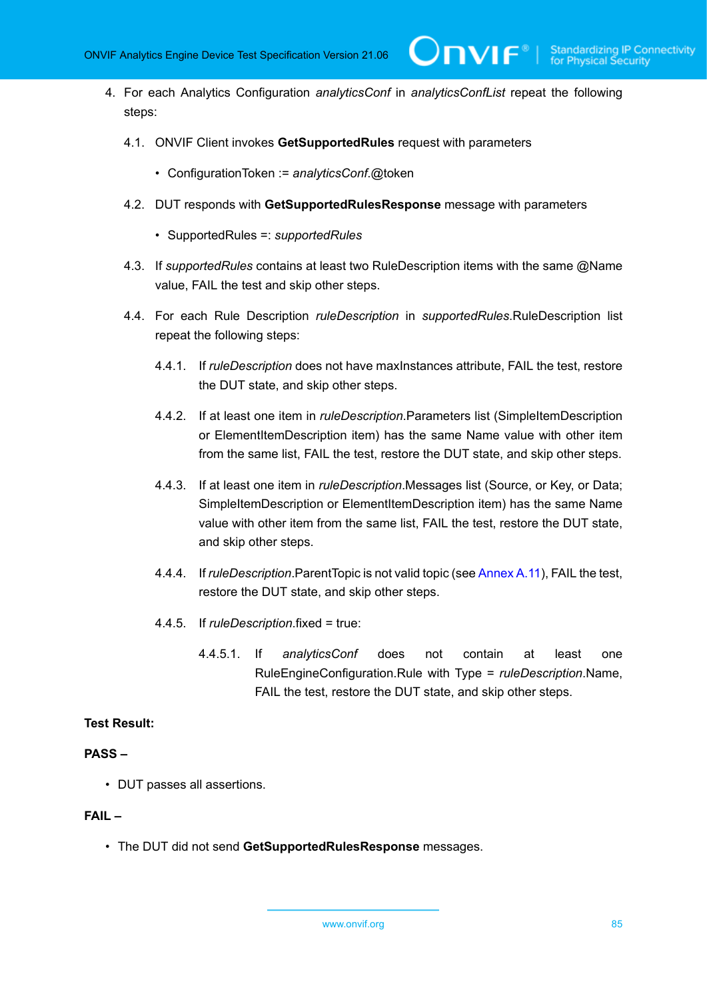4. For each Analytics Configuration *analyticsConf* in *analyticsConfList* repeat the following steps:

 $\bm{\cup}$ NIF $^*$ l

- 4.1. ONVIF Client invokes **GetSupportedRules** request with parameters
	- ConfigurationToken := *analyticsConf*.@token
- 4.2. DUT responds with **GetSupportedRulesResponse** message with parameters
	- SupportedRules =: *supportedRules*
- 4.3. If *supportedRules* contains at least two RuleDescription items with the same @Name value, FAIL the test and skip other steps.
- 4.4. For each Rule Description *ruleDescription* in *supportedRules*.RuleDescription list repeat the following steps:
	- 4.4.1. If *ruleDescription* does not have maxInstances attribute, FAIL the test, restore the DUT state, and skip other steps.
	- 4.4.2. If at least one item in *ruleDescription*.Parameters list (SimpleItemDescription or ElementItemDescription item) has the same Name value with other item from the same list, FAIL the test, restore the DUT state, and skip other steps.
	- 4.4.3. If at least one item in *ruleDescription*.Messages list (Source, or Key, or Data; SimpleItemDescription or ElementItemDescription item) has the same Name value with other item from the same list, FAIL the test, restore the DUT state, and skip other steps.
	- 4.4.4. If *ruleDescription*.ParentTopic is not valid topic (see [Annex](#page-121-0) A.11), FAIL the test, restore the DUT state, and skip other steps.
	- 4.4.5. If *ruleDescription*.fixed = true:
		- 4.4.5.1. If *analyticsConf* does not contain at least one RuleEngineConfiguration.Rule with Type = *ruleDescription*.Name, FAIL the test, restore the DUT state, and skip other steps.

#### **Test Result:**

#### **PASS –**

• DUT passes all assertions.

#### **FAIL –**

• The DUT did not send **GetSupportedRulesResponse** messages.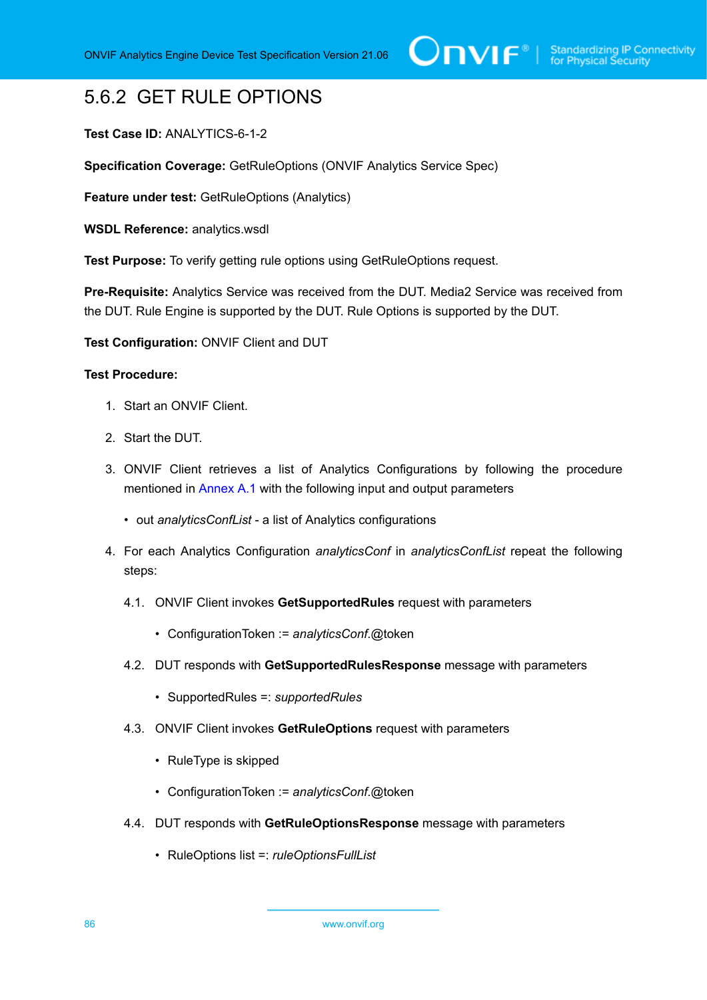## 5.6.2 GET RULE OPTIONS

#### **Test Case ID:** ANALYTICS-6-1-2

**Specification Coverage:** GetRuleOptions (ONVIF Analytics Service Spec)

**Feature under test:** GetRuleOptions (Analytics)

**WSDL Reference:** analytics.wsdl

**Test Purpose:** To verify getting rule options using GetRuleOptions request.

**Pre-Requisite:** Analytics Service was received from the DUT. Media2 Service was received from the DUT. Rule Engine is supported by the DUT. Rule Options is supported by the DUT.

**Test Configuration:** ONVIF Client and DUT

- 1. Start an ONVIF Client.
- 2. Start the DUT.
- 3. ONVIF Client retrieves a list of Analytics Configurations by following the procedure mentioned in [Annex A.1](#page-112-0) with the following input and output parameters
	- out *analyticsConfList* a list of Analytics configurations
- 4. For each Analytics Configuration *analyticsConf* in *analyticsConfList* repeat the following steps:
	- 4.1. ONVIF Client invokes **GetSupportedRules** request with parameters
		- ConfigurationToken := *analyticsConf*.@token
	- 4.2. DUT responds with **GetSupportedRulesResponse** message with parameters
		- SupportedRules =: *supportedRules*
	- 4.3. ONVIF Client invokes **GetRuleOptions** request with parameters
		- RuleType is skipped
		- ConfigurationToken := *analyticsConf*.@token
	- 4.4. DUT responds with **GetRuleOptionsResponse** message with parameters
		- RuleOptions list =: *ruleOptionsFullList*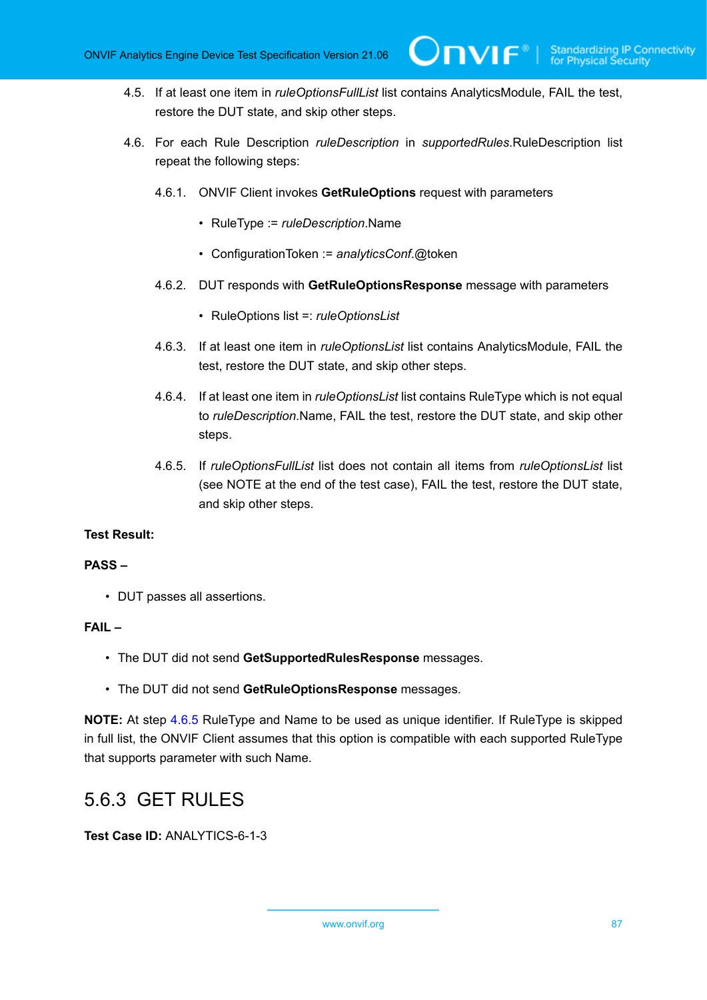- 4.5. If at least one item in *ruleOptionsFullList* list contains AnalyticsModule, FAIL the test, restore the DUT state, and skip other steps.
- 4.6. For each Rule Description *ruleDescription* in *supportedRules*.RuleDescription list repeat the following steps:
	- 4.6.1. ONVIF Client invokes **GetRuleOptions** request with parameters
		- RuleType := *ruleDescription*.Name
		- ConfigurationToken := *analyticsConf*.@token
	- 4.6.2. DUT responds with **GetRuleOptionsResponse** message with parameters
		- RuleOptions list =: *ruleOptionsList*
	- 4.6.3. If at least one item in *ruleOptionsList* list contains AnalyticsModule, FAIL the test, restore the DUT state, and skip other steps.
	- 4.6.4. If at least one item in *ruleOptionsList* list contains RuleType which is not equal to *ruleDescription*.Name, FAIL the test, restore the DUT state, and skip other steps.
	- 4.6.5. If *ruleOptionsFullList* list does not contain all items from *ruleOptionsList* list (see NOTE at the end of the test case), FAIL the test, restore the DUT state, and skip other steps.

#### <span id="page-86-0"></span>**PASS –**

• DUT passes all assertions.

#### **FAIL –**

- The DUT did not send **GetSupportedRulesResponse** messages.
- The DUT did not send **GetRuleOptionsResponse** messages.

**NOTE:** At step [4.6.5](#page-86-0) RuleType and Name to be used as unique identifier. If RuleType is skipped in full list, the ONVIF Client assumes that this option is compatible with each supported RuleType that supports parameter with such Name.

### 5.6.3 GET RULES

#### **Test Case ID:** ANALYTICS-6-1-3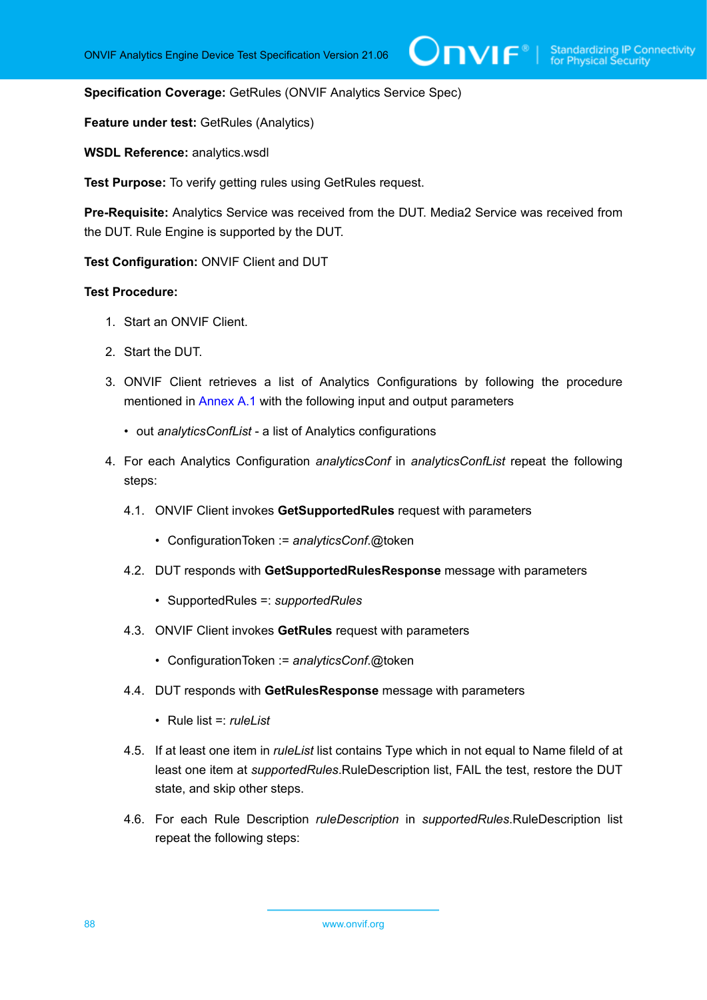**Specification Coverage:** GetRules (ONVIF Analytics Service Spec)

**Feature under test:** GetRules (Analytics)

**WSDL Reference:** analytics.wsdl

**Test Purpose:** To verify getting rules using GetRules request.

**Pre-Requisite:** Analytics Service was received from the DUT. Media2 Service was received from the DUT. Rule Engine is supported by the DUT.

**Test Configuration:** ONVIF Client and DUT

- 1. Start an ONVIF Client.
- 2. Start the DUT.
- 3. ONVIF Client retrieves a list of Analytics Configurations by following the procedure mentioned in [Annex A.1](#page-112-0) with the following input and output parameters
	- out *analyticsConfList* a list of Analytics configurations
- 4. For each Analytics Configuration *analyticsConf* in *analyticsConfList* repeat the following steps:
	- 4.1. ONVIF Client invokes **GetSupportedRules** request with parameters
		- ConfigurationToken := *analyticsConf*.@token
	- 4.2. DUT responds with **GetSupportedRulesResponse** message with parameters
		- SupportedRules =: *supportedRules*
	- 4.3. ONVIF Client invokes **GetRules** request with parameters
		- ConfigurationToken := *analyticsConf*.@token
	- 4.4. DUT responds with **GetRulesResponse** message with parameters
		- Rule list =: *ruleList*
	- 4.5. If at least one item in *ruleList* list contains Type which in not equal to Name fileld of at least one item at *supportedRules*.RuleDescription list, FAIL the test, restore the DUT state, and skip other steps.
	- 4.6. For each Rule Description *ruleDescription* in *supportedRules*.RuleDescription list repeat the following steps: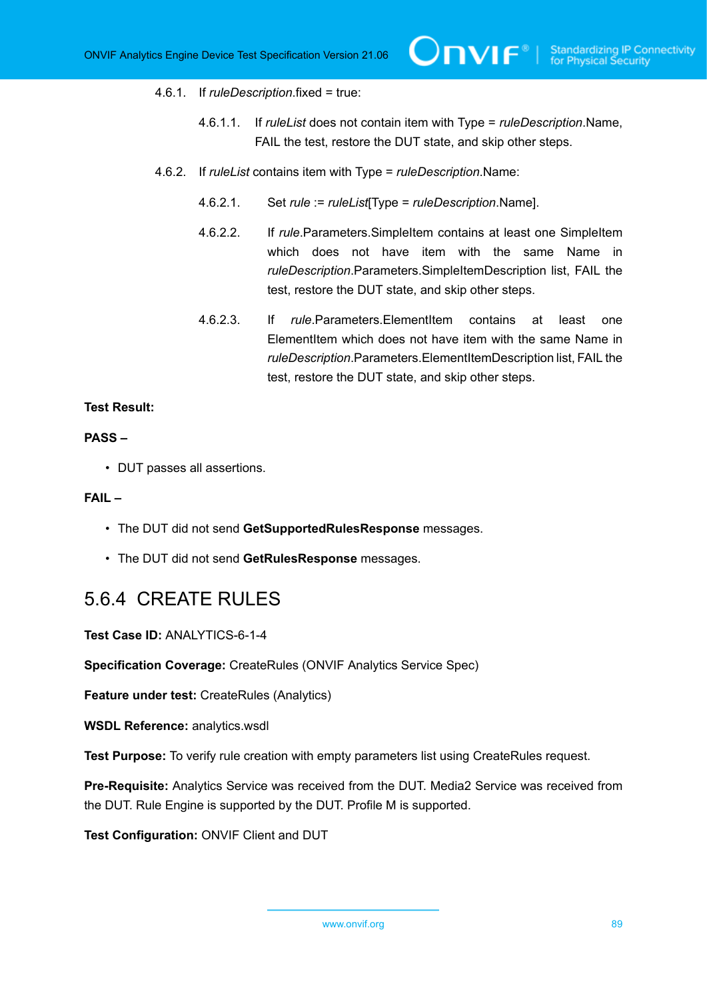#### 4.6.1. If *ruleDescription*.fixed = true:

- 4.6.1.1. If *ruleList* does not contain item with Type = *ruleDescription*.Name, FAIL the test, restore the DUT state, and skip other steps.
- 4.6.2. If *ruleList* contains item with Type = *ruleDescription*.Name:
	- 4.6.2.1. Set *rule* := *ruleList*[Type = *ruleDescription*.Name].
	- 4.6.2.2. If *rule*.Parameters.SimpleItem contains at least one SimpleItem which does not have item with the same Name in *ruleDescription*.Parameters.SimpleItemDescription list, FAIL the test, restore the DUT state, and skip other steps.
	- 4.6.2.3. If *rule*.Parameters.ElementItem contains at least one ElementItem which does not have item with the same Name in *ruleDescription*.Parameters.ElementItemDescription list, FAIL the test, restore the DUT state, and skip other steps.

#### **Test Result:**

#### **PASS –**

• DUT passes all assertions.

#### **FAIL –**

- The DUT did not send **GetSupportedRulesResponse** messages.
- The DUT did not send **GetRulesResponse** messages.

### 5.6.4 CREATE RULES

**Test Case ID:** ANALYTICS-6-1-4

**Specification Coverage:** CreateRules (ONVIF Analytics Service Spec)

**Feature under test:** CreateRules (Analytics)

**WSDL Reference:** analytics.wsdl

**Test Purpose:** To verify rule creation with empty parameters list using CreateRules request.

**Pre-Requisite:** Analytics Service was received from the DUT. Media2 Service was received from the DUT. Rule Engine is supported by the DUT. Profile M is supported.

**Test Configuration:** ONVIF Client and DUT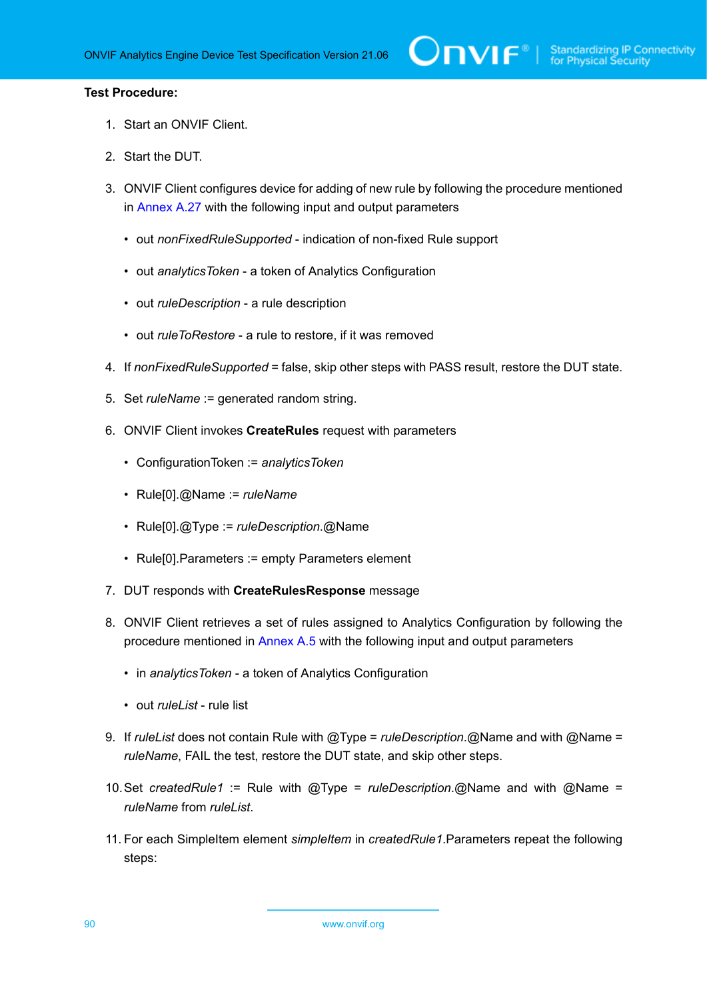- 1. Start an ONVIF Client.
- 2. Start the DUT.
- 3. ONVIF Client configures device for adding of new rule by following the procedure mentioned in [Annex A.27](#page-138-0) with the following input and output parameters
	- out *nonFixedRuleSupported* indication of non-fixed Rule support
	- out *analyticsToken* a token of Analytics Configuration
	- out *ruleDescription* a rule description
	- out *ruleToRestore* a rule to restore, if it was removed
- 4. If *nonFixedRuleSupported* = false, skip other steps with PASS result, restore the DUT state.
- 5. Set *ruleName* := generated random string.
- 6. ONVIF Client invokes **CreateRules** request with parameters
	- ConfigurationToken := *analyticsToken*
	- Rule[0].@Name := *ruleName*
	- Rule[0].@Type := *ruleDescription*.@Name
	- Rule[0].Parameters := empty Parameters element
- 7. DUT responds with **CreateRulesResponse** message
- 8. ONVIF Client retrieves a set of rules assigned to Analytics Configuration by following the procedure mentioned in [Annex A.5](#page-116-0) with the following input and output parameters
	- in *analyticsToken* a token of Analytics Configuration
	- out *ruleList* rule list
- 9. If *ruleList* does not contain Rule with @Type = *ruleDescription*.@Name and with @Name = *ruleName*, FAIL the test, restore the DUT state, and skip other steps.
- 10.Set *createdRule1* := Rule with @Type = *ruleDescription*.@Name and with @Name = *ruleName* from *ruleList*.
- 11. For each SimpleItem element *simpleItem* in *createdRule1*.Parameters repeat the following steps: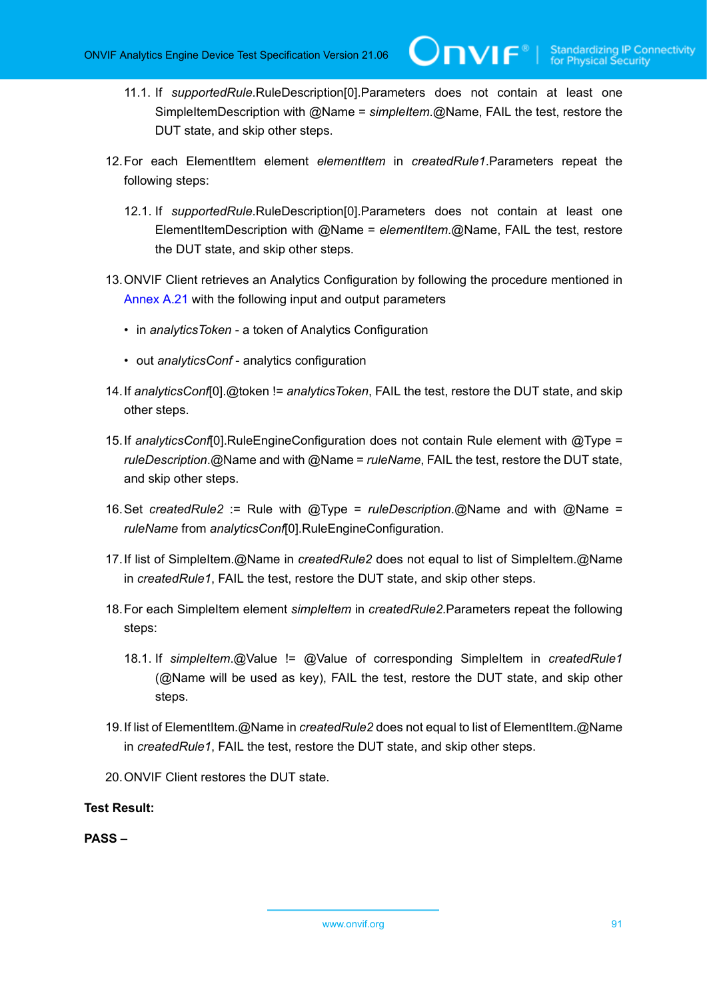- 11.1. If *supportedRule*.RuleDescription[0].Parameters does not contain at least one SimpleItemDescription with @Name = *simpleItem*.@Name, FAIL the test, restore the DUT state, and skip other steps.
- 12.For each ElementItem element *elementItem* in *createdRule1*.Parameters repeat the following steps:
	- 12.1. If *supportedRule*.RuleDescription[0].Parameters does not contain at least one ElementItemDescription with @Name = *elementItem*.@Name, FAIL the test, restore the DUT state, and skip other steps.
- 13.ONVIF Client retrieves an Analytics Configuration by following the procedure mentioned in [Annex A.21](#page-130-0) with the following input and output parameters
	- in *analyticsToken* a token of Analytics Configuration
	- out *analyticsConf* analytics configuration
- 14.If *analyticsConf*[0].@token != *analyticsToken*, FAIL the test, restore the DUT state, and skip other steps.
- 15.If *analyticsConf*[0].RuleEngineConfiguration does not contain Rule element with @Type = *ruleDescription*.@Name and with @Name = *ruleName*, FAIL the test, restore the DUT state, and skip other steps.
- 16.Set *createdRule2* := Rule with @Type = *ruleDescription*.@Name and with @Name = *ruleName* from *analyticsConf*[0].RuleEngineConfiguration.
- 17.If list of SimpleItem.@Name in *createdRule2* does not equal to list of SimpleItem.@Name in *createdRule1*, FAIL the test, restore the DUT state, and skip other steps.
- 18.For each SimpleItem element *simpleItem* in *createdRule2*.Parameters repeat the following steps:
	- 18.1. If *simpleItem*.@Value != @Value of corresponding SimpleItem in *createdRule1* (@Name will be used as key), FAIL the test, restore the DUT state, and skip other steps.
- 19.If list of ElementItem.@Name in *createdRule2* does not equal to list of ElementItem.@Name in *createdRule1*, FAIL the test, restore the DUT state, and skip other steps.
- 20.ONVIF Client restores the DUT state.

**PASS –**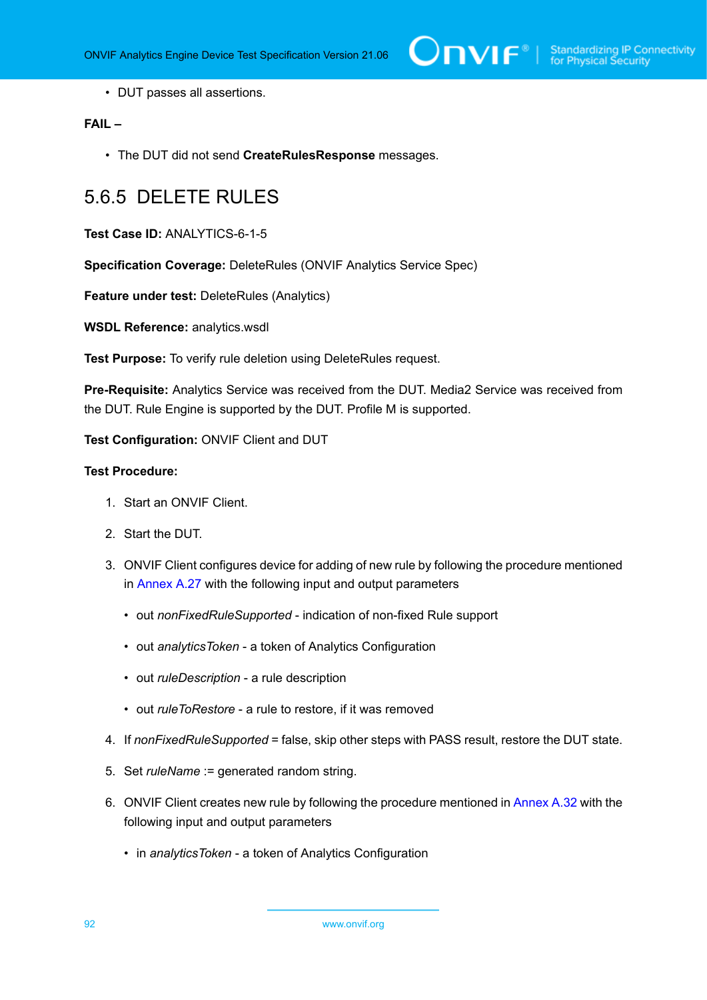• DUT passes all assertions.

#### **FAIL –**

• The DUT did not send **CreateRulesResponse** messages.

## 5.6.5 DELETE RULES

**Test Case ID:** ANALYTICS-6-1-5

**Specification Coverage:** DeleteRules (ONVIF Analytics Service Spec)

**Feature under test:** DeleteRules (Analytics)

**WSDL Reference:** analytics.wsdl

**Test Purpose:** To verify rule deletion using DeleteRules request.

**Pre-Requisite:** Analytics Service was received from the DUT. Media2 Service was received from the DUT. Rule Engine is supported by the DUT. Profile M is supported.

#### **Test Configuration:** ONVIF Client and DUT

- 1. Start an ONVIF Client.
- 2. Start the DUT.
- 3. ONVIF Client configures device for adding of new rule by following the procedure mentioned in [Annex A.27](#page-138-0) with the following input and output parameters
	- out *nonFixedRuleSupported* indication of non-fixed Rule support
	- out *analyticsToken* a token of Analytics Configuration
	- out *ruleDescription* a rule description
	- out *ruleToRestore* a rule to restore, if it was removed
- 4. If *nonFixedRuleSupported* = false, skip other steps with PASS result, restore the DUT state.
- 5. Set *ruleName* := generated random string.
- 6. ONVIF Client creates new rule by following the procedure mentioned in [Annex A.32](#page-143-0) with the following input and output parameters
	- in *analyticsToken* a token of Analytics Configuration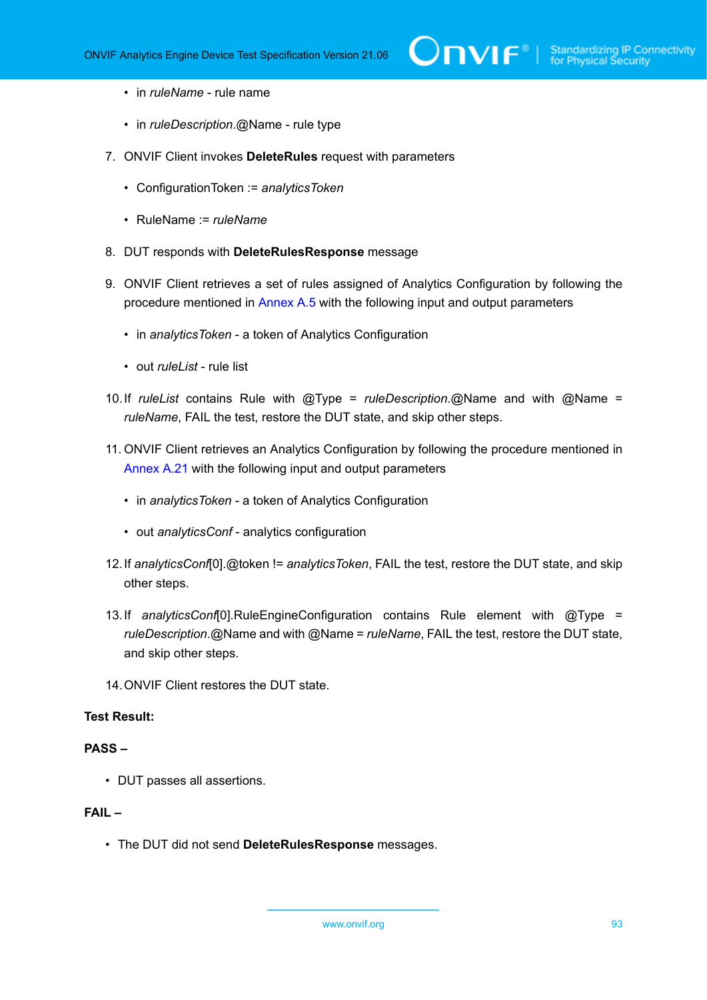- in *ruleName* rule name
- in *ruleDescription*.@Name rule type
- 7. ONVIF Client invokes **DeleteRules** request with parameters
	- ConfigurationToken := *analyticsToken*
	- RuleName := *ruleName*
- 8. DUT responds with **DeleteRulesResponse** message
- 9. ONVIF Client retrieves a set of rules assigned of Analytics Configuration by following the procedure mentioned in [Annex A.5](#page-116-0) with the following input and output parameters
	- in *analyticsToken* a token of Analytics Configuration
	- out *ruleList* rule list
- 10.If *ruleList* contains Rule with @Type = *ruleDescription*.@Name and with @Name = *ruleName*, FAIL the test, restore the DUT state, and skip other steps.
- 11. ONVIF Client retrieves an Analytics Configuration by following the procedure mentioned in [Annex A.21](#page-130-0) with the following input and output parameters
	- in *analyticsToken* a token of Analytics Configuration
	- out *analyticsConf* analytics configuration
- 12.If *analyticsConf*[0].@token != *analyticsToken*, FAIL the test, restore the DUT state, and skip other steps.
- 13.If *analyticsConf*[0].RuleEngineConfiguration contains Rule element with @Type = *ruleDescription*.@Name and with @Name = *ruleName*, FAIL the test, restore the DUT state, and skip other steps.
- 14.ONVIF Client restores the DUT state.

#### **PASS –**

• DUT passes all assertions.

#### **FAIL –**

• The DUT did not send **DeleteRulesResponse** messages.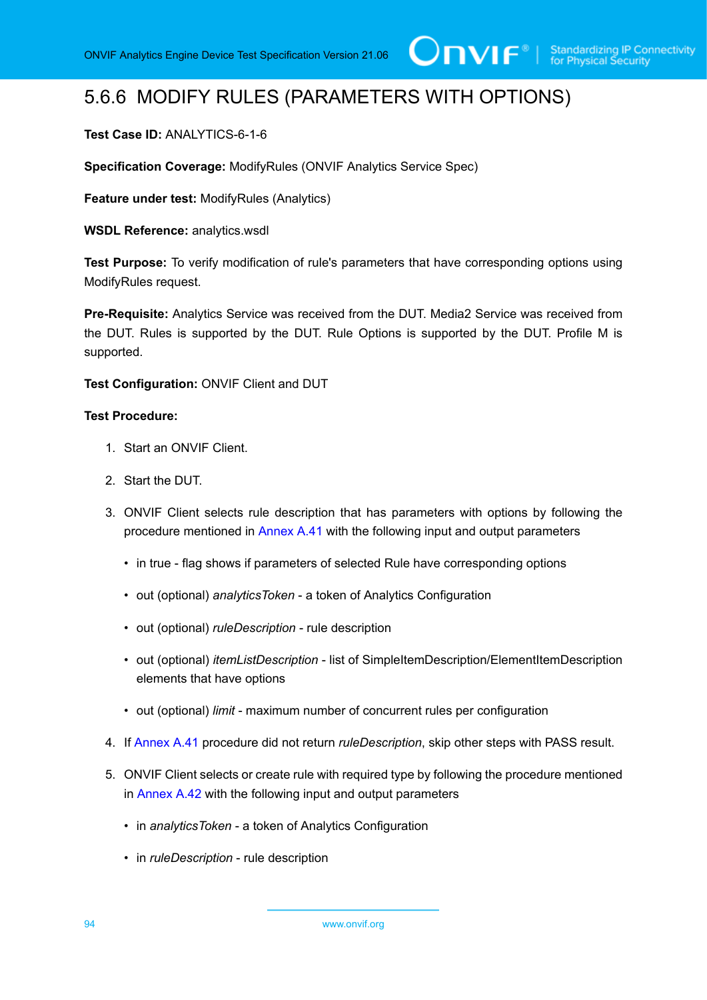## 5.6.6 MODIFY RULES (PARAMETERS WITH OPTIONS)

#### **Test Case ID:** ANALYTICS-6-1-6

**Specification Coverage:** ModifyRules (ONVIF Analytics Service Spec)

**Feature under test:** ModifyRules (Analytics)

**WSDL Reference:** analytics.wsdl

**Test Purpose:** To verify modification of rule's parameters that have corresponding options using ModifyRules request.

**Pre-Requisite:** Analytics Service was received from the DUT. Media2 Service was received from the DUT. Rules is supported by the DUT. Rule Options is supported by the DUT. Profile M is supported.

**Test Configuration:** ONVIF Client and DUT

- 1. Start an ONVIF Client.
- 2. Start the DUT.
- 3. ONVIF Client selects rule description that has parameters with options by following the procedure mentioned in [Annex A.41](#page-158-0) with the following input and output parameters
	- in true flag shows if parameters of selected Rule have corresponding options
	- out (optional) *analyticsToken* a token of Analytics Configuration
	- out (optional) *ruleDescription* rule description
	- out (optional) *itemListDescription* list of SimpleItemDescription/ElementItemDescription elements that have options
	- out (optional) *limit* maximum number of concurrent rules per configuration
- 4. If [Annex A.41](#page-158-0) procedure did not return *ruleDescription*, skip other steps with PASS result.
- <span id="page-93-0"></span>5. ONVIF Client selects or create rule with required type by following the procedure mentioned in [Annex A.42](#page-159-0) with the following input and output parameters
	- in *analyticsToken* a token of Analytics Configuration
	- in *ruleDescription* rule description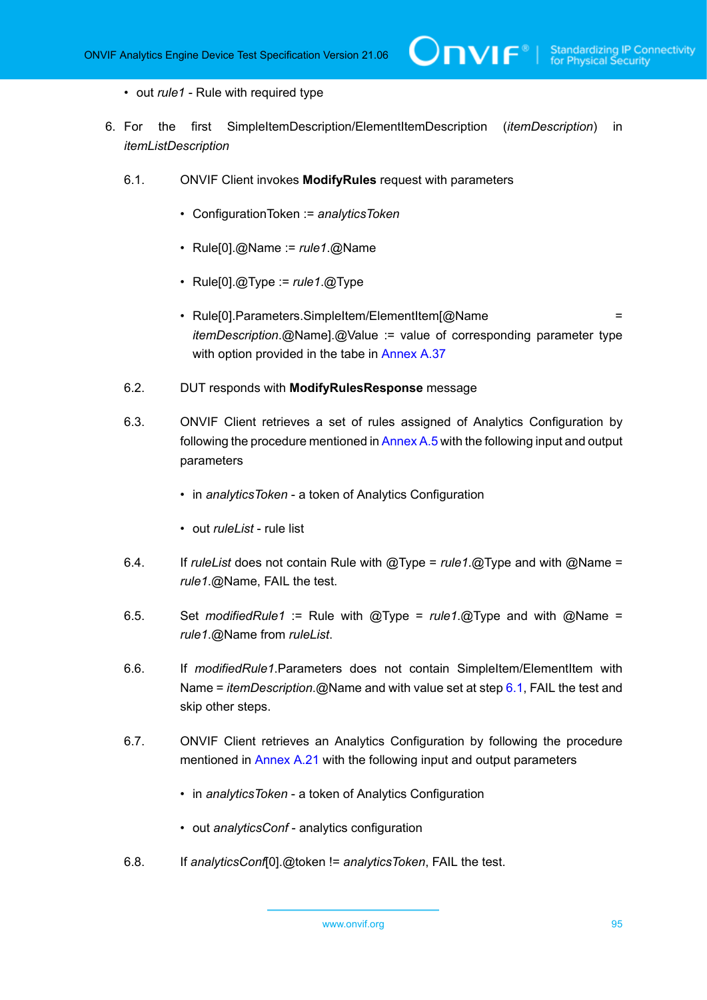- out *rule1* Rule with required type
- 6. For the first SimpleItemDescription/ElementItemDescription (*itemDescription*) in *itemListDescription*

 $\mathsf{D}\mathbf{N}\mathsf{I}\mathsf{F}^\ast$ l

- <span id="page-94-0"></span>6.1. ONVIF Client invokes **ModifyRules** request with parameters
	- ConfigurationToken := *analyticsToken*
	- Rule[0].@Name := *rule1*.@Name
	- Rule[0].@Type := *rule1*.@Type
	- Rule[0].Parameters.SimpleItem/ElementItem[@Name *itemDescription*.@Name].@Value := value of corresponding parameter type with option provided in the tabe in [Annex A.37](#page-149-0)
- 6.2. DUT responds with **ModifyRulesResponse** message
- 6.3. ONVIF Client retrieves a set of rules assigned of Analytics Configuration by following the procedure mentioned in [Annex A.5](#page-116-0) with the following input and output parameters
	- in *analyticsToken* a token of Analytics Configuration
	- out *ruleList* rule list
- 6.4. If *ruleList* does not contain Rule with @Type = *rule1*.@Type and with @Name = *rule1*.@Name, FAIL the test.
- 6.5. Set *modifiedRule1* := Rule with @Type = *rule1*.@Type and with @Name = *rule1*.@Name from *ruleList*.
- 6.6. If *modifiedRule1*.Parameters does not contain SimpleItem/ElementItem with Name = *itemDescription*.@Name and with value set at step [6.1,](#page-94-0) FAIL the test and skip other steps.
- 6.7. ONVIF Client retrieves an Analytics Configuration by following the procedure mentioned in [Annex A.21](#page-130-0) with the following input and output parameters
	- in *analyticsToken* a token of Analytics Configuration
	- out *analyticsConf* analytics configuration
- 6.8. If *analyticsConf*[0].@token != *analyticsToken*, FAIL the test.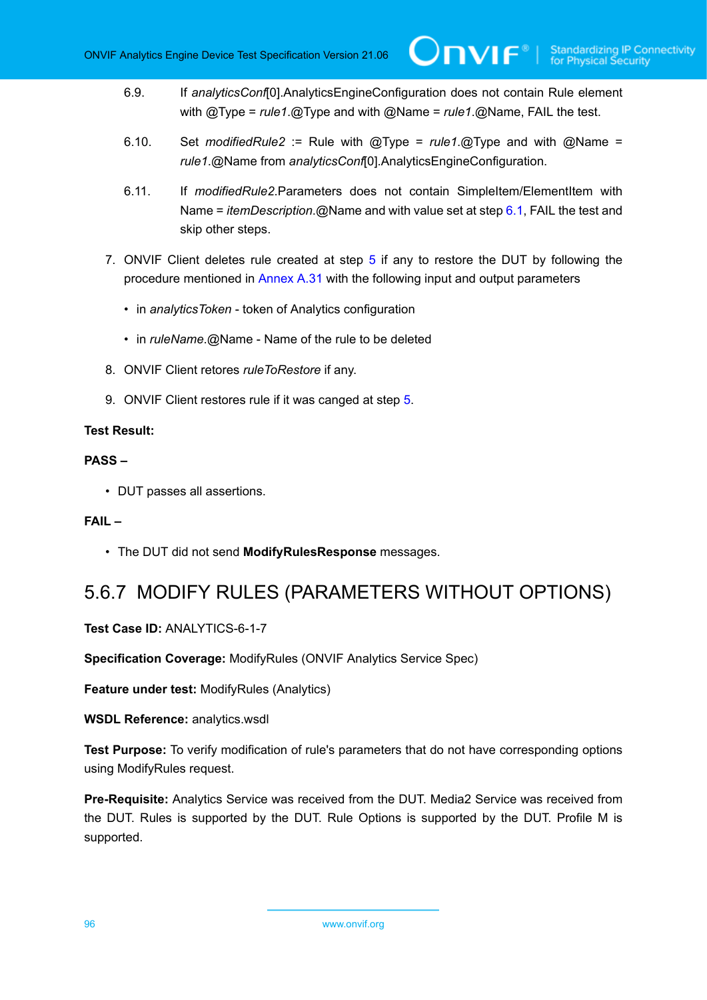- 6.9. If *analyticsConf*[0].AnalyticsEngineConfiguration does not contain Rule element with @Type = *rule1*.@Type and with @Name = *rule1*.@Name, FAIL the test.
- 6.10. Set *modifiedRule2* := Rule with @Type = *rule1*.@Type and with @Name = *rule1*.@Name from *analyticsConf*[0].AnalyticsEngineConfiguration.
- 6.11. If *modifiedRule2*.Parameters does not contain SimpleItem/ElementItem with Name = *itemDescription*.@Name and with value set at step [6.1,](#page-94-0) FAIL the test and skip other steps.
- 7. ONVIF Client deletes rule created at step [5](#page-93-0) if any to restore the DUT by following the procedure mentioned in [Annex A.31](#page-143-1) with the following input and output parameters
	- in *analyticsToken* token of Analytics configuration
	- in *ruleName*.@Name Name of the rule to be deleted
- 8. ONVIF Client retores *ruleToRestore* if any.
- 9. ONVIF Client restores rule if it was canged at step [5.](#page-93-0)

#### **PASS –**

• DUT passes all assertions.

#### **FAIL –**

• The DUT did not send **ModifyRulesResponse** messages.

### 5.6.7 MODIFY RULES (PARAMETERS WITHOUT OPTIONS)

**Test Case ID:** ANALYTICS-6-1-7

**Specification Coverage:** ModifyRules (ONVIF Analytics Service Spec)

**Feature under test:** ModifyRules (Analytics)

#### **WSDL Reference:** analytics.wsdl

**Test Purpose:** To verify modification of rule's parameters that do not have corresponding options using ModifyRules request.

**Pre-Requisite:** Analytics Service was received from the DUT. Media2 Service was received from the DUT. Rules is supported by the DUT. Rule Options is supported by the DUT. Profile M is supported.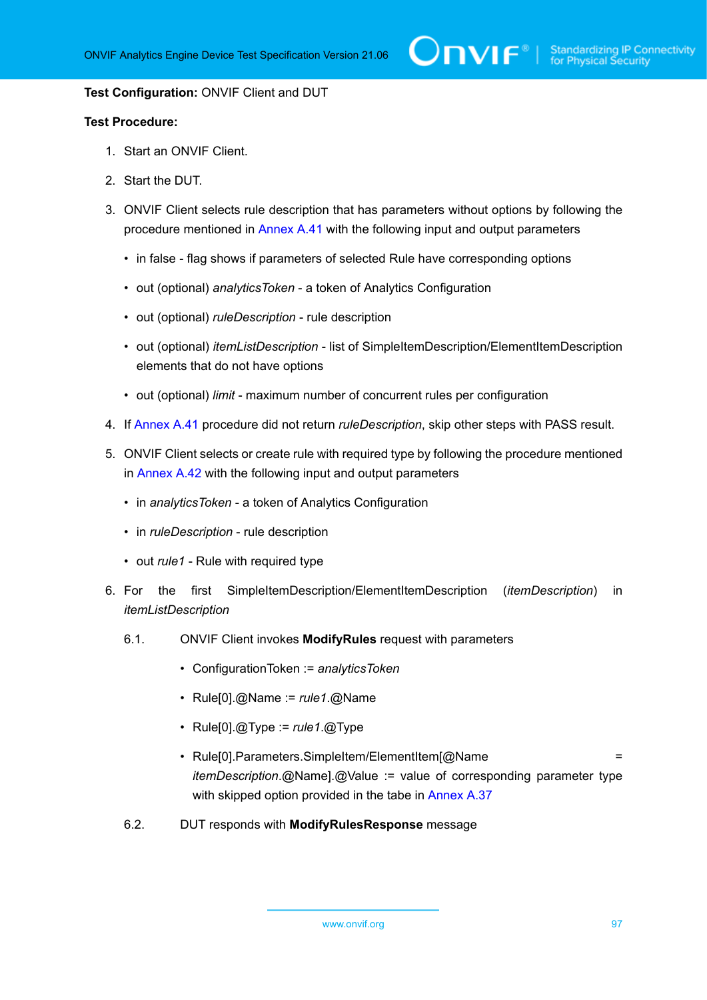#### **Test Configuration:** ONVIF Client and DUT

- 1. Start an ONVIF Client.
- 2. Start the DUT.
- 3. ONVIF Client selects rule description that has parameters without options by following the procedure mentioned in [Annex A.41](#page-158-0) with the following input and output parameters
	- in false flag shows if parameters of selected Rule have corresponding options
	- out (optional) *analyticsToken* a token of Analytics Configuration
	- out (optional) *ruleDescription* rule description
	- out (optional) *itemListDescription* list of SimpleItemDescription/ElementItemDescription elements that do not have options
	- out (optional) *limit* maximum number of concurrent rules per configuration
- 4. If [Annex A.41](#page-158-0) procedure did not return *ruleDescription*, skip other steps with PASS result.
- <span id="page-96-1"></span>5. ONVIF Client selects or create rule with required type by following the procedure mentioned in [Annex A.42](#page-159-0) with the following input and output parameters
	- in *analyticsToken* a token of Analytics Configuration
	- in *ruleDescription* rule description
	- out *rule1* Rule with required type
- <span id="page-96-0"></span>6. For the first SimpleItemDescription/ElementItemDescription (*itemDescription*) in *itemListDescription*
	- 6.1. ONVIF Client invokes **ModifyRules** request with parameters
		- ConfigurationToken := *analyticsToken*
		- Rule[0].@Name := *rule1*.@Name
		- Rule[0].@Type := *rule1*.@Type
		- Rule[0].Parameters.SimpleItem/ElementItem[@Name = *itemDescription*.@Name].@Value := value of corresponding parameter type with skipped option provided in the tabe in [Annex A.37](#page-149-0)
	- 6.2. DUT responds with **ModifyRulesResponse** message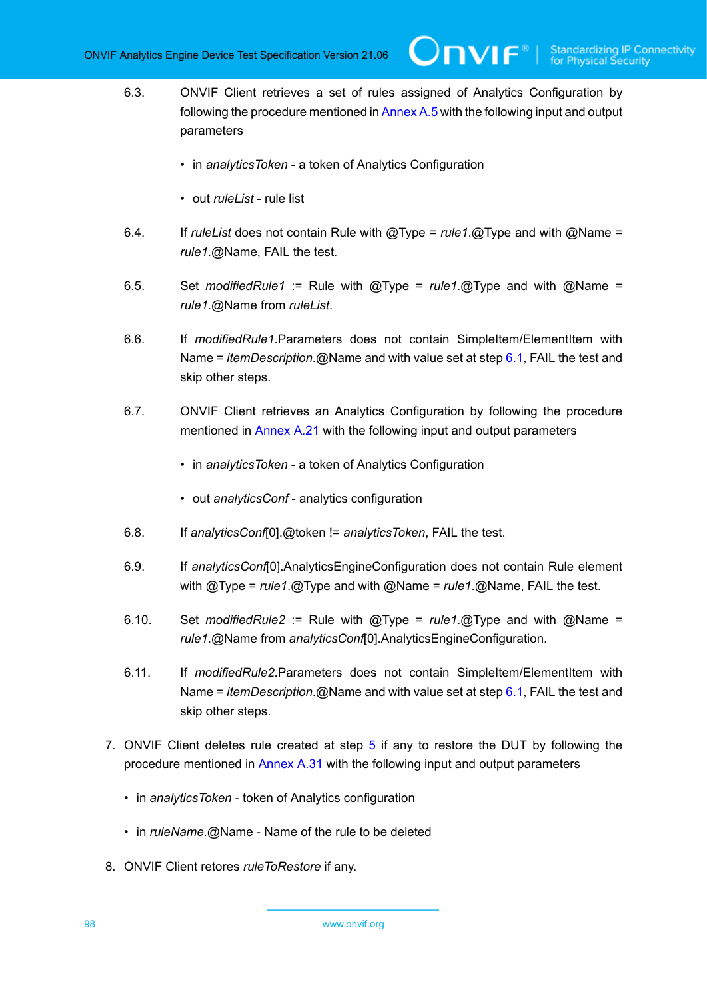6.3. ONVIF Client retrieves a set of rules assigned of Analytics Configuration by following the procedure mentioned in [Annex A.5](#page-116-0) with the following input and output parameters

 $\bm{\cup}$ NIF $^{\circ}$ 

- in *analyticsToken* a token of Analytics Configuration
- out *ruleList* rule list
- 6.4. If *ruleList* does not contain Rule with @Type = *rule1*.@Type and with @Name = *rule1*.@Name, FAIL the test.
- 6.5. Set *modifiedRule1* := Rule with @Type = *rule1*.@Type and with @Name = *rule1*.@Name from *ruleList*.
- 6.6. If *modifiedRule1*.Parameters does not contain SimpleItem/ElementItem with Name = *itemDescription*.@Name and with value set at step [6.1,](#page-96-0) FAIL the test and skip other steps.
- 6.7. ONVIF Client retrieves an Analytics Configuration by following the procedure mentioned in [Annex A.21](#page-130-0) with the following input and output parameters
	- in *analyticsToken* a token of Analytics Configuration
	- out *analyticsConf* analytics configuration
- 6.8. If *analyticsConf*[0].@token != *analyticsToken*, FAIL the test.
- 6.9. If *analyticsConf*[0].AnalyticsEngineConfiguration does not contain Rule element with @Type = *rule1*.@Type and with @Name = *rule1*.@Name, FAIL the test.
- 6.10. Set *modifiedRule2* := Rule with @Type = *rule1*.@Type and with @Name = *rule1*.@Name from *analyticsConf*[0].AnalyticsEngineConfiguration.
- 6.11. If *modifiedRule2*.Parameters does not contain SimpleItem/ElementItem with Name = *itemDescription*.@Name and with value set at step [6.1,](#page-96-0) FAIL the test and skip other steps.
- 7. ONVIF Client deletes rule created at step [5](#page-96-1) if any to restore the DUT by following the procedure mentioned in [Annex A.31](#page-143-1) with the following input and output parameters
	- in *analyticsToken* token of Analytics configuration
	- in *ruleName*.@Name Name of the rule to be deleted
- 8. ONVIF Client retores *ruleToRestore* if any.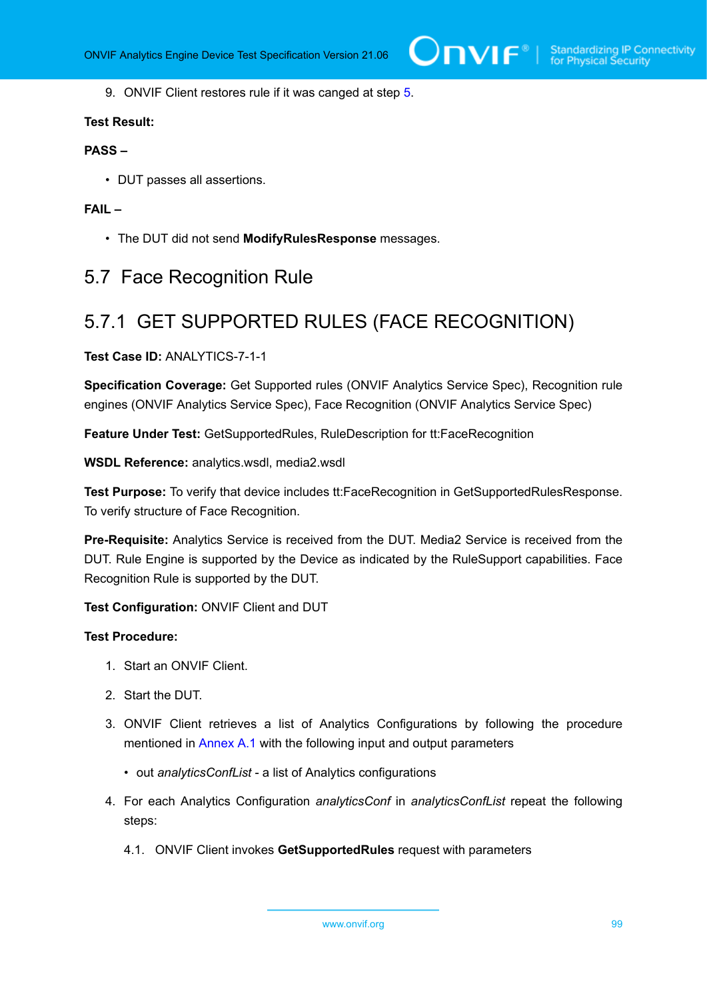9. ONVIF Client restores rule if it was canged at step [5.](#page-96-1)

#### **Test Result:**

#### **PASS –**

• DUT passes all assertions.

#### **FAIL –**

• The DUT did not send **ModifyRulesResponse** messages.

### 5.7 Face Recognition Rule

## 5.7.1 GET SUPPORTED RULES (FACE RECOGNITION)

#### **Test Case ID:** ANALYTICS-7-1-1

**Specification Coverage:** Get Supported rules (ONVIF Analytics Service Spec), Recognition rule engines (ONVIF Analytics Service Spec), Face Recognition (ONVIF Analytics Service Spec)

**Feature Under Test:** GetSupportedRules, RuleDescription for tt:FaceRecognition

**WSDL Reference:** analytics.wsdl, media2.wsdl

**Test Purpose:** To verify that device includes tt:FaceRecognition in GetSupportedRulesResponse. To verify structure of Face Recognition.

**Pre-Requisite:** Analytics Service is received from the DUT. Media2 Service is received from the DUT. Rule Engine is supported by the Device as indicated by the RuleSupport capabilities. Face Recognition Rule is supported by the DUT.

**Test Configuration:** ONVIF Client and DUT

- 1. Start an ONVIF Client.
- 2. Start the DUT.
- 3. ONVIF Client retrieves a list of Analytics Configurations by following the procedure mentioned in [Annex A.1](#page-112-0) with the following input and output parameters
	- out *analyticsConfList* a list of Analytics configurations
- 4. For each Analytics Configuration *analyticsConf* in *analyticsConfList* repeat the following steps:
	- 4.1. ONVIF Client invokes **GetSupportedRules** request with parameters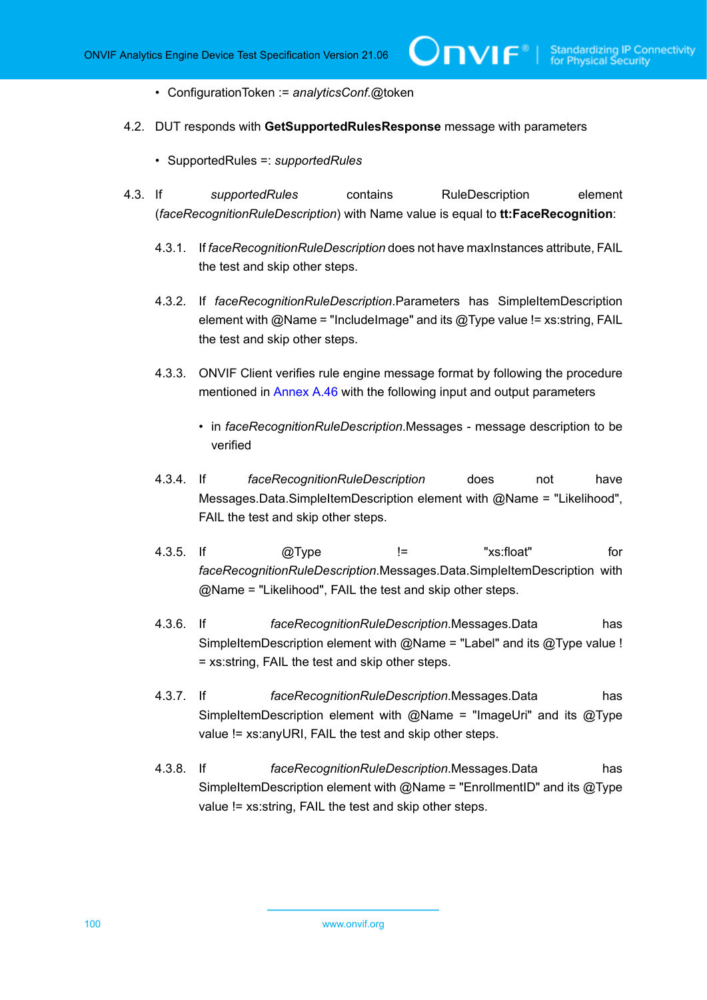**TVIF** 

- ConfigurationToken := *analyticsConf*.@token
- <span id="page-99-0"></span>4.2. DUT responds with **GetSupportedRulesResponse** message with parameters
	- SupportedRules =: *supportedRules*
- 4.3. If *supportedRules* contains RuleDescription element (*faceRecognitionRuleDescription*) with Name value is equal to **tt:FaceRecognition**:
	- 4.3.1. If *faceRecognitionRuleDescription* does not have maxInstances attribute, FAIL the test and skip other steps.
	- 4.3.2. If *faceRecognitionRuleDescription*.Parameters has SimpleItemDescription element with  $@$ Name = "IncludeImage" and its  $@$ Type value != xs:string, FAIL the test and skip other steps.
	- 4.3.3. ONVIF Client verifies rule engine message format by following the procedure mentioned in [Annex A.46](#page-166-0) with the following input and output parameters
		- in *faceRecognitionRuleDescription*.Messages message description to be verified
	- 4.3.4. If *faceRecognitionRuleDescription* does not have Messages.Data.SimpleItemDescription element with @Name = "Likelihood", FAIL the test and skip other steps.
	- 4.3.5. If @Type != "xs:float" for *faceRecognitionRuleDescription*.Messages.Data.SimpleItemDescription with @Name = "Likelihood", FAIL the test and skip other steps.
	- 4.3.6. If *faceRecognitionRuleDescription*.Messages.Data has SimpleItemDescription element with  $@$ Name = "Label" and its  $@$ Type value ! = xs:string, FAIL the test and skip other steps.
	- 4.3.7. If *faceRecognitionRuleDescription*.Messages.Data has SimpleItemDescription element with  $@$ Name = "ImageUri" and its  $@$ Type value != xs:anyURI, FAIL the test and skip other steps.
	- 4.3.8. If *faceRecognitionRuleDescription*.Messages.Data has SimpleItemDescription element with  $@$ Name = "EnrollmentID" and its  $@$ Type value != xs:string, FAIL the test and skip other steps.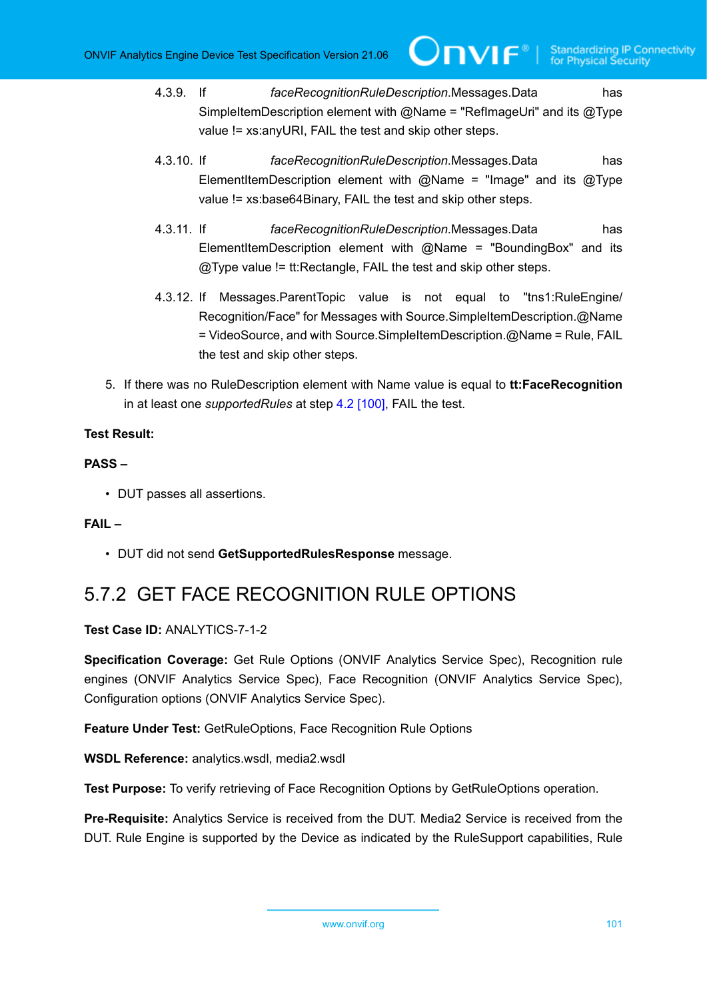- 4.3.9. If *faceRecognitionRuleDescription*.Messages.Data has SimpleItemDescription element with @Name = "RefImageUri" and its @Type value != xs:anyURI, FAIL the test and skip other steps.
- 4.3.10. If *faceRecognitionRuleDescription*.Messages.Data has ElementItemDescription element with  $@$ Name = "Image" and its  $@$ Type value != xs:base64Binary, FAIL the test and skip other steps.
- 4.3.11. If *faceRecognitionRuleDescription*.Messages.Data has ElementItemDescription element with  $@$ Name = "BoundingBox" and its @Type value != tt:Rectangle, FAIL the test and skip other steps.
- 4.3.12. If Messages.ParentTopic value is not equal to "tns1:RuleEngine/ Recognition/Face" for Messages with Source.SimpleItemDescription.@Name = VideoSource, and with Source.SimpleItemDescription.@Name = Rule, FAIL the test and skip other steps.
- 5. If there was no RuleDescription element with Name value is equal to **tt:FaceRecognition** in at least one *supportedRules* at step [4.2 \[100\]](#page-99-0), FAIL the test.

#### **PASS –**

• DUT passes all assertions.

#### **FAIL –**

• DUT did not send **GetSupportedRulesResponse** message.

## 5.7.2 GET FACE RECOGNITION RULE OPTIONS

**Test Case ID:** ANALYTICS-7-1-2

**Specification Coverage:** Get Rule Options (ONVIF Analytics Service Spec), Recognition rule engines (ONVIF Analytics Service Spec), Face Recognition (ONVIF Analytics Service Spec), Configuration options (ONVIF Analytics Service Spec).

**Feature Under Test:** GetRuleOptions, Face Recognition Rule Options

**WSDL Reference:** analytics.wsdl, media2.wsdl

**Test Purpose:** To verify retrieving of Face Recognition Options by GetRuleOptions operation.

**Pre-Requisite:** Analytics Service is received from the DUT. Media2 Service is received from the DUT. Rule Engine is supported by the Device as indicated by the RuleSupport capabilities, Rule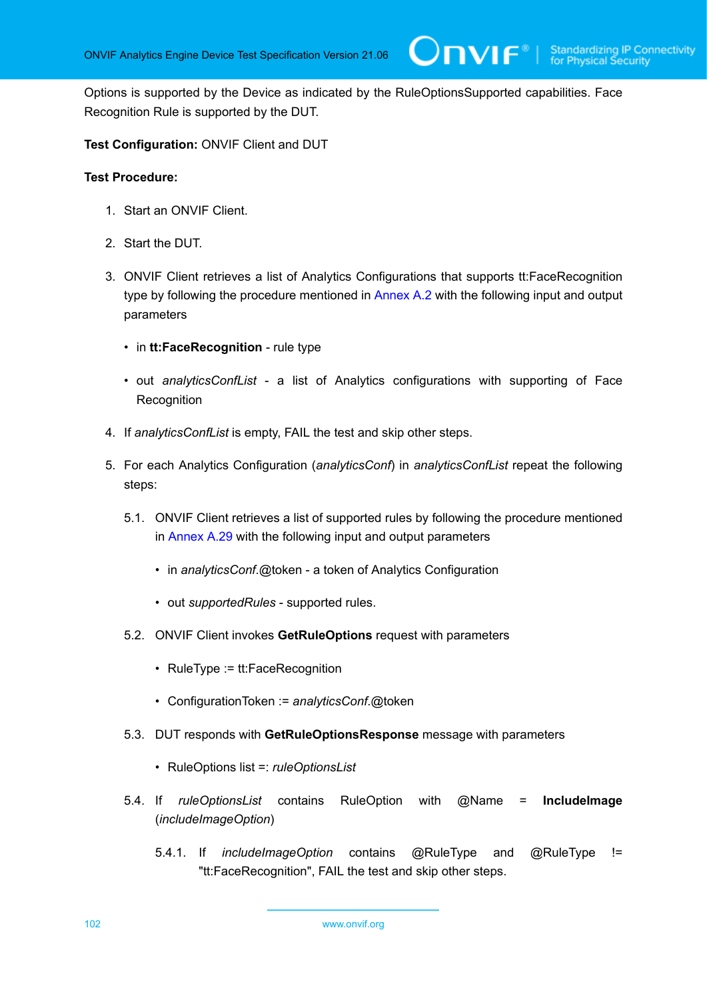IVIF®I

Options is supported by the Device as indicated by the RuleOptionsSupported capabilities. Face Recognition Rule is supported by the DUT.

**Test Configuration:** ONVIF Client and DUT

- 1. Start an ONVIF Client.
- 2. Start the DUT.
- 3. ONVIF Client retrieves a list of Analytics Configurations that supports tt:FaceRecognition type by following the procedure mentioned in [Annex A.2](#page-112-1) with the following input and output parameters
	- in **tt:FaceRecognition** rule type
	- out *analyticsConfList* a list of Analytics configurations with supporting of Face **Recognition**
- 4. If *analyticsConfList* is empty, FAIL the test and skip other steps.
- 5. For each Analytics Configuration (*analyticsConf*) in *analyticsConfList* repeat the following steps:
	- 5.1. ONVIF Client retrieves a list of supported rules by following the procedure mentioned in [Annex A.29](#page-141-0) with the following input and output parameters
		- in *analyticsConf*.@token a token of Analytics Configuration
		- out *supportedRules* supported rules.
	- 5.2. ONVIF Client invokes **GetRuleOptions** request with parameters
		- RuleType := tt:FaceRecognition
		- ConfigurationToken := *analyticsConf*.@token
	- 5.3. DUT responds with **GetRuleOptionsResponse** message with parameters
		- RuleOptions list =: *ruleOptionsList*
	- 5.4. If *ruleOptionsList* contains RuleOption with @Name = **IncludeImage** (*includeImageOption*)
		- 5.4.1. If *includeImageOption* contains @RuleType and @RuleType != "tt:FaceRecognition", FAIL the test and skip other steps.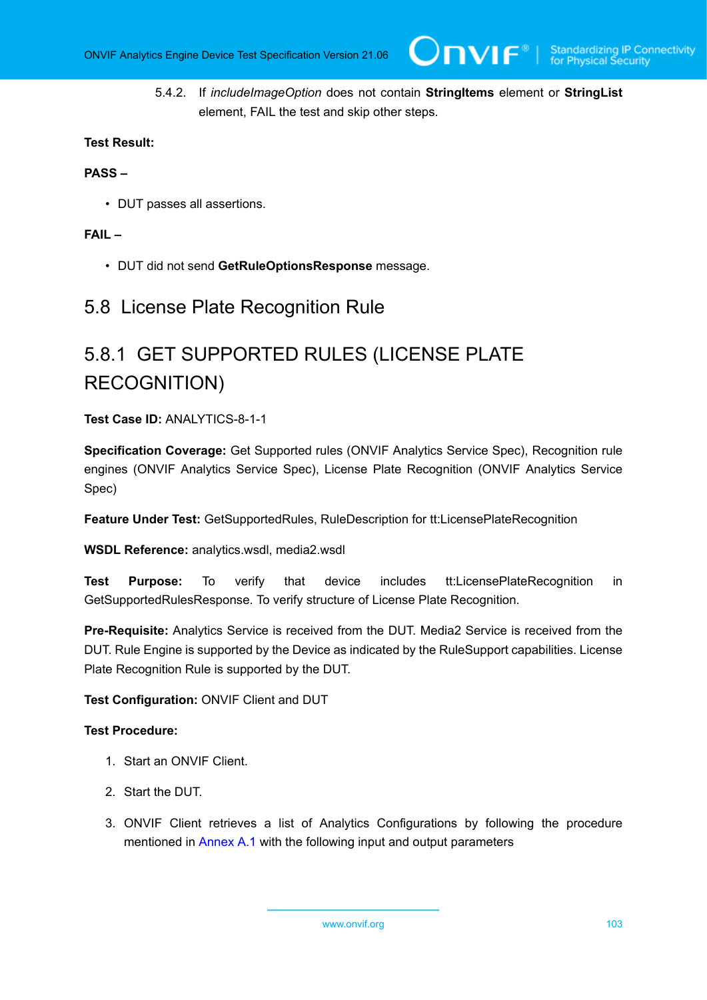5.4.2. If *includeImageOption* does not contain **StringItems** element or **StringList** element, FAIL the test and skip other steps.

#### **Test Result:**

#### **PASS –**

• DUT passes all assertions.

#### **FAIL –**

• DUT did not send **GetRuleOptionsResponse** message.

### 5.8 License Plate Recognition Rule

# 5.8.1 GET SUPPORTED RULES (LICENSE PLATE RECOGNITION)

**Test Case ID:** ANALYTICS-8-1-1

**Specification Coverage:** Get Supported rules (ONVIF Analytics Service Spec), Recognition rule engines (ONVIF Analytics Service Spec), License Plate Recognition (ONVIF Analytics Service Spec)

**Feature Under Test:** GetSupportedRules, RuleDescription for tt:LicensePlateRecognition

**WSDL Reference:** analytics.wsdl, media2.wsdl

**Test Purpose:** To verify that device includes tt:LicensePlateRecognition in GetSupportedRulesResponse. To verify structure of License Plate Recognition.

**Pre-Requisite:** Analytics Service is received from the DUT. Media2 Service is received from the DUT. Rule Engine is supported by the Device as indicated by the RuleSupport capabilities. License Plate Recognition Rule is supported by the DUT.

#### **Test Configuration:** ONVIF Client and DUT

#### **Test Procedure:**

- 1. Start an ONVIF Client.
- 2. Start the DUT.
- 3. ONVIF Client retrieves a list of Analytics Configurations by following the procedure mentioned in [Annex A.1](#page-112-0) with the following input and output parameters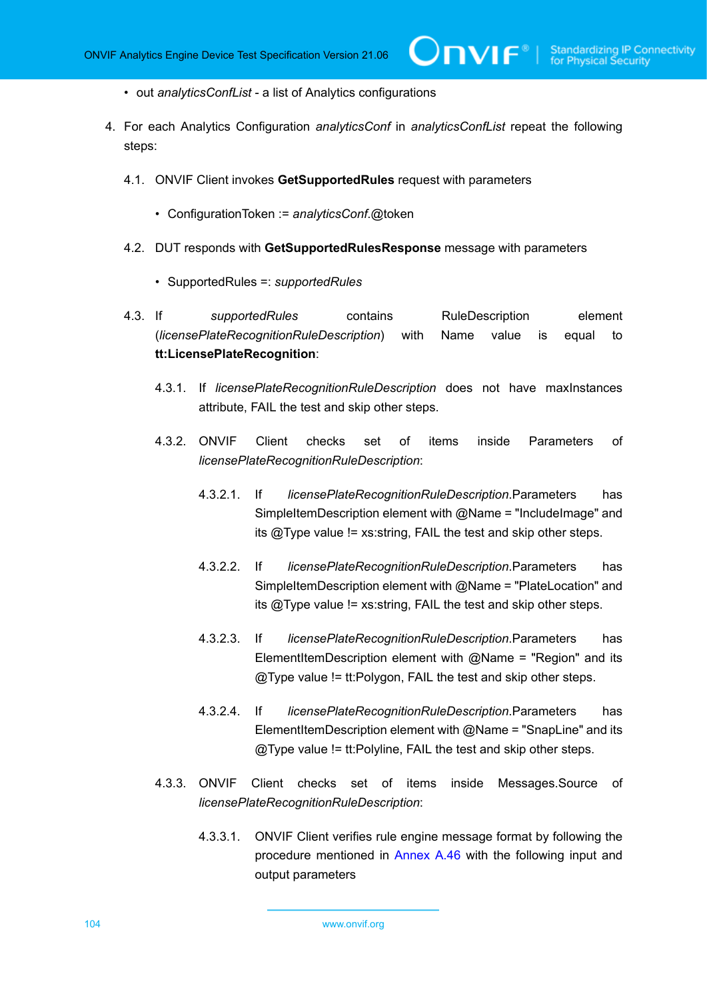**TVIF**®

- out *analyticsConfList* a list of Analytics configurations
- <span id="page-103-0"></span>4. For each Analytics Configuration *analyticsConf* in *analyticsConfList* repeat the following steps:
	- 4.1. ONVIF Client invokes **GetSupportedRules** request with parameters
		- ConfigurationToken := *analyticsConf*.@token
	- 4.2. DUT responds with **GetSupportedRulesResponse** message with parameters
		- SupportedRules =: *supportedRules*
	- 4.3. If *supportedRules* contains RuleDescription element (*licensePlateRecognitionRuleDescription*) with Name value is equal to **tt:LicensePlateRecognition**:
		- 4.3.1. If *licensePlateRecognitionRuleDescription* does not have maxInstances attribute, FAIL the test and skip other steps.
		- 4.3.2. ONVIF Client checks set of items inside Parameters of *licensePlateRecognitionRuleDescription*:
			- 4.3.2.1. If *licensePlateRecognitionRuleDescription*.Parameters has SimpleItemDescription element with @Name = "IncludeImage" and its @Type value != xs:string, FAIL the test and skip other steps.
			- 4.3.2.2. If *licensePlateRecognitionRuleDescription*.Parameters has SimpleItemDescription element with @Name = "PlateLocation" and its  $@$ Type value != xs: string, FAIL the test and skip other steps.
			- 4.3.2.3. If *licensePlateRecognitionRuleDescription*.Parameters has ElementItemDescription element with  $@$ Name = "Region" and its @Type value != tt:Polygon, FAIL the test and skip other steps.
			- 4.3.2.4. If *licensePlateRecognitionRuleDescription*.Parameters has ElementItemDescription element with  $@$ Name = "SnapLine" and its @Type value != tt:Polyline, FAIL the test and skip other steps.
		- 4.3.3. ONVIF Client checks set of items inside Messages.Source of *licensePlateRecognitionRuleDescription*:
			- 4.3.3.1. ONVIF Client verifies rule engine message format by following the procedure mentioned in [Annex A.46](#page-166-0) with the following input and output parameters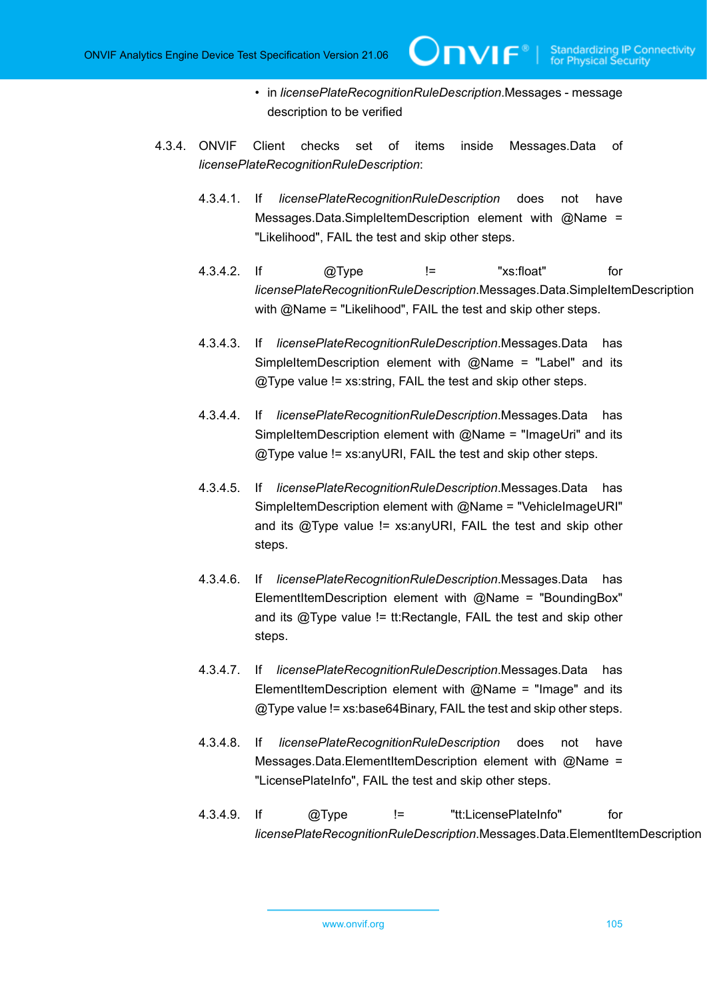• in *licensePlateRecognitionRuleDescription*.Messages - message description to be verified

TVIF®

- 4.3.4. ONVIF Client checks set of items inside Messages.Data of *licensePlateRecognitionRuleDescription*:
	- 4.3.4.1. If *licensePlateRecognitionRuleDescription* does not have Messages.Data.SimpleItemDescription element with @Name = "Likelihood", FAIL the test and skip other steps.
	- 4.3.4.2. If @Type != "xs:float" for *licensePlateRecognitionRuleDescription*.Messages.Data.SimpleItemDescription with @Name = "Likelihood", FAIL the test and skip other steps.
	- 4.3.4.3. If *licensePlateRecognitionRuleDescription*.Messages.Data has SimpleItemDescription element with  $@$ Name = "Label" and its @Type value != xs:string, FAIL the test and skip other steps.
	- 4.3.4.4. If *licensePlateRecognitionRuleDescription*.Messages.Data has SimpleItemDescription element with  $@$ Name = "ImageUri" and its  $@$ Type value !=  $x$ s: any URI, FAIL the test and skip other steps.
	- 4.3.4.5. If *licensePlateRecognitionRuleDescription*.Messages.Data has SimpleItemDescription element with @Name = "VehicleImageURI" and its  $@$ Type value !=  $xs:$  any URI, FAIL the test and skip other steps.
	- 4.3.4.6. If *licensePlateRecognitionRuleDescription*.Messages.Data has ElementItemDescription element with @Name = "BoundingBox" and its  $@$ Type value != tt: Rectangle, FAIL the test and skip other steps.
	- 4.3.4.7. If *licensePlateRecognitionRuleDescription*.Messages.Data has ElementItemDescription element with  $@$ Name = "Image" and its @Type value != xs:base64Binary, FAIL the test and skip other steps.
	- 4.3.4.8. If *licensePlateRecognitionRuleDescription* does not have Messages.Data.ElementItemDescription element with @Name = "LicensePlateInfo", FAIL the test and skip other steps.
	- 4.3.4.9. If @Type != "tt:LicensePlateInfo" for *licensePlateRecognitionRuleDescription*.Messages.Data.ElementItemDescription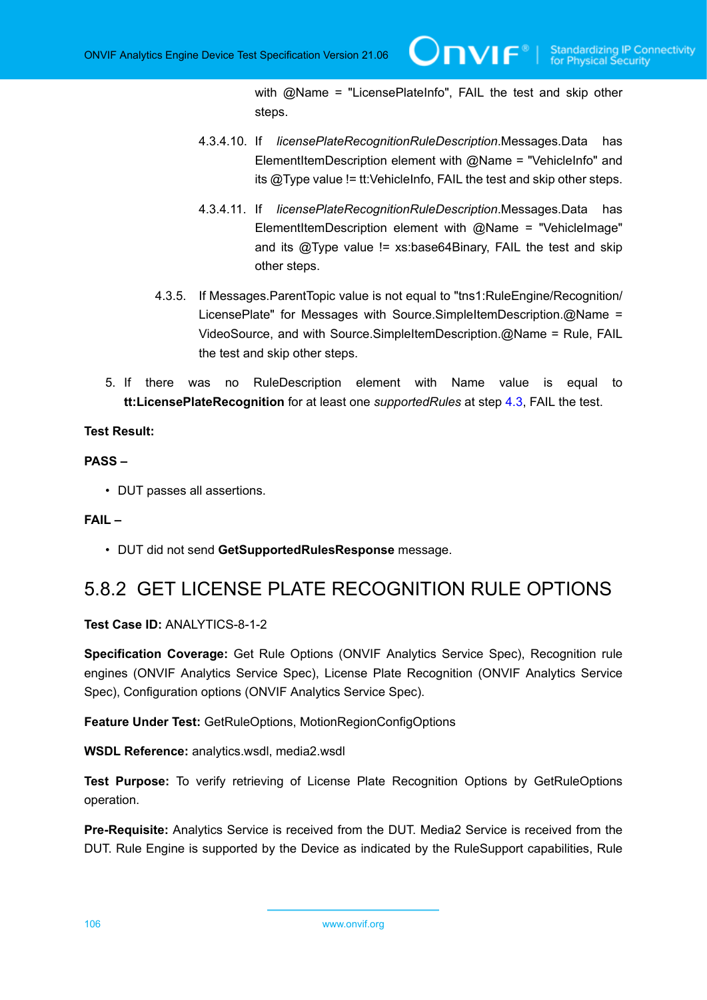with @Name = "LicensePlateInfo", FAIL the test and skip other steps.

- 4.3.4.10. If *licensePlateRecognitionRuleDescription*.Messages.Data has ElementItemDescription element with  $@$ Name = "VehicleInfo" and its  $@$ Type value != tt: VehicleInfo, FAIL the test and skip other steps.
- 4.3.4.11. If *licensePlateRecognitionRuleDescription*.Messages.Data has ElementItemDescription element with @Name = "VehicleImage" and its  $@$ Type value  $!=$  xs:base64Binary, FAIL the test and skip other steps.
- 4.3.5. If Messages.ParentTopic value is not equal to "tns1:RuleEngine/Recognition/ LicensePlate" for Messages with Source.SimpleItemDescription.@Name = VideoSource, and with Source.SimpleItemDescription.@Name = Rule, FAIL the test and skip other steps.
- 5. If there was no RuleDescription element with Name value is equal to **tt:LicensePlateRecognition** for at least one *supportedRules* at step [4.3](#page-103-0), FAIL the test.

#### **Test Result:**

#### **PASS –**

• DUT passes all assertions.

#### **FAIL –**

• DUT did not send **GetSupportedRulesResponse** message.

## 5.8.2 GET LICENSE PLATE RECOGNITION RULE OPTIONS

#### **Test Case ID:** ANALYTICS-8-1-2

**Specification Coverage:** Get Rule Options (ONVIF Analytics Service Spec), Recognition rule engines (ONVIF Analytics Service Spec), License Plate Recognition (ONVIF Analytics Service Spec), Configuration options (ONVIF Analytics Service Spec).

**Feature Under Test:** GetRuleOptions, MotionRegionConfigOptions

**WSDL Reference:** analytics.wsdl, media2.wsdl

**Test Purpose:** To verify retrieving of License Plate Recognition Options by GetRuleOptions operation.

**Pre-Requisite:** Analytics Service is received from the DUT. Media2 Service is received from the DUT. Rule Engine is supported by the Device as indicated by the RuleSupport capabilities, Rule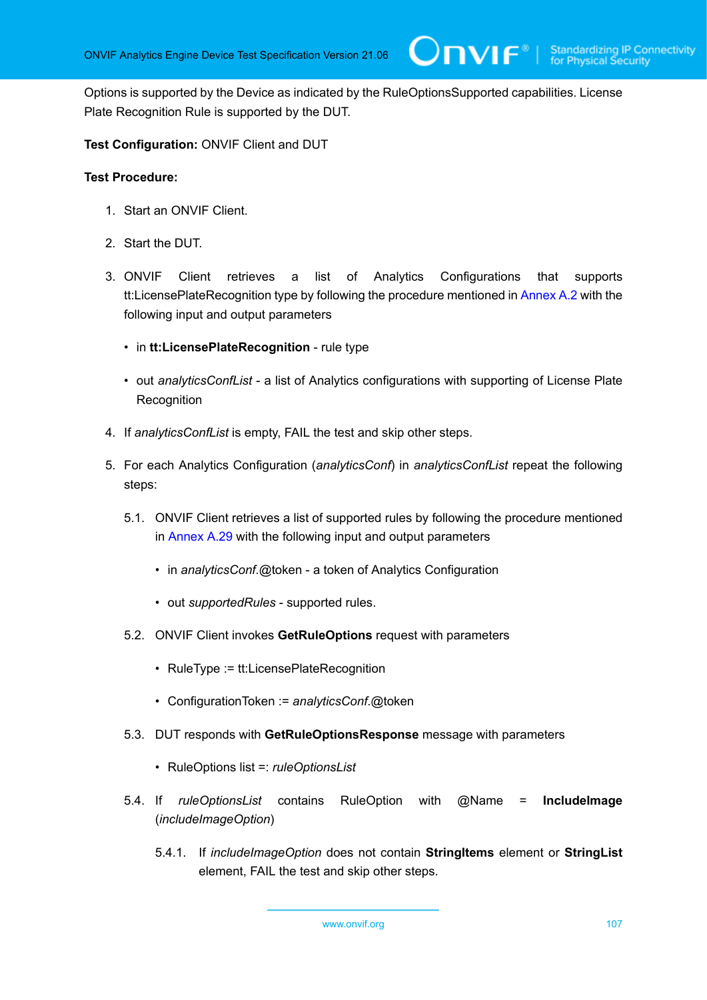**IVIF**®

Options is supported by the Device as indicated by the RuleOptionsSupported capabilities. License Plate Recognition Rule is supported by the DUT.

**Test Configuration:** ONVIF Client and DUT

- 1. Start an ONVIF Client.
- 2. Start the DUT.
- 3. ONVIF Client retrieves a list of Analytics Configurations that supports tt:LicensePlateRecognition type by following the procedure mentioned in [Annex A.2](#page-112-1) with the following input and output parameters
	- in **tt:LicensePlateRecognition** rule type
	- out *analyticsConfList* a list of Analytics configurations with supporting of License Plate **Recognition**
- 4. If *analyticsConfList* is empty, FAIL the test and skip other steps.
- 5. For each Analytics Configuration (*analyticsConf*) in *analyticsConfList* repeat the following steps:
	- 5.1. ONVIF Client retrieves a list of supported rules by following the procedure mentioned in [Annex A.29](#page-141-0) with the following input and output parameters
		- in *analyticsConf*.@token a token of Analytics Configuration
		- out *supportedRules* supported rules.
	- 5.2. ONVIF Client invokes **GetRuleOptions** request with parameters
		- RuleType := tt:LicensePlateRecognition
		- ConfigurationToken := *analyticsConf*.@token
	- 5.3. DUT responds with **GetRuleOptionsResponse** message with parameters
		- RuleOptions list =: *ruleOptionsList*
	- 5.4. If *ruleOptionsList* contains RuleOption with @Name = **IncludeImage** (*includeImageOption*)
		- 5.4.1. If *includeImageOption* does not contain **StringItems** element or **StringList** element, FAIL the test and skip other steps.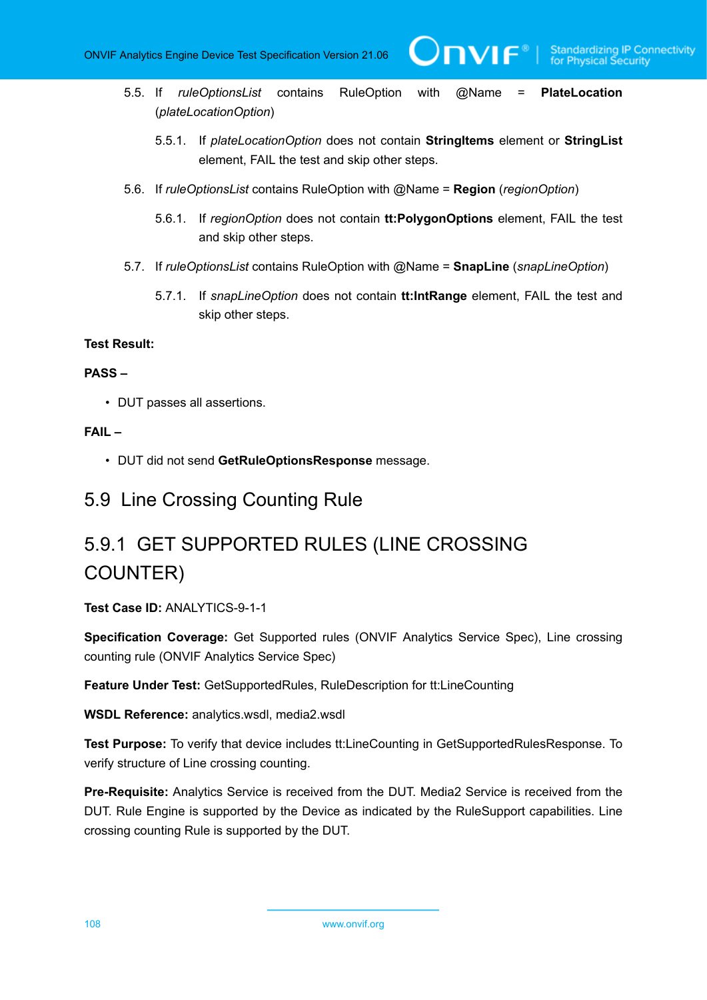- 5.5. If *ruleOptionsList* contains RuleOption with @Name = **PlateLocation** (*plateLocationOption*)
	- 5.5.1. If *plateLocationOption* does not contain **StringItems** element or **StringList** element, FAIL the test and skip other steps.

 $\mathbf{V}$ 

- 5.6. If *ruleOptionsList* contains RuleOption with @Name = **Region** (*regionOption*)
	- 5.6.1. If *regionOption* does not contain **tt:PolygonOptions** element, FAIL the test and skip other steps.
- 5.7. If *ruleOptionsList* contains RuleOption with @Name = **SnapLine** (*snapLineOption*)
	- 5.7.1. If *snapLineOption* does not contain **tt:IntRange** element, FAIL the test and skip other steps.

#### **Test Result:**

#### **PASS –**

• DUT passes all assertions.

#### **FAIL –**

• DUT did not send **GetRuleOptionsResponse** message.

### 5.9 Line Crossing Counting Rule

# 5.9.1 GET SUPPORTED RULES (LINE CROSSING COUNTER)

#### **Test Case ID:** ANALYTICS-9-1-1

**Specification Coverage:** Get Supported rules (ONVIF Analytics Service Spec), Line crossing counting rule (ONVIF Analytics Service Spec)

**Feature Under Test:** GetSupportedRules, RuleDescription for tt:LineCounting

**WSDL Reference:** analytics.wsdl, media2.wsdl

**Test Purpose:** To verify that device includes tt:LineCounting in GetSupportedRulesResponse. To verify structure of Line crossing counting.

**Pre-Requisite:** Analytics Service is received from the DUT. Media2 Service is received from the DUT. Rule Engine is supported by the Device as indicated by the RuleSupport capabilities. Line crossing counting Rule is supported by the DUT.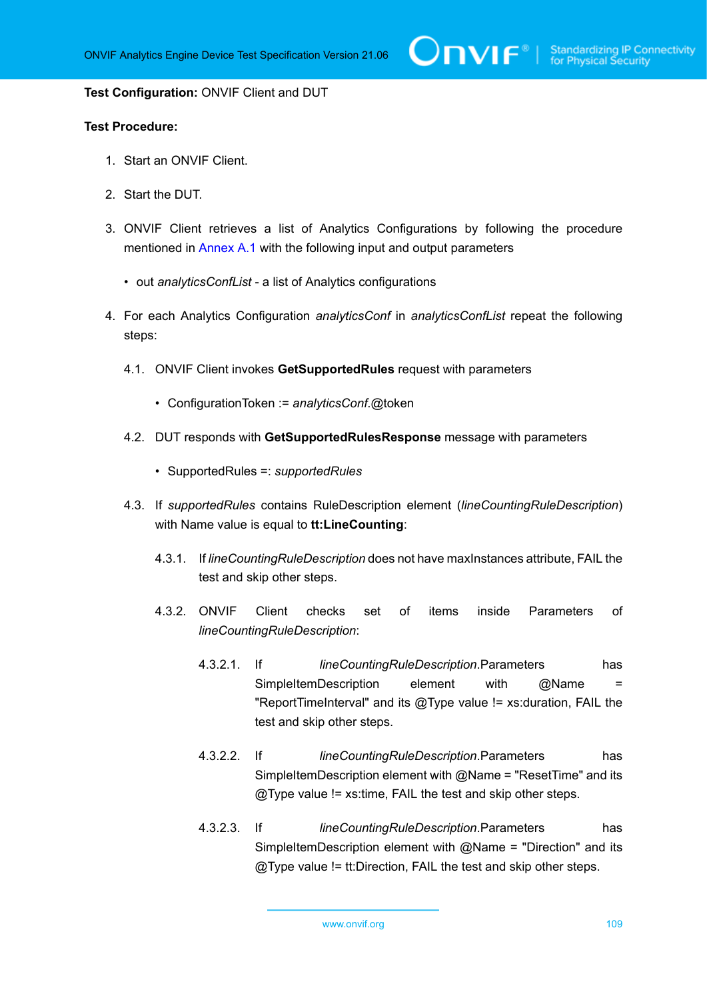$\mathsf{D}\mathbf{N}\mathsf{I}\mathsf{F}^\ast$ l

#### **Test Configuration:** ONVIF Client and DUT

### **Test Procedure:**

- 1. Start an ONVIF Client.
- 2. Start the DUT.
- 3. ONVIF Client retrieves a list of Analytics Configurations by following the procedure mentioned in [Annex A.1](#page-112-0) with the following input and output parameters
	- out *analyticsConfList* a list of Analytics configurations
- <span id="page-108-0"></span>4. For each Analytics Configuration *analyticsConf* in *analyticsConfList* repeat the following steps:
	- 4.1. ONVIF Client invokes **GetSupportedRules** request with parameters
		- ConfigurationToken := *analyticsConf*.@token
	- 4.2. DUT responds with **GetSupportedRulesResponse** message with parameters
		- SupportedRules =: *supportedRules*
	- 4.3. If *supportedRules* contains RuleDescription element (*lineCountingRuleDescription*) with Name value is equal to **tt:LineCounting**:
		- 4.3.1. If *lineCountingRuleDescription* does not have maxInstances attribute, FAIL the test and skip other steps.
		- 4.3.2. ONVIF Client checks set of items inside Parameters of *lineCountingRuleDescription*:
			- 4.3.2.1. If *lineCountingRuleDescription*.Parameters has SimpleItemDescription element with @Name = "ReportTimeInterval" and its @Type value != xs:duration, FAIL the test and skip other steps.
			- 4.3.2.2. If *lineCountingRuleDescription*.Parameters has SimpleItemDescription element with  $@$ Name = "ResetTime" and its @Type value != xs:time, FAIL the test and skip other steps.
			- 4.3.2.3. If *lineCountingRuleDescription*.Parameters has SimpleItemDescription element with @Name = "Direction" and its @Type value != tt:Direction, FAIL the test and skip other steps.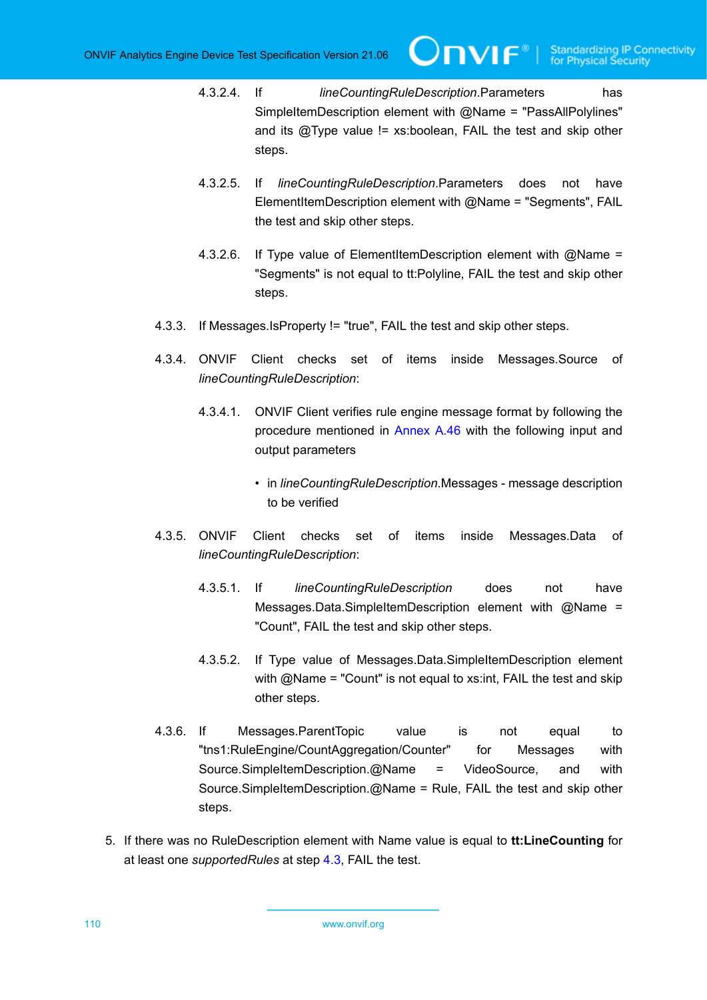4.3.2.4. If *lineCountingRuleDescription*.Parameters has SimpleItemDescription element with @Name = "PassAllPolylines" and its @Type value != xs:boolean, FAIL the test and skip other steps.

IVIF®I

- 4.3.2.5. If *lineCountingRuleDescription*.Parameters does not have ElementItemDescription element with @Name = "Segments", FAIL the test and skip other steps.
- 4.3.2.6. If Type value of ElementItemDescription element with @Name = "Segments" is not equal to tt:Polyline, FAIL the test and skip other steps.
- 4.3.3. If Messages.IsProperty != "true", FAIL the test and skip other steps.
- 4.3.4. ONVIF Client checks set of items inside Messages.Source of *lineCountingRuleDescription*:
	- 4.3.4.1. ONVIF Client verifies rule engine message format by following the procedure mentioned in [Annex A.46](#page-166-0) with the following input and output parameters
		- in *lineCountingRuleDescription*.Messages message description to be verified
- 4.3.5. ONVIF Client checks set of items inside Messages.Data of *lineCountingRuleDescription*:
	- 4.3.5.1. If *lineCountingRuleDescription* does not have Messages.Data.SimpleItemDescription element with @Name = "Count", FAIL the test and skip other steps.
	- 4.3.5.2. If Type value of Messages.Data.SimpleItemDescription element with @Name = "Count" is not equal to xs:int, FAIL the test and skip other steps.
- 4.3.6. If Messages.ParentTopic value is not equal to "tns1:RuleEngine/CountAggregation/Counter" for Messages with Source.SimpleItemDescription.@Name = VideoSource, and with Source.SimpleItemDescription.@Name = Rule, FAIL the test and skip other steps.
- 5. If there was no RuleDescription element with Name value is equal to **tt:LineCounting** for at least one *supportedRules* at step [4.3](#page-108-0), FAIL the test.

110 www.onvif.org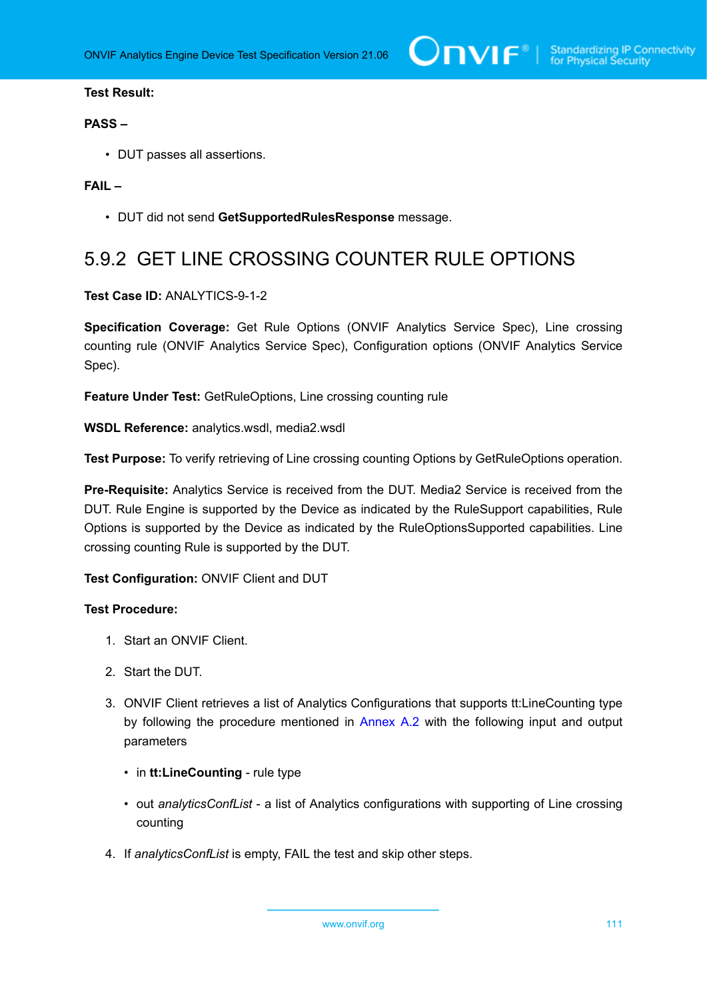## **Test Result:**

#### **PASS –**

• DUT passes all assertions.

## **FAIL –**

• DUT did not send **GetSupportedRulesResponse** message.

## 5.9.2 GET LINE CROSSING COUNTER RULE OPTIONS

**Test Case ID:** ANALYTICS-9-1-2

**Specification Coverage:** Get Rule Options (ONVIF Analytics Service Spec), Line crossing counting rule (ONVIF Analytics Service Spec), Configuration options (ONVIF Analytics Service Spec).

**Feature Under Test:** GetRuleOptions, Line crossing counting rule

**WSDL Reference:** analytics.wsdl, media2.wsdl

**Test Purpose:** To verify retrieving of Line crossing counting Options by GetRuleOptions operation.

**Pre-Requisite:** Analytics Service is received from the DUT. Media2 Service is received from the DUT. Rule Engine is supported by the Device as indicated by the RuleSupport capabilities, Rule Options is supported by the Device as indicated by the RuleOptionsSupported capabilities. Line crossing counting Rule is supported by the DUT.

## **Test Configuration:** ONVIF Client and DUT

#### **Test Procedure:**

- 1. Start an ONVIF Client.
- 2. Start the DUT.
- 3. ONVIF Client retrieves a list of Analytics Configurations that supports tt:LineCounting type by following the procedure mentioned in [Annex A.2](#page-112-1) with the following input and output parameters
	- in **tt:LineCounting** rule type
	- out *analyticsConfList* a list of Analytics configurations with supporting of Line crossing counting
- 4. If *analyticsConfList* is empty, FAIL the test and skip other steps.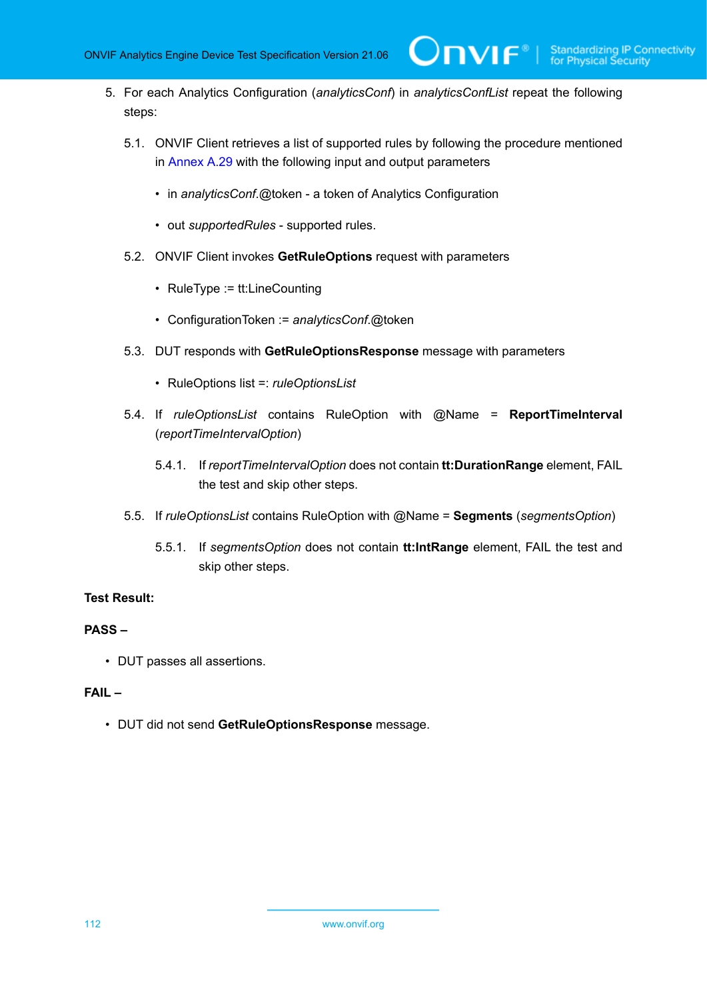**TVIF**®

- 5. For each Analytics Configuration (*analyticsConf*) in *analyticsConfList* repeat the following steps:
	- 5.1. ONVIF Client retrieves a list of supported rules by following the procedure mentioned in [Annex A.29](#page-141-0) with the following input and output parameters
		- in *analyticsConf*.@token a token of Analytics Configuration
		- out *supportedRules* supported rules.
	- 5.2. ONVIF Client invokes **GetRuleOptions** request with parameters
		- RuleType := tt:LineCounting
		- ConfigurationToken := *analyticsConf*.@token
	- 5.3. DUT responds with **GetRuleOptionsResponse** message with parameters
		- RuleOptions list =: *ruleOptionsList*
	- 5.4. If *ruleOptionsList* contains RuleOption with @Name = **ReportTimeInterval** (*reportTimeIntervalOption*)
		- 5.4.1. If *reportTimeIntervalOption* does not contain **tt:DurationRange** element, FAIL the test and skip other steps.
	- 5.5. If *ruleOptionsList* contains RuleOption with @Name = **Segments** (*segmentsOption*)
		- 5.5.1. If *segmentsOption* does not contain **tt:IntRange** element, FAIL the test and skip other steps.

## **Test Result:**

#### **PASS –**

• DUT passes all assertions.

#### **FAIL –**

• DUT did not send **GetRuleOptionsResponse** message.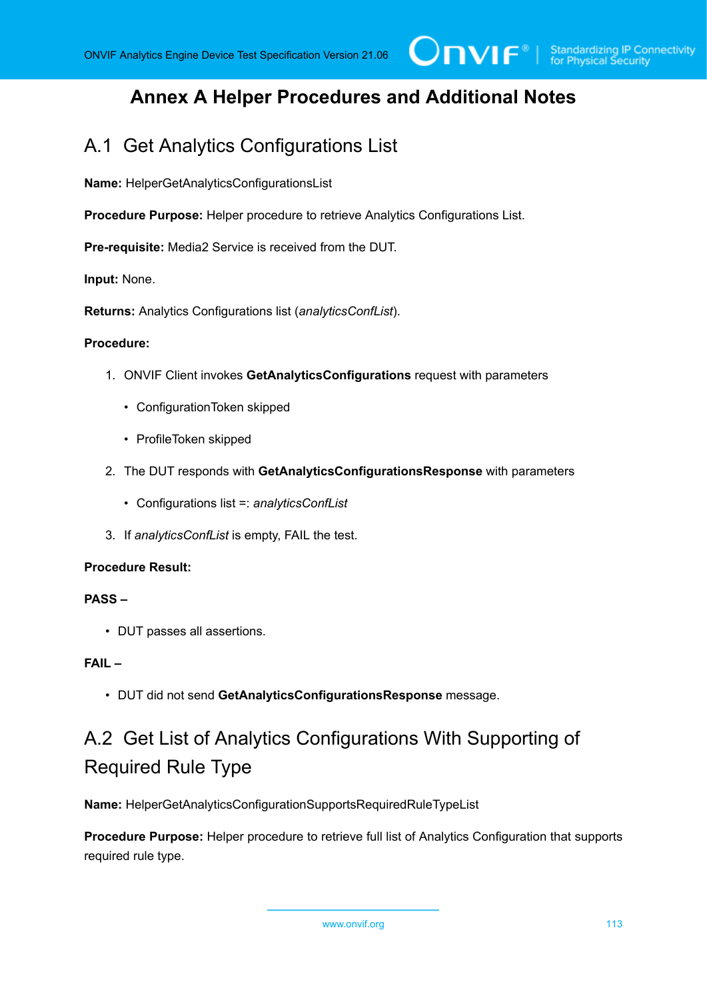## **Annex A Helper Procedures and Additional Notes**

## <span id="page-112-0"></span>A.1 Get Analytics Configurations List

**Name:** HelperGetAnalyticsConfigurationsList

**Procedure Purpose:** Helper procedure to retrieve Analytics Configurations List.

**Pre-requisite:** Media2 Service is received from the DUT.

**Input:** None.

**Returns:** Analytics Configurations list (*analyticsConfList*).

#### **Procedure:**

- 1. ONVIF Client invokes **GetAnalyticsConfigurations** request with parameters
	- ConfigurationToken skipped
	- ProfileToken skipped
- 2. The DUT responds with **GetAnalyticsConfigurationsResponse** with parameters
	- Configurations list =: *analyticsConfList*
- 3. If *analyticsConfList* is empty, FAIL the test.

## **Procedure Result:**

#### **PASS –**

• DUT passes all assertions.

## **FAIL –**

• DUT did not send **GetAnalyticsConfigurationsResponse** message.

# <span id="page-112-1"></span>A.2 Get List of Analytics Configurations With Supporting of Required Rule Type

**Name:** HelperGetAnalyticsConfigurationSupportsRequiredRuleTypeList

**Procedure Purpose:** Helper procedure to retrieve full list of Analytics Configuration that supports required rule type.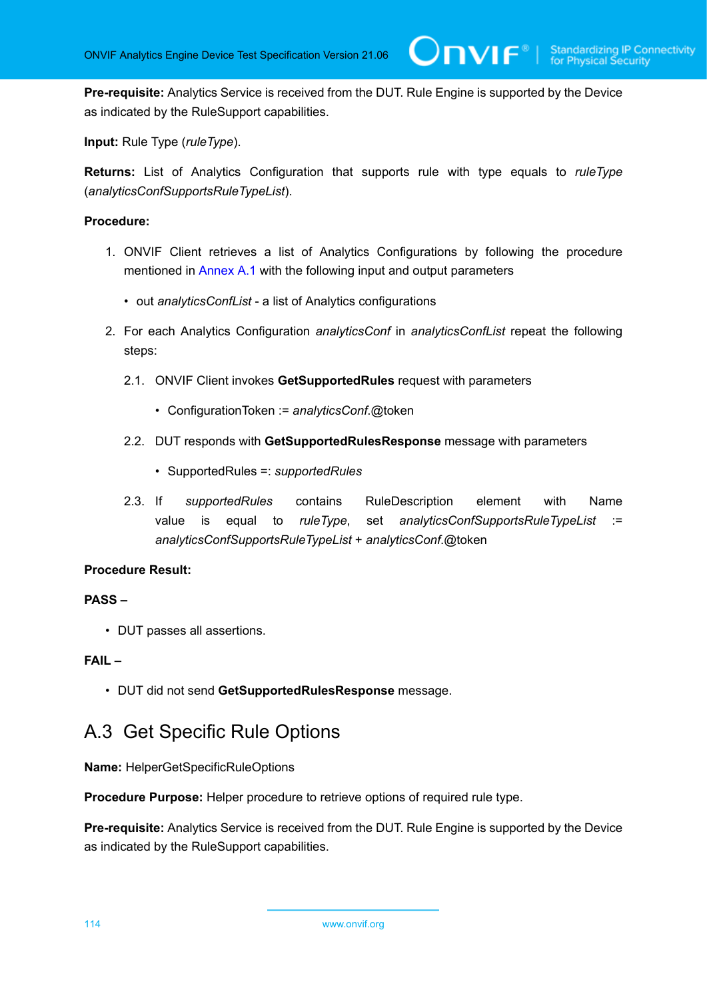**TVIF**®

**Pre-requisite:** Analytics Service is received from the DUT. Rule Engine is supported by the Device as indicated by the RuleSupport capabilities.

**Input:** Rule Type (*ruleType*).

**Returns:** List of Analytics Configuration that supports rule with type equals to *ruleType* (*analyticsConfSupportsRuleTypeList*).

## **Procedure:**

- 1. ONVIF Client retrieves a list of Analytics Configurations by following the procedure mentioned in [Annex A.1](#page-112-0) with the following input and output parameters
	- out *analyticsConfList* a list of Analytics configurations
- 2. For each Analytics Configuration *analyticsConf* in *analyticsConfList* repeat the following steps:
	- 2.1. ONVIF Client invokes **GetSupportedRules** request with parameters
		- ConfigurationToken := *analyticsConf*.@token
	- 2.2. DUT responds with **GetSupportedRulesResponse** message with parameters
		- SupportedRules =: *supportedRules*
	- 2.3. If *supportedRules* contains RuleDescription element with Name value is equal to *ruleType*, set *analyticsConfSupportsRuleTypeList* := *analyticsConfSupportsRuleTypeList* + *analyticsConf*.@token

## **Procedure Result:**

## **PASS –**

• DUT passes all assertions.

## **FAIL –**

• DUT did not send **GetSupportedRulesResponse** message.

## A.3 Get Specific Rule Options

**Name:** HelperGetSpecificRuleOptions

**Procedure Purpose:** Helper procedure to retrieve options of required rule type.

**Pre-requisite:** Analytics Service is received from the DUT. Rule Engine is supported by the Device as indicated by the RuleSupport capabilities.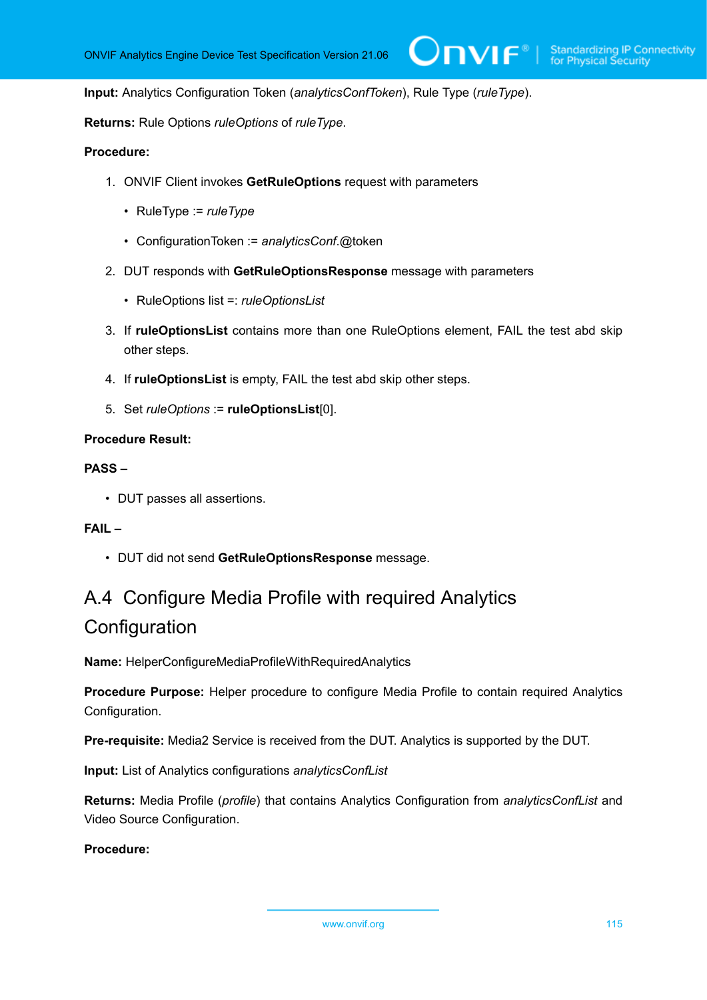#### **Input:** Analytics Configuration Token (*analyticsConfToken*), Rule Type (*ruleType*).

**Returns:** Rule Options *ruleOptions* of *ruleType*.

### **Procedure:**

- 1. ONVIF Client invokes **GetRuleOptions** request with parameters
	- RuleType := *ruleType*
	- ConfigurationToken := *analyticsConf*.@token
- 2. DUT responds with **GetRuleOptionsResponse** message with parameters
	- RuleOptions list =: *ruleOptionsList*
- 3. If **ruleOptionsList** contains more than one RuleOptions element, FAIL the test abd skip other steps.
- 4. If **ruleOptionsList** is empty, FAIL the test abd skip other steps.
- 5. Set *ruleOptions* := **ruleOptionsList**[0].

#### **Procedure Result:**

#### **PASS –**

• DUT passes all assertions.

## **FAIL –**

• DUT did not send **GetRuleOptionsResponse** message.

# <span id="page-114-0"></span>A.4 Configure Media Profile with required Analytics **Configuration**

**Name:** HelperConfigureMediaProfileWithRequiredAnalytics

**Procedure Purpose:** Helper procedure to configure Media Profile to contain required Analytics Configuration.

**Pre-requisite:** Media2 Service is received from the DUT. Analytics is supported by the DUT.

**Input:** List of Analytics configurations *analyticsConfList*

**Returns:** Media Profile (*profile*) that contains Analytics Configuration from *analyticsConfList* and Video Source Configuration.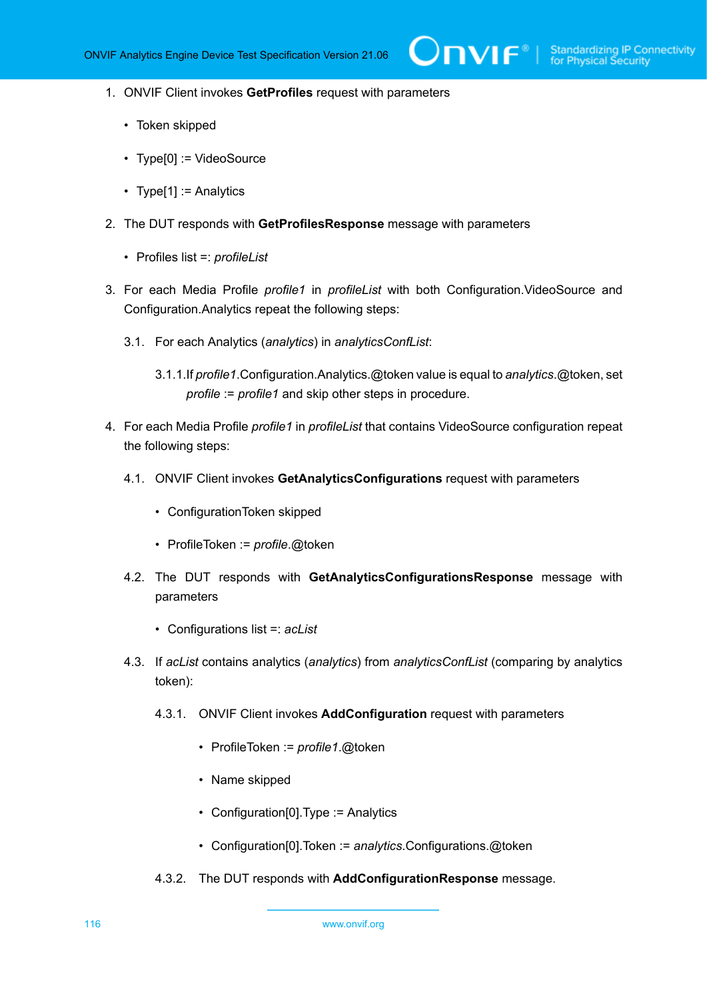- 1. ONVIF Client invokes **GetProfiles** request with parameters
	- Token skipped
	- Type[0] := VideoSource
	- Type[1] := Analytics
- 2. The DUT responds with **GetProfilesResponse** message with parameters
	- Profiles list =: *profileList*
- 3. For each Media Profile *profile1* in *profileList* with both Configuration.VideoSource and Configuration.Analytics repeat the following steps:
	- 3.1. For each Analytics (*analytics*) in *analyticsConfList*:
		- 3.1.1.If *profile1*.Configuration.Analytics.@token value is equal to *analytics*.@token, set *profile* := *profile1* and skip other steps in procedure.
- 4. For each Media Profile *profile1* in *profileList* that contains VideoSource configuration repeat the following steps:
	- 4.1. ONVIF Client invokes **GetAnalyticsConfigurations** request with parameters
		- ConfigurationToken skipped
		- ProfileToken := *profile*.@token
	- 4.2. The DUT responds with **GetAnalyticsConfigurationsResponse** message with parameters
		- Configurations list =: *acList*
	- 4.3. If *acList* contains analytics (*analytics*) from *analyticsConfList* (comparing by analytics token):
		- 4.3.1. ONVIF Client invokes **AddConfiguration** request with parameters
			- ProfileToken := *profile1*.@token
			- Name skipped
			- Configuration[0].Type := Analytics
			- Configuration[0].Token := *analytics*.Configurations.@token
		- 4.3.2. The DUT responds with **AddConfigurationResponse** message.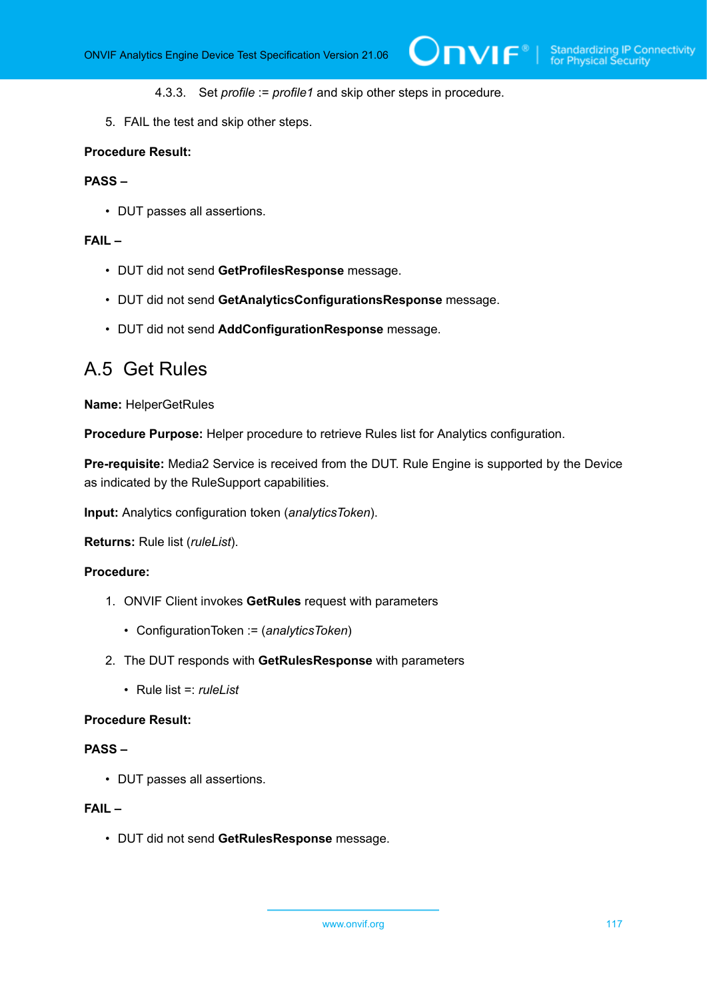- 4.3.3. Set *profile* := *profile1* and skip other steps in procedure.
- 5. FAIL the test and skip other steps.

#### **Procedure Result:**

## **PASS –**

• DUT passes all assertions.

#### **FAIL –**

- DUT did not send **GetProfilesResponse** message.
- DUT did not send **GetAnalyticsConfigurationsResponse** message.
- DUT did not send **AddConfigurationResponse** message.

## A.5 Get Rules

**Name:** HelperGetRules

**Procedure Purpose:** Helper procedure to retrieve Rules list for Analytics configuration.

**Pre-requisite:** Media2 Service is received from the DUT. Rule Engine is supported by the Device as indicated by the RuleSupport capabilities.

**Input:** Analytics configuration token (*analyticsToken*).

**Returns:** Rule list (*ruleList*).

### **Procedure:**

- 1. ONVIF Client invokes **GetRules** request with parameters
	- ConfigurationToken := (*analyticsToken*)
- 2. The DUT responds with **GetRulesResponse** with parameters
	- Rule list =: *ruleList*

#### **Procedure Result:**

#### **PASS –**

• DUT passes all assertions.

## **FAIL –**

• DUT did not send **GetRulesResponse** message.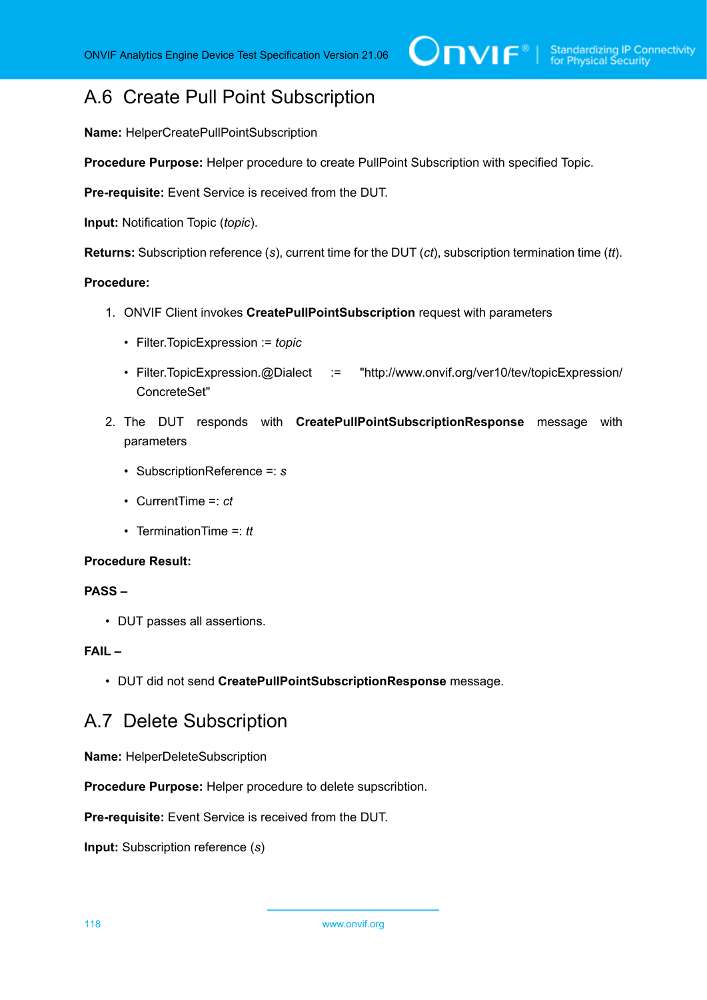## A.6 Create Pull Point Subscription

**Name:** HelperCreatePullPointSubscription

**Procedure Purpose:** Helper procedure to create PullPoint Subscription with specified Topic.

**Pre-requisite:** Event Service is received from the DUT.

**Input:** Notification Topic (*topic*).

**Returns:** Subscription reference (*s*), current time for the DUT (*ct*), subscription termination time (*tt*).

### **Procedure:**

- 1. ONVIF Client invokes **CreatePullPointSubscription** request with parameters
	- Filter.TopicExpression := *topic*
	- Filter.TopicExpression.@Dialect := "http://www.onvif.org/ver10/tev/topicExpression/ ConcreteSet"
- 2. The DUT responds with **CreatePullPointSubscriptionResponse** message with parameters
	- SubscriptionReference =: *s*
	- CurrentTime =: *ct*
	- TerminationTime =: *tt*

#### **Procedure Result:**

## **PASS –**

• DUT passes all assertions.

### **FAIL –**

• DUT did not send **CreatePullPointSubscriptionResponse** message.

## A.7 Delete Subscription

**Name:** HelperDeleteSubscription

**Procedure Purpose:** Helper procedure to delete supscribtion.

**Pre-requisite:** Event Service is received from the DUT.

**Input:** Subscription reference (*s*)

118 www.onvif.org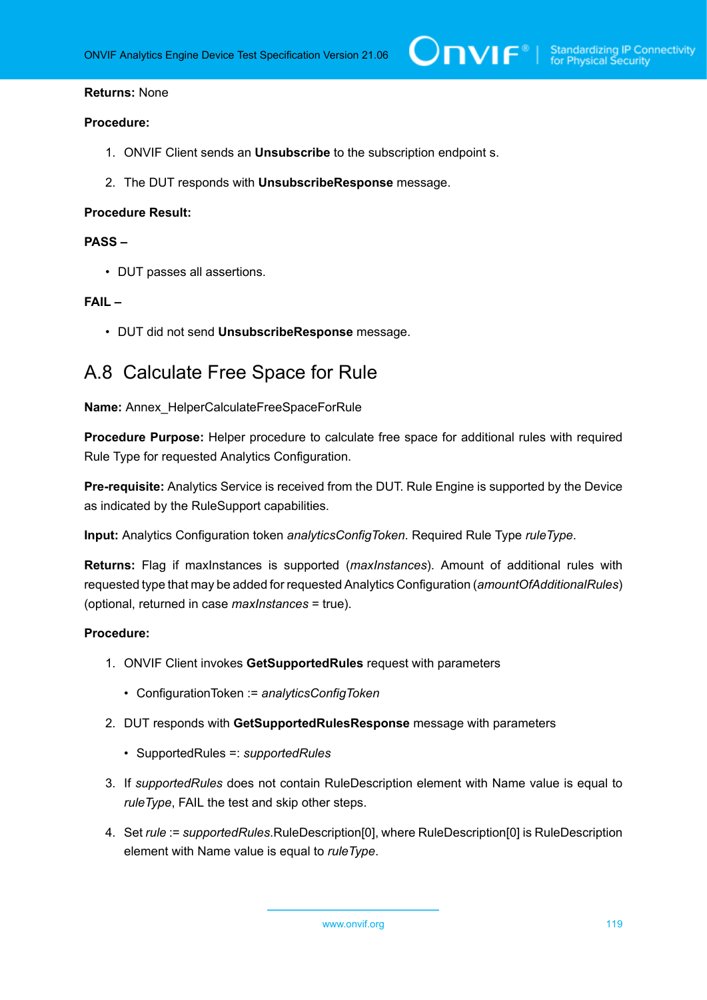### **Returns:** None

#### **Procedure:**

- 1. ONVIF Client sends an **Unsubscribe** to the subscription endpoint s.
- 2. The DUT responds with **UnsubscribeResponse** message.

#### **Procedure Result:**

### **PASS –**

• DUT passes all assertions.

#### **FAIL –**

• DUT did not send **UnsubscribeResponse** message.

## A.8 Calculate Free Space for Rule

#### **Name:** Annex\_HelperCalculateFreeSpaceForRule

**Procedure Purpose:** Helper procedure to calculate free space for additional rules with required Rule Type for requested Analytics Configuration.

**Pre-requisite:** Analytics Service is received from the DUT. Rule Engine is supported by the Device as indicated by the RuleSupport capabilities.

**Input:** Analytics Configuration token *analyticsConfigToken*. Required Rule Type *ruleType*.

**Returns:** Flag if maxInstances is supported (*maxInstances*). Amount of additional rules with requested type that may be added for requested Analytics Configuration (*amountOfAdditionalRules*) (optional, returned in case *maxInstances* = true).

- 1. ONVIF Client invokes **GetSupportedRules** request with parameters
	- ConfigurationToken := *analyticsConfigToken*
- 2. DUT responds with **GetSupportedRulesResponse** message with parameters
	- SupportedRules =: *supportedRules*
- 3. If *supportedRules* does not contain RuleDescription element with Name value is equal to *ruleType*, FAIL the test and skip other steps.
- 4. Set *rule* := *supportedRules*.RuleDescription[0], where RuleDescription[0] is RuleDescription element with Name value is equal to *ruleType*.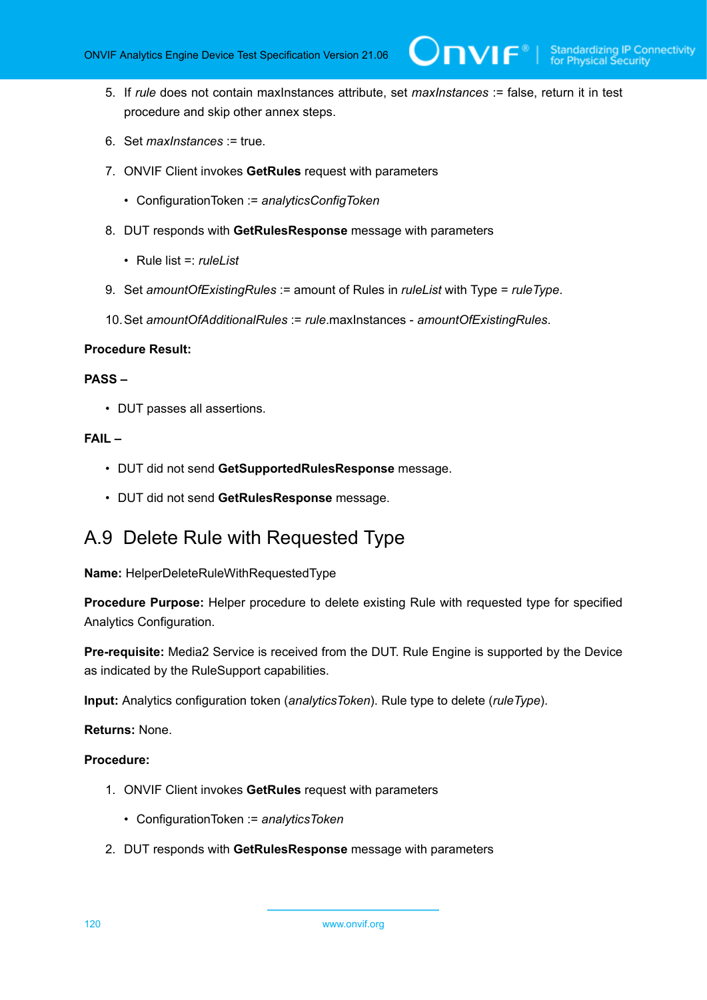5. If *rule* does not contain maxInstances attribute, set *maxInstances* := false, return it in test procedure and skip other annex steps.

 $\partial$ DVIF $^{\circ}$ 

- 6. Set *maxInstances* := true.
- 7. ONVIF Client invokes **GetRules** request with parameters
	- ConfigurationToken := *analyticsConfigToken*
- 8. DUT responds with **GetRulesResponse** message with parameters
	- Rule list =: *ruleList*
- 9. Set *amountOfExistingRules* := amount of Rules in *ruleList* with Type = *ruleType*.
- 10.Set *amountOfAdditionalRules* := *rule*.maxInstances *amountOfExistingRules*.

#### **Procedure Result:**

#### **PASS –**

• DUT passes all assertions.

#### **FAIL –**

- DUT did not send **GetSupportedRulesResponse** message.
- DUT did not send **GetRulesResponse** message.

## A.9 Delete Rule with Requested Type

**Name:** HelperDeleteRuleWithRequestedType

**Procedure Purpose:** Helper procedure to delete existing Rule with requested type for specified Analytics Configuration.

**Pre-requisite:** Media2 Service is received from the DUT. Rule Engine is supported by the Device as indicated by the RuleSupport capabilities.

**Input:** Analytics configuration token (*analyticsToken*). Rule type to delete (*ruleType*).

**Returns:** None.

- 1. ONVIF Client invokes **GetRules** request with parameters
	- ConfigurationToken := *analyticsToken*
- 2. DUT responds with **GetRulesResponse** message with parameters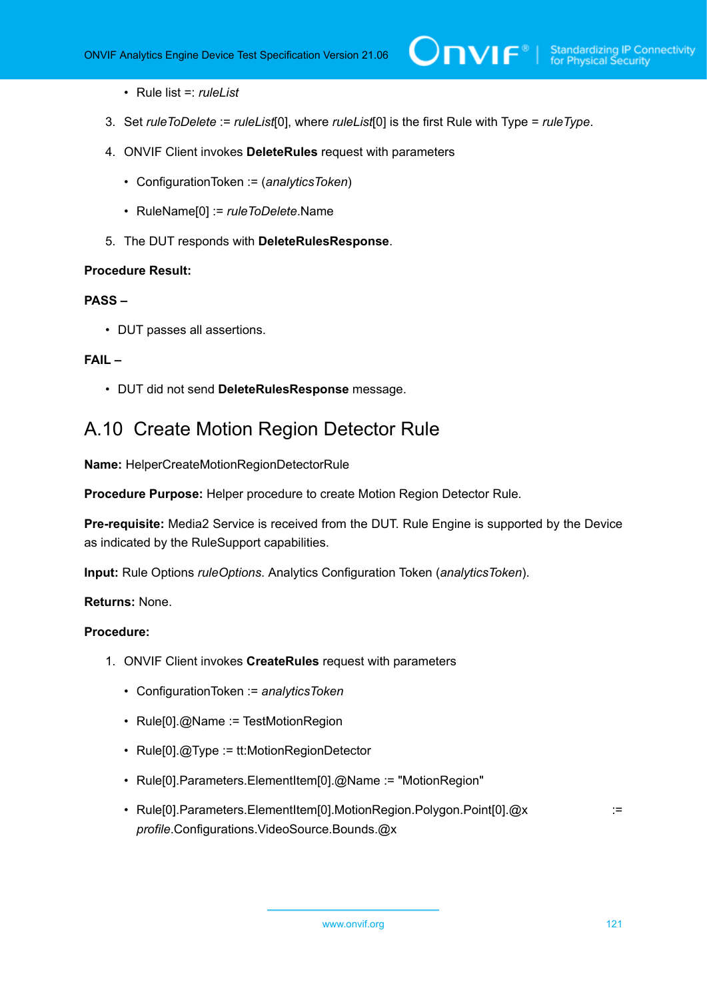- Rule list =: *ruleList*
- 3. Set *ruleToDelete* := *ruleList*[0], where *ruleList*[0] is the first Rule with Type = *ruleType*.
- 4. ONVIF Client invokes **DeleteRules** request with parameters
	- ConfigurationToken := (*analyticsToken*)
	- RuleName[0] := *ruleToDelete*.Name
- 5. The DUT responds with **DeleteRulesResponse**.

#### **Procedure Result:**

#### **PASS –**

• DUT passes all assertions.

### **FAIL –**

• DUT did not send **DeleteRulesResponse** message.

## A.10 Create Motion Region Detector Rule

**Name:** HelperCreateMotionRegionDetectorRule

**Procedure Purpose:** Helper procedure to create Motion Region Detector Rule.

**Pre-requisite:** Media2 Service is received from the DUT. Rule Engine is supported by the Device as indicated by the RuleSupport capabilities.

**Input:** Rule Options *ruleOptions*. Analytics Configuration Token (*analyticsToken*).

#### **Returns:** None.

- 1. ONVIF Client invokes **CreateRules** request with parameters
	- ConfigurationToken := *analyticsToken*
	- Rule[0].@Name := TestMotionRegion
	- Rule[0].@Type := tt:MotionRegionDetector
	- Rule[0].Parameters.ElementItem[0].@Name := "MotionRegion"
	- Rule[0].Parameters.ElementItem[0].MotionRegion.Polygon.Point[0].@x := := *profile*.Configurations.VideoSource.Bounds.@x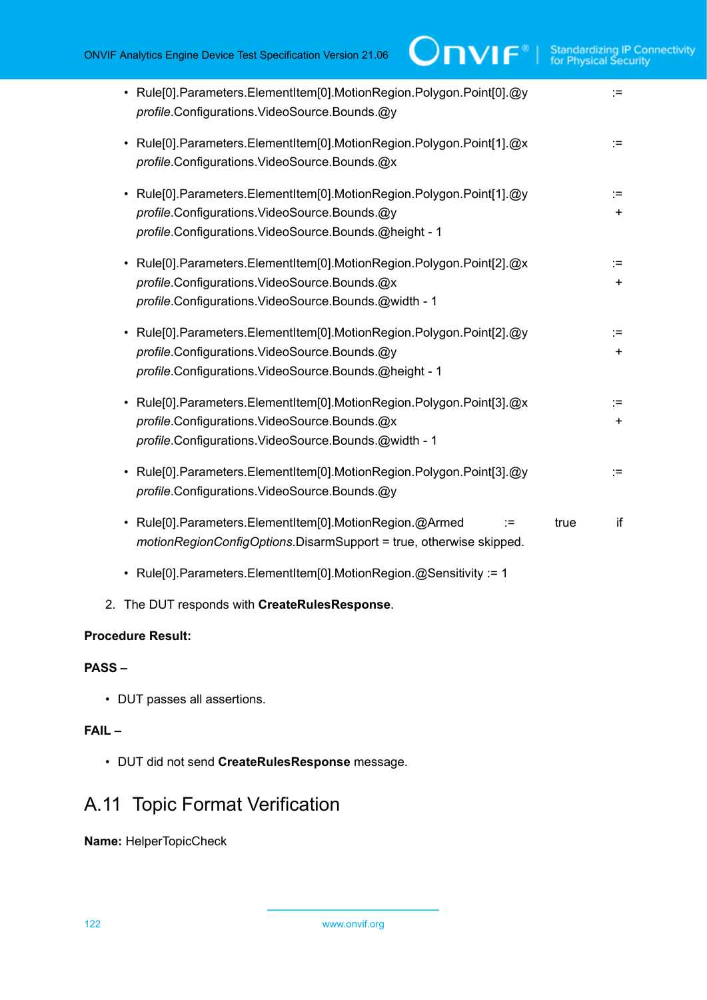| • Rule[0].Parameters.ElementItem[0].MotionRegion.Polygon.Point[0].@y<br>profile.Configurations.VideoSource.Bounds.@y                                                                     | :≕           |
|------------------------------------------------------------------------------------------------------------------------------------------------------------------------------------------|--------------|
| • Rule[0].Parameters.ElementItem[0].MotionRegion.Polygon.Point[1].@x<br>profile.Configurations.VideoSource.Bounds.@x                                                                     | :=           |
| Rule[0].Parameters.ElementItem[0].MotionRegion.Polygon.Point[1].@y<br>$\bullet$<br>profile.Configurations.VideoSource.Bounds.@y<br>profile.Configurations.VideoSource.Bounds.@height - 1 | :=∶<br>$\pm$ |
| Rule[0].Parameters.ElementItem[0].MotionRegion.Polygon.Point[2].@x<br>$\bullet$<br>profile.Configurations.VideoSource.Bounds.@x<br>profile.Configurations.VideoSource.Bounds.@width - 1  | :=<br>٠.     |
| Rule[0].Parameters.ElementItem[0].MotionRegion.Polygon.Point[2].@y<br>$\bullet$<br>profile.Configurations.VideoSource.Bounds.@y<br>profile.Configurations.VideoSource.Bounds.@height - 1 | :=∶<br>$\pm$ |
| Rule[0].Parameters.ElementItem[0].MotionRegion.Polygon.Point[3].@x<br>profile.Configurations.VideoSource.Bounds.@x<br>profile.Configurations.VideoSource.Bounds.@width - 1               | :=∶<br>$\pm$ |
| Rule[0].Parameters.ElementItem[0].MotionRegion.Polygon.Point[3].@y<br>profile.Configurations.VideoSource.Bounds.@y                                                                       | :=∶          |
| • Rule[0].Parameters.ElementItem[0].MotionRegion.@Armed<br>true<br>∶≕<br>motionRegionConfigOptions.DisarmSupport = true, otherwise skipped.                                              | if           |
| • Rule[0].Parameters.ElementItem[0].MotionRegion.@Sensitivity := 1                                                                                                                       |              |
| 2. The DUT responds with CreateRulesResponse.                                                                                                                                            |              |

## **Procedure Result:**

## **PASS –**

• DUT passes all assertions.

## **FAIL –**

• DUT did not send **CreateRulesResponse** message.

## A.11 Topic Format Verification

**Name:** HelperTopicCheck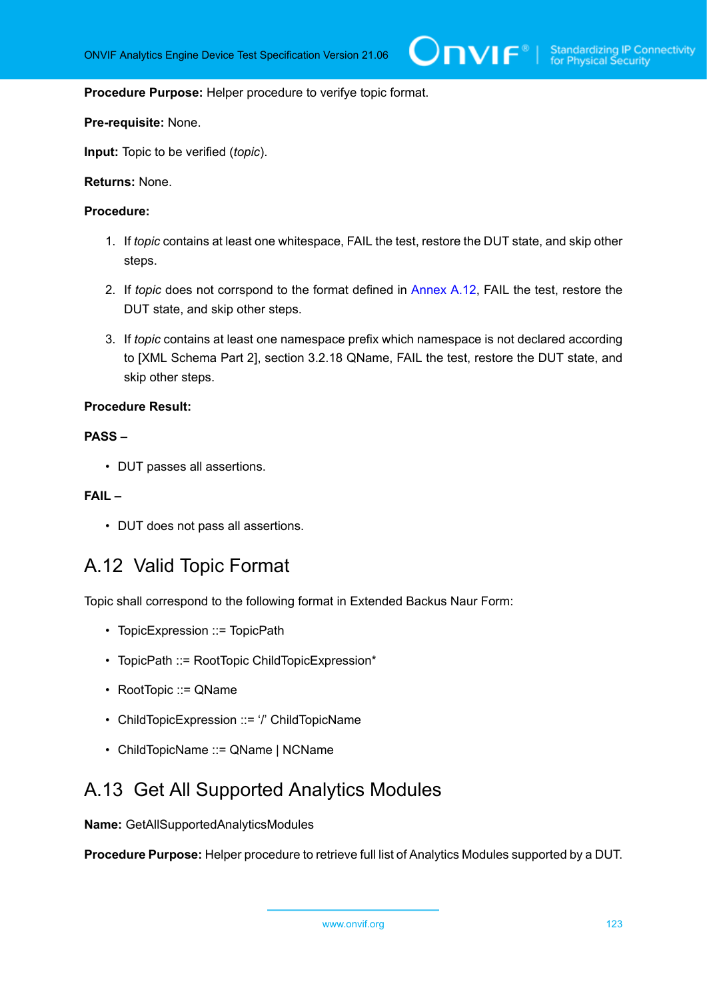#### **Procedure Purpose:** Helper procedure to verifye topic format.

#### **Pre-requisite:** None.

**Input:** Topic to be verified (*topic*).

#### **Returns:** None.

#### **Procedure:**

- 1. If *topic* contains at least one whitespace, FAIL the test, restore the DUT state, and skip other steps.
- 2. If *topic* does not corrspond to the format defined in [Annex A.12](#page-122-0), FAIL the test, restore the DUT state, and skip other steps.
- 3. If *topic* contains at least one namespace prefix which namespace is not declared according to [XML Schema Part 2], section 3.2.18 QName, FAIL the test, restore the DUT state, and skip other steps.

#### **Procedure Result:**

## **PASS –**

• DUT passes all assertions.

#### **FAIL –**

• DUT does not pass all assertions.

## <span id="page-122-0"></span>A.12 Valid Topic Format

Topic shall correspond to the following format in Extended Backus Naur Form:

- TopicExpression :: = TopicPath
- TopicPath ::= RootTopic ChildTopicExpression\*
- RootTopic ::= QName
- ChildTopicExpression ::= '/' ChildTopicName
- ChildTopicName ::= QName | NCName

## A.13 Get All Supported Analytics Modules

**Name:** GetAllSupportedAnalyticsModules

**Procedure Purpose:** Helper procedure to retrieve full list of Analytics Modules supported by a DUT.

```
www.onvif.org 123
```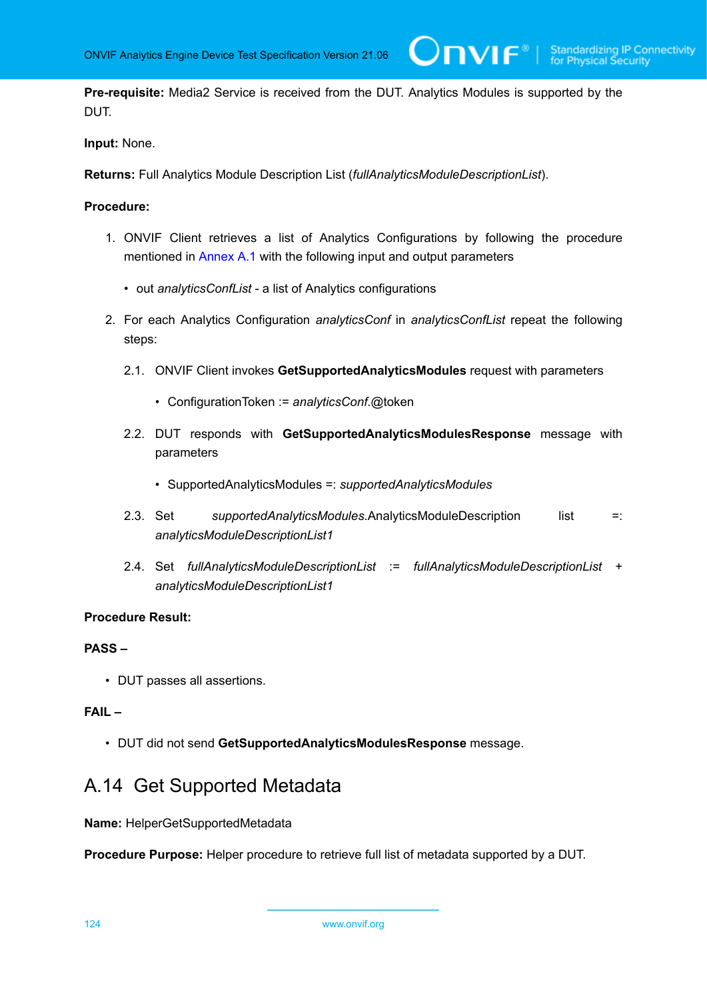**Pre-requisite:** Media2 Service is received from the DUT. Analytics Modules is supported by the DUT.

 $\bm{\cup}$ NIF $^{\circ}$ l

**Input:** None.

**Returns:** Full Analytics Module Description List (*fullAnalyticsModuleDescriptionList*).

#### **Procedure:**

- 1. ONVIF Client retrieves a list of Analytics Configurations by following the procedure mentioned in [Annex A.1](#page-112-0) with the following input and output parameters
	- out *analyticsConfList* a list of Analytics configurations
- 2. For each Analytics Configuration *analyticsConf* in *analyticsConfList* repeat the following steps:
	- 2.1. ONVIF Client invokes **GetSupportedAnalyticsModules** request with parameters
		- ConfigurationToken := *analyticsConf*.@token
	- 2.2. DUT responds with **GetSupportedAnalyticsModulesResponse** message with parameters
		- SupportedAnalyticsModules =: *supportedAnalyticsModules*
	- 2.3. Set *supportedAnalyticsModules*.AnalyticsModuleDescription list =: *analyticsModuleDescriptionList1*
	- 2.4. Set *fullAnalyticsModuleDescriptionList* := *fullAnalyticsModuleDescriptionList* + *analyticsModuleDescriptionList1*

#### **Procedure Result:**

#### **PASS –**

• DUT passes all assertions.

### **FAIL –**

• DUT did not send **GetSupportedAnalyticsModulesResponse** message.

## A.14 Get Supported Metadata

**Name:** HelperGetSupportedMetadata

**Procedure Purpose:** Helper procedure to retrieve full list of metadata supported by a DUT.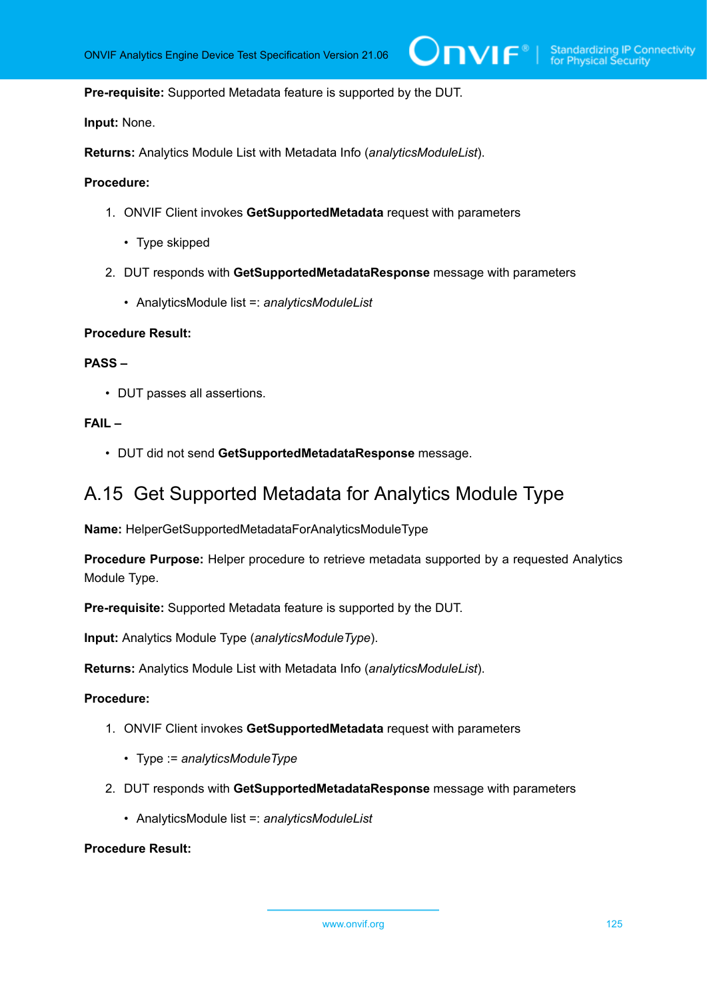**Pre-requisite:** Supported Metadata feature is supported by the DUT.

**Input:** None.

**Returns:** Analytics Module List with Metadata Info (*analyticsModuleList*).

#### **Procedure:**

- 1. ONVIF Client invokes **GetSupportedMetadata** request with parameters
	- Type skipped
- 2. DUT responds with **GetSupportedMetadataResponse** message with parameters
	- AnalyticsModule list =: *analyticsModuleList*

#### **Procedure Result:**

#### **PASS –**

• DUT passes all assertions.

## **FAIL –**

• DUT did not send **GetSupportedMetadataResponse** message.

## A.15 Get Supported Metadata for Analytics Module Type

**Name:** HelperGetSupportedMetadataForAnalyticsModuleType

**Procedure Purpose:** Helper procedure to retrieve metadata supported by a requested Analytics Module Type.

**Pre-requisite:** Supported Metadata feature is supported by the DUT.

**Input:** Analytics Module Type (*analyticsModuleType*).

**Returns:** Analytics Module List with Metadata Info (*analyticsModuleList*).

#### **Procedure:**

- 1. ONVIF Client invokes **GetSupportedMetadata** request with parameters
	- Type := *analyticsModuleType*
- 2. DUT responds with **GetSupportedMetadataResponse** message with parameters
	- AnalyticsModule list =: *analyticsModuleList*

#### **Procedure Result:**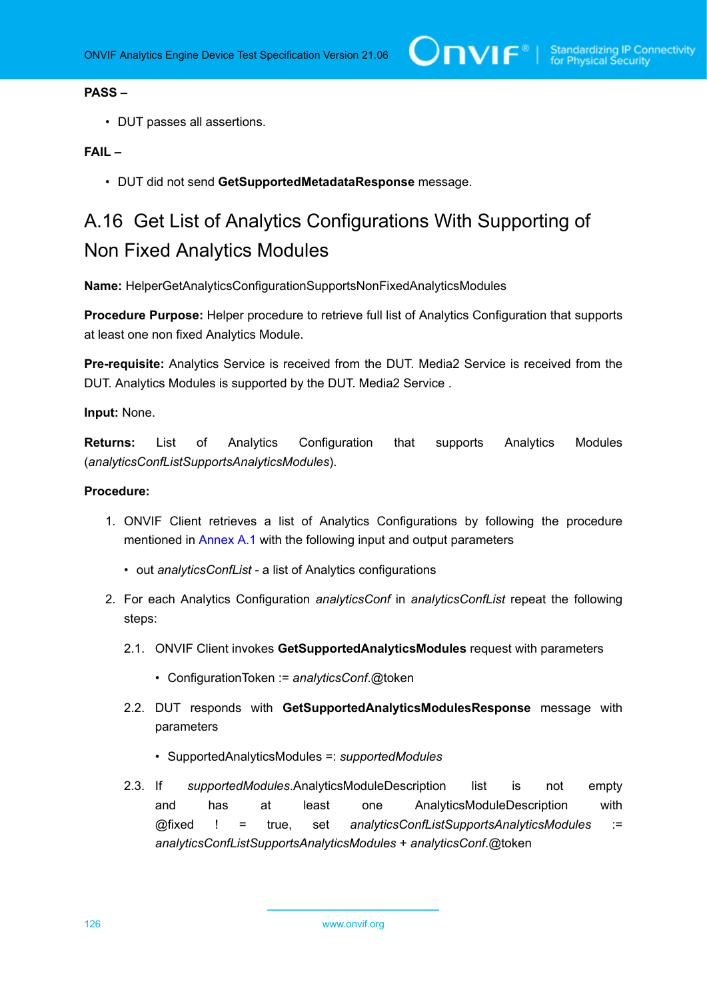## **PASS –**

• DUT passes all assertions.

## **FAIL –**

• DUT did not send **GetSupportedMetadataResponse** message.

# <span id="page-125-0"></span>A.16 Get List of Analytics Configurations With Supporting of Non Fixed Analytics Modules

**Name:** HelperGetAnalyticsConfigurationSupportsNonFixedAnalyticsModules

**Procedure Purpose:** Helper procedure to retrieve full list of Analytics Configuration that supports at least one non fixed Analytics Module.

**Pre-requisite:** Analytics Service is received from the DUT. Media2 Service is received from the DUT. Analytics Modules is supported by the DUT. Media2 Service .

#### **Input:** None.

**Returns:** List of Analytics Configuration that supports Analytics Modules (*analyticsConfListSupportsAnalyticsModules*).

- 1. ONVIF Client retrieves a list of Analytics Configurations by following the procedure mentioned in [Annex A.1](#page-112-0) with the following input and output parameters
	- out *analyticsConfList* a list of Analytics configurations
- 2. For each Analytics Configuration *analyticsConf* in *analyticsConfList* repeat the following steps:
	- 2.1. ONVIF Client invokes **GetSupportedAnalyticsModules** request with parameters
		- ConfigurationToken := *analyticsConf*.@token
	- 2.2. DUT responds with **GetSupportedAnalyticsModulesResponse** message with parameters
		- SupportedAnalyticsModules =: *supportedModules*
	- 2.3. If *supportedModules*.AnalyticsModuleDescription list is not empty and has at least one AnalyticsModuleDescription with @fixed ! = true, set *analyticsConfListSupportsAnalyticsModules* := *analyticsConfListSupportsAnalyticsModules* + *analyticsConf*.@token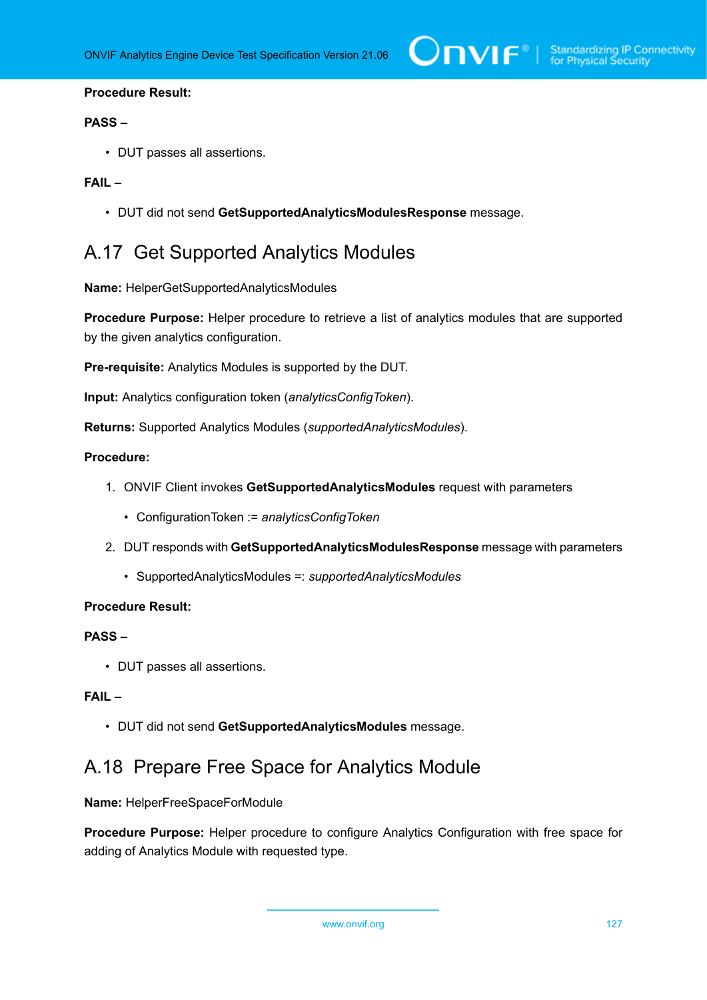#### **Procedure Result:**

#### **PASS –**

• DUT passes all assertions.

## **FAIL –**

• DUT did not send **GetSupportedAnalyticsModulesResponse** message.

## <span id="page-126-0"></span>A.17 Get Supported Analytics Modules

**Name:** HelperGetSupportedAnalyticsModules

**Procedure Purpose:** Helper procedure to retrieve a list of analytics modules that are supported by the given analytics configuration.

**Pre-requisite:** Analytics Modules is supported by the DUT.

**Input:** Analytics configuration token (*analyticsConfigToken*).

**Returns:** Supported Analytics Modules (*supportedAnalyticsModules*).

#### **Procedure:**

- 1. ONVIF Client invokes **GetSupportedAnalyticsModules** request with parameters
	- ConfigurationToken := *analyticsConfigToken*
- 2. DUT responds with **GetSupportedAnalyticsModulesResponse** message with parameters
	- SupportedAnalyticsModules =: *supportedAnalyticsModules*

#### **Procedure Result:**

#### **PASS –**

• DUT passes all assertions.

## **FAIL –**

• DUT did not send **GetSupportedAnalyticsModules** message.

## <span id="page-126-1"></span>A.18 Prepare Free Space for Analytics Module

**Name:** HelperFreeSpaceForModule

**Procedure Purpose:** Helper procedure to configure Analytics Configuration with free space for adding of Analytics Module with requested type.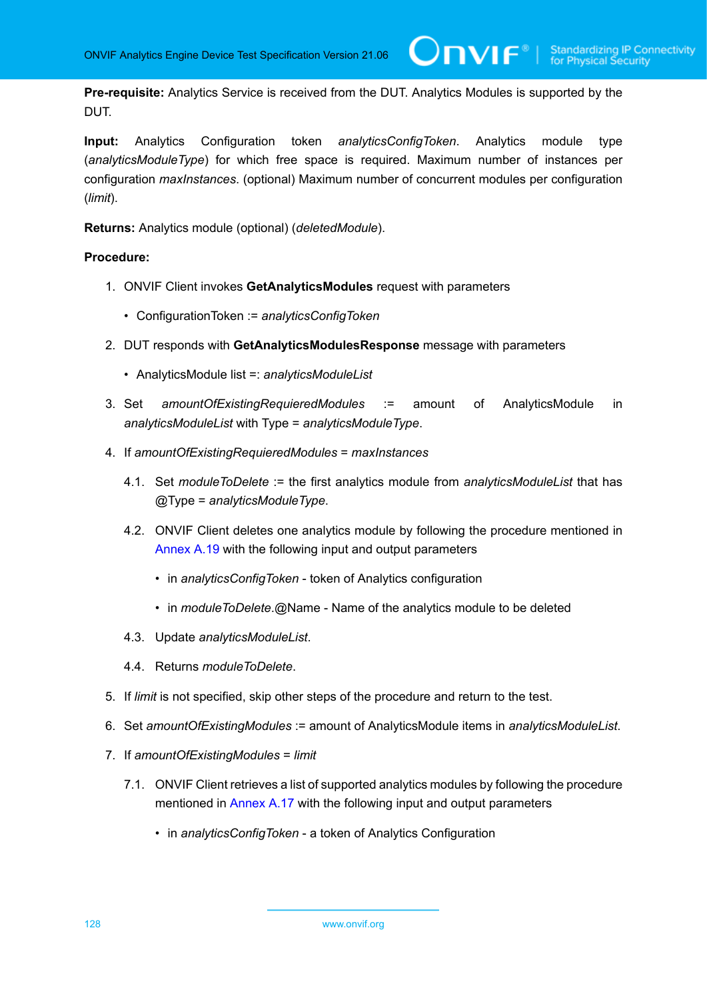**Pre-requisite:** Analytics Service is received from the DUT. Analytics Modules is supported by the DUT.

 $\bm{\cup}$ NIF $^*$ 

**Input:** Analytics Configuration token *analyticsConfigToken*. Analytics module type (*analyticsModuleType*) for which free space is required. Maximum number of instances per configuration *maxInstances*. (optional) Maximum number of concurrent modules per configuration (*limit*).

**Returns:** Analytics module (optional) (*deletedModule*).

- 1. ONVIF Client invokes **GetAnalyticsModules** request with parameters
	- ConfigurationToken := *analyticsConfigToken*
- 2. DUT responds with **GetAnalyticsModulesResponse** message with parameters
	- AnalyticsModule list =: *analyticsModuleList*
- 3. Set *amountOfExistingRequieredModules* := amount of AnalyticsModule in *analyticsModuleList* with Type = *analyticsModuleType*.
- 4. If *amountOfExistingRequieredModules* = *maxInstances*
	- 4.1. Set *moduleToDelete* := the first analytics module from *analyticsModuleList* that has @Type = *analyticsModuleType*.
	- 4.2. ONVIF Client deletes one analytics module by following the procedure mentioned in [Annex A.19](#page-128-0) with the following input and output parameters
		- in *analyticsConfigToken* token of Analytics configuration
		- in *moduleToDelete*.@Name Name of the analytics module to be deleted
	- 4.3. Update *analyticsModuleList*.
	- 4.4. Returns *moduleToDelete*.
- 5. If *limit* is not specified, skip other steps of the procedure and return to the test.
- 6. Set *amountOfExistingModules* := amount of AnalyticsModule items in *analyticsModuleList*.
- 7. If *amountOfExistingModules* = *limit*
	- 7.1. ONVIF Client retrieves a list of supported analytics modules by following the procedure mentioned in [Annex A.17](#page-126-0) with the following input and output parameters
		- in *analyticsConfigToken* a token of Analytics Configuration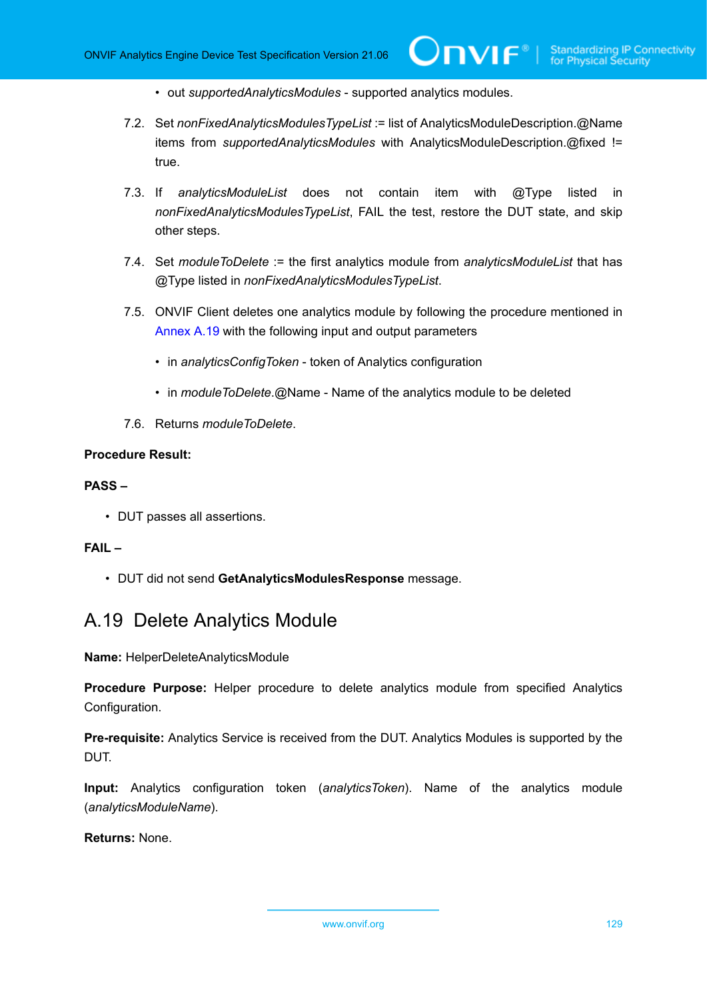$IVIF^{\circ}$ 

- out *supportedAnalyticsModules* supported analytics modules.
- 7.2. Set *nonFixedAnalyticsModulesTypeList* := list of AnalyticsModuleDescription.@Name items from *supportedAnalyticsModules* with AnalyticsModuleDescription.@fixed != true.
- 7.3. If *analyticsModuleList* does not contain item with @Type listed in *nonFixedAnalyticsModulesTypeList*, FAIL the test, restore the DUT state, and skip other steps.
- 7.4. Set *moduleToDelete* := the first analytics module from *analyticsModuleList* that has @Type listed in *nonFixedAnalyticsModulesTypeList*.
- 7.5. ONVIF Client deletes one analytics module by following the procedure mentioned in [Annex A.19](#page-128-0) with the following input and output parameters
	- in *analyticsConfigToken* token of Analytics configuration
	- in *moduleToDelete*.@Name Name of the analytics module to be deleted
- 7.6. Returns *moduleToDelete*.

#### **Procedure Result:**

## **PASS –**

• DUT passes all assertions.

#### **FAIL –**

• DUT did not send **GetAnalyticsModulesResponse** message.

## <span id="page-128-0"></span>A.19 Delete Analytics Module

**Name:** HelperDeleteAnalyticsModule

**Procedure Purpose:** Helper procedure to delete analytics module from specified Analytics Configuration.

**Pre-requisite:** Analytics Service is received from the DUT. Analytics Modules is supported by the DUT.

**Input:** Analytics configuration token (*analyticsToken*). Name of the analytics module (*analyticsModuleName*).

**Returns:** None.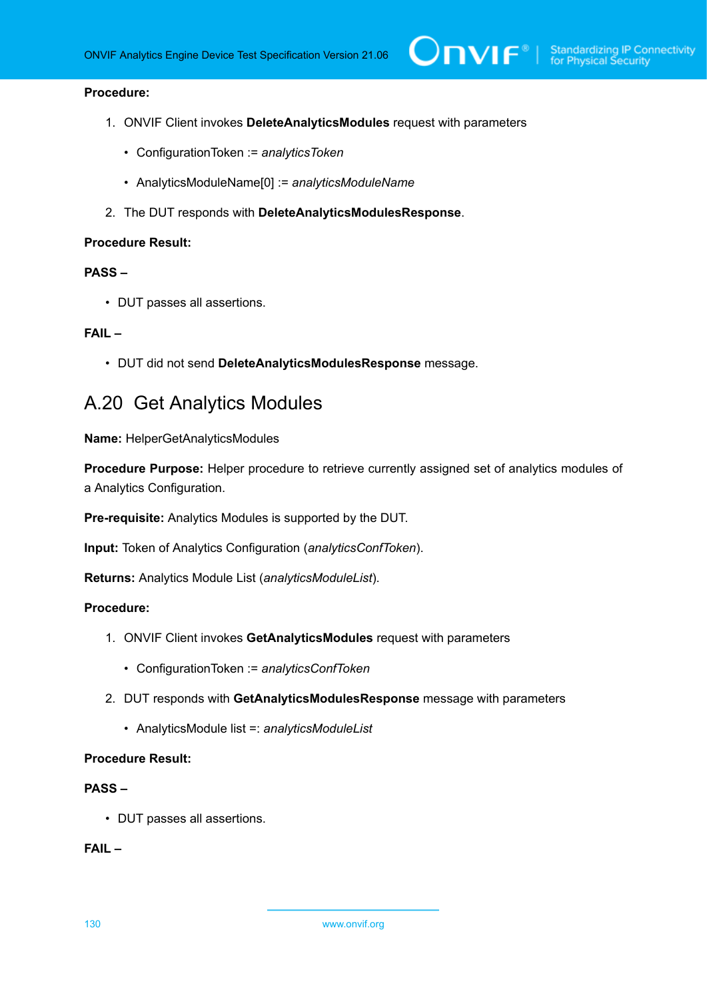## **Procedure:**

- 1. ONVIF Client invokes **DeleteAnalyticsModules** request with parameters
	- ConfigurationToken := *analyticsToken*
	- AnalyticsModuleName[0] := *analyticsModuleName*
- 2. The DUT responds with **DeleteAnalyticsModulesResponse**.

#### **Procedure Result:**

## **PASS –**

• DUT passes all assertions.

## **FAIL –**

• DUT did not send **DeleteAnalyticsModulesResponse** message.

## <span id="page-129-0"></span>A.20 Get Analytics Modules

**Name:** HelperGetAnalyticsModules

**Procedure Purpose:** Helper procedure to retrieve currently assigned set of analytics modules of a Analytics Configuration.

**Pre-requisite:** Analytics Modules is supported by the DUT.

**Input:** Token of Analytics Configuration (*analyticsConfToken*).

**Returns:** Analytics Module List (*analyticsModuleList*).

## **Procedure:**

- 1. ONVIF Client invokes **GetAnalyticsModules** request with parameters
	- ConfigurationToken := *analyticsConfToken*
- 2. DUT responds with **GetAnalyticsModulesResponse** message with parameters
	- AnalyticsModule list =: *analyticsModuleList*

## **Procedure Result:**

## **PASS –**

• DUT passes all assertions.

## **FAIL –**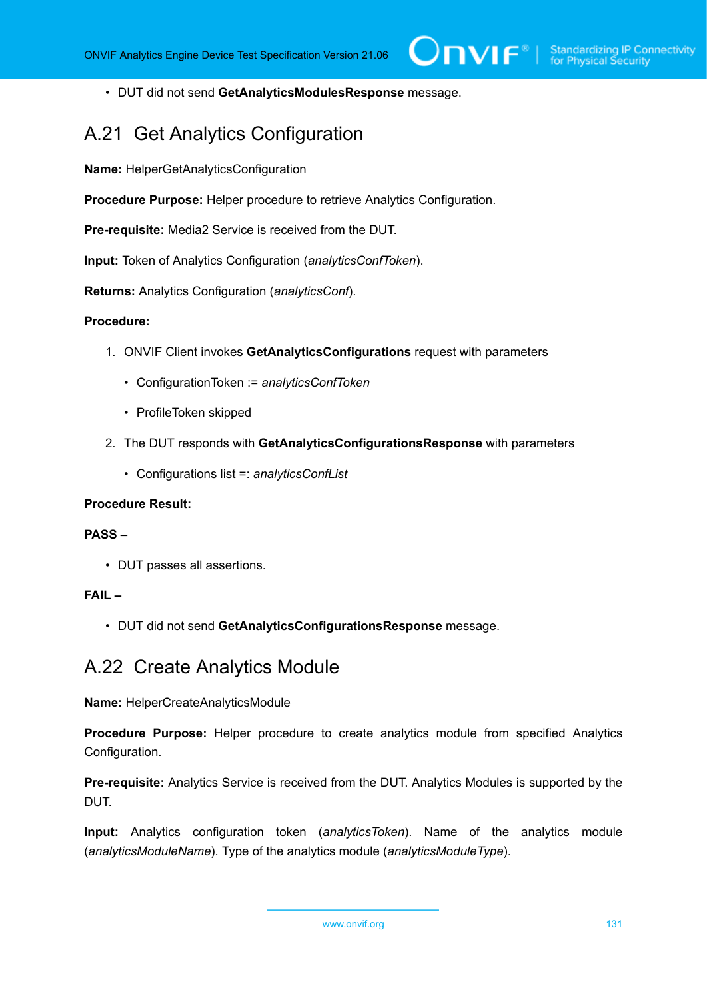• DUT did not send **GetAnalyticsModulesResponse** message.

## A.21 Get Analytics Configuration

**Name:** HelperGetAnalyticsConfiguration

**Procedure Purpose:** Helper procedure to retrieve Analytics Configuration.

**Pre-requisite:** Media2 Service is received from the DUT.

**Input:** Token of Analytics Configuration (*analyticsConfToken*).

**Returns:** Analytics Configuration (*analyticsConf*).

## **Procedure:**

- 1. ONVIF Client invokes **GetAnalyticsConfigurations** request with parameters
	- ConfigurationToken := *analyticsConfToken*
	- ProfileToken skipped
- 2. The DUT responds with **GetAnalyticsConfigurationsResponse** with parameters
	- Configurations list =: *analyticsConfList*

## **Procedure Result:**

### **PASS –**

• DUT passes all assertions.

## **FAIL –**

• DUT did not send **GetAnalyticsConfigurationsResponse** message.

## A.22 Create Analytics Module

**Name:** HelperCreateAnalyticsModule

**Procedure Purpose:** Helper procedure to create analytics module from specified Analytics Configuration.

**Pre-requisite:** Analytics Service is received from the DUT. Analytics Modules is supported by the DUT.

**Input:** Analytics configuration token (*analyticsToken*). Name of the analytics module (*analyticsModuleName*). Type of the analytics module (*analyticsModuleType*).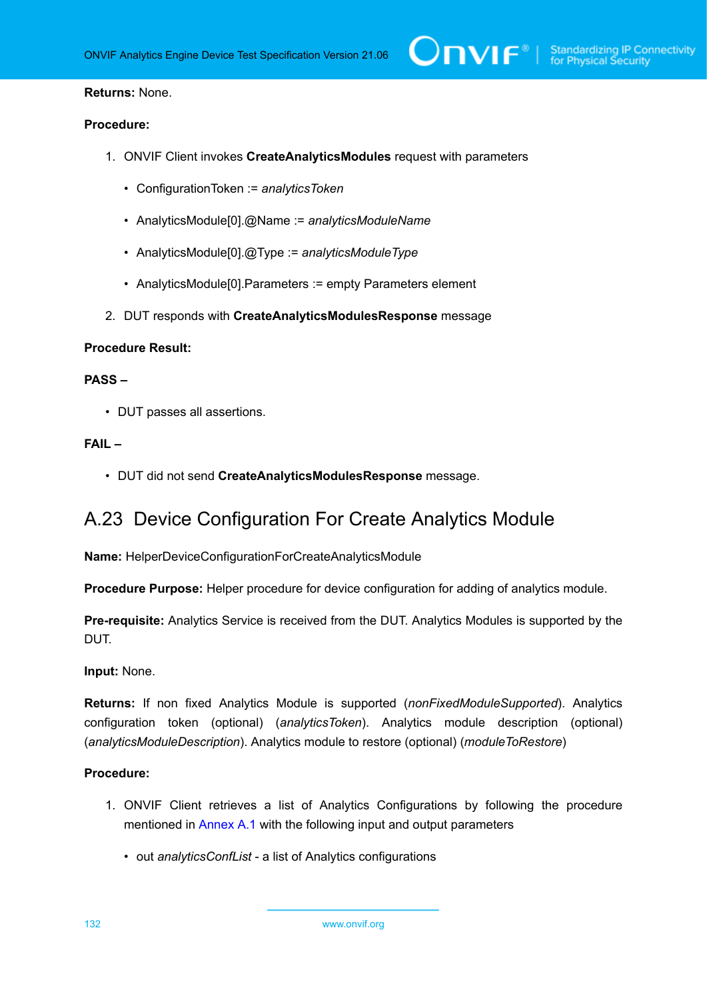#### **Returns:** None.

#### **Procedure:**

- 1. ONVIF Client invokes **CreateAnalyticsModules** request with parameters
	- ConfigurationToken := *analyticsToken*
	- AnalyticsModule[0].@Name := *analyticsModuleName*
	- AnalyticsModule[0].@Type := *analyticsModuleType*
	- AnalyticsModule[0].Parameters := empty Parameters element
- 2. DUT responds with **CreateAnalyticsModulesResponse** message

## **Procedure Result:**

#### **PASS –**

• DUT passes all assertions.

## **FAIL –**

• DUT did not send **CreateAnalyticsModulesResponse** message.

## A.23 Device Configuration For Create Analytics Module

**Name:** HelperDeviceConfigurationForCreateAnalyticsModule

**Procedure Purpose:** Helper procedure for device configuration for adding of analytics module.

**Pre-requisite:** Analytics Service is received from the DUT. Analytics Modules is supported by the DUT.

#### **Input:** None.

**Returns:** If non fixed Analytics Module is supported (*nonFixedModuleSupported*). Analytics configuration token (optional) (*analyticsToken*). Analytics module description (optional) (*analyticsModuleDescription*). Analytics module to restore (optional) (*moduleToRestore*)

#### **Procedure:**

- 1. ONVIF Client retrieves a list of Analytics Configurations by following the procedure mentioned in [Annex A.1](#page-112-0) with the following input and output parameters
	- out *analyticsConfList* a list of Analytics configurations

132 www.onvif.org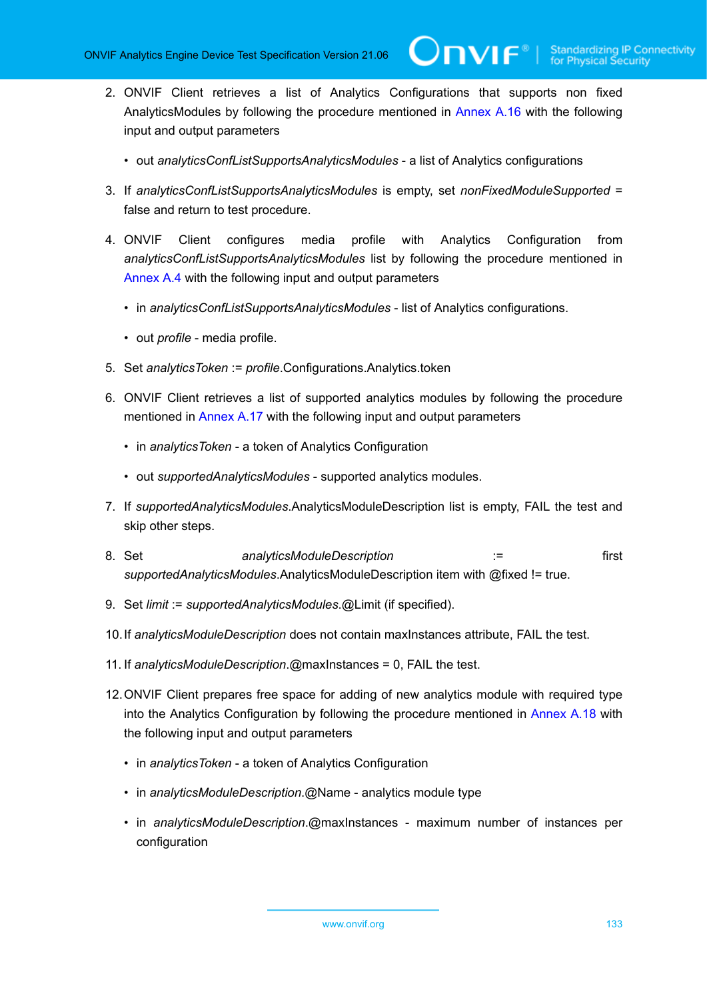**TVIF**®

- 2. ONVIF Client retrieves a list of Analytics Configurations that supports non fixed AnalyticsModules by following the procedure mentioned in [Annex A.16](#page-125-0) with the following input and output parameters
	- out *analyticsConfListSupportsAnalyticsModules* a list of Analytics configurations
- 3. If *analyticsConfListSupportsAnalyticsModules* is empty, set *nonFixedModuleSupported* = false and return to test procedure.
- 4. ONVIF Client configures media profile with Analytics Configuration from *analyticsConfListSupportsAnalyticsModules* list by following the procedure mentioned in [Annex A.4](#page-114-0) with the following input and output parameters
	- in *analyticsConfListSupportsAnalyticsModules* list of Analytics configurations.
	- out *profile* media profile.
- 5. Set *analyticsToken* := *profile*.Configurations.Analytics.token
- 6. ONVIF Client retrieves a list of supported analytics modules by following the procedure mentioned in [Annex A.17](#page-126-0) with the following input and output parameters
	- in *analyticsToken* a token of Analytics Configuration
	- out *supportedAnalyticsModules* supported analytics modules.
- 7. If *supportedAnalyticsModules*.AnalyticsModuleDescription list is empty, FAIL the test and skip other steps.
- 8. Set *analyticsModuleDescription* := first *supportedAnalyticsModules*.AnalyticsModuleDescription item with @fixed != true.
- 9. Set *limit* := *supportedAnalyticsModules*.@Limit (if specified).
- 10.If *analyticsModuleDescription* does not contain maxInstances attribute, FAIL the test.
- 11. If *analyticsModuleDescription*.@maxInstances = 0, FAIL the test.
- 12.ONVIF Client prepares free space for adding of new analytics module with required type into the Analytics Configuration by following the procedure mentioned in [Annex A.18](#page-126-1) with the following input and output parameters
	- in *analyticsToken* a token of Analytics Configuration
	- in *analyticsModuleDescription*.@Name analytics module type
	- in *analyticsModuleDescription*.@maxInstances maximum number of instances per configuration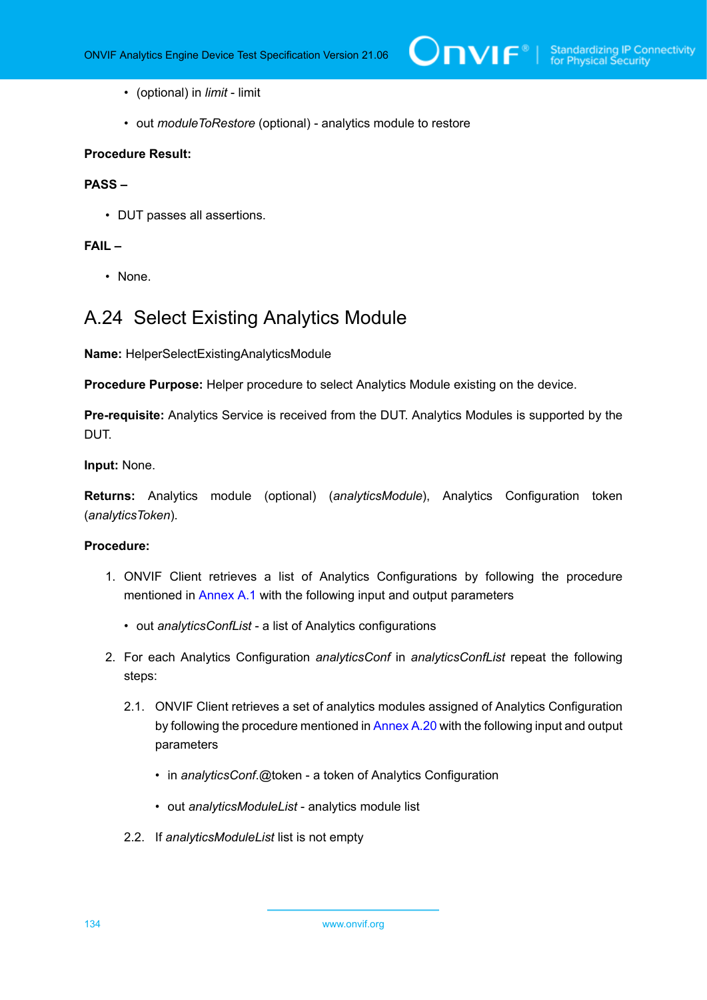- (optional) in *limit* limit
- out *moduleToRestore* (optional) analytics module to restore

## **Procedure Result:**

### **PASS –**

• DUT passes all assertions.

#### **FAIL –**

• None.

## A.24 Select Existing Analytics Module

**Name:** HelperSelectExistingAnalyticsModule

**Procedure Purpose:** Helper procedure to select Analytics Module existing on the device.

**Pre-requisite:** Analytics Service is received from the DUT. Analytics Modules is supported by the DUT.

**Input:** None.

**Returns:** Analytics module (optional) (*analyticsModule*), Analytics Configuration token (*analyticsToken*).

- 1. ONVIF Client retrieves a list of Analytics Configurations by following the procedure mentioned in [Annex A.1](#page-112-0) with the following input and output parameters
	- out *analyticsConfList* a list of Analytics configurations
- 2. For each Analytics Configuration *analyticsConf* in *analyticsConfList* repeat the following steps:
	- 2.1. ONVIF Client retrieves a set of analytics modules assigned of Analytics Configuration by following the procedure mentioned in [Annex A.20](#page-129-0) with the following input and output parameters
		- in *analyticsConf*.@token a token of Analytics Configuration
		- out *analyticsModuleList* analytics module list
	- 2.2. If *analyticsModuleList* list is not empty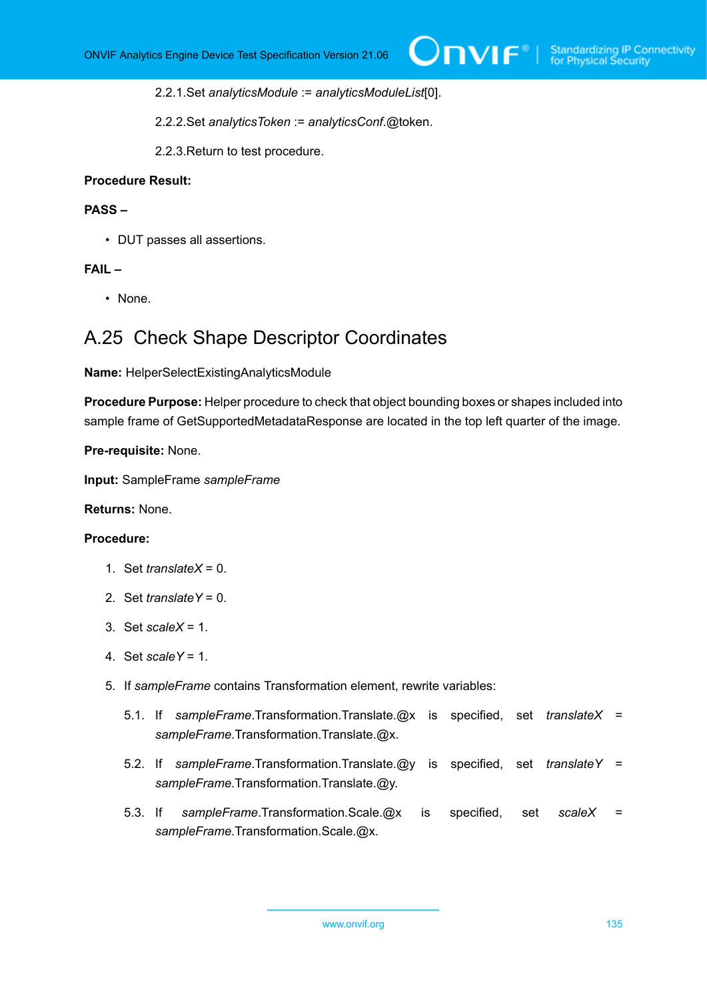2.2.1.Set *analyticsModule* := *analyticsModuleList*[0].

2.2.2.Set *analyticsToken* := *analyticsConf*.@token.

2.2.3.Return to test procedure.

### **Procedure Result:**

#### **PASS –**

• DUT passes all assertions.

## **FAIL –**

• None.

## A.25 Check Shape Descriptor Coordinates

**Name:** HelperSelectExistingAnalyticsModule

**Procedure Purpose:** Helper procedure to check that object bounding boxes or shapes included into sample frame of GetSupportedMetadataResponse are located in the top left quarter of the image.

**Pre-requisite:** None.

**Input:** SampleFrame *sampleFrame*

**Returns:** None.

- 1. Set *translateX* = 0.
- 2. Set *translateY* = 0.
- 3. Set *scaleX* = 1.
- 4. Set *scaleY* = 1.
- 5. If *sampleFrame* contains Transformation element, rewrite variables:
	- 5.1. If *sampleFrame*.Transformation.Translate.@x is specified, set *translateX* = *sampleFrame*.Transformation.Translate.@x.
	- 5.2. If *sampleFrame*.Transformation.Translate.@y is specified, set *translateY* = *sampleFrame*.Transformation.Translate.@y.
	- 5.3. If *sampleFrame*.Transformation.Scale.@x is specified, set *scaleX* = *sampleFrame*.Transformation.Scale.@x.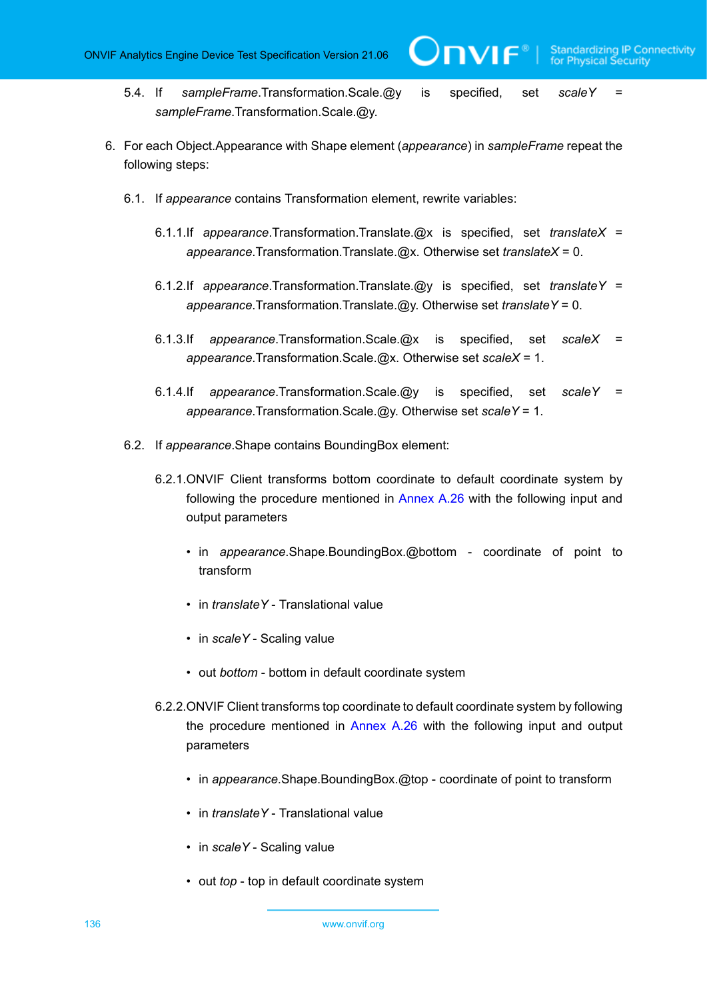WF®I

- 5.4. If *sampleFrame*.Transformation.Scale.@y is specified, set *scaleY* = *sampleFrame*.Transformation.Scale.@y.
- 6. For each Object.Appearance with Shape element (*appearance*) in *sampleFrame* repeat the following steps:
	- 6.1. If *appearance* contains Transformation element, rewrite variables:
		- 6.1.1.If *appearance*.Transformation.Translate.@x is specified, set *translateX* = *appearance*.Transformation.Translate.@x. Otherwise set *translateX* = 0.
		- 6.1.2.If *appearance*.Transformation.Translate.@y is specified, set *translateY* = *appearance*.Transformation.Translate.@y. Otherwise set *translateY* = 0.
		- 6.1.3.If *appearance*.Transformation.Scale.@x is specified, set *scaleX* = *appearance*.Transformation.Scale.@x. Otherwise set *scaleX* = 1.
		- 6.1.4.If *appearance*.Transformation.Scale.@y is specified, set *scaleY* = *appearance*.Transformation.Scale.@y. Otherwise set *scaleY* = 1.
	- 6.2. If *appearance*.Shape contains BoundingBox element:
		- 6.2.1.ONVIF Client transforms bottom coordinate to default coordinate system by following the procedure mentioned in [Annex A.26](#page-137-0) with the following input and output parameters
			- in *appearance*.Shape.BoundingBox.@bottom coordinate of point to transform
			- in *translateY* Translational value
			- in *scaleY* Scaling value
			- out *bottom* bottom in default coordinate system
		- 6.2.2.ONVIF Client transforms top coordinate to default coordinate system by following the procedure mentioned in [Annex A.26](#page-137-0) with the following input and output parameters
			- in *appearance*.Shape.BoundingBox.@top coordinate of point to transform
			- in *translateY* Translational value
			- in *scaleY* Scaling value
			- out *top* top in default coordinate system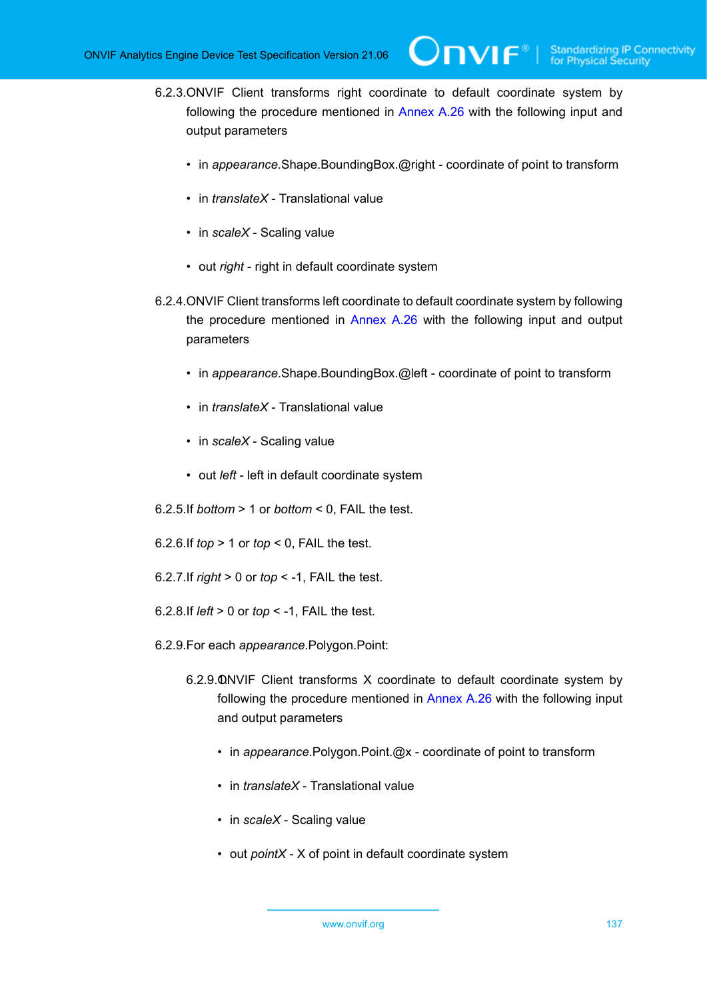- 6.2.3.ONVIF Client transforms right coordinate to default coordinate system by following the procedure mentioned in [Annex A.26](#page-137-0) with the following input and output parameters
	- in *appearance*.Shape.BoundingBox.@right coordinate of point to transform
	- in *translateX* Translational value
	- in *scaleX* Scaling value
	- out *right* right in default coordinate system
- 6.2.4.ONVIF Client transforms left coordinate to default coordinate system by following the procedure mentioned in [Annex A.26](#page-137-0) with the following input and output parameters
	- in *appearance*.Shape.BoundingBox.@left coordinate of point to transform
	- in *translateX* Translational value
	- in *scaleX* Scaling value
	- out *left* left in default coordinate system
- 6.2.5.If *bottom* > 1 or *bottom* < 0, FAIL the test.

6.2.6.If *top* > 1 or *top* < 0, FAIL the test.

- 6.2.7.If *right* > 0 or *top* < -1, FAIL the test.
- 6.2.8.If *left* > 0 or *top* < -1, FAIL the test.
- 6.2.9.For each *appearance*.Polygon.Point:
	- 6.2.9.0. NVIF Client transforms X coordinate to default coordinate system by following the procedure mentioned in [Annex A.26](#page-137-0) with the following input and output parameters
		- in *appearance*.Polygon.Point.@x coordinate of point to transform
		- in *translateX* Translational value
		- in *scaleX* Scaling value
		- out *pointX* X of point in default coordinate system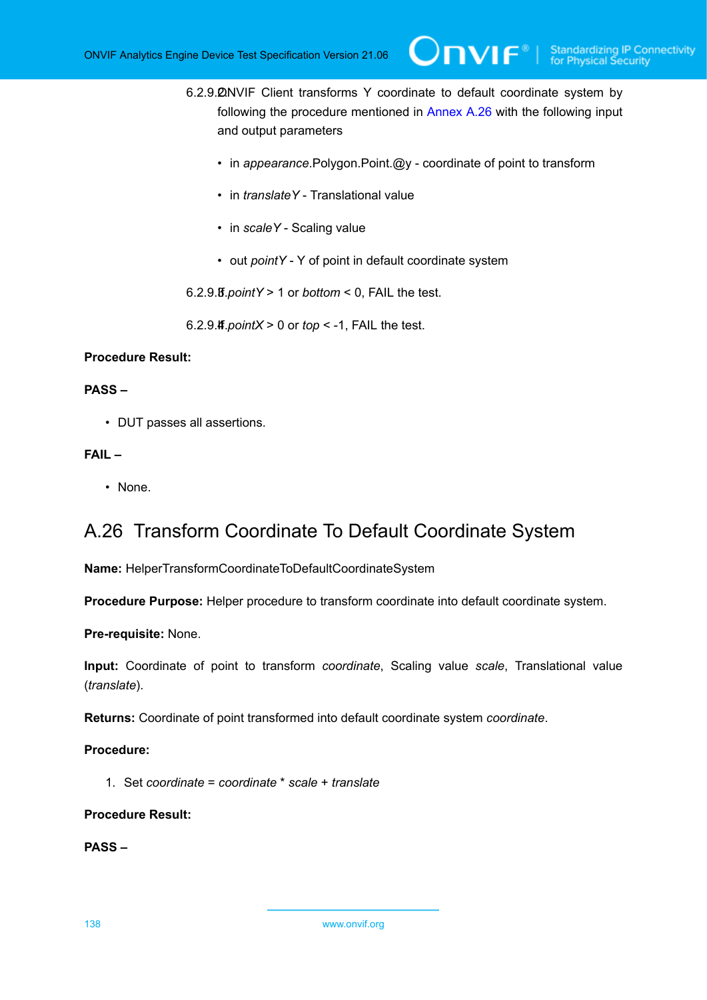6.2.9. 2NVIF Client transforms Y coordinate to default coordinate system by following the procedure mentioned in [Annex A.26](#page-137-0) with the following input and output parameters

 $\bm{\cup}$ NIF $^*$ l

- in *appearance*.Polygon.Point.@y coordinate of point to transform
- in *translateY* Translational value
- in *scaleY* Scaling value
- out *pointY* Y of point in default coordinate system

6.2.9.3. If *pointY* > 1 or *bottom* < 0, FAIL the test.

6.2.9. $\textsf{4f}$  *pointX* > 0 or *top* < -1, FAIL the test.

## **Procedure Result:**

### **PASS –**

• DUT passes all assertions.

## **FAIL –**

• None.

## <span id="page-137-0"></span>A.26 Transform Coordinate To Default Coordinate System

**Name:** HelperTransformCoordinateToDefaultCoordinateSystem

**Procedure Purpose:** Helper procedure to transform coordinate into default coordinate system.

**Pre-requisite:** None.

**Input:** Coordinate of point to transform *coordinate*, Scaling value *scale*, Translational value (*translate*).

**Returns:** Coordinate of point transformed into default coordinate system *coordinate*.

## **Procedure:**

1. Set *coordinate* = *coordinate* \* *scale* + *translate*

## **Procedure Result:**

**PASS –**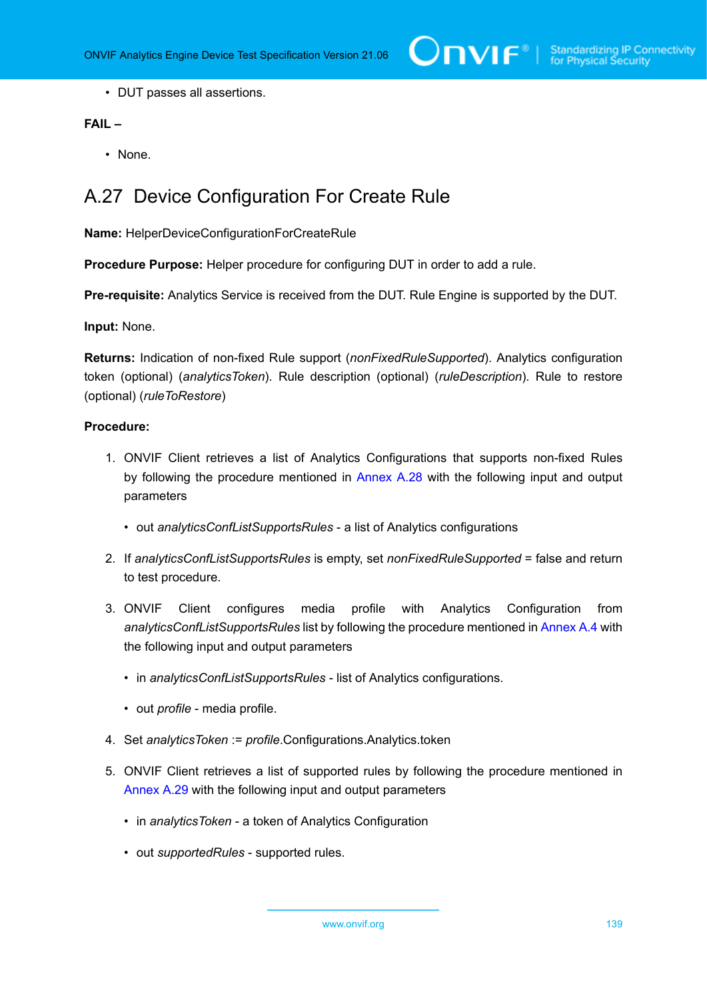• DUT passes all assertions.

## **FAIL –**

• None.

## A.27 Device Configuration For Create Rule

**Name:** HelperDeviceConfigurationForCreateRule

**Procedure Purpose:** Helper procedure for configuring DUT in order to add a rule.

**Pre-requisite:** Analytics Service is received from the DUT. Rule Engine is supported by the DUT.

**Input:** None.

**Returns:** Indication of non-fixed Rule support (*nonFixedRuleSupported*). Analytics configuration token (optional) (*analyticsToken*). Rule description (optional) (*ruleDescription*). Rule to restore (optional) (*ruleToRestore*)

- 1. ONVIF Client retrieves a list of Analytics Configurations that supports non-fixed Rules by following the procedure mentioned in [Annex A.28](#page-140-0) with the following input and output parameters
	- out *analyticsConfListSupportsRules* a list of Analytics configurations
- 2. If *analyticsConfListSupportsRules* is empty, set *nonFixedRuleSupported* = false and return to test procedure.
- 3. ONVIF Client configures media profile with Analytics Configuration from *analyticsConfListSupportsRules* list by following the procedure mentioned in [Annex A.4](#page-114-0) with the following input and output parameters
	- in *analyticsConfListSupportsRules* list of Analytics configurations.
	- out *profile* media profile.
- 4. Set *analyticsToken* := *profile*.Configurations.Analytics.token
- 5. ONVIF Client retrieves a list of supported rules by following the procedure mentioned in [Annex A.29](#page-141-0) with the following input and output parameters
	- in *analyticsToken* a token of Analytics Configuration
	- out *supportedRules* supported rules.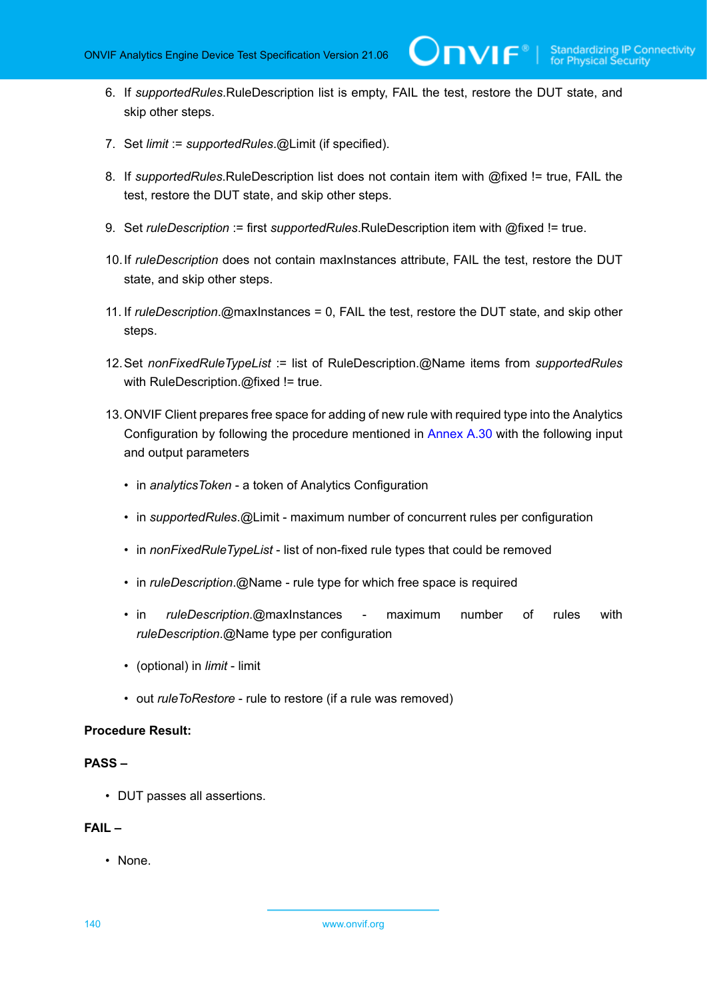**TVIF**®

- 6. If *supportedRules*.RuleDescription list is empty, FAIL the test, restore the DUT state, and skip other steps.
- 7. Set *limit* := *supportedRules*.@Limit (if specified).
- 8. If *supportedRules*.RuleDescription list does not contain item with @fixed != true, FAIL the test, restore the DUT state, and skip other steps.
- 9. Set *ruleDescription* := first *supportedRules*.RuleDescription item with @fixed != true.
- 10.If *ruleDescription* does not contain maxInstances attribute, FAIL the test, restore the DUT state, and skip other steps.
- 11. If *ruleDescription*.@maxInstances = 0, FAIL the test, restore the DUT state, and skip other steps.
- 12.Set *nonFixedRuleTypeList* := list of RuleDescription.@Name items from *supportedRules* with RuleDescription.@fixed != true.
- 13.ONVIF Client prepares free space for adding of new rule with required type into the Analytics Configuration by following the procedure mentioned in [Annex A.30](#page-141-1) with the following input and output parameters
	- in *analyticsToken* a token of Analytics Configuration
	- in *supportedRules*.@Limit maximum number of concurrent rules per configuration
	- in *nonFixedRuleTypeList* list of non-fixed rule types that could be removed
	- in *ruleDescription*.@Name rule type for which free space is required
	- in *ruleDescription*.@maxInstances maximum number of rules with *ruleDescription*.@Name type per configuration
	- (optional) in *limit* limit
	- out *ruleToRestore* rule to restore (if a rule was removed)

#### **Procedure Result:**

#### **PASS –**

• DUT passes all assertions.

## **FAIL –**

• None.

140 www.onvif.org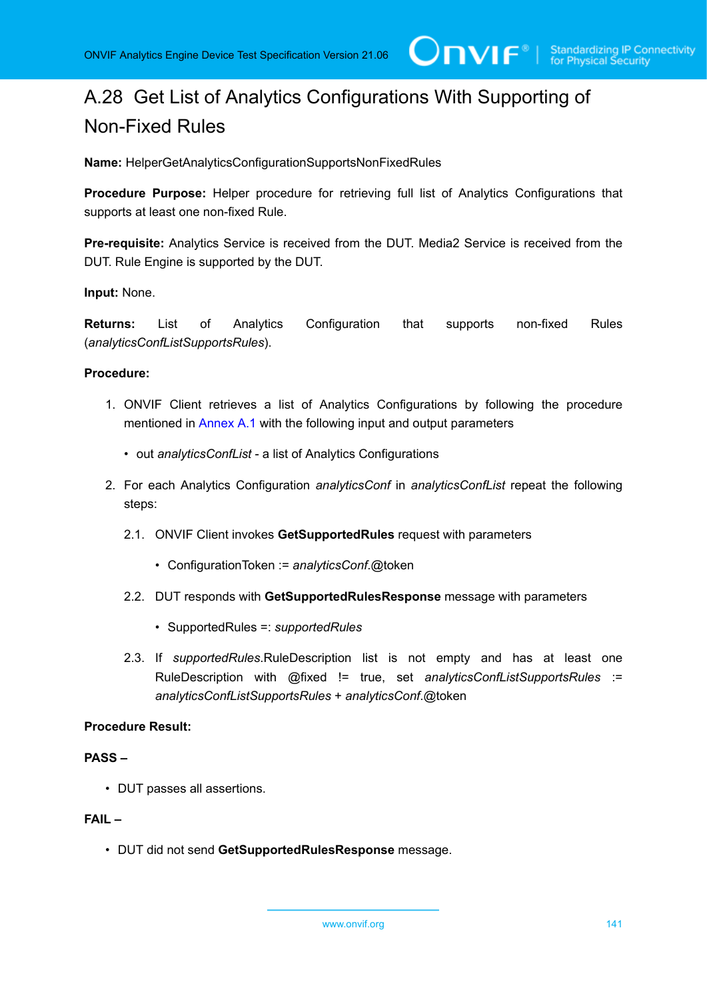# <span id="page-140-0"></span>A.28 Get List of Analytics Configurations With Supporting of Non-Fixed Rules

**Name:** HelperGetAnalyticsConfigurationSupportsNonFixedRules

**Procedure Purpose:** Helper procedure for retrieving full list of Analytics Configurations that supports at least one non-fixed Rule.

**Pre-requisite:** Analytics Service is received from the DUT. Media2 Service is received from the DUT. Rule Engine is supported by the DUT.

## **Input:** None.

**Returns:** List of Analytics Configuration that supports non-fixed Rules (*analyticsConfListSupportsRules*).

#### **Procedure:**

- 1. ONVIF Client retrieves a list of Analytics Configurations by following the procedure mentioned in [Annex A.1](#page-112-0) with the following input and output parameters
	- out *analyticsConfList* a list of Analytics Configurations
- 2. For each Analytics Configuration *analyticsConf* in *analyticsConfList* repeat the following steps:
	- 2.1. ONVIF Client invokes **GetSupportedRules** request with parameters
		- ConfigurationToken := *analyticsConf*.@token
	- 2.2. DUT responds with **GetSupportedRulesResponse** message with parameters
		- SupportedRules =: *supportedRules*
	- 2.3. If *supportedRules*.RuleDescription list is not empty and has at least one RuleDescription with @fixed != true, set *analyticsConfListSupportsRules* := *analyticsConfListSupportsRules* + *analyticsConf*.@token

#### **Procedure Result:**

#### **PASS –**

• DUT passes all assertions.

## **FAIL –**

• DUT did not send **GetSupportedRulesResponse** message.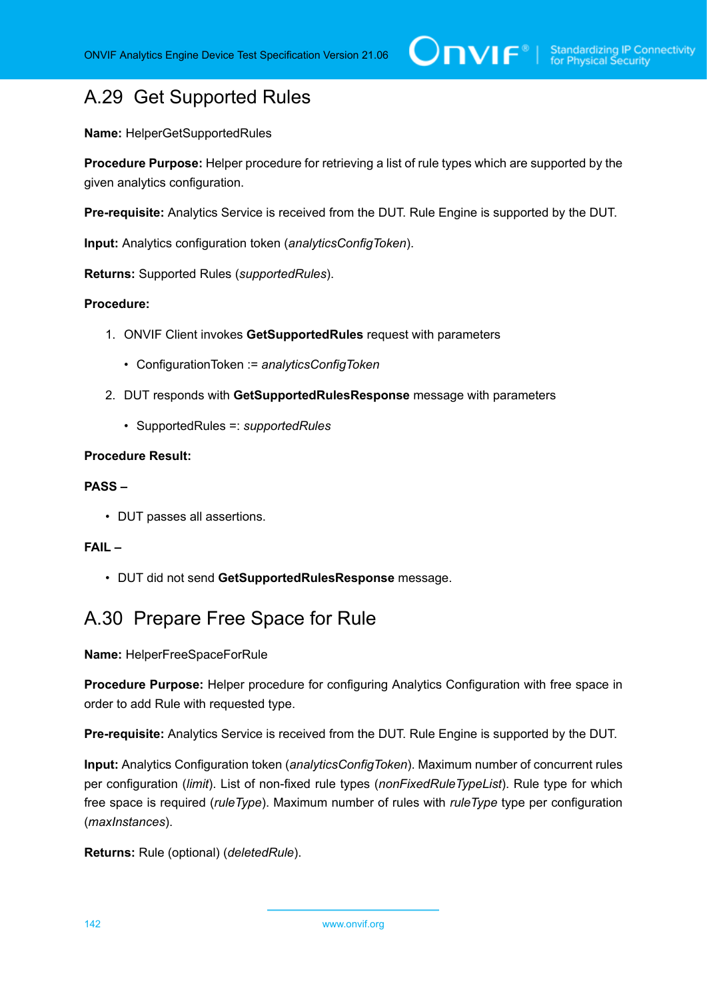## <span id="page-141-0"></span>A.29 Get Supported Rules

**Name:** HelperGetSupportedRules

**Procedure Purpose:** Helper procedure for retrieving a list of rule types which are supported by the given analytics configuration.

**Pre-requisite:** Analytics Service is received from the DUT. Rule Engine is supported by the DUT.

**Input:** Analytics configuration token (*analyticsConfigToken*).

**Returns:** Supported Rules (*supportedRules*).

## **Procedure:**

- 1. ONVIF Client invokes **GetSupportedRules** request with parameters
	- ConfigurationToken := *analyticsConfigToken*
- 2. DUT responds with **GetSupportedRulesResponse** message with parameters
	- SupportedRules =: *supportedRules*

## **Procedure Result:**

## **PASS –**

• DUT passes all assertions.

## **FAIL –**

• DUT did not send **GetSupportedRulesResponse** message.

## <span id="page-141-1"></span>A.30 Prepare Free Space for Rule

**Name:** HelperFreeSpaceForRule

**Procedure Purpose:** Helper procedure for configuring Analytics Configuration with free space in order to add Rule with requested type.

**Pre-requisite:** Analytics Service is received from the DUT. Rule Engine is supported by the DUT.

**Input:** Analytics Configuration token (*analyticsConfigToken*). Maximum number of concurrent rules per configuration (*limit*). List of non-fixed rule types (*nonFixedRuleTypeList*). Rule type for which free space is required (*ruleType*). Maximum number of rules with *ruleType* type per configuration (*maxInstances*).

**Returns:** Rule (optional) (*deletedRule*).

142 www.onvif.org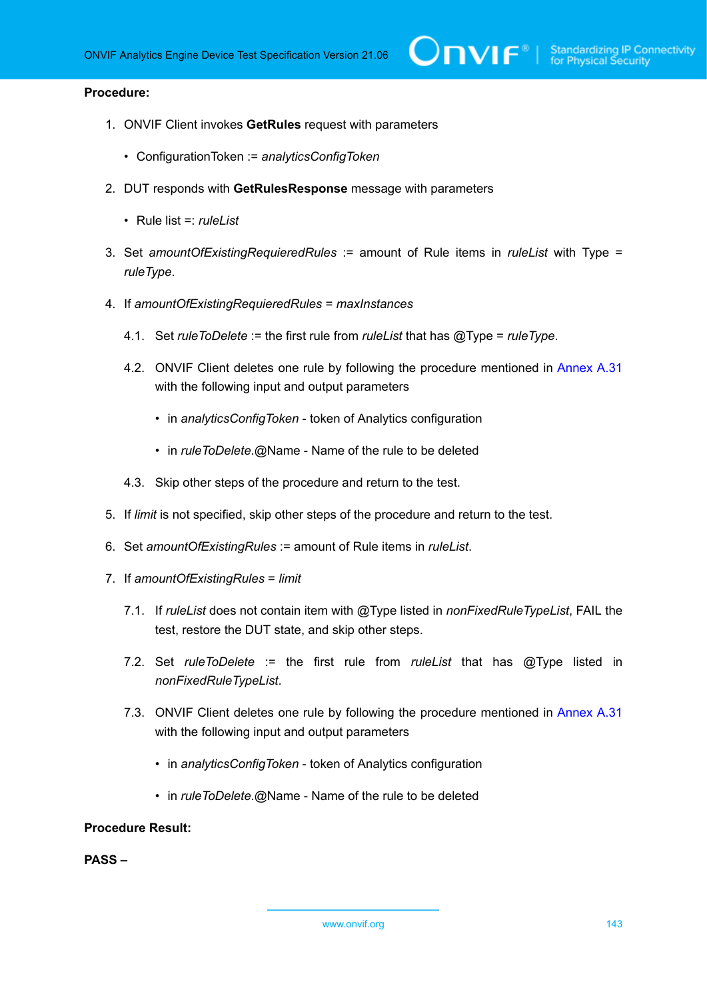### **Procedure:**

- 1. ONVIF Client invokes **GetRules** request with parameters
	- ConfigurationToken := *analyticsConfigToken*
- 2. DUT responds with **GetRulesResponse** message with parameters
	- Rule list =: *ruleList*
- 3. Set *amountOfExistingRequieredRules* := amount of Rule items in *ruleList* with Type = *ruleType*.
- 4. If *amountOfExistingRequieredRules* = *maxInstances*
	- 4.1. Set *ruleToDelete* := the first rule from *ruleList* that has @Type = *ruleType*.
	- 4.2. ONVIF Client deletes one rule by following the procedure mentioned in [Annex A.31](#page-143-0) with the following input and output parameters
		- in *analyticsConfigToken* token of Analytics configuration
		- in *ruleToDelete*.@Name Name of the rule to be deleted
	- 4.3. Skip other steps of the procedure and return to the test.
- 5. If *limit* is not specified, skip other steps of the procedure and return to the test.
- 6. Set *amountOfExistingRules* := amount of Rule items in *ruleList*.
- 7. If *amountOfExistingRules* = *limit*
	- 7.1. If *ruleList* does not contain item with @Type listed in *nonFixedRuleTypeList*, FAIL the test, restore the DUT state, and skip other steps.
	- 7.2. Set *ruleToDelete* := the first rule from *ruleList* that has @Type listed in *nonFixedRuleTypeList*.
	- 7.3. ONVIF Client deletes one rule by following the procedure mentioned in [Annex A.31](#page-143-0) with the following input and output parameters
		- in *analyticsConfigToken* token of Analytics configuration
		- in *ruleToDelete*.@Name Name of the rule to be deleted

### **Procedure Result:**

**PASS –**

www.onvif.org 143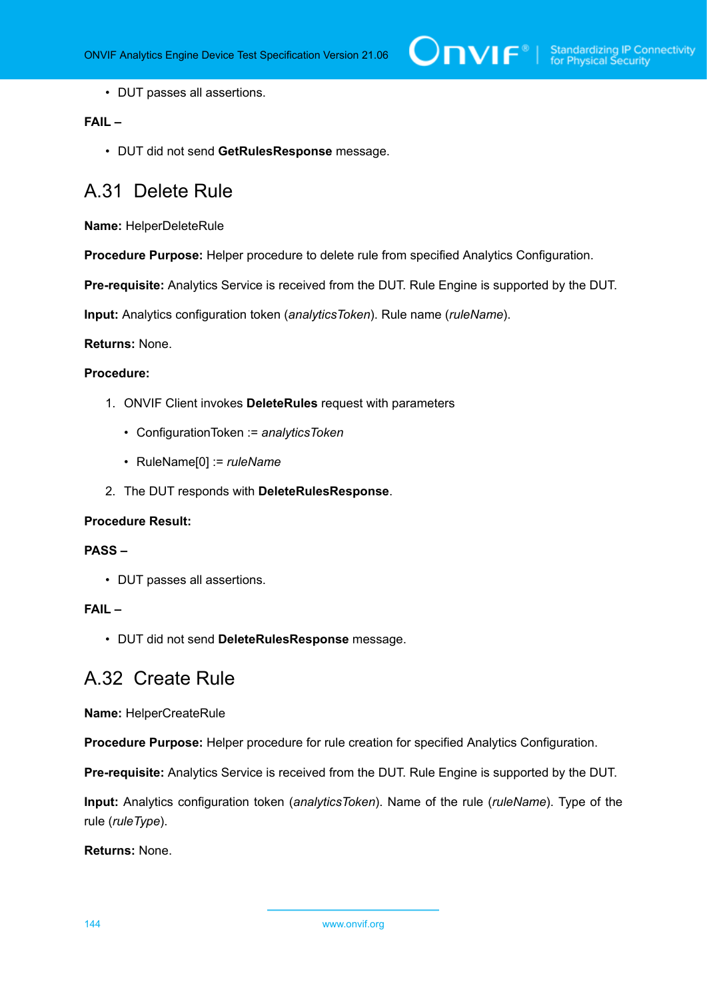• DUT passes all assertions.

## **FAIL –**

• DUT did not send **GetRulesResponse** message.

## <span id="page-143-0"></span>A.31 Delete Rule

**Name:** HelperDeleteRule

**Procedure Purpose:** Helper procedure to delete rule from specified Analytics Configuration.

**Pre-requisite:** Analytics Service is received from the DUT. Rule Engine is supported by the DUT.

**Input:** Analytics configuration token (*analyticsToken*). Rule name (*ruleName*).

**Returns:** None.

### **Procedure:**

- 1. ONVIF Client invokes **DeleteRules** request with parameters
	- ConfigurationToken := *analyticsToken*
	- RuleName[0] := *ruleName*
- 2. The DUT responds with **DeleteRulesResponse**.

#### **Procedure Result:**

#### **PASS –**

• DUT passes all assertions.

#### **FAIL –**

• DUT did not send **DeleteRulesResponse** message.

## A.32 Create Rule

**Name:** HelperCreateRule

**Procedure Purpose:** Helper procedure for rule creation for specified Analytics Configuration.

**Pre-requisite:** Analytics Service is received from the DUT. Rule Engine is supported by the DUT.

**Input:** Analytics configuration token (*analyticsToken*). Name of the rule (*ruleName*). Type of the rule (*ruleType*).

**Returns:** None.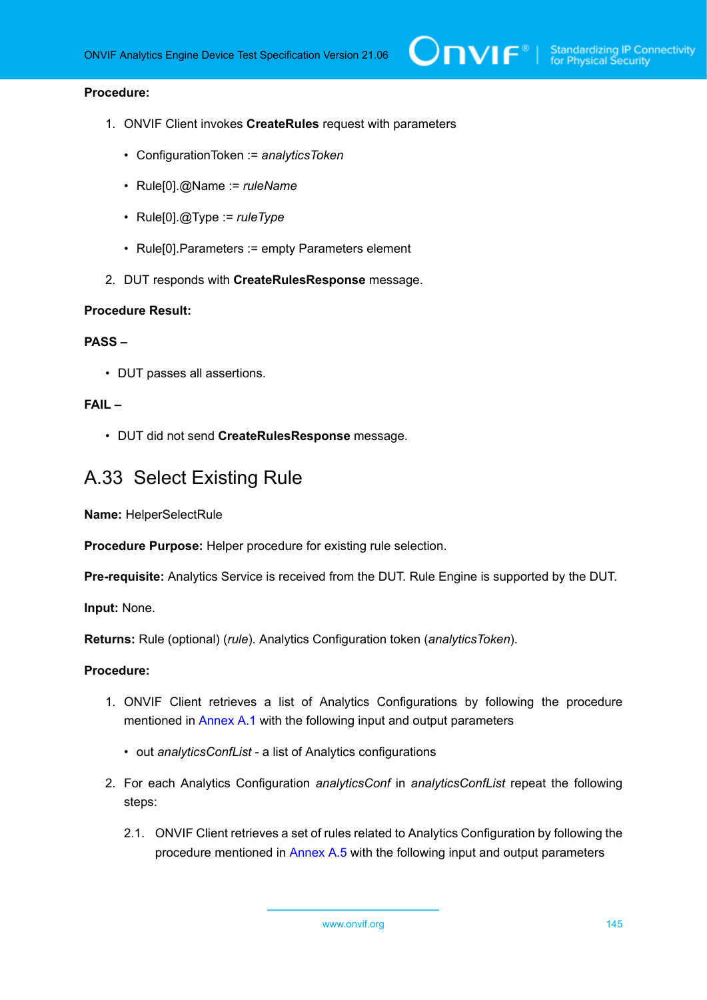## **Procedure:**

- 1. ONVIF Client invokes **CreateRules** request with parameters
	- ConfigurationToken := *analyticsToken*
	- Rule[0].@Name := *ruleName*
	- Rule[0].@Type := *ruleType*
	- Rule[0].Parameters := empty Parameters element
- 2. DUT responds with **CreateRulesResponse** message.

### **Procedure Result:**

## **PASS –**

• DUT passes all assertions.

## **FAIL –**

• DUT did not send **CreateRulesResponse** message.

# A.33 Select Existing Rule

**Name:** HelperSelectRule

**Procedure Purpose:** Helper procedure for existing rule selection.

**Pre-requisite:** Analytics Service is received from the DUT. Rule Engine is supported by the DUT.

**Input:** None.

**Returns:** Rule (optional) (*rule*). Analytics Configuration token (*analyticsToken*).

- 1. ONVIF Client retrieves a list of Analytics Configurations by following the procedure mentioned in [Annex A.1](#page-112-0) with the following input and output parameters
	- out *analyticsConfList* a list of Analytics configurations
- 2. For each Analytics Configuration *analyticsConf* in *analyticsConfList* repeat the following steps:
	- 2.1. ONVIF Client retrieves a set of rules related to Analytics Configuration by following the procedure mentioned in [Annex A.5](#page-116-0) with the following input and output parameters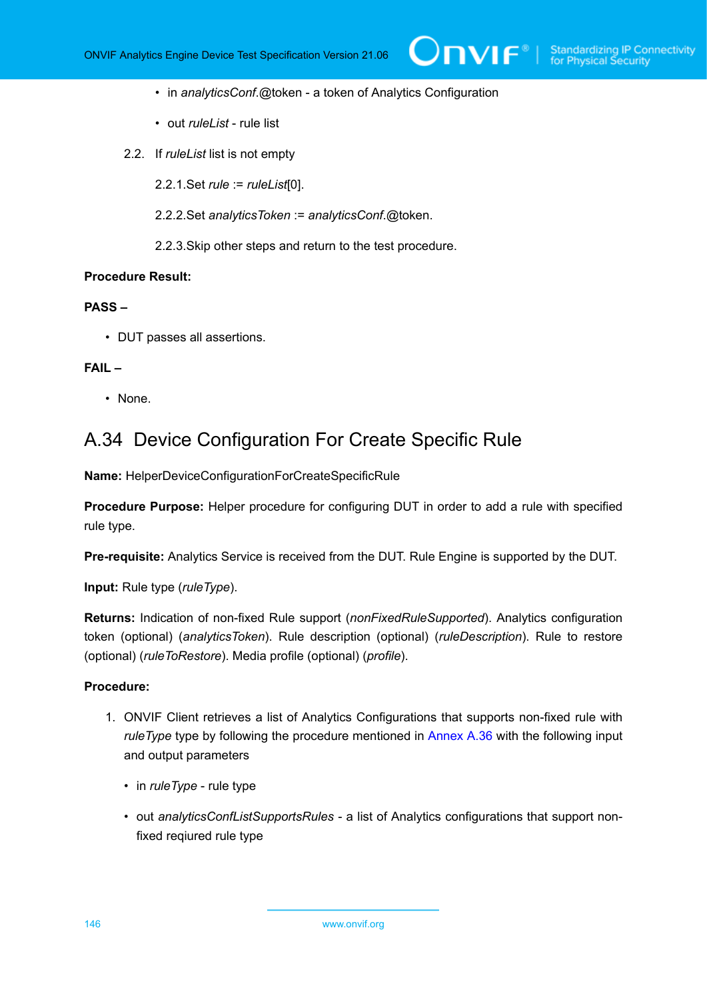- in *analyticsConf*.@token a token of Analytics Configuration
- out *ruleList* rule list
- 2.2. If *ruleList* list is not empty
	- 2.2.1.Set *rule* := *ruleList*[0].
	- 2.2.2.Set *analyticsToken* := *analyticsConf*.@token.
	- 2.2.3.Skip other steps and return to the test procedure.

## **PASS –**

• DUT passes all assertions.

## **FAIL –**

• None.

# <span id="page-145-0"></span>A.34 Device Configuration For Create Specific Rule

**Name:** HelperDeviceConfigurationForCreateSpecificRule

**Procedure Purpose:** Helper procedure for configuring DUT in order to add a rule with specified rule type.

**Pre-requisite:** Analytics Service is received from the DUT. Rule Engine is supported by the DUT.

**Input:** Rule type (*ruleType*).

**Returns:** Indication of non-fixed Rule support (*nonFixedRuleSupported*). Analytics configuration token (optional) (*analyticsToken*). Rule description (optional) (*ruleDescription*). Rule to restore (optional) (*ruleToRestore*). Media profile (optional) (*profile*).

- 1. ONVIF Client retrieves a list of Analytics Configurations that supports non-fixed rule with *ruleType* type by following the procedure mentioned in [Annex A.36](#page-148-0) with the following input and output parameters
	- in *ruleType* rule type
	- out *analyticsConfListSupportsRules* a list of Analytics configurations that support nonfixed reqiured rule type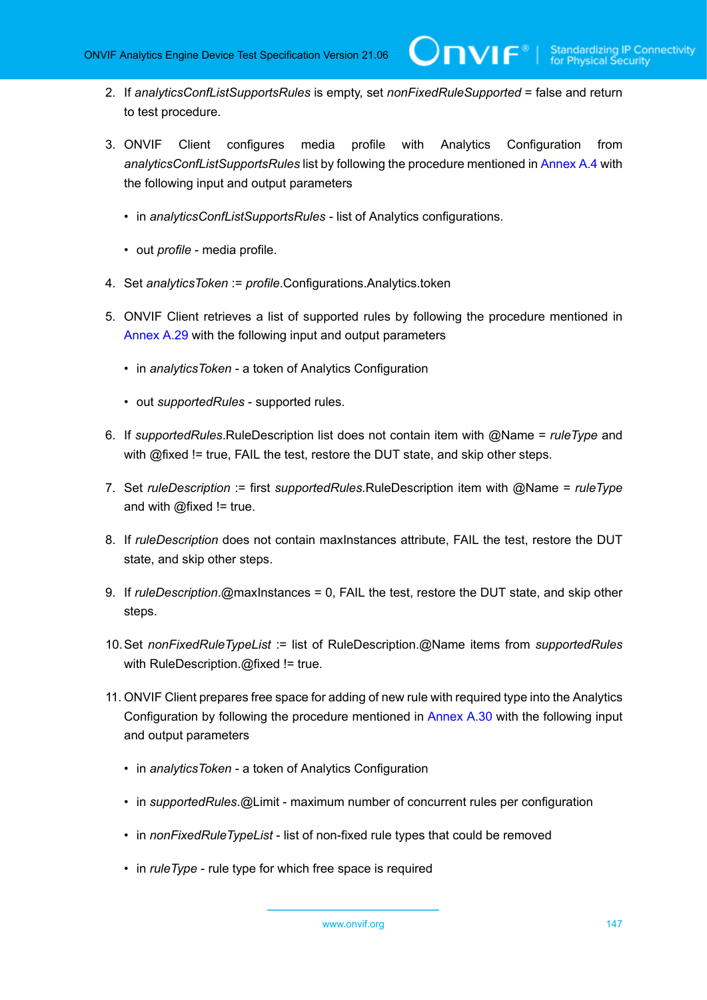- 2. If *analyticsConfListSupportsRules* is empty, set *nonFixedRuleSupported* = false and return to test procedure.
- 3. ONVIF Client configures media profile with Analytics Configuration from *analyticsConfListSupportsRules* list by following the procedure mentioned in [Annex A.4](#page-114-0) with the following input and output parameters
	- in *analyticsConfListSupportsRules* list of Analytics configurations.
	- out *profile* media profile.
- 4. Set *analyticsToken* := *profile*.Configurations.Analytics.token
- 5. ONVIF Client retrieves a list of supported rules by following the procedure mentioned in [Annex A.29](#page-141-0) with the following input and output parameters
	- in *analyticsToken* a token of Analytics Configuration
	- out *supportedRules* supported rules.
- 6. If *supportedRules*.RuleDescription list does not contain item with @Name = *ruleType* and with @fixed != true, FAIL the test, restore the DUT state, and skip other steps.
- 7. Set *ruleDescription* := first *supportedRules*.RuleDescription item with @Name = *ruleType* and with  $@$  fixed != true.
- 8. If *ruleDescription* does not contain maxInstances attribute, FAIL the test, restore the DUT state, and skip other steps.
- 9. If *ruleDescription*.@maxInstances = 0, FAIL the test, restore the DUT state, and skip other steps.
- 10.Set *nonFixedRuleTypeList* := list of RuleDescription.@Name items from *supportedRules* with RuleDescription.@fixed != true.
- 11. ONVIF Client prepares free space for adding of new rule with required type into the Analytics Configuration by following the procedure mentioned in [Annex A.30](#page-141-1) with the following input and output parameters
	- in *analyticsToken* a token of Analytics Configuration
	- in *supportedRules*.@Limit maximum number of concurrent rules per configuration
	- in *nonFixedRuleTypeList* list of non-fixed rule types that could be removed
	- in *ruleType* rule type for which free space is required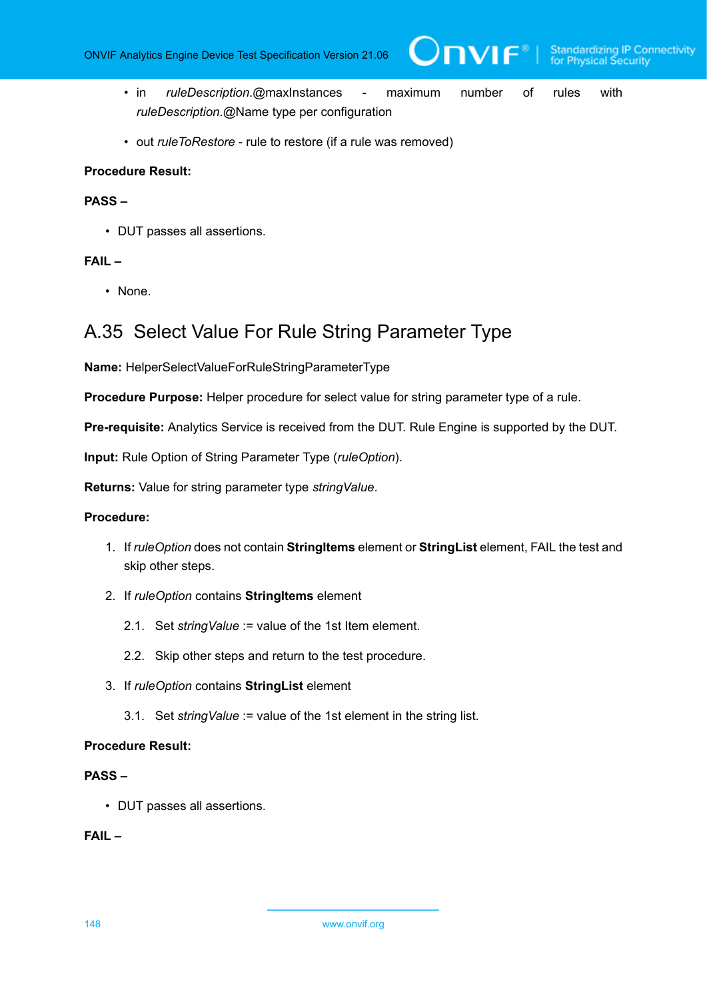$IVIF^*$ 

- in *ruleDescription*.@maxInstances maximum number of rules with *ruleDescription*.@Name type per configuration
- out *ruleToRestore* rule to restore (if a rule was removed)

## **Procedure Result:**

# **PASS –**

• DUT passes all assertions.

## **FAIL –**

• None.

# A.35 Select Value For Rule String Parameter Type

**Name:** HelperSelectValueForRuleStringParameterType

**Procedure Purpose:** Helper procedure for select value for string parameter type of a rule.

**Pre-requisite:** Analytics Service is received from the DUT. Rule Engine is supported by the DUT.

**Input:** Rule Option of String Parameter Type (*ruleOption*).

**Returns:** Value for string parameter type *stringValue*.

## **Procedure:**

- 1. If *ruleOption* does not contain **StringItems** element or **StringList** element, FAIL the test and skip other steps.
- 2. If *ruleOption* contains **StringItems** element
	- 2.1. Set *stringValue* := value of the 1st Item element.
	- 2.2. Skip other steps and return to the test procedure.
- 3. If *ruleOption* contains **StringList** element
	- 3.1. Set *stringValue* := value of the 1st element in the string list.

### **Procedure Result:**

## **PASS –**

• DUT passes all assertions.

## **FAIL –**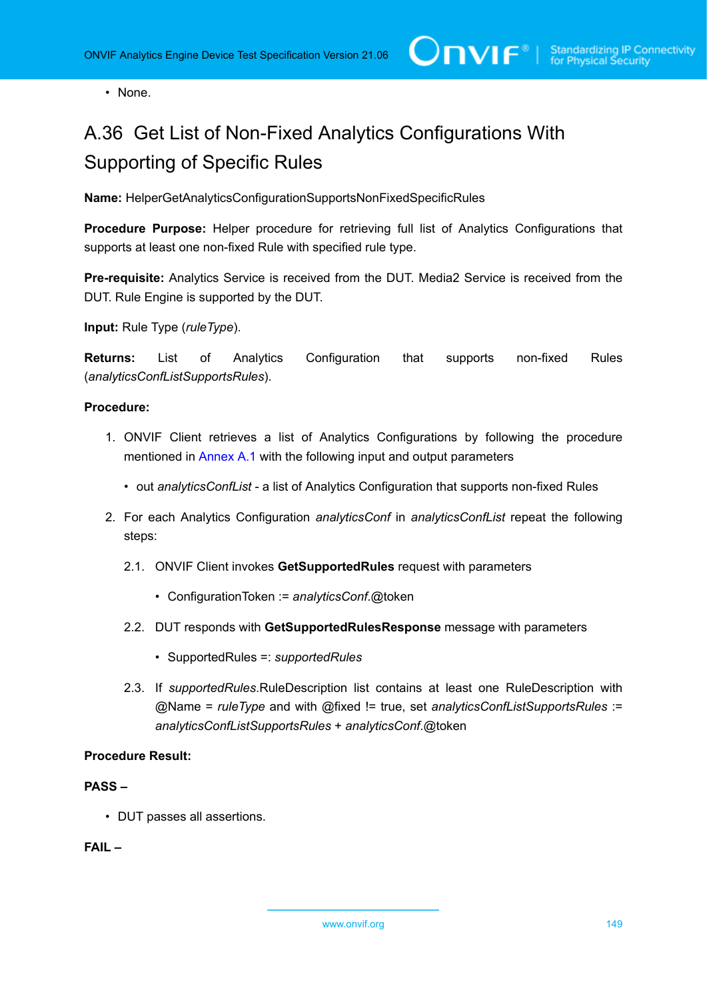• None.

# <span id="page-148-0"></span>A.36 Get List of Non-Fixed Analytics Configurations With Supporting of Specific Rules

**Name:** HelperGetAnalyticsConfigurationSupportsNonFixedSpecificRules

**Procedure Purpose:** Helper procedure for retrieving full list of Analytics Configurations that supports at least one non-fixed Rule with specified rule type.

**Pre-requisite:** Analytics Service is received from the DUT. Media2 Service is received from the DUT. Rule Engine is supported by the DUT.

**Input:** Rule Type (*ruleType*).

**Returns:** List of Analytics Configuration that supports non-fixed Rules (*analyticsConfListSupportsRules*).

## **Procedure:**

- 1. ONVIF Client retrieves a list of Analytics Configurations by following the procedure mentioned in [Annex A.1](#page-112-0) with the following input and output parameters
	- out *analyticsConfList* a list of Analytics Configuration that supports non-fixed Rules
- 2. For each Analytics Configuration *analyticsConf* in *analyticsConfList* repeat the following steps:
	- 2.1. ONVIF Client invokes **GetSupportedRules** request with parameters
		- ConfigurationToken := *analyticsConf*.@token
	- 2.2. DUT responds with **GetSupportedRulesResponse** message with parameters
		- SupportedRules =: *supportedRules*
	- 2.3. If *supportedRules*.RuleDescription list contains at least one RuleDescription with @Name = *ruleType* and with @fixed != true, set *analyticsConfListSupportsRules* := *analyticsConfListSupportsRules* + *analyticsConf*.@token

### **Procedure Result:**

## **PASS –**

• DUT passes all assertions.

### **FAIL –**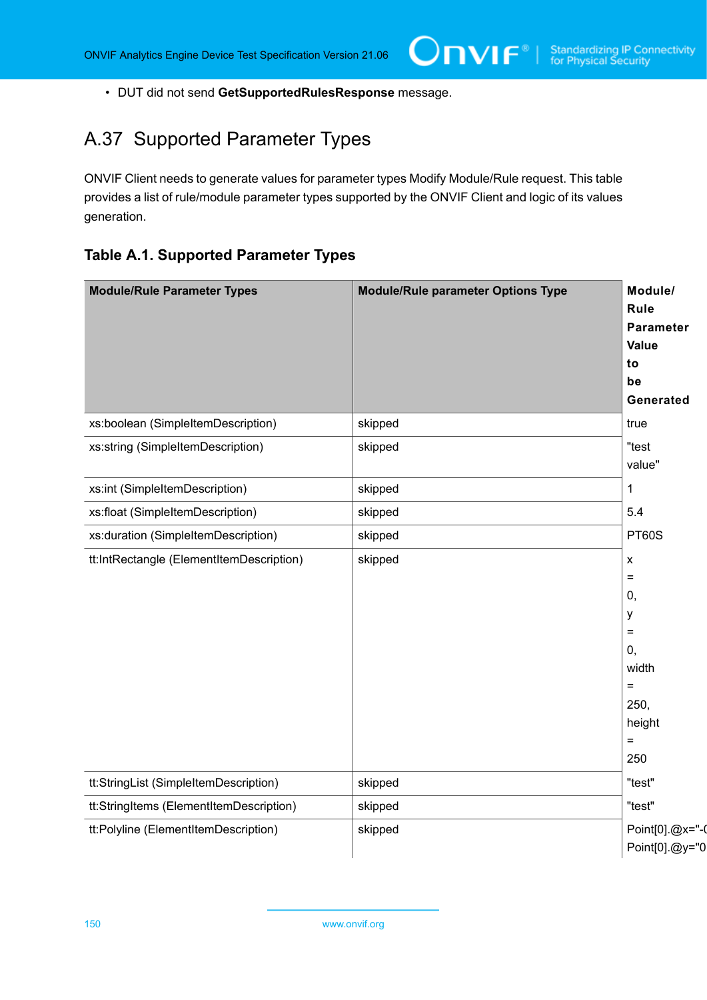• DUT did not send **GetSupportedRulesResponse** message.

# <span id="page-149-0"></span>A.37 Supported Parameter Types

ONVIF Client needs to generate values for parameter types Modify Module/Rule request. This table provides a list of rule/module parameter types supported by the ONVIF Client and logic of its values generation.

ι

# **Table A.1. Supported Parameter Types**

| <b>Module/Rule Parameter Types</b>       | <b>Module/Rule parameter Options Type</b> | Module/<br>Rule<br><b>Parameter</b><br>Value<br>to<br>be<br>Generated                                                       |
|------------------------------------------|-------------------------------------------|-----------------------------------------------------------------------------------------------------------------------------|
| xs:boolean (SimpleItemDescription)       | skipped                                   | true                                                                                                                        |
| xs:string (SimpleItemDescription)        | skipped                                   | "test<br>value"                                                                                                             |
| xs:int (SimpleItemDescription)           | skipped                                   | 1                                                                                                                           |
| xs:float (SimpleItemDescription)         | skipped                                   | 5.4                                                                                                                         |
| xs:duration (SimpleItemDescription)      | skipped                                   | <b>PT60S</b>                                                                                                                |
| tt:IntRectangle (ElementItemDescription) | skipped                                   | $\pmb{\mathsf{X}}$<br>$\equiv$<br>0,<br>y<br>$\equiv$<br>$\mathbf{0},$<br>width<br>$=$<br>250,<br>height<br>$\equiv$<br>250 |
| tt:StringList (SimpleItemDescription)    | skipped                                   | "test"                                                                                                                      |
| tt:StringItems (ElementItemDescription)  | skipped                                   | "test"                                                                                                                      |
| tt:Polyline (ElementItemDescription)     | skipped                                   | Point[0].@x="-0<br>Point[0].@y="0                                                                                           |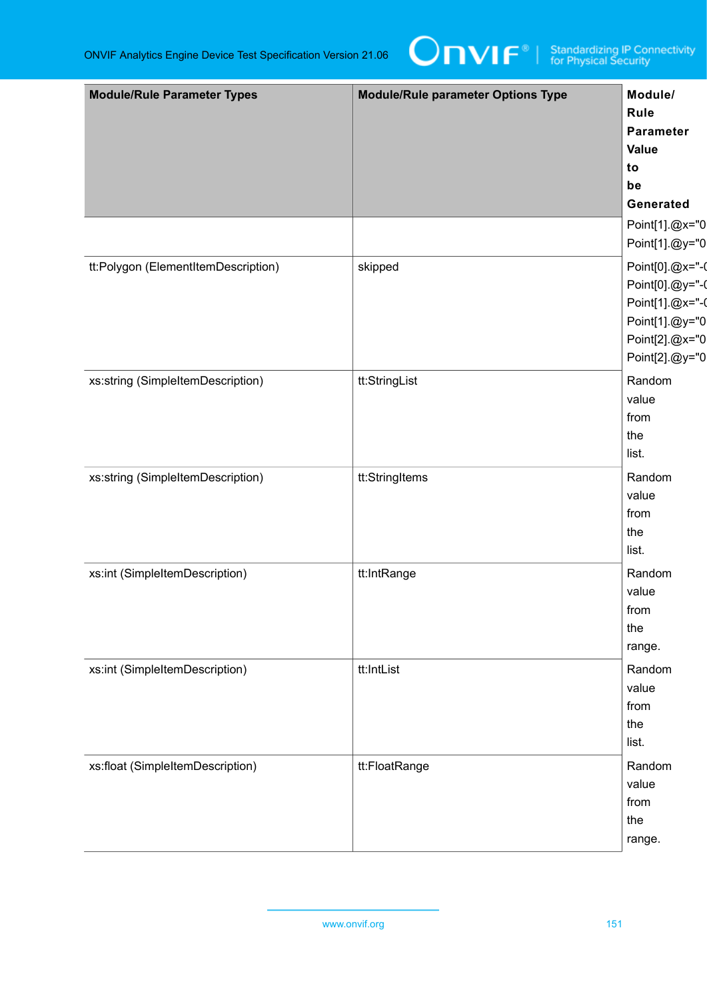

| <b>Module/Rule Parameter Types</b>  | <b>Module/Rule parameter Options Type</b> | Module/<br>Rule<br>Parameter<br><b>Value</b><br>to<br>be<br>Generated                                       |
|-------------------------------------|-------------------------------------------|-------------------------------------------------------------------------------------------------------------|
|                                     |                                           | Point[1].@x="0<br>Point[1].@y="0                                                                            |
| tt:Polygon (ElementItemDescription) | skipped                                   | Point[0].@x="-0<br>Point[0].@y="-0<br>Point[1].@x="-0<br>Point[1].@y="0<br>Point[2].@x="0<br>Point[2].@y="0 |
| xs:string (SimpleItemDescription)   | tt:StringList                             | Random<br>value<br>from<br>the<br>list.                                                                     |
| xs:string (SimpleItemDescription)   | tt:StringItems                            | Random<br>value<br>from<br>the<br>list.                                                                     |
| xs:int (SimpleItemDescription)      | tt:IntRange                               | Random<br>value<br>from<br>the<br>range.                                                                    |
| xs:int (SimpleItemDescription)      | tt:IntList                                | Random<br>value<br>from<br>the<br>list.                                                                     |
| xs:float (SimpleItemDescription)    | tt:FloatRange                             | Random<br>value<br>from<br>the<br>range.                                                                    |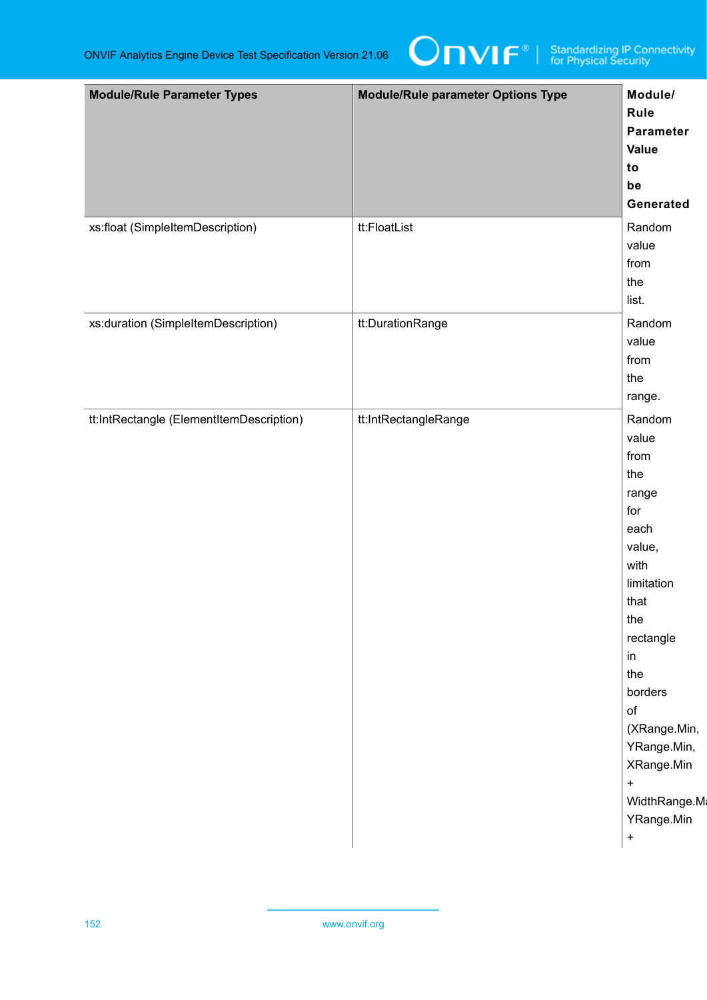

| <b>Module/Rule Parameter Types</b>       | <b>Module/Rule parameter Options Type</b> | Module/<br>Rule<br>Parameter<br>Value<br>to<br>be<br>Generated                                                                                                                                                                                         |
|------------------------------------------|-------------------------------------------|--------------------------------------------------------------------------------------------------------------------------------------------------------------------------------------------------------------------------------------------------------|
| xs:float (SimpleItemDescription)         | tt:FloatList                              | Random<br>value<br>from<br>the<br>list.                                                                                                                                                                                                                |
| xs:duration (SimpleItemDescription)      | tt:DurationRange                          | Random<br>value<br>from<br>the<br>range.                                                                                                                                                                                                               |
| tt:IntRectangle (ElementItemDescription) | tt:IntRectangleRange                      | Random<br>value<br>from<br>the<br>range<br>for<br>each<br>value,<br>with<br>limitation<br>that<br>the<br>rectangle<br>in<br>the<br>borders<br>of<br>(XRange.Min,<br>YRange.Min,<br>XRange.Min<br>$\pmb{+}$<br>WidthRange.Ma<br>YRange.Min<br>$\ddot{}$ |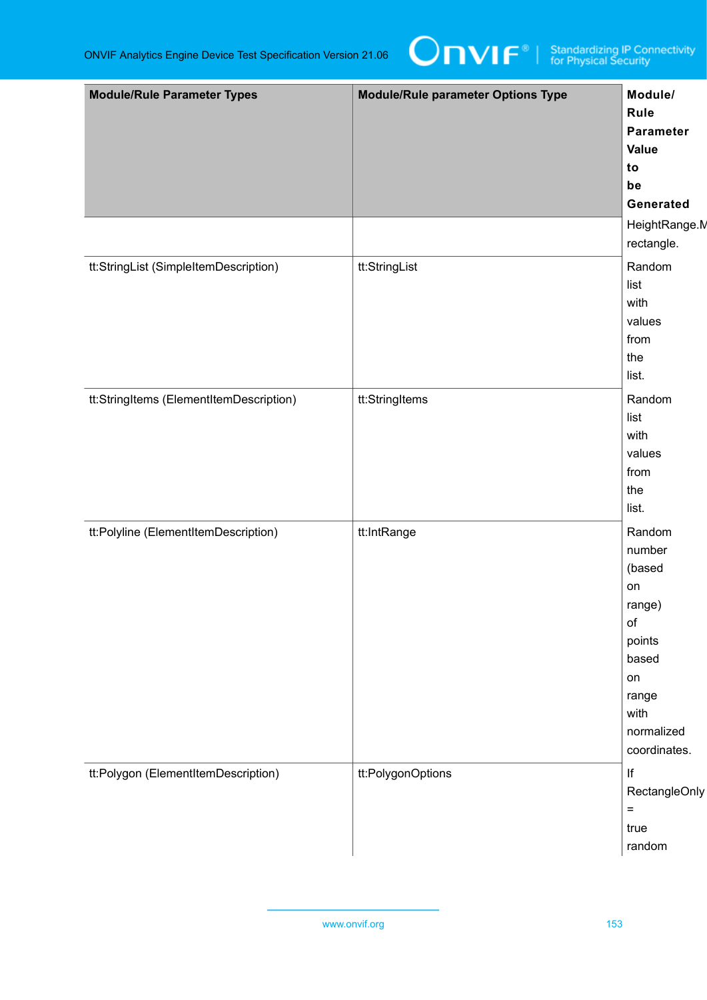

| <b>Module/Rule Parameter Types</b>      | <b>Module/Rule parameter Options Type</b> | Module/<br>Rule<br>Parameter<br><b>Value</b><br>to<br>be<br>Generated<br>HeightRange.M                                   |
|-----------------------------------------|-------------------------------------------|--------------------------------------------------------------------------------------------------------------------------|
|                                         |                                           | rectangle.                                                                                                               |
| tt:StringList (SimpleItemDescription)   | tt:StringList                             | Random<br>list<br>with<br>values<br>from<br>the<br>list.                                                                 |
| tt:StringItems (ElementItemDescription) | tt:StringItems                            | Random<br>list<br>with<br>values<br>from<br>the<br>list.                                                                 |
| tt:Polyline (ElementItemDescription)    | tt:IntRange                               | Random<br>number<br>(based<br>on<br>range)<br>of<br>points<br>based<br>on<br>range<br>with<br>normalized<br>coordinates. |
| tt:Polygon (ElementItemDescription)     | tt:PolygonOptions                         | f <br>RectangleOnly<br>$\equiv$<br>true<br>random                                                                        |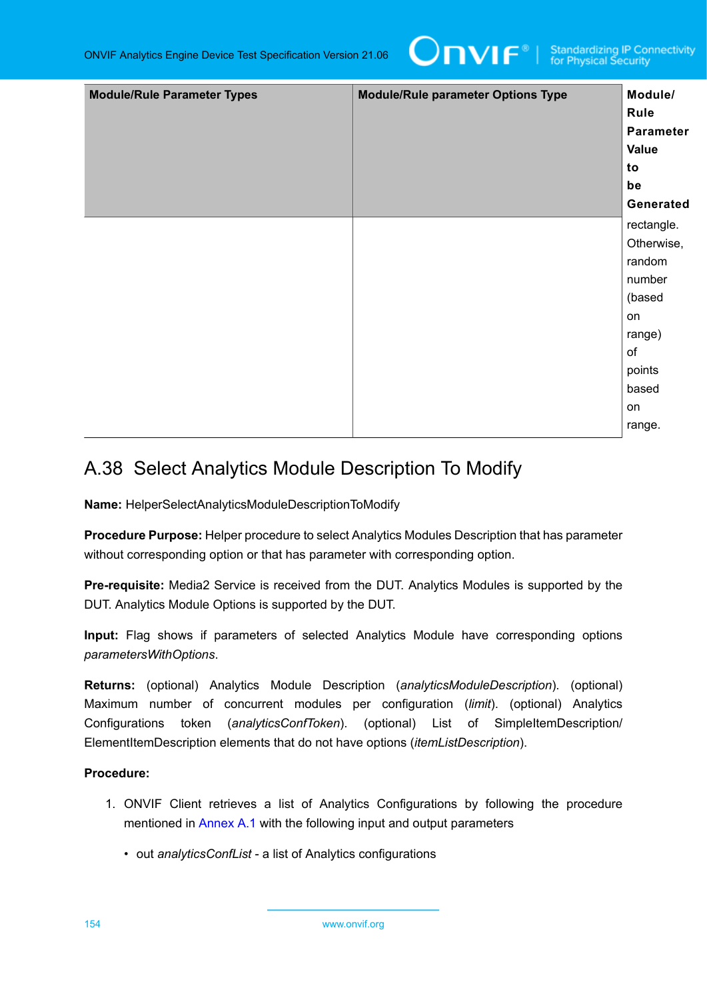

| <b>Module/Rule Parameter Types</b> | <b>Module/Rule parameter Options Type</b> | Module/<br>Rule<br>Parameter<br>Value<br>to<br>be<br>Generated                                                  |
|------------------------------------|-------------------------------------------|-----------------------------------------------------------------------------------------------------------------|
|                                    |                                           | rectangle.<br>Otherwise,<br>random<br>number<br>(based<br>on<br>range)<br>of<br>points<br>based<br>on<br>range. |

# A.38 Select Analytics Module Description To Modify

**Name:** HelperSelectAnalyticsModuleDescriptionToModify

**Procedure Purpose:** Helper procedure to select Analytics Modules Description that has parameter without corresponding option or that has parameter with corresponding option.

**Pre-requisite:** Media2 Service is received from the DUT. Analytics Modules is supported by the DUT. Analytics Module Options is supported by the DUT.

**Input:** Flag shows if parameters of selected Analytics Module have corresponding options *parametersWithOptions*.

**Returns:** (optional) Analytics Module Description (*analyticsModuleDescription*). (optional) Maximum number of concurrent modules per configuration (*limit*). (optional) Analytics Configurations token (*analyticsConfToken*). (optional) List of SimpleItemDescription/ ElementItemDescription elements that do not have options (*itemListDescription*).

# **Procedure:**

- 1. ONVIF Client retrieves a list of Analytics Configurations by following the procedure mentioned in [Annex A.1](#page-112-0) with the following input and output parameters
	- out *analyticsConfList* a list of Analytics configurations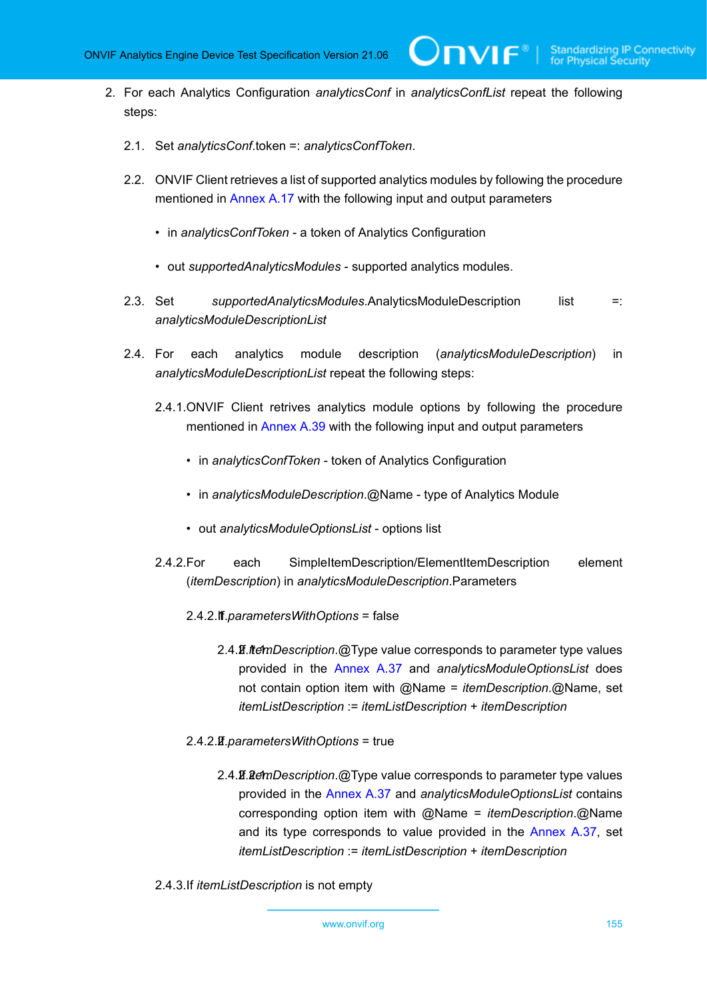2. For each Analytics Configuration *analyticsConf* in *analyticsConfList* repeat the following steps:

 $\bm{\cup}$ NIF $^*$ l

- 2.1. Set *analyticsConf*.token =: *analyticsConfToken*.
- 2.2. ONVIF Client retrieves a list of supported analytics modules by following the procedure mentioned in [Annex A.17](#page-126-0) with the following input and output parameters
	- in *analyticsConfToken* a token of Analytics Configuration
	- out *supportedAnalyticsModules* supported analytics modules.
- 2.3. Set *supportedAnalyticsModules*.AnalyticsModuleDescription list =: *analyticsModuleDescriptionList*
- 2.4. For each analytics module description (*analyticsModuleDescription*) in *analyticsModuleDescriptionList* repeat the following steps:
	- 2.4.1.ONVIF Client retrives analytics module options by following the procedure mentioned in [Annex A.39](#page-155-0) with the following input and output parameters
		- in *analyticsConfToken* token of Analytics Configuration
		- in *analyticsModuleDescription*.@Name type of Analytics Module
		- out *analyticsModuleOptionsList* options list
	- 2.4.2.For each SimpleItemDescription/ElementItemDescription element (*itemDescription*) in *analyticsModuleDescription*.Parameters
		- 2.4.2.1. If *parametersWithOptions* = false
			- 2.4.2.1.1. If *itemDescription*.@Type value corresponds to parameter type values provided in the [Annex A.37](#page-149-0) and *analyticsModuleOptionsList* does not contain option item with @Name = *itemDescription*.@Name, set *itemListDescription* := *itemListDescription* + *itemDescription*
		- 2.4.2.2. If *parametersWithOptions* = true
			- 2.4.2.2.1. If *itemDescription*.@Type value corresponds to parameter type values provided in the [Annex A.37](#page-149-0) and *analyticsModuleOptionsList* contains corresponding option item with @Name = *itemDescription*.@Name and its type corresponds to value provided in the [Annex A.37,](#page-149-0) set *itemListDescription* := *itemListDescription* + *itemDescription*
	- 2.4.3.If *itemListDescription* is not empty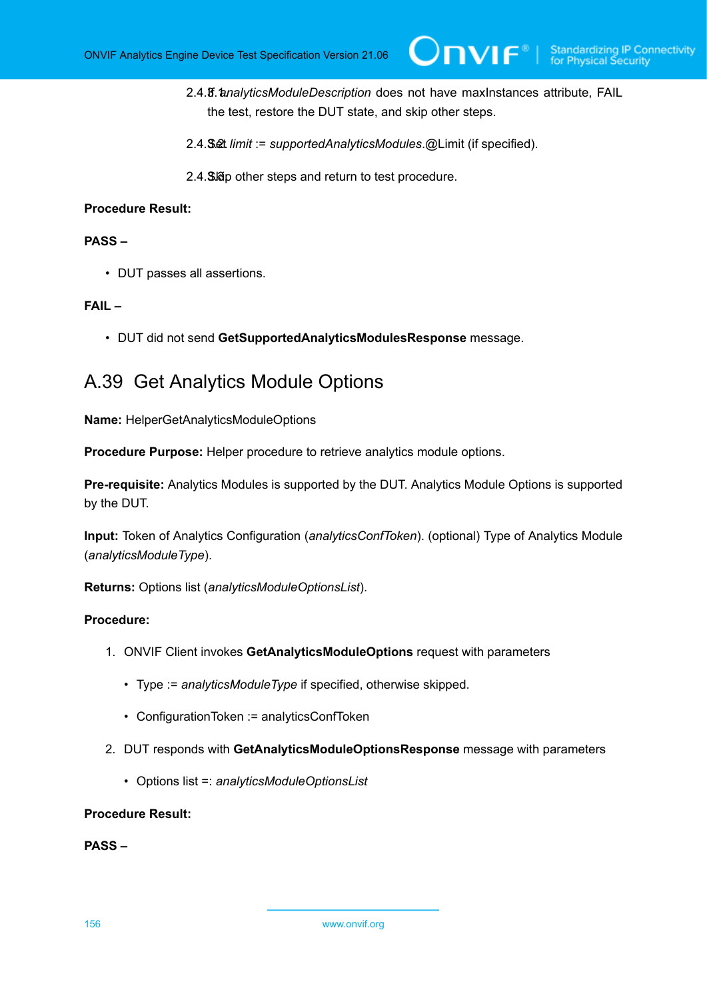- 2.4.3.1. If *analyticsModuleDescription* does not have maxInstances attribute, FAIL the test, restore the DUT state, and skip other steps.
- 2.4.3.2. Set *limit* := *supportedAnalyticsModules*.@Limit (if specified).
- 2.4. Ship other steps and return to test procedure.

# **PASS –**

• DUT passes all assertions.

# **FAIL –**

• DUT did not send **GetSupportedAnalyticsModulesResponse** message.

# <span id="page-155-0"></span>A.39 Get Analytics Module Options

**Name:** HelperGetAnalyticsModuleOptions

**Procedure Purpose:** Helper procedure to retrieve analytics module options.

**Pre-requisite:** Analytics Modules is supported by the DUT. Analytics Module Options is supported by the DUT.

**Input:** Token of Analytics Configuration (*analyticsConfToken*). (optional) Type of Analytics Module (*analyticsModuleType*).

**Returns:** Options list (*analyticsModuleOptionsList*).

## **Procedure:**

- 1. ONVIF Client invokes **GetAnalyticsModuleOptions** request with parameters
	- Type := *analyticsModuleType* if specified, otherwise skipped.
	- ConfigurationToken := analyticsConfToken
- 2. DUT responds with **GetAnalyticsModuleOptionsResponse** message with parameters
	- Options list =: *analyticsModuleOptionsList*

## **Procedure Result:**

### **PASS –**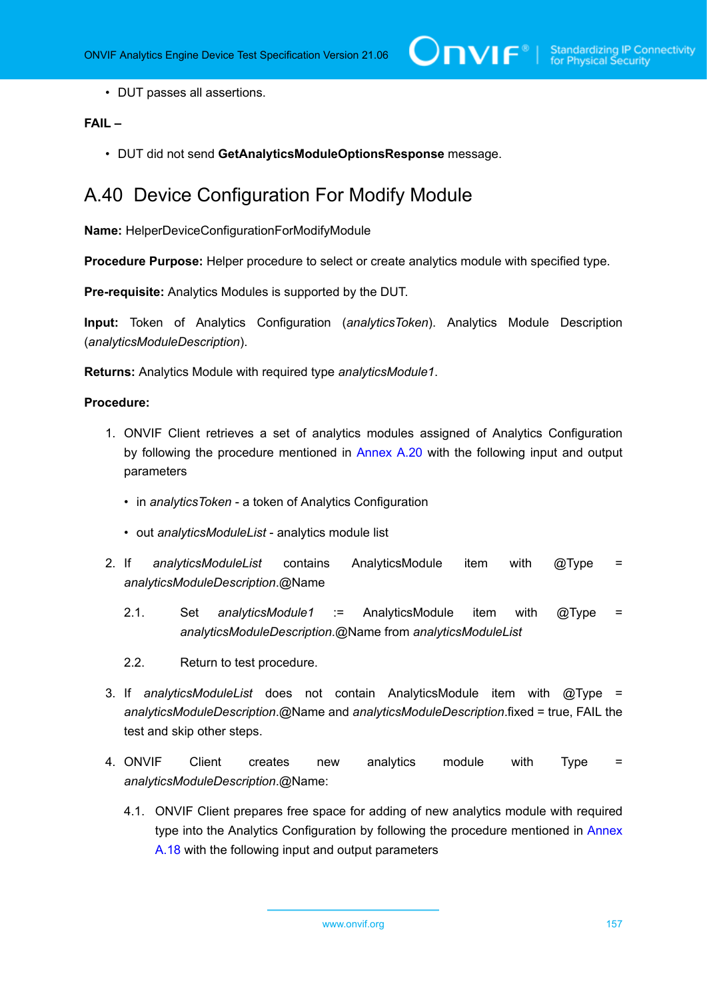• DUT passes all assertions.

# **FAIL –**

• DUT did not send **GetAnalyticsModuleOptionsResponse** message.

# A.40 Device Configuration For Modify Module

**Name:** HelperDeviceConfigurationForModifyModule

**Procedure Purpose:** Helper procedure to select or create analytics module with specified type.

**Pre-requisite:** Analytics Modules is supported by the DUT.

**Input:** Token of Analytics Configuration (*analyticsToken*). Analytics Module Description (*analyticsModuleDescription*).

**Returns:** Analytics Module with required type *analyticsModule1*.

### **Procedure:**

- 1. ONVIF Client retrieves a set of analytics modules assigned of Analytics Configuration by following the procedure mentioned in [Annex A.20](#page-129-0) with the following input and output parameters
	- in *analyticsToken* a token of Analytics Configuration
	- out *analyticsModuleList* analytics module list
- 2. If *analyticsModuleList* contains AnalyticsModule item with @Type = *analyticsModuleDescription*.@Name
	- 2.1. Set *analyticsModule1* := AnalyticsModule item with @Type = *analyticsModuleDescription*.@Name from *analyticsModuleList*
	- 2.2. Return to test procedure.
- 3. If *analyticsModuleList* does not contain AnalyticsModule item with @Type = *analyticsModuleDescription*.@Name and *analyticsModuleDescription*.fixed = true, FAIL the test and skip other steps.
- 4. ONVIF Client creates new analytics module with Type = *analyticsModuleDescription*.@Name:
	- 4.1. ONVIF Client prepares free space for adding of new analytics module with required type into the Analytics Configuration by following the procedure mentioned in [Annex](#page-126-1) [A.18](#page-126-1) with the following input and output parameters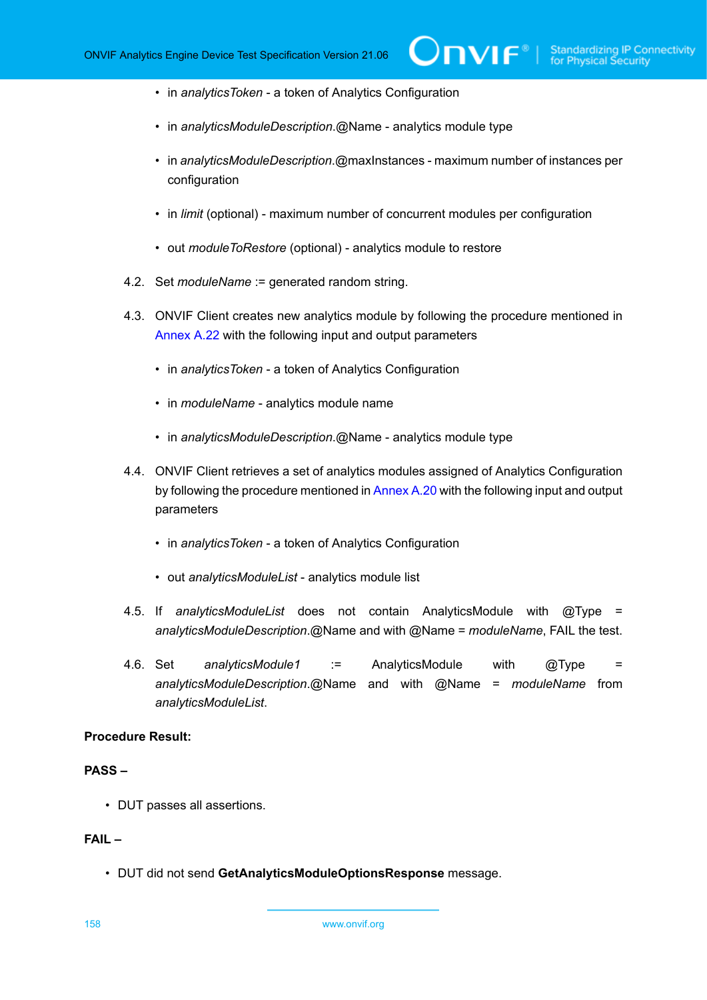**IVIF**®

- in *analyticsToken* a token of Analytics Configuration
- in *analyticsModuleDescription*.@Name analytics module type
- in *analyticsModuleDescription*.@maxInstances maximum number of instances per configuration
- in *limit* (optional) maximum number of concurrent modules per configuration
- out *moduleToRestore* (optional) analytics module to restore
- 4.2. Set *moduleName* := generated random string.
- 4.3. ONVIF Client creates new analytics module by following the procedure mentioned in [Annex A.22](#page-130-0) with the following input and output parameters
	- in *analyticsToken* a token of Analytics Configuration
	- in *moduleName* analytics module name
	- in *analyticsModuleDescription*.@Name analytics module type
- 4.4. ONVIF Client retrieves a set of analytics modules assigned of Analytics Configuration by following the procedure mentioned in [Annex A.20](#page-129-0) with the following input and output parameters
	- in *analyticsToken* a token of Analytics Configuration
	- out *analyticsModuleList* analytics module list
- 4.5. If *analyticsModuleList* does not contain AnalyticsModule with @Type = *analyticsModuleDescription*.@Name and with @Name = *moduleName*, FAIL the test.
- 4.6. Set *analyticsModule1* := AnalyticsModule with @Type = *analyticsModuleDescription*.@Name and with @Name = *moduleName* from *analyticsModuleList*.

#### **Procedure Result:**

## **PASS –**

• DUT passes all assertions.

# **FAIL –**

• DUT did not send **GetAnalyticsModuleOptionsResponse** message.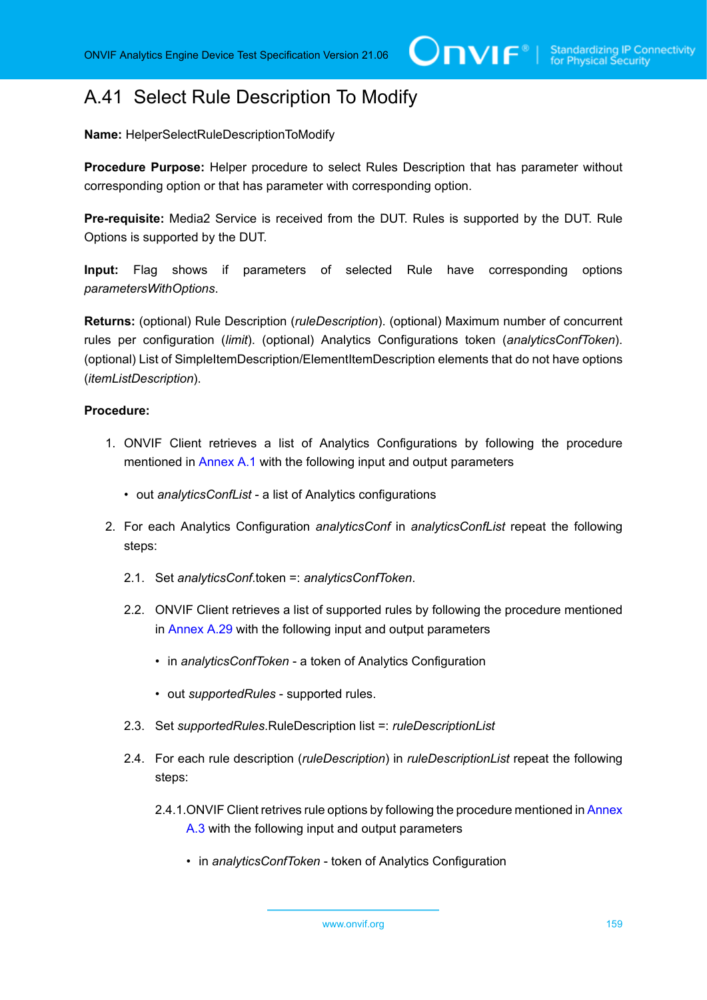# A.41 Select Rule Description To Modify

**Name:** HelperSelectRuleDescriptionToModify

**Procedure Purpose:** Helper procedure to select Rules Description that has parameter without corresponding option or that has parameter with corresponding option.

**Pre-requisite:** Media2 Service is received from the DUT. Rules is supported by the DUT. Rule Options is supported by the DUT.

**Input:** Flag shows if parameters of selected Rule have corresponding options *parametersWithOptions*.

**Returns:** (optional) Rule Description (*ruleDescription*). (optional) Maximum number of concurrent rules per configuration (*limit*). (optional) Analytics Configurations token (*analyticsConfToken*). (optional) List of SimpleItemDescription/ElementItemDescription elements that do not have options (*itemListDescription*).

- 1. ONVIF Client retrieves a list of Analytics Configurations by following the procedure mentioned in [Annex A.1](#page-112-0) with the following input and output parameters
	- out *analyticsConfList* a list of Analytics configurations
- 2. For each Analytics Configuration *analyticsConf* in *analyticsConfList* repeat the following steps:
	- 2.1. Set *analyticsConf*.token =: *analyticsConfToken*.
	- 2.2. ONVIF Client retrieves a list of supported rules by following the procedure mentioned in [Annex A.29](#page-141-0) with the following input and output parameters
		- in *analyticsConfToken* a token of Analytics Configuration
		- out *supportedRules* supported rules.
	- 2.3. Set *supportedRules*.RuleDescription list =: *ruleDescriptionList*
	- 2.4. For each rule description (*ruleDescription*) in *ruleDescriptionList* repeat the following steps:
		- 2.4.1.ONVIF Client retrives rule options by following the procedure mentioned in [Annex](#page-113-0) [A.3](#page-113-0) with the following input and output parameters
			- in *analyticsConfToken* token of Analytics Configuration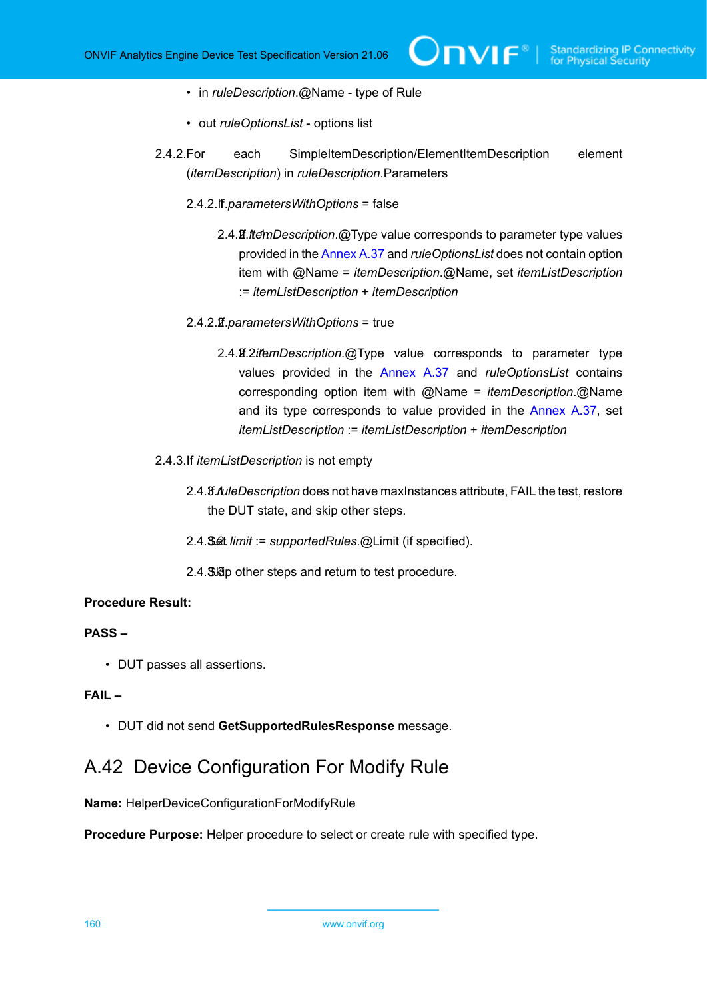- in *ruleDescription*.@Name type of Rule
- out *ruleOptionsList* options list
- 2.4.2.For each SimpleItemDescription/ElementItemDescription element (*itemDescription*) in *ruleDescription*.Parameters
	- 2.4.2.1. If *parametersWithOptions* = false
		- 2.4.2.1.1. If *itemDescription*.@Type value corresponds to parameter type values provided in the [Annex A.37](#page-149-0) and *ruleOptionsList* does not contain option item with @Name = *itemDescription*.@Name, set *itemListDescription* := *itemListDescription* + *itemDescription*
	- 2.4.2.2. If *parametersWithOptions* = true
		- 2.4.2.2.1. If *itemDescription*.@Type value corresponds to parameter type values provided in the [Annex A.37](#page-149-0) and *ruleOptionsList* contains corresponding option item with @Name = *itemDescription*.@Name and its type corresponds to value provided in the [Annex A.37,](#page-149-0) set *itemListDescription* := *itemListDescription* + *itemDescription*
- 2.4.3.If *itemListDescription* is not empty
	- 2.4.3.1. If *ruleDescription* does not have maxInstances attribute, FAIL the test, restore the DUT state, and skip other steps.
	- 2.4.3.2. Set *limit* := *supportedRules*.@Limit (if specified).
	- 2.4. S. So other steps and return to test procedure.

## **PASS –**

• DUT passes all assertions.

# **FAIL –**

• DUT did not send **GetSupportedRulesResponse** message.

# A.42 Device Configuration For Modify Rule

**Name:** HelperDeviceConfigurationForModifyRule

**Procedure Purpose:** Helper procedure to select or create rule with specified type.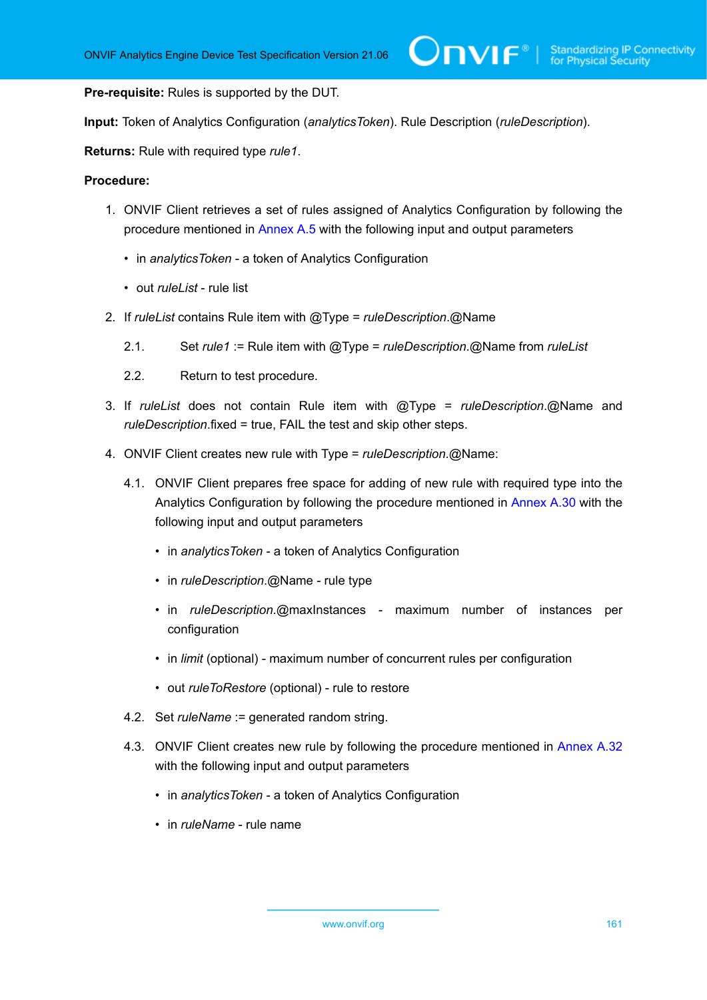**Pre-requisite:** Rules is supported by the DUT.

**Input:** Token of Analytics Configuration (*analyticsToken*). Rule Description (*ruleDescription*).

**Returns:** Rule with required type *rule1*.

- 1. ONVIF Client retrieves a set of rules assigned of Analytics Configuration by following the procedure mentioned in [Annex A.5](#page-116-0) with the following input and output parameters
	- in *analyticsToken* a token of Analytics Configuration
	- out *ruleList* rule list
- 2. If *ruleList* contains Rule item with @Type = *ruleDescription*.@Name
	- 2.1. Set *rule1* := Rule item with @Type = *ruleDescription*.@Name from *ruleList*
	- 2.2. Return to test procedure.
- 3. If *ruleList* does not contain Rule item with @Type = *ruleDescription*.@Name and *ruleDescription*.fixed = true, FAIL the test and skip other steps.
- 4. ONVIF Client creates new rule with Type = *ruleDescription*.@Name:
	- 4.1. ONVIF Client prepares free space for adding of new rule with required type into the Analytics Configuration by following the procedure mentioned in [Annex A.30](#page-141-1) with the following input and output parameters
		- in *analyticsToken* a token of Analytics Configuration
		- in *ruleDescription*.@Name rule type
		- in *ruleDescription*.@maxInstances maximum number of instances per configuration
		- in *limit* (optional) maximum number of concurrent rules per configuration
		- out *ruleToRestore* (optional) rule to restore
	- 4.2. Set *ruleName* := generated random string.
	- 4.3. ONVIF Client creates new rule by following the procedure mentioned in [Annex A.32](#page-143-0) with the following input and output parameters
		- in *analyticsToken* a token of Analytics Configuration
		- in *ruleName* rule name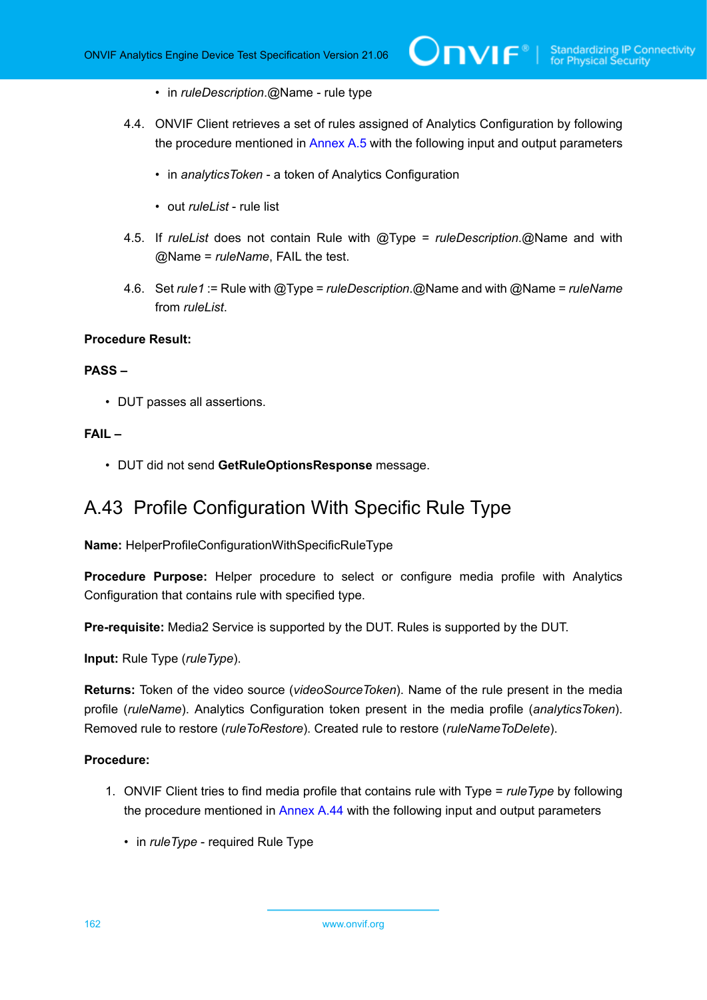- in *ruleDescription*.@Name rule type
- 4.4. ONVIF Client retrieves a set of rules assigned of Analytics Configuration by following the procedure mentioned in [Annex A.5](#page-116-0) with the following input and output parameters
	- in *analyticsToken* a token of Analytics Configuration
	- out *ruleList* rule list
- 4.5. If *ruleList* does not contain Rule with @Type = *ruleDescription*.@Name and with @Name = *ruleName*, FAIL the test.
- 4.6. Set *rule1* := Rule with @Type = *ruleDescription*.@Name and with @Name = *ruleName* from *ruleList*.

## **PASS –**

• DUT passes all assertions.

### **FAIL –**

• DUT did not send **GetRuleOptionsResponse** message.

# A.43 Profile Configuration With Specific Rule Type

**Name:** HelperProfileConfigurationWithSpecificRuleType

**Procedure Purpose:** Helper procedure to select or configure media profile with Analytics Configuration that contains rule with specified type.

**Pre-requisite:** Media2 Service is supported by the DUT. Rules is supported by the DUT.

**Input:** Rule Type (*ruleType*).

**Returns:** Token of the video source (*videoSourceToken*). Name of the rule present in the media profile (*ruleName*). Analytics Configuration token present in the media profile (*analyticsToken*). Removed rule to restore (*ruleToRestore*). Created rule to restore (*ruleNameToDelete*).

- <span id="page-161-0"></span>1. ONVIF Client tries to find media profile that contains rule with Type = *ruleType* by following the procedure mentioned in [Annex A.44](#page-163-0) with the following input and output parameters
	- in *ruleType* required Rule Type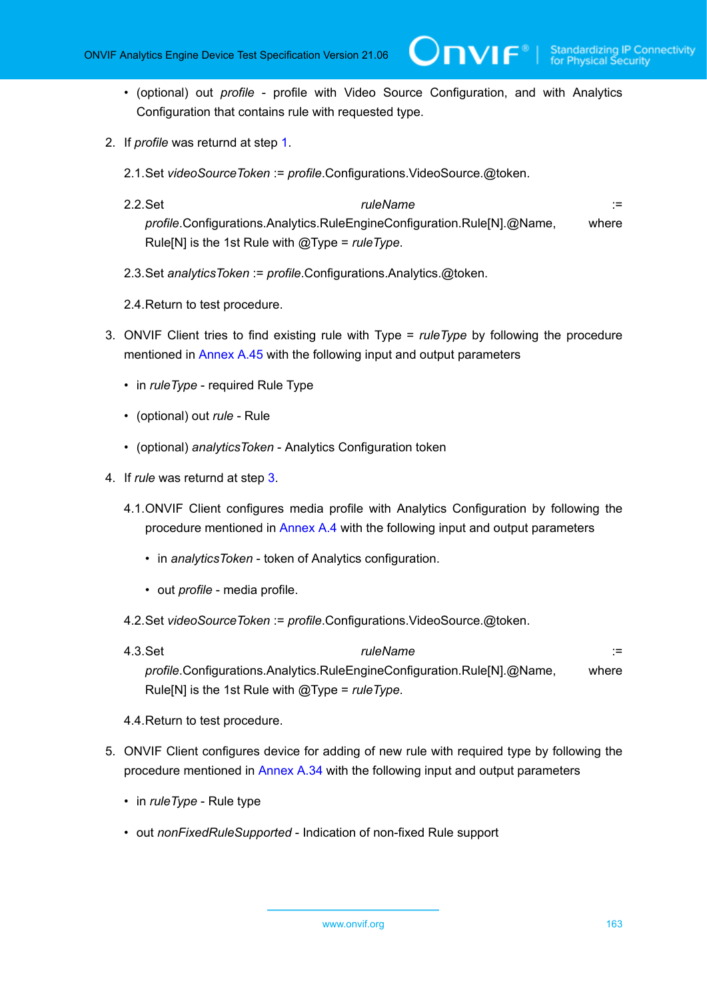- (optional) out *profile* profile with Video Source Configuration, and with Analytics Configuration that contains rule with requested type.
- 2. If *profile* was returnd at step [1.](#page-161-0)
	- 2.1.Set *videoSourceToken* := *profile*.Configurations.VideoSource.@token.
	- 2.2.Set *ruleName* := *profile*.Configurations.Analytics.RuleEngineConfiguration.Rule[N].@Name, where Rule[N] is the 1st Rule with @Type = *ruleType*.
	- 2.3.Set *analyticsToken* := *profile*.Configurations.Analytics.@token.
	- 2.4.Return to test procedure.
- <span id="page-162-0"></span>3. ONVIF Client tries to find existing rule with Type = *ruleType* by following the procedure mentioned in [Annex A.45](#page-165-0) with the following input and output parameters
	- in *ruleType* required Rule Type
	- (optional) out *rule* Rule
	- (optional) *analyticsToken* Analytics Configuration token
- 4. If *rule* was returnd at step [3.](#page-162-0)
	- 4.1.ONVIF Client configures media profile with Analytics Configuration by following the procedure mentioned in [Annex A.4](#page-114-0) with the following input and output parameters
		- in *analyticsToken* token of Analytics configuration.
		- out *profile* media profile.
	- 4.2.Set *videoSourceToken* := *profile*.Configurations.VideoSource.@token.
	- 4.3.Set *ruleName* := *profile*.Configurations.Analytics.RuleEngineConfiguration.Rule[N].@Name, where Rule[N] is the 1st Rule with @Type = *ruleType*.
	- 4.4.Return to test procedure.
- 5. ONVIF Client configures device for adding of new rule with required type by following the procedure mentioned in [Annex A.34](#page-145-0) with the following input and output parameters
	- in *ruleType* Rule type
	- out *nonFixedRuleSupported* Indication of non-fixed Rule support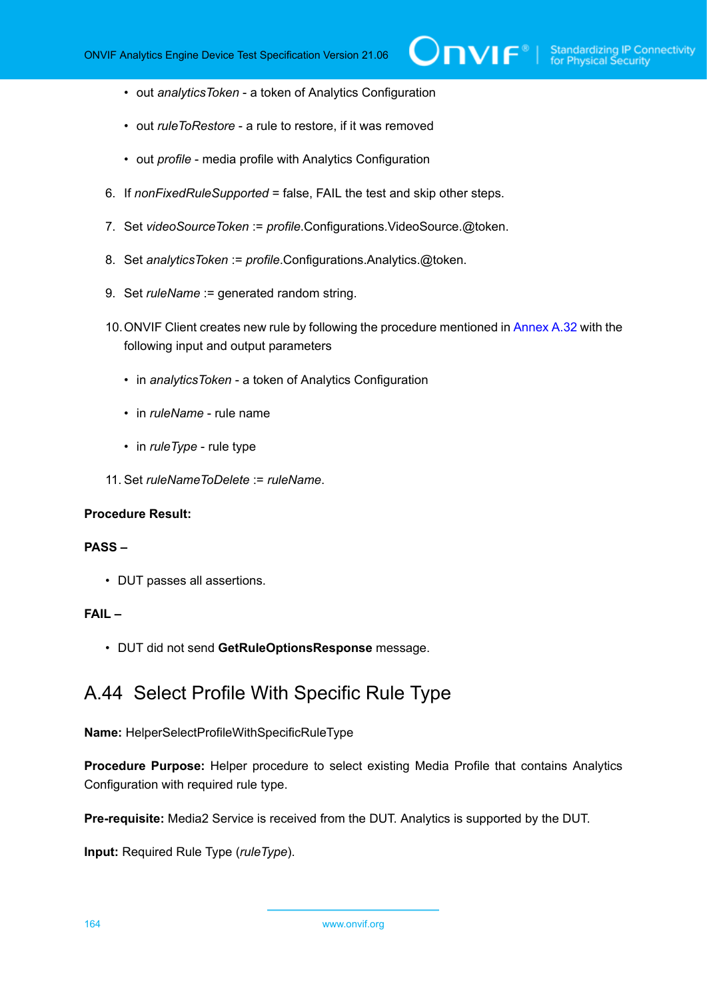- out *analyticsToken* a token of Analytics Configuration
- out *ruleToRestore* a rule to restore, if it was removed
- out *profile* media profile with Analytics Configuration
- 6. If *nonFixedRuleSupported* = false, FAIL the test and skip other steps.
- 7. Set *videoSourceToken* := *profile*.Configurations.VideoSource.@token.
- 8. Set *analyticsToken* := *profile*.Configurations.Analytics.@token.
- 9. Set *ruleName* := generated random string.
- 10.ONVIF Client creates new rule by following the procedure mentioned in [Annex A.32](#page-143-0) with the following input and output parameters
	- in *analyticsToken* a token of Analytics Configuration
	- in *ruleName* rule name
	- in *ruleType* rule type
- 11. Set *ruleNameToDelete* := *ruleName*.

### **PASS –**

• DUT passes all assertions.

## **FAIL –**

<span id="page-163-0"></span>• DUT did not send **GetRuleOptionsResponse** message.

# A.44 Select Profile With Specific Rule Type

**Name:** HelperSelectProfileWithSpecificRuleType

**Procedure Purpose:** Helper procedure to select existing Media Profile that contains Analytics Configuration with required rule type.

**Pre-requisite:** Media2 Service is received from the DUT. Analytics is supported by the DUT.

**Input:** Required Rule Type (*ruleType*).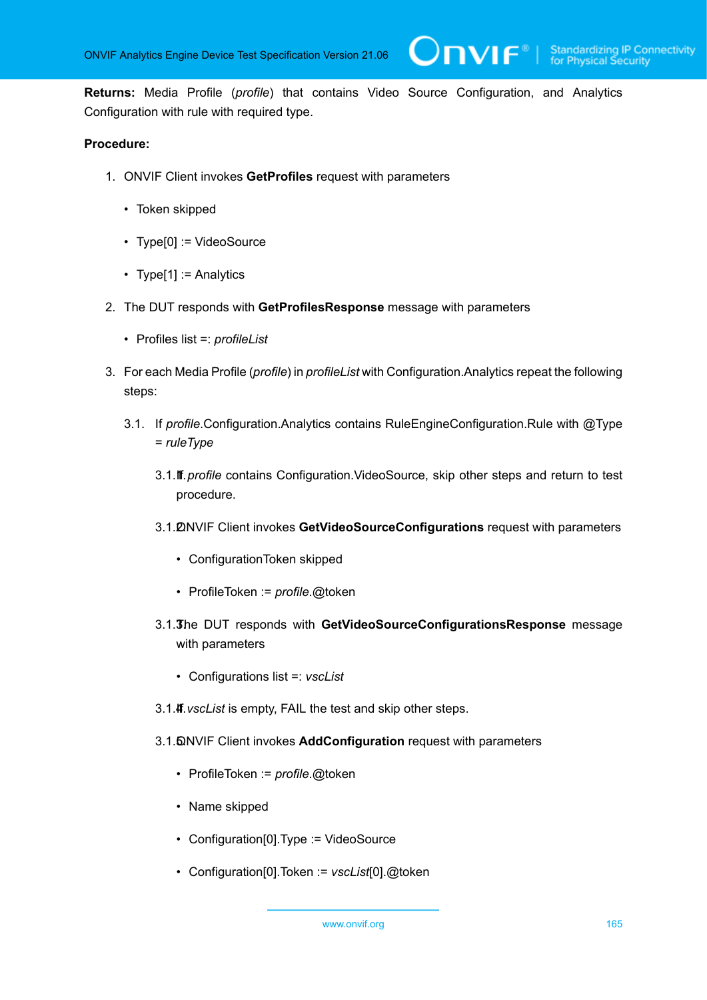$\mathbf{V}$ 

**Returns:** Media Profile (*profile*) that contains Video Source Configuration, and Analytics Configuration with rule with required type.

- 1. ONVIF Client invokes **GetProfiles** request with parameters
	- Token skipped
	- Type[0] := VideoSource
	- Type[1] := Analytics
- 2. The DUT responds with **GetProfilesResponse** message with parameters
	- Profiles list =: *profileList*
- 3. For each Media Profile (*profile*) in *profileList* with Configuration.Analytics repeat the following steps:
	- 3.1. If *profile*.Configuration.Analytics contains RuleEngineConfiguration.Rule with @Type = *ruleType*
		- 3.1.1. If *profile* contains Configuration.VideoSource, skip other steps and return to test procedure.
		- 3.1.2. ONVIF Client invokes **GetVideoSourceConfigurations** request with parameters
			- ConfigurationToken skipped
			- ProfileToken := *profile*.@token
		- 3.1.3. The DUT responds with **GetVideoSourceConfigurationsResponse** message with parameters
			- Configurations list =: *vscList*
		- 3.1.4. *vscList* is empty, FAIL the test and skip other steps.
		- 3.1.5. ONVIF Client invokes **AddConfiguration** request with parameters
			- ProfileToken := *profile*.@token
			- Name skipped
			- Configuration[0].Type := VideoSource
			- Configuration[0].Token := *vscList*[0].@token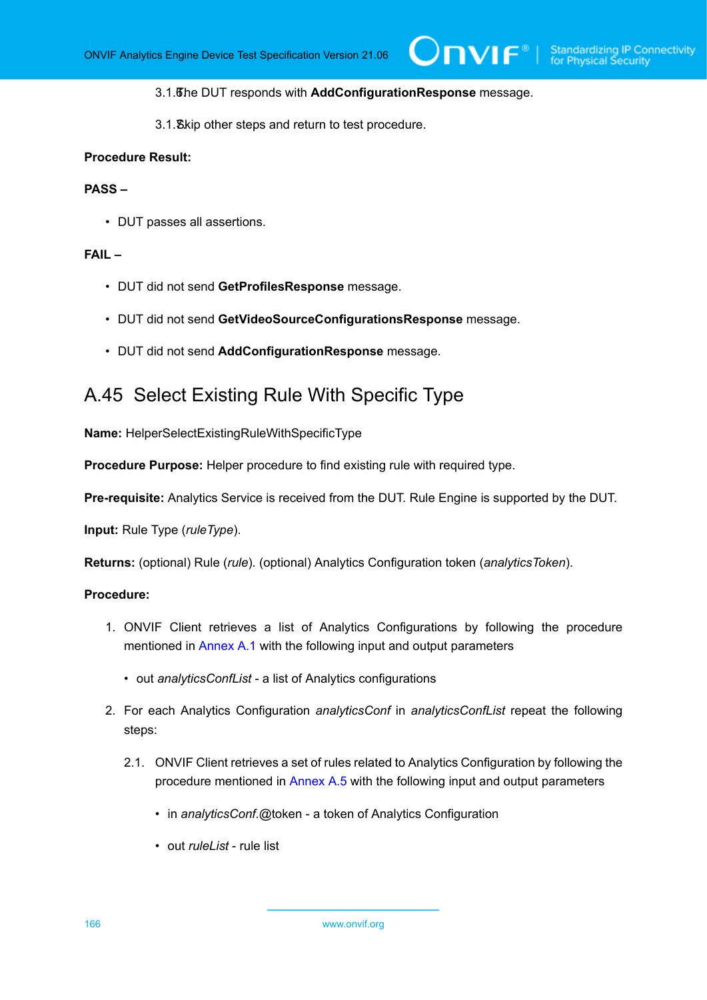**TVIF**®

#### 3.1.6. The DUT responds with **AddConfigurationResponse** message.

3.1.7. Skip other steps and return to test procedure.

### **Procedure Result:**

### **PASS –**

• DUT passes all assertions.

## **FAIL –**

- DUT did not send **GetProfilesResponse** message.
- DUT did not send **GetVideoSourceConfigurationsResponse** message.
- DUT did not send **AddConfigurationResponse** message.

# <span id="page-165-0"></span>A.45 Select Existing Rule With Specific Type

**Name:** HelperSelectExistingRuleWithSpecificType

**Procedure Purpose:** Helper procedure to find existing rule with required type.

**Pre-requisite:** Analytics Service is received from the DUT. Rule Engine is supported by the DUT.

**Input:** Rule Type (*ruleType*).

**Returns:** (optional) Rule (*rule*). (optional) Analytics Configuration token (*analyticsToken*).

- 1. ONVIF Client retrieves a list of Analytics Configurations by following the procedure mentioned in [Annex A.1](#page-112-0) with the following input and output parameters
	- out *analyticsConfList* a list of Analytics configurations
- 2. For each Analytics Configuration *analyticsConf* in *analyticsConfList* repeat the following steps:
	- 2.1. ONVIF Client retrieves a set of rules related to Analytics Configuration by following the procedure mentioned in [Annex A.5](#page-116-0) with the following input and output parameters
		- in *analyticsConf*.@token a token of Analytics Configuration
		- out *ruleList* rule list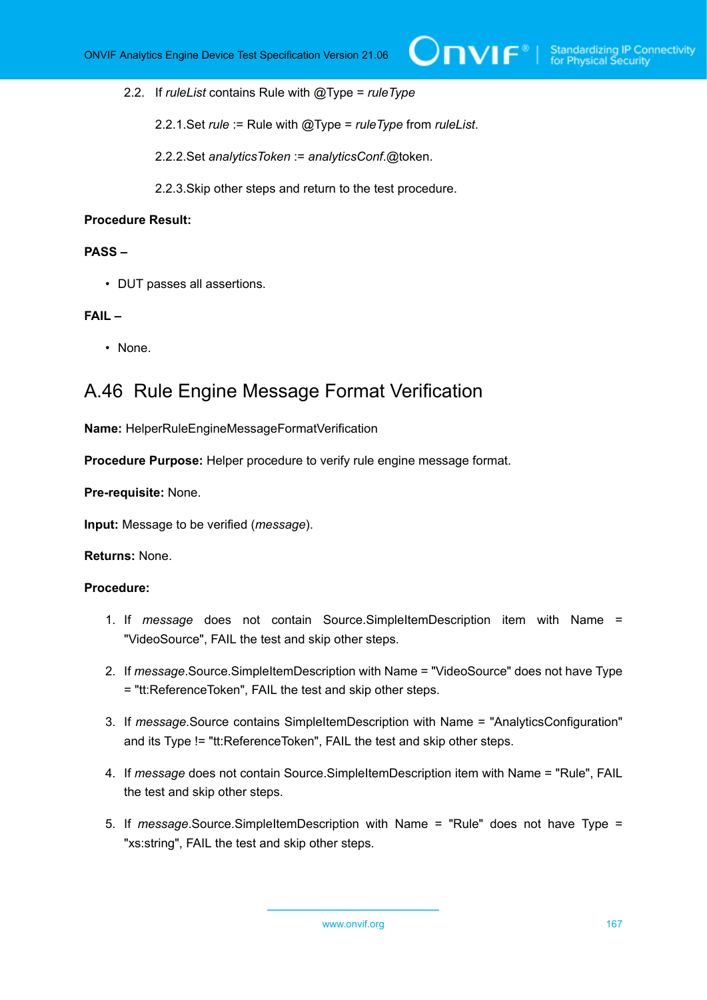2.2. If *ruleList* contains Rule with @Type = *ruleType*

2.2.1.Set *rule* := Rule with @Type = *ruleType* from *ruleList*.

2.2.2.Set *analyticsToken* := *analyticsConf*.@token.

2.2.3.Skip other steps and return to the test procedure.

### **Procedure Result:**

### **PASS –**

• DUT passes all assertions.

### **FAIL –**

• None.

# A.46 Rule Engine Message Format Verification

**Name:** HelperRuleEngineMessageFormatVerification

**Procedure Purpose:** Helper procedure to verify rule engine message format.

### **Pre-requisite:** None.

**Input:** Message to be verified (*message*).

#### **Returns:** None.

- 1. If *message* does not contain Source.SimpleItemDescription item with Name = "VideoSource", FAIL the test and skip other steps.
- 2. If *message*.Source.SimpleItemDescription with Name = "VideoSource" does not have Type = "tt:ReferenceToken", FAIL the test and skip other steps.
- 3. If *message*.Source contains SimpleItemDescription with Name = "AnalyticsConfiguration" and its Type != "tt:ReferenceToken", FAIL the test and skip other steps.
- 4. If *message* does not contain Source.SimpleItemDescription item with Name = "Rule", FAIL the test and skip other steps.
- 5. If *message*.Source.SimpleItemDescription with Name = "Rule" does not have Type = "xs:string", FAIL the test and skip other steps.